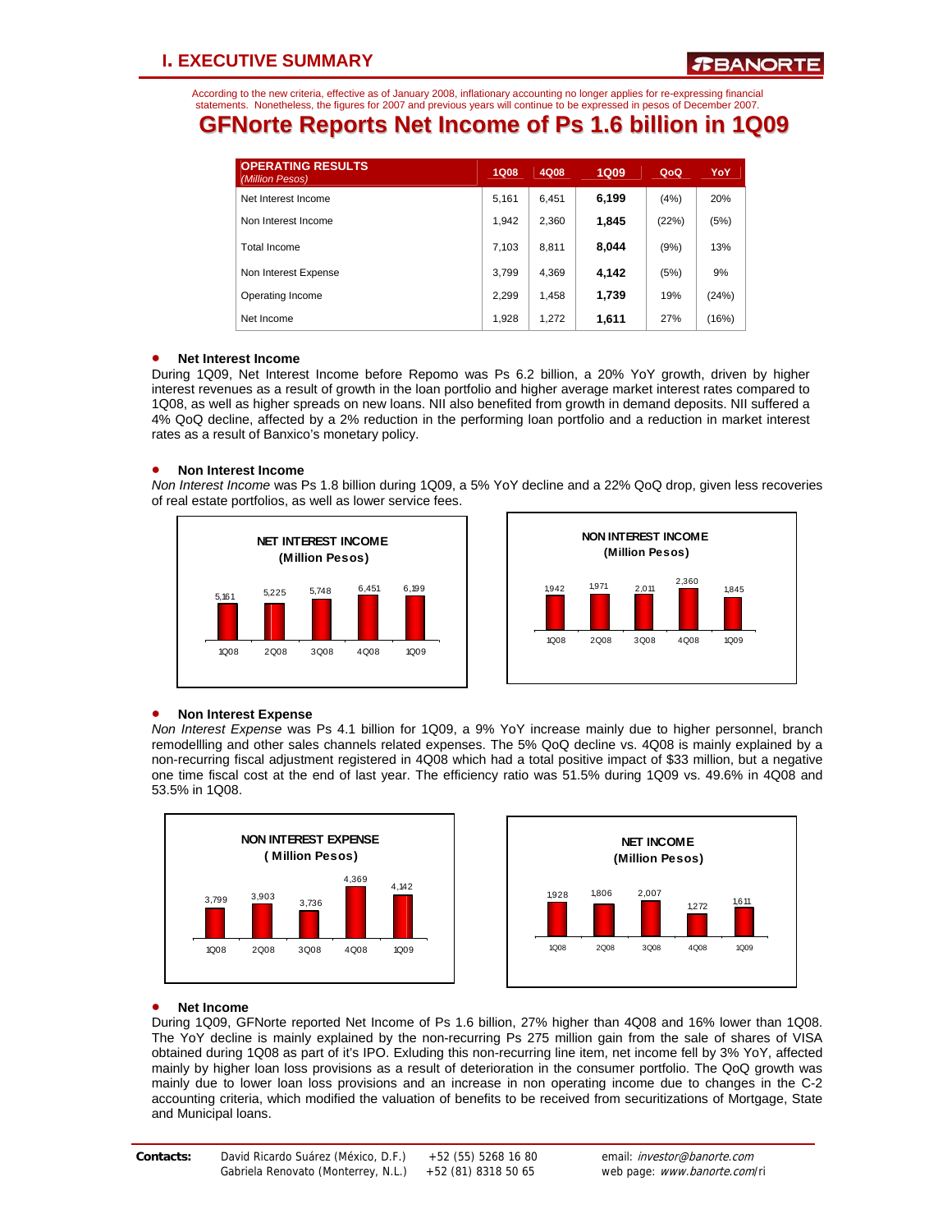According to the new criteria, effective as of January 2008, inflationary accounting no longer applies for re-expressing financial statements. Nonetheless, the figures for 2007 and previous years will continue to be expressed in pesos of December 2007.

# **GFNorte Reports Net Income of Ps 1.6 billion in 1Q09**

| <b>OPERATING RESULTS</b><br>(Million Pesos) | <b>1Q08</b> | 4Q08  | <b>1Q09</b> | QoQ   | YoY   |
|---------------------------------------------|-------------|-------|-------------|-------|-------|
| Net Interest Income                         | 5,161       | 6,451 | 6,199       | (4%)  | 20%   |
| Non Interest Income                         | 1.942       | 2,360 | 1,845       | (22%) | (5%)  |
| Total Income                                | 7.103       | 8,811 | 8.044       | (9%)  | 13%   |
| Non Interest Expense                        | 3.799       | 4,369 | 4.142       | (5%)  | 9%    |
| Operating Income                            | 2,299       | 1,458 | 1,739       | 19%   | (24%) |
| Net Income                                  | 1,928       | 1,272 | 1,611       | 27%   | (16%) |

### • **Net Interest Income**

During 1Q09, Net Interest Income before Repomo was Ps 6.2 billion, a 20% YoY growth, driven by higher interest revenues as a result of growth in the loan portfolio and higher average market interest rates compared to 1Q08, as well as higher spreads on new loans. NII also benefited from growth in demand deposits. NII suffered a 4% QoQ decline, affected by a 2% reduction in the performing loan portfolio and a reduction in market interest rates as a result of Banxico's monetary policy.

### • **Non Interest Income**

*Non Interest Income* was Ps 1.8 billion during 1Q09, a 5% YoY decline and a 22% QoQ drop, given less recoveries of real estate portfolios, as well as lower service fees.





### • **Non Interest Expense**

*Non Interest Expense* was Ps 4.1 billion for 1Q09, a 9% YoY increase mainly due to higher personnel, branch remodellling and other sales channels related expenses. The 5% QoQ decline vs. 4Q08 is mainly explained by a non-recurring fiscal adjustment registered in 4Q08 which had a total positive impact of \$33 million, but a negative one time fiscal cost at the end of last year. The efficiency ratio was 51.5% during 1Q09 vs. 49.6% in 4Q08 and 53.5% in 1Q08.





### • **Net Income**

During 1Q09, GFNorte reported Net Income of Ps 1.6 billion, 27% higher than 4Q08 and 16% lower than 1Q08. The YoY decline is mainly explained by the non-recurring Ps 275 million gain from the sale of shares of VISA obtained during 1Q08 as part of it's IPO. Exluding this non-recurring line item, net income fell by 3% YoY, affected mainly by higher loan loss provisions as a result of deterioration in the consumer portfolio. The QoQ growth was mainly due to lower loan loss provisions and an increase in non operating income due to changes in the C-2 accounting criteria, which modified the valuation of benefits to be received from securitizations of Mortgage, State and Municipal loans.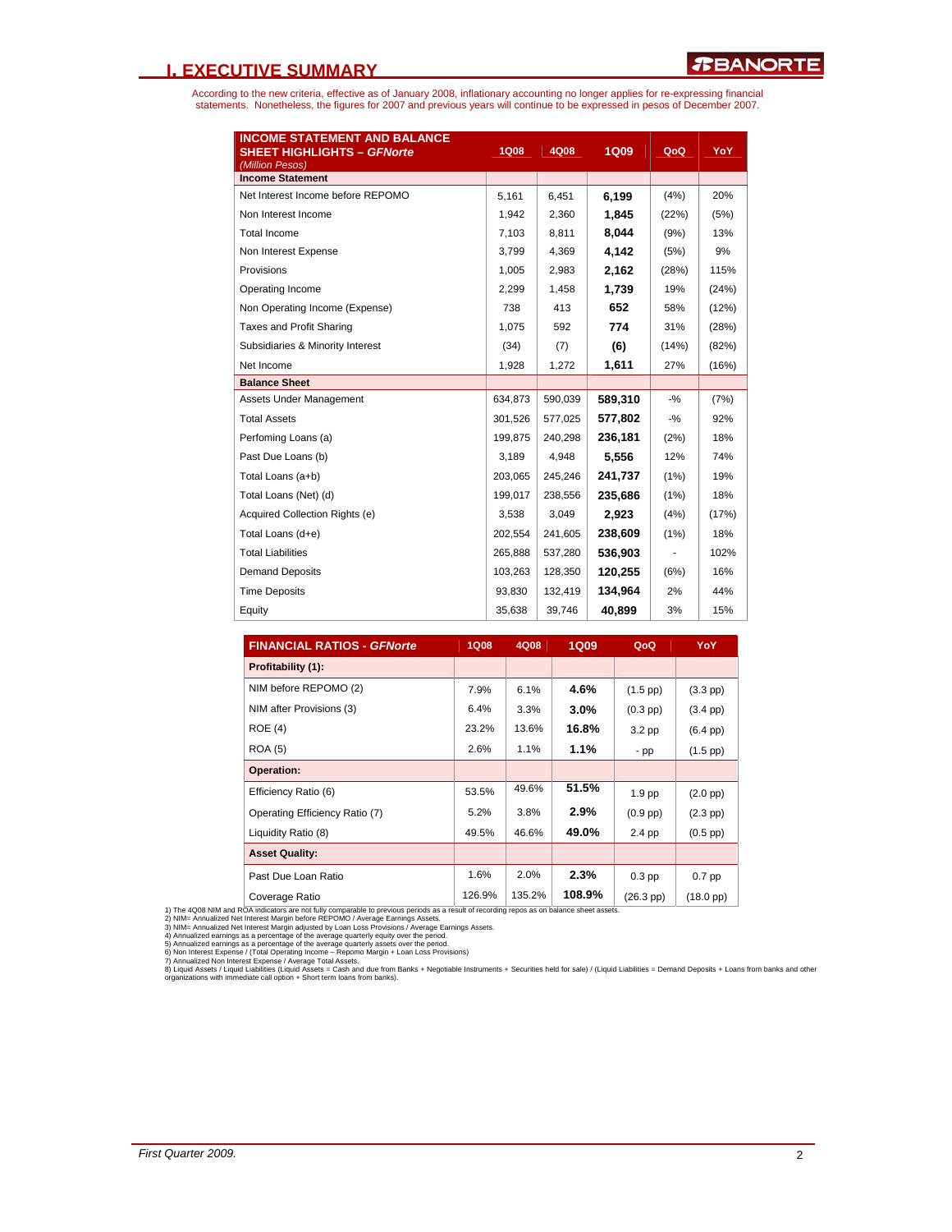### **I. EXECUTIVE SUMMARY**

According to the new criteria, effective as of January 2008, inflationary accounting no longer applies for re-expressing financial<br>statements. Nonetheless, the figures for 2007 and previous years will continue to be expres

| <b>INCOME STATEMENT AND BALANCE</b><br><b>SHEET HIGHLIGHTS - GFNorte</b><br>(Million Pesos) | <b>1Q08</b> | 4Q08    | <b>1Q09</b> | QoQ    | YoY   |
|---------------------------------------------------------------------------------------------|-------------|---------|-------------|--------|-------|
| <b>Income Statement</b>                                                                     |             |         |             |        |       |
| Net Interest Income before REPOMO                                                           | 5,161       | 6,451   | 6,199       | (4%)   | 20%   |
| Non Interest Income                                                                         | 1,942       | 2,360   | 1.845       | (22%)  | (5%)  |
| <b>Total Income</b>                                                                         | 7,103       | 8.811   | 8.044       | (9%)   | 13%   |
| Non Interest Expense                                                                        | 3,799       | 4,369   | 4.142       | (5%)   | 9%    |
| Provisions                                                                                  | 1.005       | 2,983   | 2,162       | (28%)  | 115%  |
| Operating Income                                                                            | 2,299       | 1.458   | 1,739       | 19%    | (24%) |
| Non Operating Income (Expense)                                                              | 738         | 413     | 652         | 58%    | (12%) |
| <b>Taxes and Profit Sharing</b>                                                             | 1,075       | 592     | 774         | 31%    | (28%) |
| Subsidiaries & Minority Interest                                                            | (34)        | (7)     | (6)         | (14%)  | (82%) |
| Net Income                                                                                  | 1,928       | 1,272   | 1,611       | 27%    | (16%) |
| <b>Balance Sheet</b>                                                                        |             |         |             |        |       |
| Assets Under Management                                                                     | 634,873     | 590,039 | 589,310     | $-9/6$ | (7%)  |
| <b>Total Assets</b>                                                                         | 301,526     | 577,025 | 577,802     | $-9/6$ | 92%   |
| Perfoming Loans (a)                                                                         | 199.875     | 240.298 | 236,181     | (2%)   | 18%   |
| Past Due Loans (b)                                                                          | 3,189       | 4,948   | 5,556       | 12%    | 74%   |
| Total Loans (a+b)                                                                           | 203,065     | 245.246 | 241,737     | (1%)   | 19%   |
| Total Loans (Net) (d)                                                                       | 199,017     | 238,556 | 235,686     | (1%)   | 18%   |
| Acquired Collection Rights (e)                                                              | 3,538       | 3,049   | 2,923       | (4%)   | (17%) |
| Total Loans (d+e)                                                                           | 202,554     | 241,605 | 238,609     | (1%)   | 18%   |
| <b>Total Liabilities</b>                                                                    | 265,888     | 537,280 | 536,903     |        | 102%  |
| <b>Demand Deposits</b>                                                                      | 103,263     | 128,350 | 120,255     | (6%)   | 16%   |
| <b>Time Deposits</b>                                                                        | 93,830      | 132,419 | 134,964     | 2%     | 44%   |
| Equity                                                                                      | 35,638      | 39,746  | 40,899      | 3%     | 15%   |

| <b>FINANCIAL RATIOS - GFNorte</b> | <b>1Q08</b> | 4Q08   | <b>1Q09</b> | QoQ                 | <b>YoY</b>          |
|-----------------------------------|-------------|--------|-------------|---------------------|---------------------|
| Profitability (1):                |             |        |             |                     |                     |
| NIM before REPOMO (2)             | 7.9%        | 6.1%   | 4.6%        | $(1.5$ pp $)$       | $(3.3 \text{ pp})$  |
| NIM after Provisions (3)          | 6.4%        | 3.3%   | $3.0\%$     | $(0.3$ pp $)$       | $(3.4$ pp $)$       |
| ROE(4)                            | 23.2%       | 13.6%  | 16.8%       | $3.2$ pp            | $(6.4$ pp $)$       |
| <b>ROA (5)</b>                    | 2.6%        | 1.1%   | $1.1\%$     | - pp                | $(1.5$ pp $)$       |
| Operation:                        |             |        |             |                     |                     |
| Efficiency Ratio (6)              | 53.5%       | 49.6%  | 51.5%       | 1.9 <sub>pp</sub>   | $(2.0 \text{ pp})$  |
| Operating Efficiency Ratio (7)    | 5.2%        | 3.8%   | 2.9%        | $(0.9$ pp $)$       | $(2.3$ pp $)$       |
| Liquidity Ratio (8)               | 49.5%       | 46.6%  | 49.0%       | 2.4 pp              | $(0.5$ pp $)$       |
| <b>Asset Quality:</b>             |             |        |             |                     |                     |
| Past Due Loan Ratio               | 1.6%        | 2.0%   | 2.3%        | $0.3$ pp            | $0.7$ pp            |
| Coverage Ratio                    | 126.9%      | 135.2% | 108.9%      | $(26.3 \text{ pp})$ | $(18.0 \text{ pp})$ |

1) The 4008 NIM and ROA indicators are on fully comparable to previous periods as a result of recording repos as on balance sheet assets.<br>2) NIM= Annualized Net Interest Margin before REPOMO / Average Earnings Assets.<br>3) N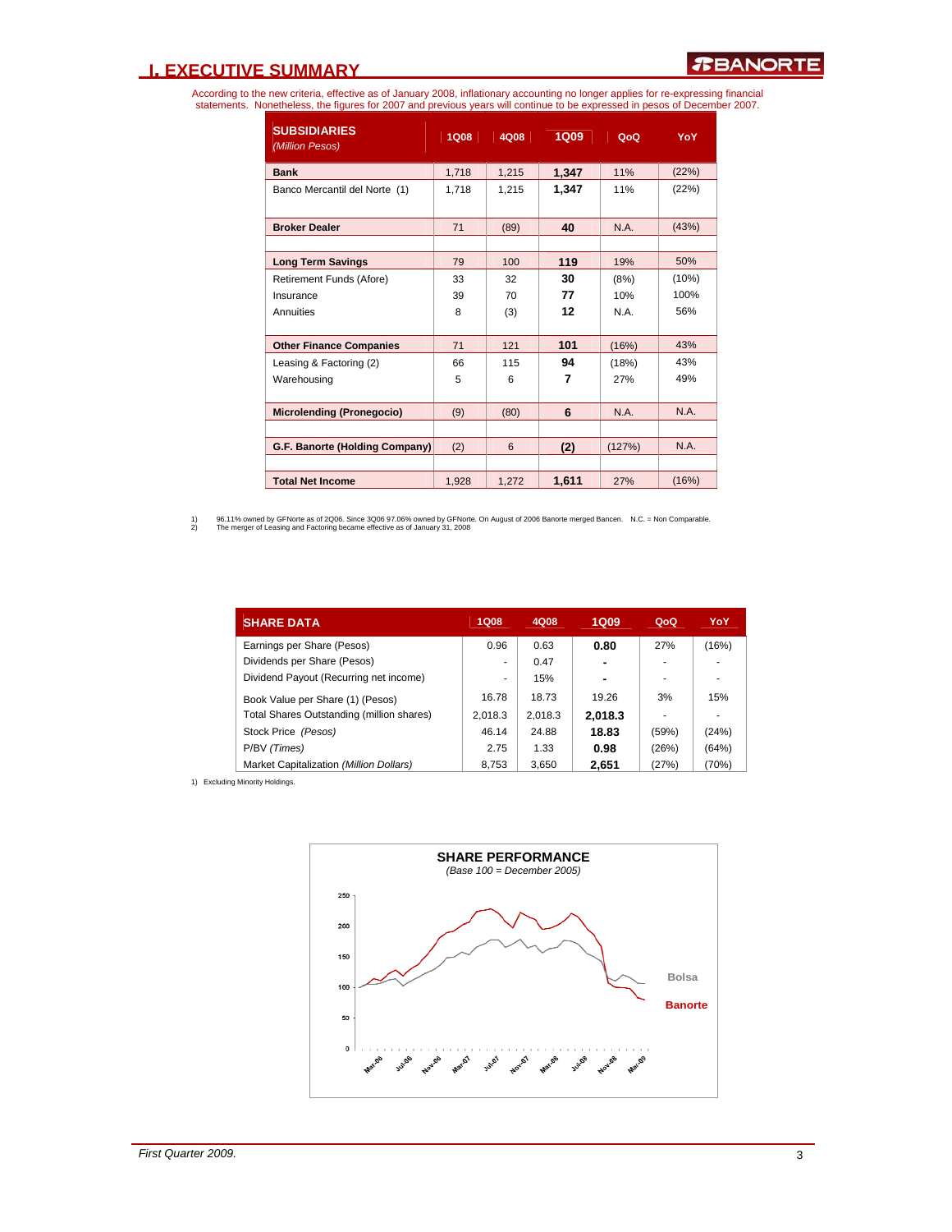### **I. EXECUTIVE SUMMARY**

According to the new criteria, effective as of January 2008, inflationary accounting no longer applies for re-expressing financial<br>statements. Nonetheless, the figures for 2007 and previous years will continue to be expres

| <b>SUBSIDIARIES</b><br>(Million Pesos) | <b>1Q08</b> | 4Q08  | 1Q09  | QoQ    | YoY   |
|----------------------------------------|-------------|-------|-------|--------|-------|
| <b>Bank</b>                            | 1,718       | 1,215 | 1,347 | 11%    | (22%) |
| Banco Mercantil del Norte (1)          | 1.718       | 1,215 | 1,347 | 11%    | (22%) |
| <b>Broker Dealer</b>                   | 71          | (89)  | 40    | N.A.   | (43%) |
|                                        |             |       |       |        |       |
| <b>Long Term Savings</b>               | 79          | 100   | 119   | 19%    | 50%   |
| Retirement Funds (Afore)               | 33          | 32    | 30    | (8%)   | (10%) |
| Insurance                              | 39          | 70    | 77    | 10%    | 100%  |
| Annuities                              | 8           | (3)   | 12    | N A    | 56%   |
| <b>Other Finance Companies</b>         | 71          | 121   | 101   | (16%)  | 43%   |
| Leasing & Factoring (2)                | 66          | 115   | 94    | (18%)  | 43%   |
| Warehousing                            | 5           | 6     | 7     | 27%    | 49%   |
| <b>Microlending (Pronegocio)</b>       | (9)         | (80)  | 6     | N.A.   | N.A.  |
|                                        |             |       |       |        |       |
| G.F. Banorte (Holding Company)         | (2)         | 6     | (2)   | (127%) | N.A.  |
|                                        |             |       |       |        |       |
| <b>Total Net Income</b>                | 1.928       | 1,272 | 1,611 | 27%    | (16%) |

1) 96.11% owned by GFNorte as of 2Q06. Since 3Q06 97.06% owned by GFNorte. On August of 2006 Banorte merged Bancen. N.C. = Non Comparable.<br>2) The merger of Leasing and Factoring became effective as of January 31, 2008

| <b>SHARE DATA</b>                         | <b>1Q08</b> | 4Q08    | 1Q09           | QoQ   | YoY   |
|-------------------------------------------|-------------|---------|----------------|-------|-------|
| Earnings per Share (Pesos)                | 0.96        | 0.63    | 0.80           | 27%   | (16%) |
| Dividends per Share (Pesos)               | ۰           | 0.47    | $\blacksquare$ |       |       |
| Dividend Payout (Recurring net income)    | ٠           | 15%     | $\blacksquare$ |       |       |
| Book Value per Share (1) (Pesos)          | 16.78       | 18.73   | 19.26          | 3%    | 15%   |
| Total Shares Outstanding (million shares) | 2.018.3     | 2.018.3 | 2,018.3        | ۰     |       |
| Stock Price (Pesos)                       | 46.14       | 24.88   | 18.83          | (59%) | (24%) |
| P/BV (Times)                              | 2.75        | 1.33    | 0.98           | (26%) | (64%) |
| Market Capitalization (Million Dollars)   | 8,753       | 3.650   | 2,651          | (27%) | (70%) |

1) Excluding Minority Holdings.

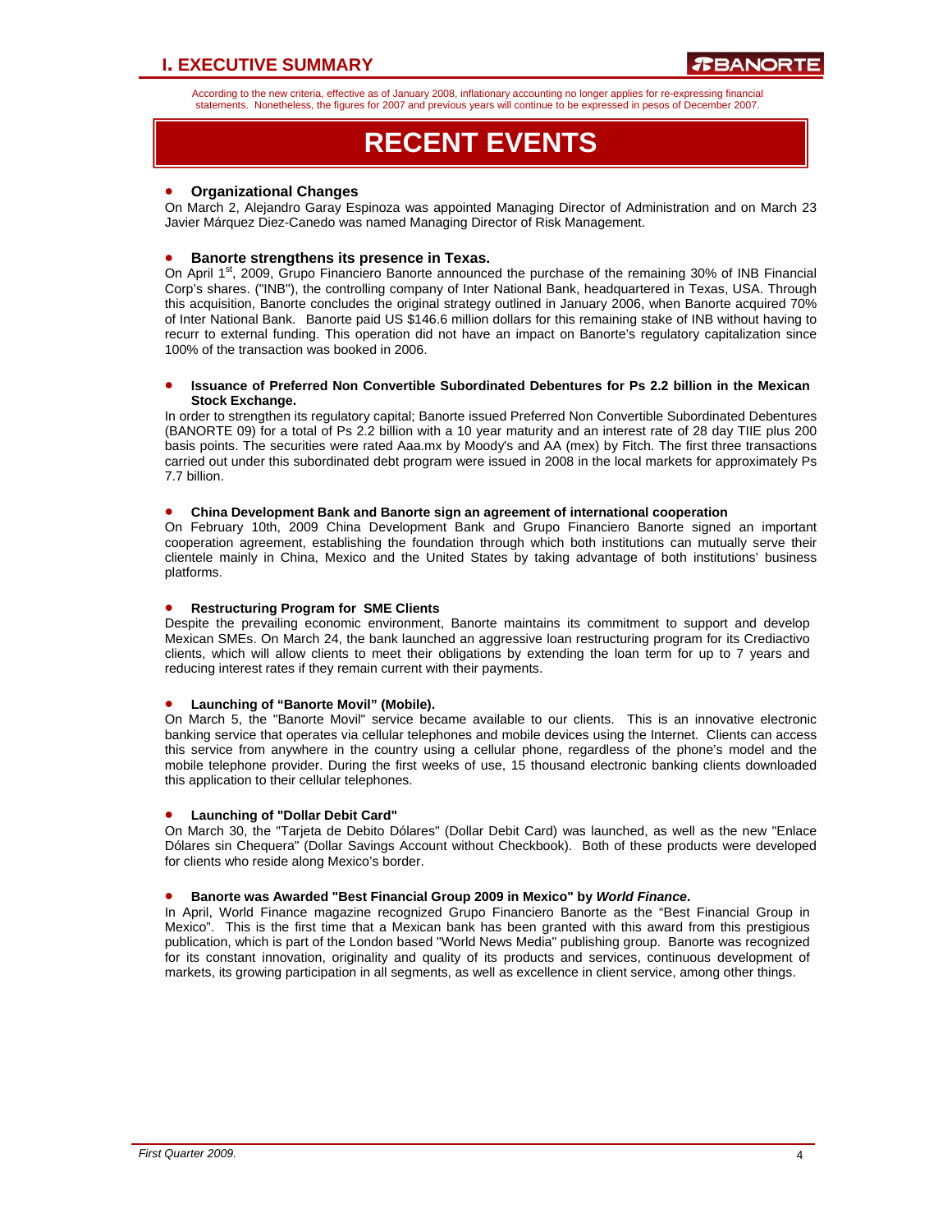### **I. EXECUTIVE SUMMARY**

According to the new criteria, effective as of January 2008, inflationary accounting no longer applies for re-expressing financial statements. Nonetheless, the figures for 2007 and previous years will continue to be expressed in pesos of December 2007.

# **RECENT EVENTS**

### • **Organizational Changes**

On March 2, Alejandro Garay Espinoza was appointed Managing Director of Administration and on March 23 Javier Márquez Diez-Canedo was named Managing Director of Risk Management.

### • **Banorte strengthens its presence in Texas.**

On April 1<sup>st</sup>, 2009, Grupo Financiero Banorte announced the purchase of the remaining 30% of INB Financial Corp's shares. ("INB"), the controlling company of Inter National Bank, headquartered in Texas, USA. Through this acquisition, Banorte concludes the original strategy outlined in January 2006, when Banorte acquired 70% of Inter National Bank. Banorte paid US \$146.6 million dollars for this remaining stake of INB without having to recurr to external funding. This operation did not have an impact on Banorte's regulatory capitalization since 100% of the transaction was booked in 2006.

#### • **Issuance of Preferred Non Convertible Subordinated Debentures for Ps 2.2 billion in the Mexican Stock Exchange.**

In order to strengthen its regulatory capital; Banorte issued Preferred Non Convertible Subordinated Debentures (BANORTE 09) for a total of Ps 2.2 billion with a 10 year maturity and an interest rate of 28 day TIIE plus 200 basis points. The securities were rated Aaa.mx by Moody's and AA (mex) by Fitch. The first three transactions carried out under this subordinated debt program were issued in 2008 in the local markets for approximately Ps 7.7 billion.

#### • **China Development Bank and Banorte sign an agreement of international cooperation**

On February 10th, 2009 China Development Bank and Grupo Financiero Banorte signed an important cooperation agreement, establishing the foundation through which both institutions can mutually serve their clientele mainly in China, Mexico and the United States by taking advantage of both institutions' business platforms.

#### • **Restructuring Program for SME Clients**

Despite the prevailing economic environment, Banorte maintains its commitment to support and develop Mexican SMEs. On March 24, the bank launched an aggressive loan restructuring program for its Crediactivo clients, which will allow clients to meet their obligations by extending the loan term for up to 7 years and reducing interest rates if they remain current with their payments.

#### • **Launching of "Banorte Movil" (Mobile).**

On March 5, the "Banorte Movil" service became available to our clients. This is an innovative electronic banking service that operates via cellular telephones and mobile devices using the Internet. Clients can access this service from anywhere in the country using a cellular phone, regardless of the phone's model and the mobile telephone provider. During the first weeks of use, 15 thousand electronic banking clients downloaded this application to their cellular telephones.

#### • **Launching of "Dollar Debit Card"**

On March 30, the "Tarjeta de Debito Dólares" (Dollar Debit Card) was launched, as well as the new "Enlace Dólares sin Chequera" (Dollar Savings Account without Checkbook). Both of these products were developed for clients who reside along Mexico's border.

#### • **Banorte was Awarded "Best Financial Group 2009 in Mexico" by** *World Finance***.**

In April, World Finance magazine recognized Grupo Financiero Banorte as the "Best Financial Group in Mexico". This is the first time that a Mexican bank has been granted with this award from this prestigious publication, which is part of the London based "World News Media" publishing group. Banorte was recognized for its constant innovation, originality and quality of its products and services, continuous development of markets, its growing participation in all segments, as well as excellence in client service, among other things.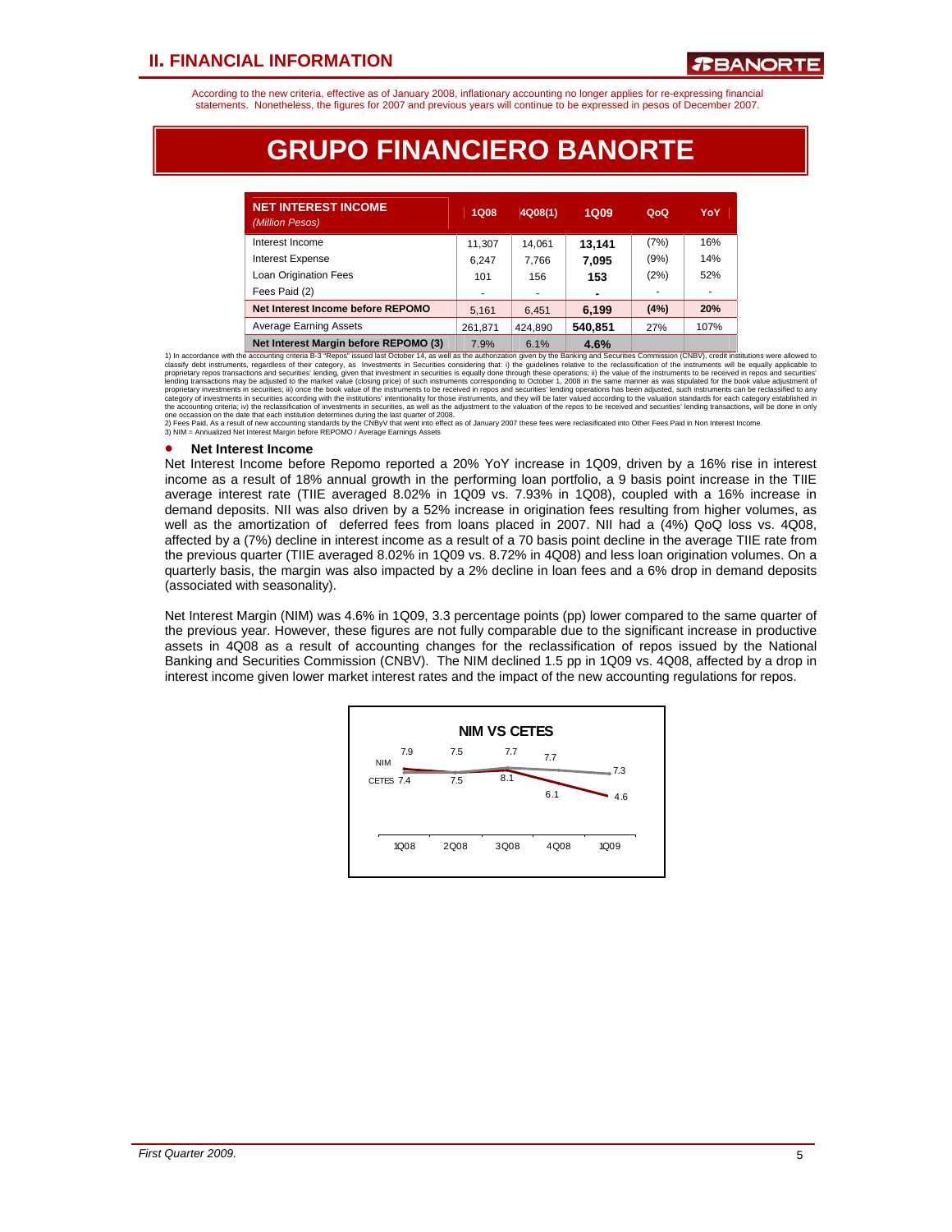According to the new criteria, effective as of January 2008, inflationary accounting no longer applies for re-expressing financial statements. Nonetheless, the figures for 2007 and previous years will continue to be expressed in pesos of December 2007.

# **GRUPO FINANCIERO BANORTE**

| <b>NET INTEREST INCOME</b><br>(Million Pesos) | <b>1Q08</b> | 4Q08(1) | <b>1Q09</b> | QoQ  | YoY  |
|-----------------------------------------------|-------------|---------|-------------|------|------|
| Interest Income                               | 11,307      | 14.061  | 13.141      | (7%) | 16%  |
| <b>Interest Expense</b>                       | 6.247       | 7.766   | 7,095       | (9%) | 14%  |
| Loan Origination Fees                         | 101         | 156     | 153         | (2%) | 52%  |
| Fees Paid (2)                                 | ۰           | ۰       | ۰           |      |      |
| Net Interest Income before REPOMO             | 5.161       | 6.451   | 6,199       | (4%) | 20%  |
| <b>Average Earning Assets</b>                 | 261,871     | 424.890 | 540,851     | 27%  | 107% |
| Net Interest Margin before REPOMO (3)         | 7.9%        | 61%     | 4.6%        |      |      |

1) In accordance with the accounting priterial B-37 Reports Sudd as the Colober 14, as well as the authorization spin endependent and S<sup>1</sup>% and a structures Commission (CNBV), credit institutions were allowed to classify d

#### • **Net Interest Income**

Net Interest Income before Repomo reported a 20% YoY increase in 1Q09, driven by a 16% rise in interest income as a result of 18% annual growth in the performing loan portfolio, a 9 basis point increase in the TIIE average interest rate (TIIE averaged 8.02% in 1Q09 vs. 7.93% in 1Q08), coupled with a 16% increase in demand deposits. NII was also driven by a 52% increase in origination fees resulting from higher volumes, as well as the amortization of deferred fees from loans placed in 2007. NII had a (4%) QoQ loss vs. 4Q08, affected by a (7%) decline in interest income as a result of a 70 basis point decline in the average TIIE rate from the previous quarter (TIIE averaged 8.02% in 1Q09 vs. 8.72% in 4Q08) and less loan origination volumes. On a quarterly basis, the margin was also impacted by a 2% decline in loan fees and a 6% drop in demand deposits (associated with seasonality).

Net Interest Margin (NIM) was 4.6% in 1Q09, 3.3 percentage points (pp) lower compared to the same quarter of the previous year. However, these figures are not fully comparable due to the significant increase in productive assets in 4Q08 as a result of accounting changes for the reclassification of repos issued by the National Banking and Securities Commission (CNBV). The NIM declined 1.5 pp in 1Q09 vs. 4Q08, affected by a drop in interest income given lower market interest rates and the impact of the new accounting regulations for repos.

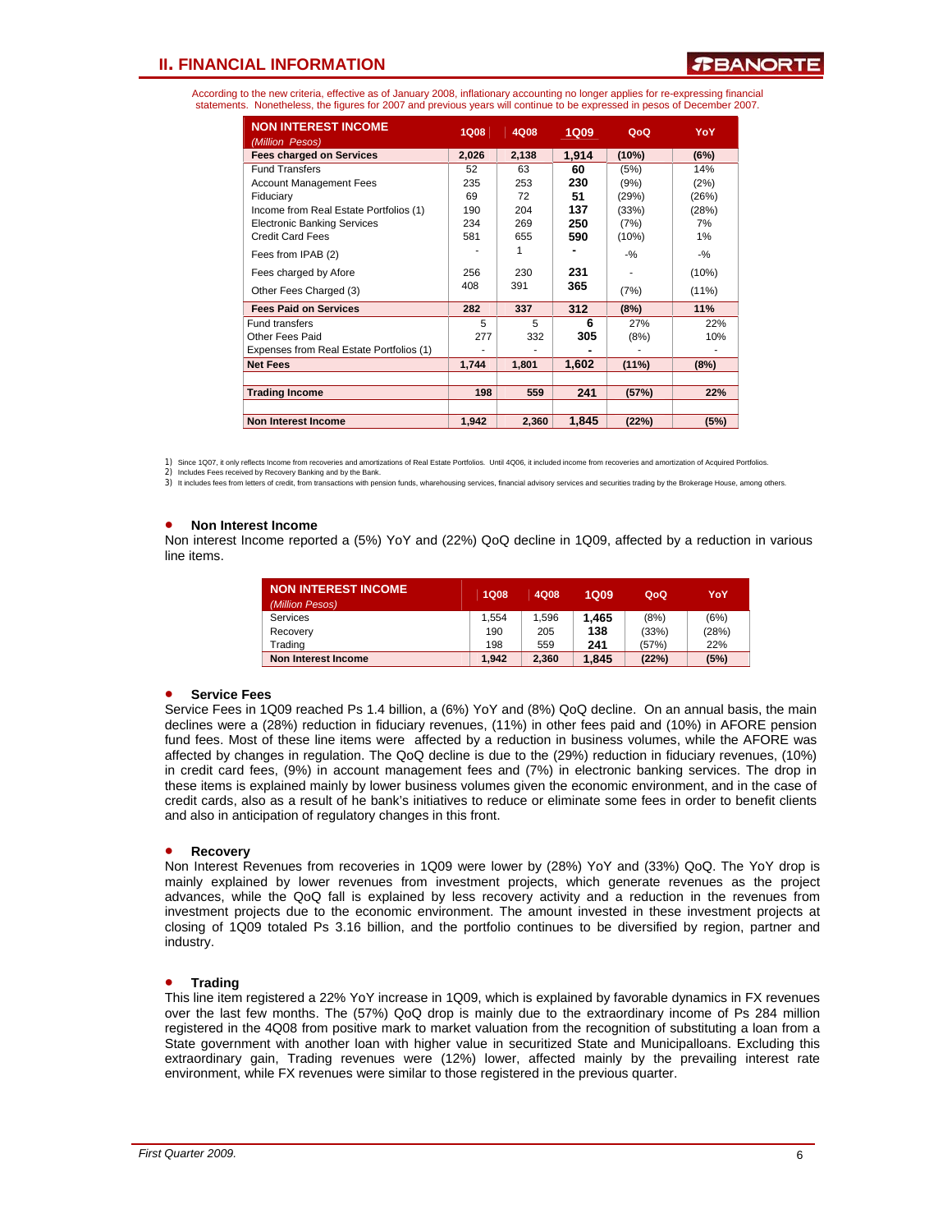### ERANORT

According to the new criteria, effective as of January 2008, inflationary accounting no longer applies for re-expressing financial statements. Nonetheless, the figures for 2007 and previous years will continue to be expressed in pesos of December 2007.

| <b>NON INTEREST INCOME</b><br>(Million Pesos) | <b>1Q08</b> | 4Q08  | <b>1Q09</b> | QoQ      | YoY      |
|-----------------------------------------------|-------------|-------|-------------|----------|----------|
| <b>Fees charged on Services</b>               | 2,026       | 2,138 | 1,914       | (10%)    | (6%)     |
| <b>Fund Transfers</b>                         | 52          | 63    | 60          | (5%)     | 14%      |
| <b>Account Management Fees</b>                | 235         | 253   | 230         | (9%)     | (2%)     |
| Fiduciary                                     | 69          | 72    | 51          | (29%)    | (26%)    |
| Income from Real Estate Portfolios (1)        | 190         | 204   | 137         | (33%)    | (28%)    |
| <b>Electronic Banking Services</b>            | 234         | 269   | 250         | (7%)     | 7%       |
| <b>Credit Card Fees</b>                       | 581         | 655   | 590         | (10%)    | 1%       |
| Fees from IPAB (2)                            |             | 1     |             | $-9/2$   | $-$ %    |
| Fees charged by Afore                         | 256         | 230   | 231         |          | (10%)    |
| Other Fees Charged (3)                        | 408         | 391   | 365         | (7%)     | $(11\%)$ |
| <b>Fees Paid on Services</b>                  | 282         | 337   | 312         | (8%)     | 11%      |
| <b>Fund transfers</b>                         | 5           | 5     | 6           | 27%      | 22%      |
| Other Fees Paid                               | 277         | 332   | 305         | (8%)     | 10%      |
| Expenses from Real Estate Portfolios (1)      |             |       |             |          |          |
| <b>Net Fees</b>                               | 1,744       | 1,801 | 1,602       | $(11\%)$ | (8%)     |
|                                               |             |       |             |          |          |
| <b>Trading Income</b>                         | 198         | 559   | 241         | (57%)    | 22%      |
|                                               |             |       |             |          |          |
| <b>Non Interest Income</b>                    | 1,942       | 2,360 | 1,845       | (22%)    | (5%)     |

1) Since 1Q07, it only reflects Income from recoveries and amortizations of Real Estate Portfolios. Until 4Q06, it included income from recoveries and amortization of Acquired Portfolios.

3) It includes fees from letters of credit, from transactions with pension funds, wharehousing services, financial advisory services and securities trading by the Brokerage House, among others

#### • **Non Interest Income**

Non interest Income reported a (5%) YoY and (22%) QoQ decline in 1Q09, affected by a reduction in various line items.

| <b>NON INTEREST INCOME.</b><br>(Million Pesos) | <b>1Q08</b> | 4Q08  | <b>1Q09</b> | QoQ   | YoY   |
|------------------------------------------------|-------------|-------|-------------|-------|-------|
| Services                                       | 1.554       | 1.596 | 1.465       | (8%)  | (6%)  |
| Recovery                                       | 190         | 205   | 138         | (33%) | (28%) |
| Trading                                        | 198         | 559   | 241         | (57%) | 22%   |
| Non Interest Income                            | 1.942       | 2.360 | 1.845       | (22%) | (5%)  |

#### • **Service Fees**

Service Fees in 1Q09 reached Ps 1.4 billion, a (6%) YoY and (8%) QoQ decline. On an annual basis, the main declines were a (28%) reduction in fiduciary revenues, (11%) in other fees paid and (10%) in AFORE pension fund fees. Most of these line items were affected by a reduction in business volumes, while the AFORE was affected by changes in regulation. The QoQ decline is due to the (29%) reduction in fiduciary revenues, (10%) in credit card fees, (9%) in account management fees and (7%) in electronic banking services. The drop in these items is explained mainly by lower business volumes given the economic environment, and in the case of credit cards, also as a result of he bank's initiatives to reduce or eliminate some fees in order to benefit clients and also in anticipation of regulatory changes in this front.

#### • **Recovery**

Non Interest Revenues from recoveries in 1Q09 were lower by (28%) YoY and (33%) QoQ. The YoY drop is mainly explained by lower revenues from investment projects, which generate revenues as the project advances, while the QoQ fall is explained by less recovery activity and a reduction in the revenues from investment projects due to the economic environment. The amount invested in these investment projects at closing of 1Q09 totaled Ps 3.16 billion, and the portfolio continues to be diversified by region, partner and industry.

#### • **Trading**

This line item registered a 22% YoY increase in 1Q09, which is explained by favorable dynamics in FX revenues over the last few months. The (57%) QoQ drop is mainly due to the extraordinary income of Ps 284 million registered in the 4Q08 from positive mark to market valuation from the recognition of substituting a loan from a State government with another loan with higher value in securitized State and Municipalloans. Excluding this extraordinary gain, Trading revenues were (12%) lower, affected mainly by the prevailing interest rate environment, while FX revenues were similar to those registered in the previous quarter.

<sup>2)</sup> Includes Fees received by Recovery Banking and by the Bank.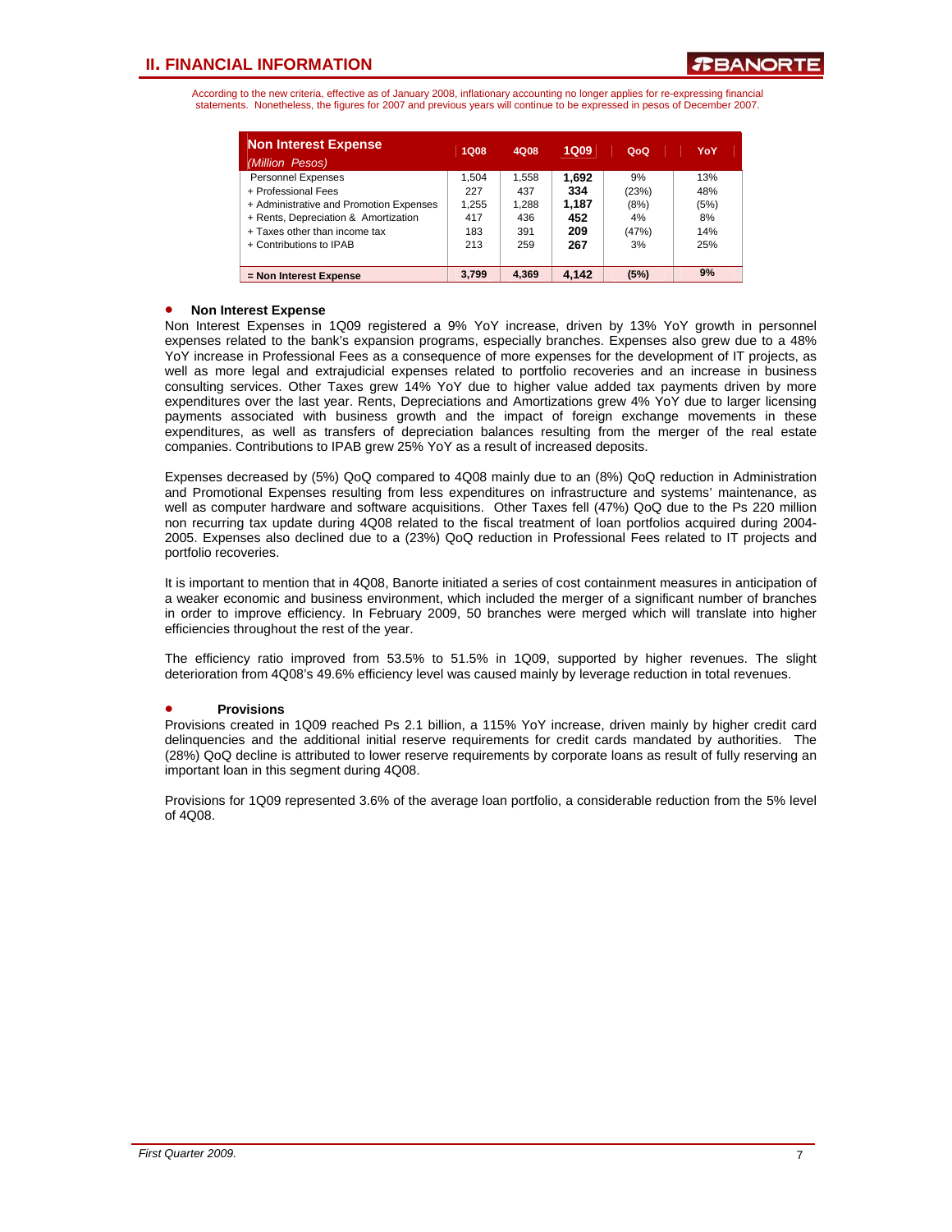According to the new criteria, effective as of January 2008, inflationary accounting no longer applies for re-expressing financial statements. Nonetheless, the figures for 2007 and previous years will continue to be expressed in pesos of December 2007.

| <b>Non Interest Expense</b><br>(Million Pesos) | <b>1Q08</b> | 4Q08  | <b>1Q09</b> | QoQ   | YoY  |
|------------------------------------------------|-------------|-------|-------------|-------|------|
| <b>Personnel Expenses</b>                      | 1.504       | 1,558 | 1.692       | 9%    | 13%  |
| + Professional Fees                            | 227         | 437   | 334         | (23%) | 48%  |
| + Administrative and Promotion Expenses        | 1.255       | 1.288 | 1.187       | (8%)  | (5%) |
| + Rents, Depreciation & Amortization           | 417         | 436   | 452         | 4%    | 8%   |
| + Taxes other than income tax                  | 183         | 391   | 209         | (47%) | 14%  |
| + Contributions to IPAB                        | 213         | 259   | 267         | 3%    | 25%  |
|                                                |             |       |             |       |      |
| = Non Interest Expense                         | 3.799       | 4.369 | 4.142       | (5%)  | 9%   |

### • **Non Interest Expense**

Non Interest Expenses in 1Q09 registered a 9% YoY increase, driven by 13% YoY growth in personnel expenses related to the bank's expansion programs, especially branches. Expenses also grew due to a 48% YoY increase in Professional Fees as a consequence of more expenses for the development of IT projects, as well as more legal and extrajudicial expenses related to portfolio recoveries and an increase in business consulting services. Other Taxes grew 14% YoY due to higher value added tax payments driven by more expenditures over the last year. Rents, Depreciations and Amortizations grew 4% YoY due to larger licensing payments associated with business growth and the impact of foreign exchange movements in these expenditures, as well as transfers of depreciation balances resulting from the merger of the real estate companies. Contributions to IPAB grew 25% YoY as a result of increased deposits.

Expenses decreased by (5%) QoQ compared to 4Q08 mainly due to an (8%) QoQ reduction in Administration and Promotional Expenses resulting from less expenditures on infrastructure and systems' maintenance, as well as computer hardware and software acquisitions. Other Taxes fell (47%) QoQ due to the Ps 220 million non recurring tax update during 4Q08 related to the fiscal treatment of loan portfolios acquired during 2004- 2005. Expenses also declined due to a (23%) QoQ reduction in Professional Fees related to IT projects and portfolio recoveries.

It is important to mention that in 4Q08, Banorte initiated a series of cost containment measures in anticipation of a weaker economic and business environment, which included the merger of a significant number of branches in order to improve efficiency. In February 2009, 50 branches were merged which will translate into higher efficiencies throughout the rest of the year.

The efficiency ratio improved from 53.5% to 51.5% in 1Q09, supported by higher revenues. The slight deterioration from 4Q08's 49.6% efficiency level was caused mainly by leverage reduction in total revenues.

### • **Provisions**

Provisions created in 1Q09 reached Ps 2.1 billion, a 115% YoY increase, driven mainly by higher credit card delinquencies and the additional initial reserve requirements for credit cards mandated by authorities. The (28%) QoQ decline is attributed to lower reserve requirements by corporate loans as result of fully reserving an important loan in this segment during 4Q08.

Provisions for 1Q09 represented 3.6% of the average loan portfolio, a considerable reduction from the 5% level of 4Q08.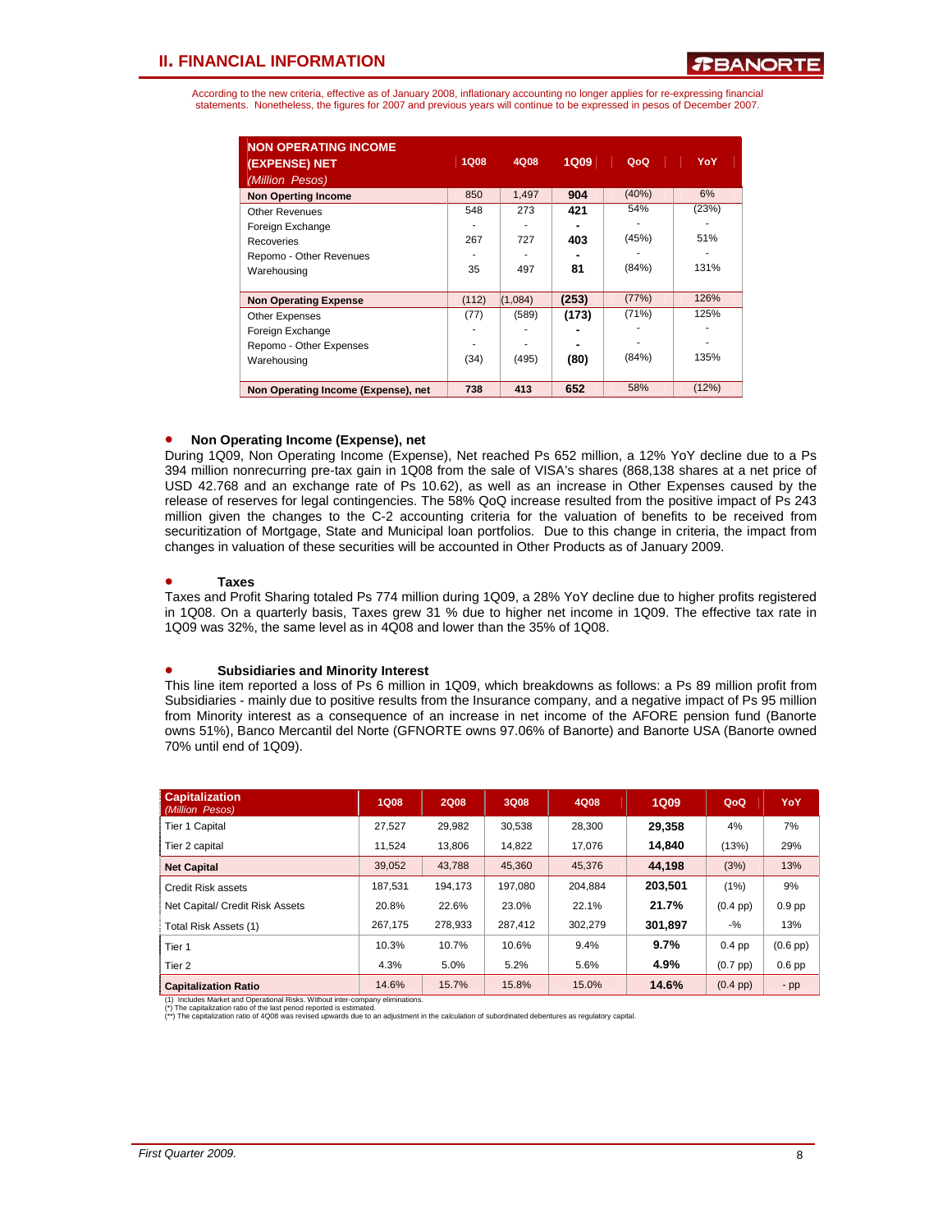According to the new criteria, effective as of January 2008, inflationary accounting no longer applies for re-expressing financial statements. Nonetheless, the figures for 2007 and previous years will continue to be expressed in pesos of December 2007.

| <b>NON OPERATING INCOME</b><br>(EXPENSE) NET<br>(Million Pesos) | <b>1Q08</b> | 4Q08    | 1Q09  | QoQ      | YoY   |
|-----------------------------------------------------------------|-------------|---------|-------|----------|-------|
| <b>Non Operting Income</b>                                      | 850         | 1,497   | 904   | $(40\%)$ | 6%    |
| <b>Other Revenues</b>                                           | 548         | 273     | 421   | 54%      | (23%) |
| Foreign Exchange                                                |             |         |       |          |       |
| Recoveries                                                      | 267         | 727     | 403   | (45%)    | 51%   |
| Repomo - Other Revenues                                         |             |         |       |          |       |
| Warehousing                                                     | 35          | 497     | 81    | (84%)    | 131%  |
|                                                                 |             |         |       |          |       |
| <b>Non Operating Expense</b>                                    | (112)       | (1,084) | (253) | (77%)    | 126%  |
| <b>Other Expenses</b>                                           | (77)        | (589)   | (173) | (71%)    | 125%  |
| Foreign Exchange                                                |             |         |       |          |       |
| Repomo - Other Expenses                                         |             |         |       |          |       |
| Warehousing                                                     | (34)        | (495)   | (80)  | (84%)    | 135%  |
|                                                                 |             |         |       |          |       |
| Non Operating Income (Expense), net                             | 738         | 413     | 652   | 58%      | (12%) |

### • **Non Operating Income (Expense), net**

During 1Q09, Non Operating Income (Expense), Net reached Ps 652 million, a 12% YoY decline due to a Ps 394 million nonrecurring pre-tax gain in 1Q08 from the sale of VISA's shares (868,138 shares at a net price of USD 42.768 and an exchange rate of Ps 10.62), as well as an increase in Other Expenses caused by the release of reserves for legal contingencies. The 58% QoQ increase resulted from the positive impact of Ps 243 million given the changes to the C-2 accounting criteria for the valuation of benefits to be received from securitization of Mortgage, State and Municipal loan portfolios. Due to this change in criteria, the impact from changes in valuation of these securities will be accounted in Other Products as of January 2009.

### • **Taxes**

Taxes and Profit Sharing totaled Ps 774 million during 1Q09, a 28% YoY decline due to higher profits registered in 1Q08. On a quarterly basis, Taxes grew 31 % due to higher net income in 1Q09. The effective tax rate in 1Q09 was 32%, the same level as in 4Q08 and lower than the 35% of 1Q08.

#### • **Subsidiaries and Minority Interest**

This line item reported a loss of Ps 6 million in 1Q09, which breakdowns as follows: a Ps 89 million profit from Subsidiaries - mainly due to positive results from the Insurance company, and a negative impact of Ps 95 million from Minority interest as a consequence of an increase in net income of the AFORE pension fund (Banorte owns 51%), Banco Mercantil del Norte (GFNORTE owns 97.06% of Banorte) and Banorte USA (Banorte owned 70% until end of 1Q09).

| <b>Capitalization</b><br>(Million Pesos) | <b>1Q08</b> | <b>2Q08</b> | 3Q08    | 4Q08    | <b>1Q09</b> | QoQ                | YoY               |
|------------------------------------------|-------------|-------------|---------|---------|-------------|--------------------|-------------------|
| <b>Tier 1 Capital</b>                    | 27.527      | 29.982      | 30.538  | 28.300  | 29.358      | 4%                 | 7%                |
| Tier 2 capital                           | 11.524      | 13.806      | 14.822  | 17.076  | 14.840      | (13%)              | 29%               |
| <b>Net Capital</b>                       | 39,052      | 43,788      | 45.360  | 45,376  | 44.198      | (3%)               | 13%               |
| <b>Credit Risk assets</b>                | 187,531     | 194.173     | 197,080 | 204.884 | 203.501     | $(1\%)$            | 9%                |
| Net Capital/ Credit Risk Assets          | 20.8%       | 22.6%       | 23.0%   | 22.1%   | 21.7%       | $(0.4$ pp $)$      | 0.9 <sub>pp</sub> |
| Total Risk Assets (1)                    | 267.175     | 278,933     | 287,412 | 302,279 | 301,897     | $-$ %              | 13%               |
| Tier 1                                   | 10.3%       | 10.7%       | 10.6%   | 9.4%    | 9.7%        | $0.4$ pp           | $(0.6$ pp $)$     |
| Tier <sub>2</sub>                        | 4.3%        | 5.0%        | 5.2%    | 5.6%    | 4.9%        | $(0.7$ pp $)$      | $0.6$ pp          |
| <b>Capitalization Ratio</b>              | 14.6%       | 15.7%       | 15.8%   | 15.0%   | 14.6%       | $(0.4 \text{ pp})$ | $-pp$             |

(1) Includes Market and Operational Risks. Without inter-company eliminations.

(\*) The capitalization ratio of the last period reported is estimated. (\*\*) The capitalization ratio of 4Q08 was revised upwards due to an adjustment in the calculation of subordinated debentures as regulatory capital.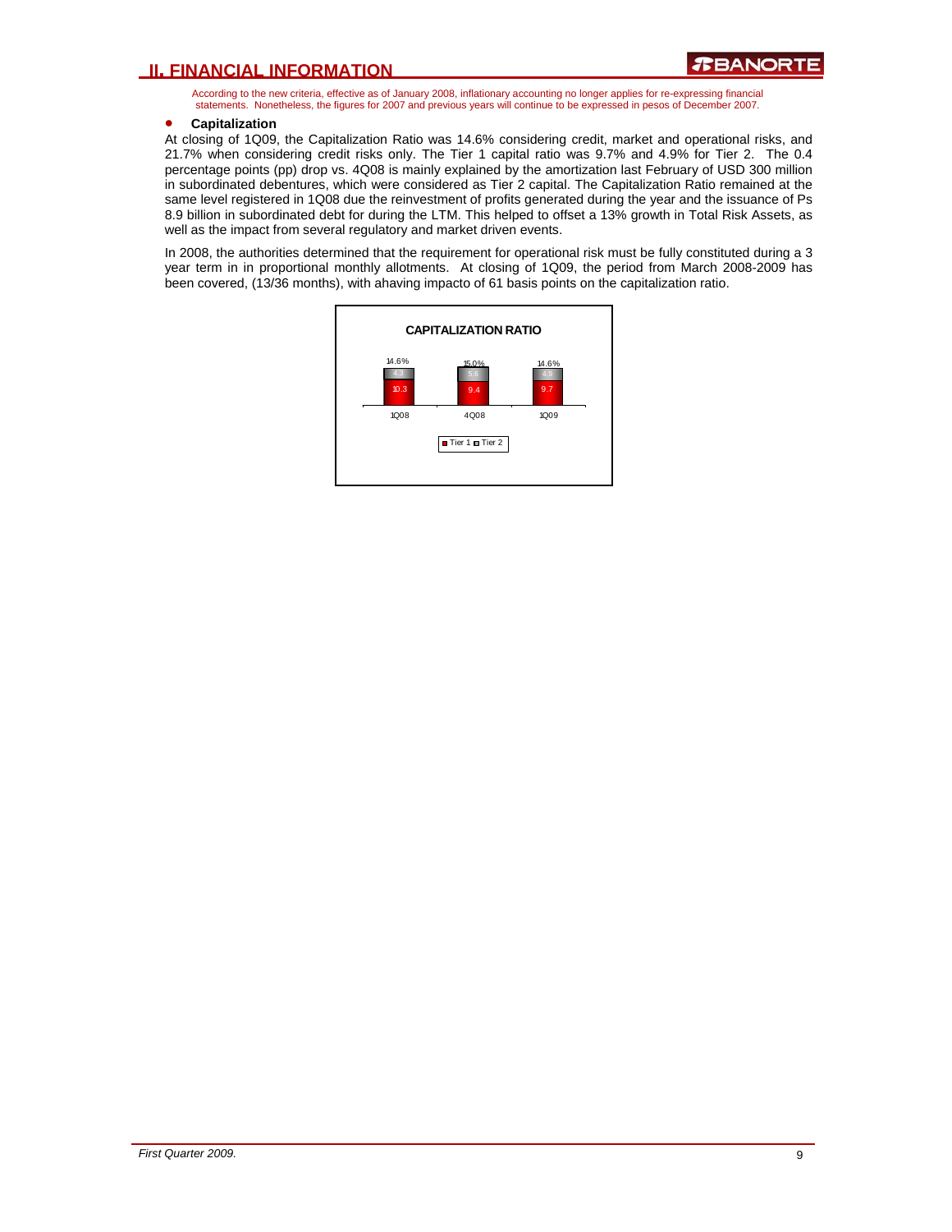According to the new criteria, effective as of January 2008, inflationary accounting no longer applies for re-expressing financial statements. Nonetheless, the figures for 2007 and previous years will continue to be expressed in pesos of December 2007.

### • **Capitalization**

At closing of 1Q09, the Capitalization Ratio was 14.6% considering credit, market and operational risks, and 21.7% when considering credit risks only. The Tier 1 capital ratio was 9.7% and 4.9% for Tier 2. The 0.4 percentage points (pp) drop vs. 4Q08 is mainly explained by the amortization last February of USD 300 million in subordinated debentures, which were considered as Tier 2 capital. The Capitalization Ratio remained at the same level registered in 1Q08 due the reinvestment of profits generated during the year and the issuance of Ps 8.9 billion in subordinated debt for during the LTM. This helped to offset a 13% growth in Total Risk Assets, as well as the impact from several regulatory and market driven events.

In 2008, the authorities determined that the requirement for operational risk must be fully constituted during a 3 year term in in proportional monthly allotments. At closing of 1Q09, the period from March 2008-2009 has been covered, (13/36 months), with ahaving impacto of 61 basis points on the capitalization ratio.

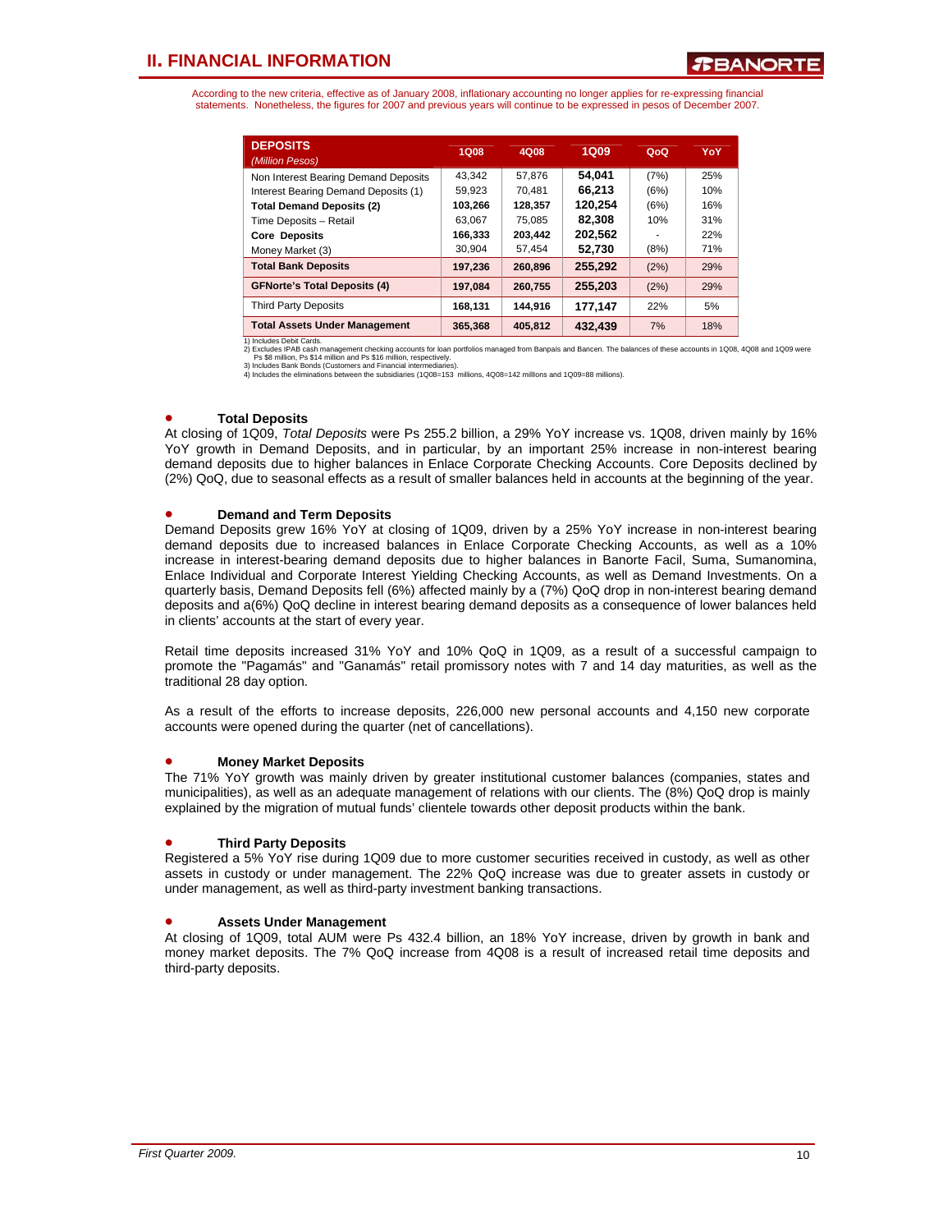According to the new criteria, effective as of January 2008, inflationary accounting no longer applies for re-expressing financial statements. Nonetheless, the figures for 2007 and previous years will continue to be expressed in pesos of December 2007.

| <b>DEPOSITS</b><br>(Million Pesos)   | 1Q08    | 4Q08    | <b>1Q09</b> | QoQ  | YoY |
|--------------------------------------|---------|---------|-------------|------|-----|
| Non Interest Bearing Demand Deposits | 43.342  | 57.876  | 54.041      | (7%) | 25% |
| Interest Bearing Demand Deposits (1) | 59,923  | 70.481  | 66.213      | (6%) | 10% |
| <b>Total Demand Deposits (2)</b>     | 103,266 | 128.357 | 120.254     | (6%) | 16% |
| Time Deposits - Retail               | 63.067  | 75.085  | 82.308      | 10%  | 31% |
| <b>Core Deposits</b>                 | 166,333 | 203.442 | 202.562     | ۰    | 22% |
| Money Market (3)                     | 30.904  | 57.454  | 52.730      | (8%) | 71% |
| <b>Total Bank Deposits</b>           | 197,236 | 260.896 | 255.292     | (2%) | 29% |
| <b>GFNorte's Total Deposits (4)</b>  | 197.084 | 260.755 | 255,203     | (2%) | 29% |
| <b>Third Party Deposits</b>          | 168.131 | 144.916 | 177.147     | 22%  | 5%  |
| <b>Total Assets Under Management</b> | 365.368 | 405.812 | 432.439     | 7%   | 18% |

1) Includes Debit Cards.<br>2) Excludes IPAB cash management checking accounts for loan portfolios managed from Banpaís and Bancen. The balances of these accounts in 1Q08, 4Q08 and 1Q09 were<br>Ps \$8 million, Ps \$14 million and

### • **Total Deposits**

At closing of 1Q09, *Total Deposits* were Ps 255.2 billion, a 29% YoY increase vs. 1Q08, driven mainly by 16% YoY growth in Demand Deposits, and in particular, by an important 25% increase in non-interest bearing demand deposits due to higher balances in Enlace Corporate Checking Accounts. Core Deposits declined by (2%) QoQ, due to seasonal effects as a result of smaller balances held in accounts at the beginning of the year.

### • **Demand and Term Deposits**

Demand Deposits grew 16% YoY at closing of 1Q09, driven by a 25% YoY increase in non-interest bearing demand deposits due to increased balances in Enlace Corporate Checking Accounts, as well as a 10% increase in interest-bearing demand deposits due to higher balances in Banorte Facil, Suma, Sumanomina, Enlace Individual and Corporate Interest Yielding Checking Accounts, as well as Demand Investments. On a quarterly basis, Demand Deposits fell (6%) affected mainly by a (7%) QoQ drop in non-interest bearing demand deposits and a(6%) QoQ decline in interest bearing demand deposits as a consequence of lower balances held in clients' accounts at the start of every year.

Retail time deposits increased 31% YoY and 10% QoQ in 1Q09, as a result of a successful campaign to promote the "Pagamás" and "Ganamás" retail promissory notes with 7 and 14 day maturities, as well as the traditional 28 day option.

As a result of the efforts to increase deposits, 226,000 new personal accounts and 4,150 new corporate accounts were opened during the quarter (net of cancellations).

#### • **Money Market Deposits**

The 71% YoY growth was mainly driven by greater institutional customer balances (companies, states and municipalities), as well as an adequate management of relations with our clients. The (8%) QoQ drop is mainly explained by the migration of mutual funds' clientele towards other deposit products within the bank.

#### • **Third Party Deposits**

Registered a 5% YoY rise during 1Q09 due to more customer securities received in custody, as well as other assets in custody or under management. The 22% QoQ increase was due to greater assets in custody or under management, as well as third-party investment banking transactions.

#### • **Assets Under Management**

At closing of 1Q09, total AUM were Ps 432.4 billion, an 18% YoY increase, driven by growth in bank and money market deposits. The 7% QoQ increase from 4Q08 is a result of increased retail time deposits and third-party deposits.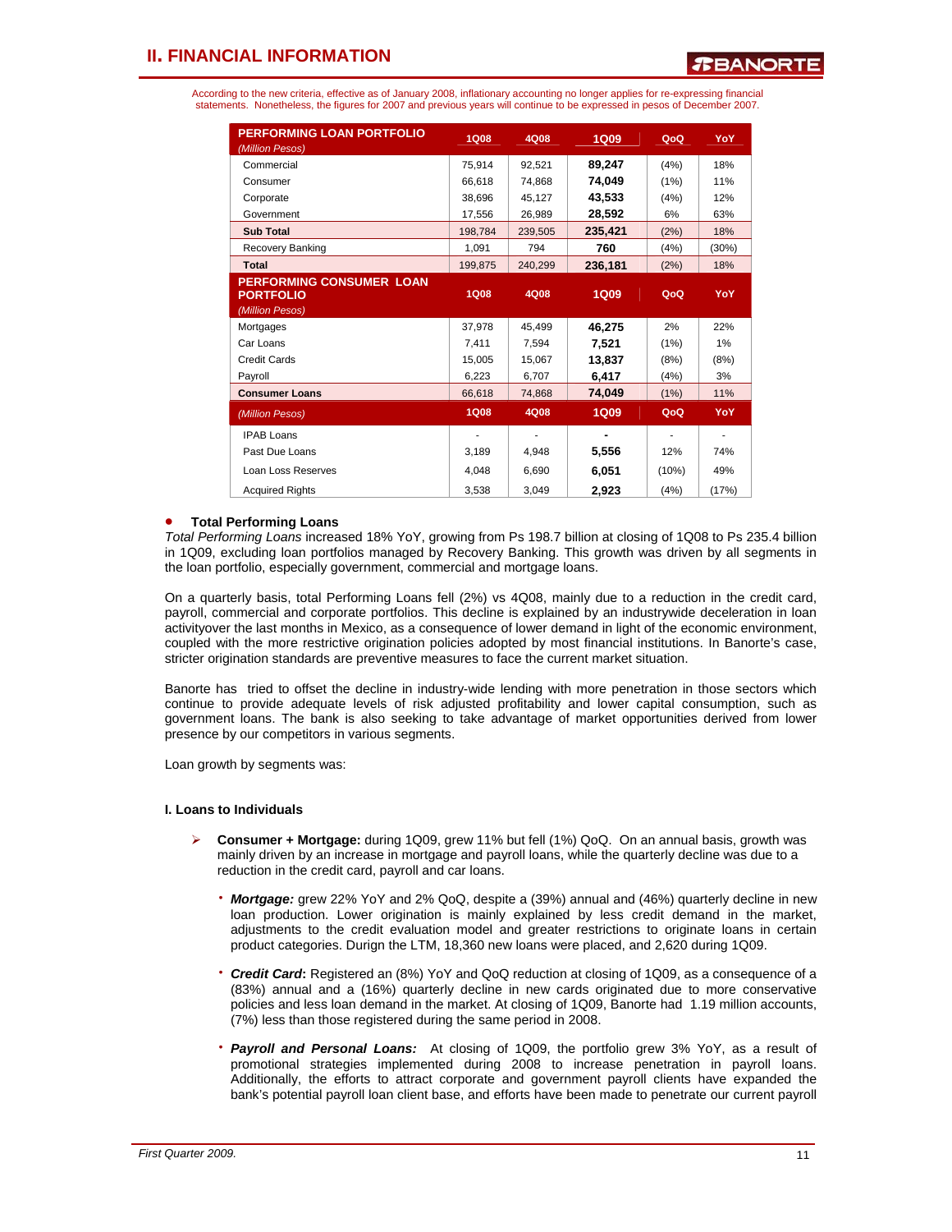According to the new criteria, effective as of January 2008, inflationary accounting no longer applies for re-expressing financial statements. Nonetheless, the figures for 2007 and previous years will continue to be expressed in pesos of December 2007.

| <b>PERFORMING LOAN PORTFOLIO</b><br>(Million Pesos)                    | <b>1Q08</b> | 4Q08    | <b>1Q09</b> | QoQ   | YoY   |
|------------------------------------------------------------------------|-------------|---------|-------------|-------|-------|
| Commercial                                                             | 75,914      | 92.521  | 89,247      | (4%)  | 18%   |
| Consumer                                                               | 66,618      | 74,868  | 74,049      | (1%)  | 11%   |
| Corporate                                                              | 38,696      | 45.127  | 43,533      | (4%)  | 12%   |
| Government                                                             | 17,556      | 26,989  | 28,592      | 6%    | 63%   |
| <b>Sub Total</b>                                                       | 198,784     | 239.505 | 235,421     | (2%)  | 18%   |
| Recovery Banking                                                       | 1,091       | 794     | 760         | (4%)  | (30%) |
| <b>Total</b>                                                           | 199,875     | 240,299 | 236,181     | (2%)  | 18%   |
| <b>PERFORMING CONSUMER LOAN</b><br><b>PORTFOLIO</b><br>(Million Pesos) | <b>1Q08</b> | 4Q08    | <b>1Q09</b> | QoQ   | YoY   |
| Mortgages                                                              | 37,978      | 45,499  | 46,275      | 2%    | 22%   |
| Car Loans                                                              | 7.411       | 7.594   | 7,521       | (1%)  | 1%    |
| Credit Cards                                                           | 15.005      | 15,067  | 13,837      | (8%)  | (8%)  |
| Payroll                                                                | 6,223       | 6,707   | 6,417       | (4%)  | 3%    |
| <b>Consumer Loans</b>                                                  | 66,618      | 74,868  | 74,049      | (1%)  | 11%   |
| (Million Pesos)                                                        | <b>1Q08</b> | 4Q08    | <b>1Q09</b> | QoQ   | YoY   |
| <b>IPAB Loans</b>                                                      |             |         |             |       |       |
| Past Due Loans                                                         | 3,189       | 4,948   | 5,556       | 12%   | 74%   |
| Loan Loss Reserves                                                     | 4.048       | 6.690   | 6,051       | (10%) | 49%   |
| <b>Acquired Rights</b>                                                 | 3,538       | 3,049   | 2,923       | (4%)  | (17%) |

### • **Total Performing Loans**

*Total Performing Loans* increased 18% YoY, growing from Ps 198.7 billion at closing of 1Q08 to Ps 235.4 billion in 1Q09, excluding loan portfolios managed by Recovery Banking. This growth was driven by all segments in the loan portfolio, especially government, commercial and mortgage loans.

On a quarterly basis, total Performing Loans fell (2%) vs 4Q08, mainly due to a reduction in the credit card, payroll, commercial and corporate portfolios. This decline is explained by an industrywide deceleration in loan activityover the last months in Mexico, as a consequence of lower demand in light of the economic environment, coupled with the more restrictive origination policies adopted by most financial institutions. In Banorte's case, stricter origination standards are preventive measures to face the current market situation.

Banorte has tried to offset the decline in industry-wide lending with more penetration in those sectors which continue to provide adequate levels of risk adjusted profitability and lower capital consumption, such as government loans. The bank is also seeking to take advantage of market opportunities derived from lower presence by our competitors in various segments.

Loan growth by segments was:

#### **I. Loans to Individuals**

- ¾ **Consumer + Mortgage:** during 1Q09, grew 11% but fell (1%) QoQ. On an annual basis, growth was mainly driven by an increase in mortgage and payroll loans, while the quarterly decline was due to a reduction in the credit card, payroll and car loans.
	- **Mortgage:** grew 22% YoY and 2% QoQ, despite a (39%) annual and (46%) quarterly decline in new loan production. Lower origination is mainly explained by less credit demand in the market, adjustments to the credit evaluation model and greater restrictions to originate loans in certain product categories. Durign the LTM, 18,360 new loans were placed, and 2,620 during 1Q09.
	- ⋅ *Credit Card***:** Registered an (8%) YoY and QoQ reduction at closing of 1Q09, as a consequence of a (83%) annual and a (16%) quarterly decline in new cards originated due to more conservative policies and less loan demand in the market. At closing of 1Q09, Banorte had 1.19 million accounts, (7%) less than those registered during the same period in 2008.
	- **Payroll and Personal Loans:** At closing of 1Q09, the portfolio grew 3% YoY, as a result of promotional strategies implemented during 2008 to increase penetration in payroll loans. Additionally, the efforts to attract corporate and government payroll clients have expanded the bank's potential payroll loan client base, and efforts have been made to penetrate our current payroll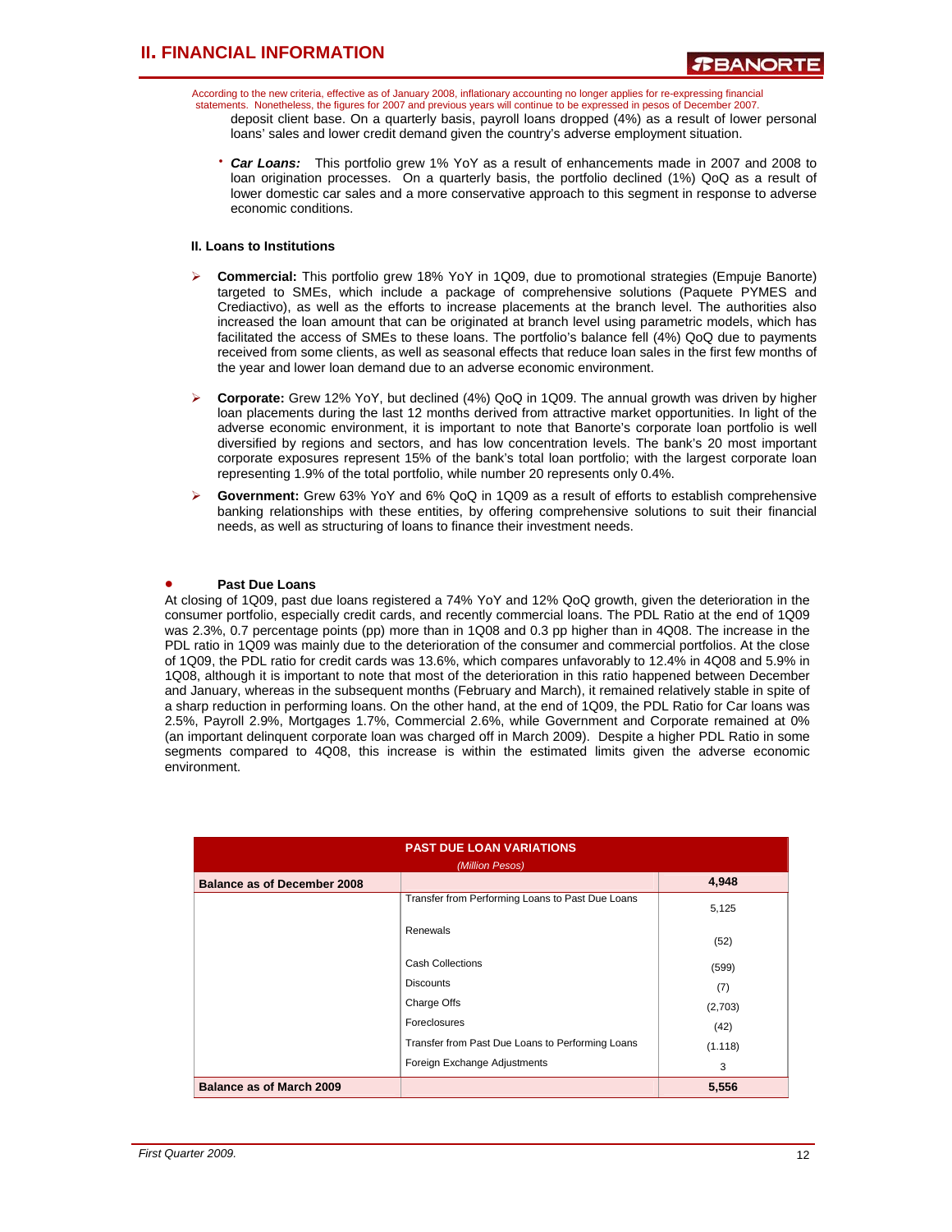According to the new criteria, effective as of January 2008, inflationary accounting no longer applies for re-expressing financial statements. Nonetheless, the figures for 2007 and previous years will continue to be expressed in pesos of December 2007. deposit client base. On a quarterly basis, payroll loans dropped (4%) as a result of lower personal loans' sales and lower credit demand given the country's adverse employment situation.

• **Car Loans:** This portfolio grew 1% YoY as a result of enhancements made in 2007 and 2008 to loan origination processes. On a quarterly basis, the portfolio declined (1%) QoQ as a result of lower domestic car sales and a more conservative approach to this segment in response to adverse economic conditions.

### **II. Loans to Institutions**

- ¾ **Commercial:** This portfolio grew 18% YoY in 1Q09, due to promotional strategies (Empuje Banorte) targeted to SMEs, which include a package of comprehensive solutions (Paquete PYMES and Crediactivo), as well as the efforts to increase placements at the branch level. The authorities also increased the loan amount that can be originated at branch level using parametric models, which has facilitated the access of SMEs to these loans. The portfolio's balance fell (4%) QoQ due to payments received from some clients, as well as seasonal effects that reduce loan sales in the first few months of the year and lower loan demand due to an adverse economic environment.
- ¾ **Corporate:** Grew 12% YoY, but declined (4%) QoQ in 1Q09. The annual growth was driven by higher loan placements during the last 12 months derived from attractive market opportunities. In light of the adverse economic environment, it is important to note that Banorte's corporate loan portfolio is well diversified by regions and sectors, and has low concentration levels. The bank's 20 most important corporate exposures represent 15% of the bank's total loan portfolio; with the largest corporate loan representing 1.9% of the total portfolio, while number 20 represents only 0.4%.
- ¾ **Government:** Grew 63% YoY and 6% QoQ in 1Q09 as a result of efforts to establish comprehensive banking relationships with these entities, by offering comprehensive solutions to suit their financial needs, as well as structuring of loans to finance their investment needs.

#### • **Past Due Loans**

At closing of 1Q09, past due loans registered a 74% YoY and 12% QoQ growth, given the deterioration in the consumer portfolio, especially credit cards, and recently commercial loans. The PDL Ratio at the end of 1Q09 was 2.3%, 0.7 percentage points (pp) more than in 1Q08 and 0.3 pp higher than in 4Q08. The increase in the PDL ratio in 1Q09 was mainly due to the deterioration of the consumer and commercial portfolios. At the close of 1Q09, the PDL ratio for credit cards was 13.6%, which compares unfavorably to 12.4% in 4Q08 and 5.9% in 1Q08, although it is important to note that most of the deterioration in this ratio happened between December and January, whereas in the subsequent months (February and March), it remained relatively stable in spite of a sharp reduction in performing loans. On the other hand, at the end of 1Q09, the PDL Ratio for Car loans was 2.5%, Payroll 2.9%, Mortgages 1.7%, Commercial 2.6%, while Government and Corporate remained at 0% (an important delinquent corporate loan was charged off in March 2009). Despite a higher PDL Ratio in some segments compared to 4Q08, this increase is within the estimated limits given the adverse economic environment.

| <b>PAST DUE LOAN VARIATIONS</b><br>(Million Pesos) |                                                  |         |  |  |
|----------------------------------------------------|--------------------------------------------------|---------|--|--|
| <b>Balance as of December 2008</b>                 |                                                  | 4,948   |  |  |
|                                                    | Transfer from Performing Loans to Past Due Loans | 5,125   |  |  |
|                                                    | Renewals                                         | (52)    |  |  |
|                                                    | <b>Cash Collections</b>                          | (599)   |  |  |
|                                                    | <b>Discounts</b>                                 | (7)     |  |  |
|                                                    | Charge Offs                                      | (2,703) |  |  |
|                                                    | Foreclosures                                     | (42)    |  |  |
|                                                    | Transfer from Past Due Loans to Performing Loans | (1.118) |  |  |
|                                                    | Foreign Exchange Adjustments                     | 3       |  |  |
| <b>Balance as of March 2009</b>                    |                                                  | 5,556   |  |  |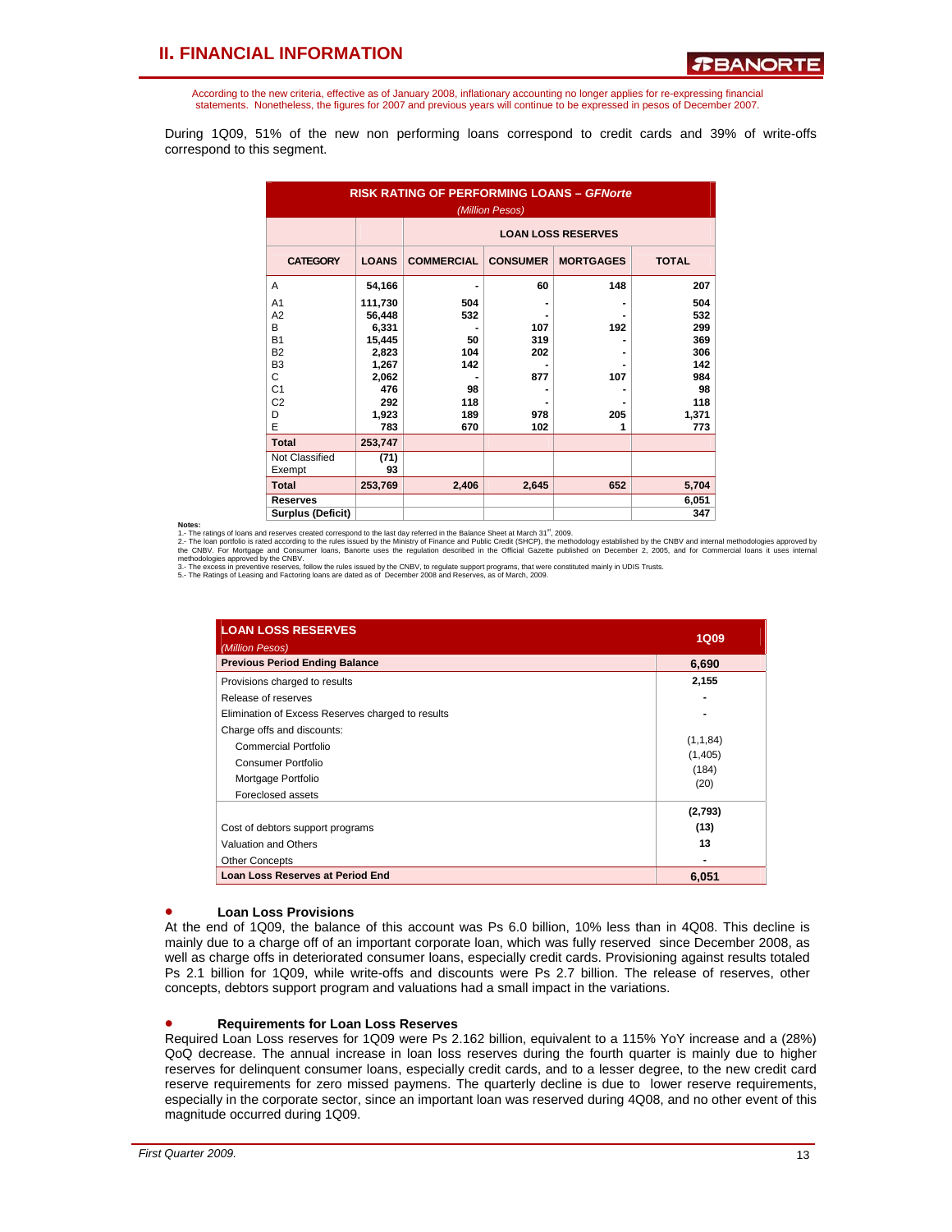According to the new criteria, effective as of January 2008, inflationary accounting no longer applies for re-expressing financial statements. Nonetheless, the figures for 2007 and previous years will continue to be expressed in pesos of December 2007.

During 1Q09, 51% of the new non performing loans correspond to credit cards and 39% of write-offs correspond to this segment.

| <b>RISK RATING OF PERFORMING LOANS - GFNorte</b><br>(Million Pesos)                                                             |                                                                                        |                                                    |                                 |                   |                                                                     |  |
|---------------------------------------------------------------------------------------------------------------------------------|----------------------------------------------------------------------------------------|----------------------------------------------------|---------------------------------|-------------------|---------------------------------------------------------------------|--|
|                                                                                                                                 |                                                                                        | <b>LOAN LOSS RESERVES</b>                          |                                 |                   |                                                                     |  |
| <b>CATEGORY</b>                                                                                                                 | <b>LOANS</b>                                                                           | <b>COMMERCIAL</b>                                  | <b>CONSUMER</b>                 | <b>MORTGAGES</b>  | <b>TOTAL</b>                                                        |  |
| A                                                                                                                               | 54,166                                                                                 |                                                    | 60                              | 148               | 207                                                                 |  |
| A <sub>1</sub><br>A <sub>2</sub><br>B<br><b>B1</b><br><b>B2</b><br>B <sub>3</sub><br>C<br>C <sub>1</sub><br>C <sub>2</sub><br>D | 111,730<br>56,448<br>6,331<br>15,445<br>2,823<br>1,267<br>2,062<br>476<br>292<br>1,923 | 504<br>532<br>50<br>104<br>142<br>98<br>118<br>189 | 107<br>319<br>202<br>877<br>978 | 192<br>107<br>205 | 504<br>532<br>299<br>369<br>306<br>142<br>984<br>98<br>118<br>1,371 |  |
| E                                                                                                                               | 783                                                                                    | 670                                                | 102                             | 1                 | 773                                                                 |  |
| <b>Total</b>                                                                                                                    | 253,747                                                                                |                                                    |                                 |                   |                                                                     |  |
| Not Classified<br>Exempt                                                                                                        | (71)<br>93                                                                             |                                                    |                                 |                   |                                                                     |  |
| <b>Total</b>                                                                                                                    | 253,769                                                                                | 2,406                                              | 2,645                           | 652               | 5,704                                                               |  |
| <b>Reserves</b><br><b>Surplus (Deficit)</b>                                                                                     |                                                                                        |                                                    |                                 |                   | 6,051<br>347                                                        |  |

**Notes:**<br>1. The ratings of loans and reserves created correspond to the last day referred in the Balance Sheet at March 31<sup>#</sup>, 2009.<br>2. The loan portfolio is rated according to the rules issued by the Ministry of Finance a

| <b>LOAN LOSS RESERVES</b>                         | <b>1Q09</b>   |
|---------------------------------------------------|---------------|
| (Million Pesos)                                   |               |
| <b>Previous Period Ending Balance</b>             | 6,690         |
| Provisions charged to results                     | 2,155         |
| Release of reserves                               |               |
| Elimination of Excess Reserves charged to results |               |
| Charge offs and discounts:                        |               |
| Commercial Portfolio                              | (1,1,84)      |
| Consumer Portfolio                                | (1,405)       |
| Mortgage Portfolio                                | (184)<br>(20) |
| Foreclosed assets                                 |               |
|                                                   | (2,793)       |
| Cost of debtors support programs                  | (13)          |
| Valuation and Others                              | 13            |
| <b>Other Concepts</b>                             |               |
| <b>Loan Loss Reserves at Period End</b>           | 6,051         |

#### • **Loan Loss Provisions**

At the end of 1Q09, the balance of this account was Ps 6.0 billion, 10% less than in 4Q08. This decline is mainly due to a charge off of an important corporate loan, which was fully reserved since December 2008, as well as charge offs in deteriorated consumer loans, especially credit cards. Provisioning against results totaled Ps 2.1 billion for 1Q09, while write-offs and discounts were Ps 2.7 billion. The release of reserves, other concepts, debtors support program and valuations had a small impact in the variations.

#### • **Requirements for Loan Loss Reserves**

Required Loan Loss reserves for 1Q09 were Ps 2.162 billion, equivalent to a 115% YoY increase and a (28%) QoQ decrease. The annual increase in loan loss reserves during the fourth quarter is mainly due to higher reserves for delinquent consumer loans, especially credit cards, and to a lesser degree, to the new credit card reserve requirements for zero missed paymens. The quarterly decline is due to lower reserve requirements, especially in the corporate sector, since an important loan was reserved during 4Q08, and no other event of this magnitude occurred during 1Q09.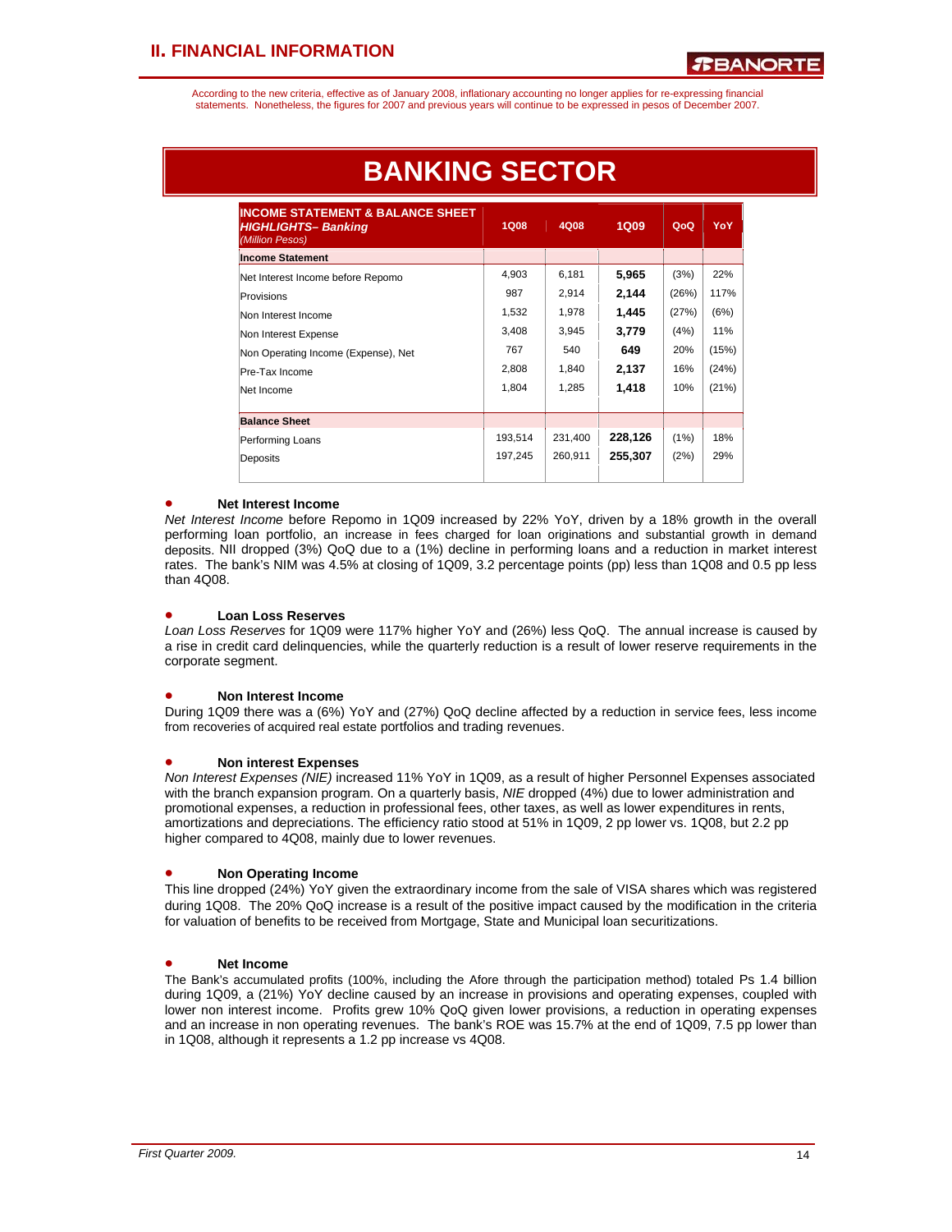According to the new criteria, effective as of January 2008, inflationary accounting no longer applies for re-expressing financial statements. Nonetheless, the figures for 2007 and previous years will continue to be expressed in pesos of December 2007.

| <b>INCOME STATEMENT &amp; BALANCE SHEET</b><br><b>HIGHLIGHTS-Banking</b><br>(Million Pesos) | <b>1Q08</b> | 4Q08    | 1Q09    | QoQ   | <b>YoY</b> |
|---------------------------------------------------------------------------------------------|-------------|---------|---------|-------|------------|
| <b>Income Statement</b>                                                                     |             |         |         |       |            |
| Net Interest Income before Repomo                                                           | 4,903       | 6,181   | 5,965   | (3%)  | 22%        |
| Provisions                                                                                  | 987         | 2.914   | 2,144   | (26%) | 117%       |
| Non Interest Income                                                                         | 1,532       | 1,978   | 1,445   | (27%) | (6%)       |
| Non Interest Expense                                                                        | 3,408       | 3,945   | 3,779   | (4%)  | 11%        |
| Non Operating Income (Expense), Net                                                         | 767         | 540     | 649     | 20%   | (15%)      |
| Pre-Tax Income                                                                              | 2,808       | 1,840   | 2,137   | 16%   | (24%)      |
| Net Income                                                                                  | 1,804       | 1,285   | 1,418   | 10%   | (21%)      |
| <b>Balance Sheet</b>                                                                        |             |         |         |       |            |
| Performing Loans                                                                            | 193,514     | 231,400 | 228,126 | (1%)  | 18%        |
| Deposits                                                                                    | 197,245     | 260,911 | 255,307 | (2%)  | 29%        |

# **BANKING SECTOR**

### • **Net Interest Income**

*Net Interest Income* before Repomo in 1Q09 increased by 22% YoY, driven by a 18% growth in the overall performing loan portfolio, an increase in fees charged for loan originations and substantial growth in demand deposits. NII dropped (3%) QoQ due to a (1%) decline in performing loans and a reduction in market interest rates. The bank's NIM was 4.5% at closing of 1Q09, 3.2 percentage points (pp) less than 1Q08 and 0.5 pp less than 4Q08.

### • **Loan Loss Reserves**

*Loan Loss Reserves* for 1Q09 were 117% higher YoY and (26%) less QoQ. The annual increase is caused by a rise in credit card delinquencies, while the quarterly reduction is a result of lower reserve requirements in the corporate segment.

#### • **Non Interest Income**

During 1Q09 there was a (6%) YoY and (27%) QoQ decline affected by a reduction in service fees, less income from recoveries of acquired real estate portfolios and trading revenues.

#### • **Non interest Expenses**

*Non Interest Expenses (NIE)* increased 11% YoY in 1Q09, as a result of higher Personnel Expenses associated with the branch expansion program. On a quarterly basis, *NIE* dropped (4%) due to lower administration and promotional expenses, a reduction in professional fees, other taxes, as well as lower expenditures in rents, amortizations and depreciations. The efficiency ratio stood at 51% in 1Q09, 2 pp lower vs. 1Q08, but 2.2 pp higher compared to 4Q08, mainly due to lower revenues.

### • **Non Operating Income**

This line dropped (24%) YoY given the extraordinary income from the sale of VISA shares which was registered during 1Q08. The 20% QoQ increase is a result of the positive impact caused by the modification in the criteria for valuation of benefits to be received from Mortgage, State and Municipal loan securitizations.

### • **Net Income**

The Bank's accumulated profits (100%, including the Afore through the participation method) totaled Ps 1.4 billion during 1Q09, a (21%) YoY decline caused by an increase in provisions and operating expenses, coupled with lower non interest income. Profits grew 10% QoQ given lower provisions, a reduction in operating expenses and an increase in non operating revenues. The bank's ROE was 15.7% at the end of 1Q09, 7.5 pp lower than in 1Q08, although it represents a 1.2 pp increase vs 4Q08.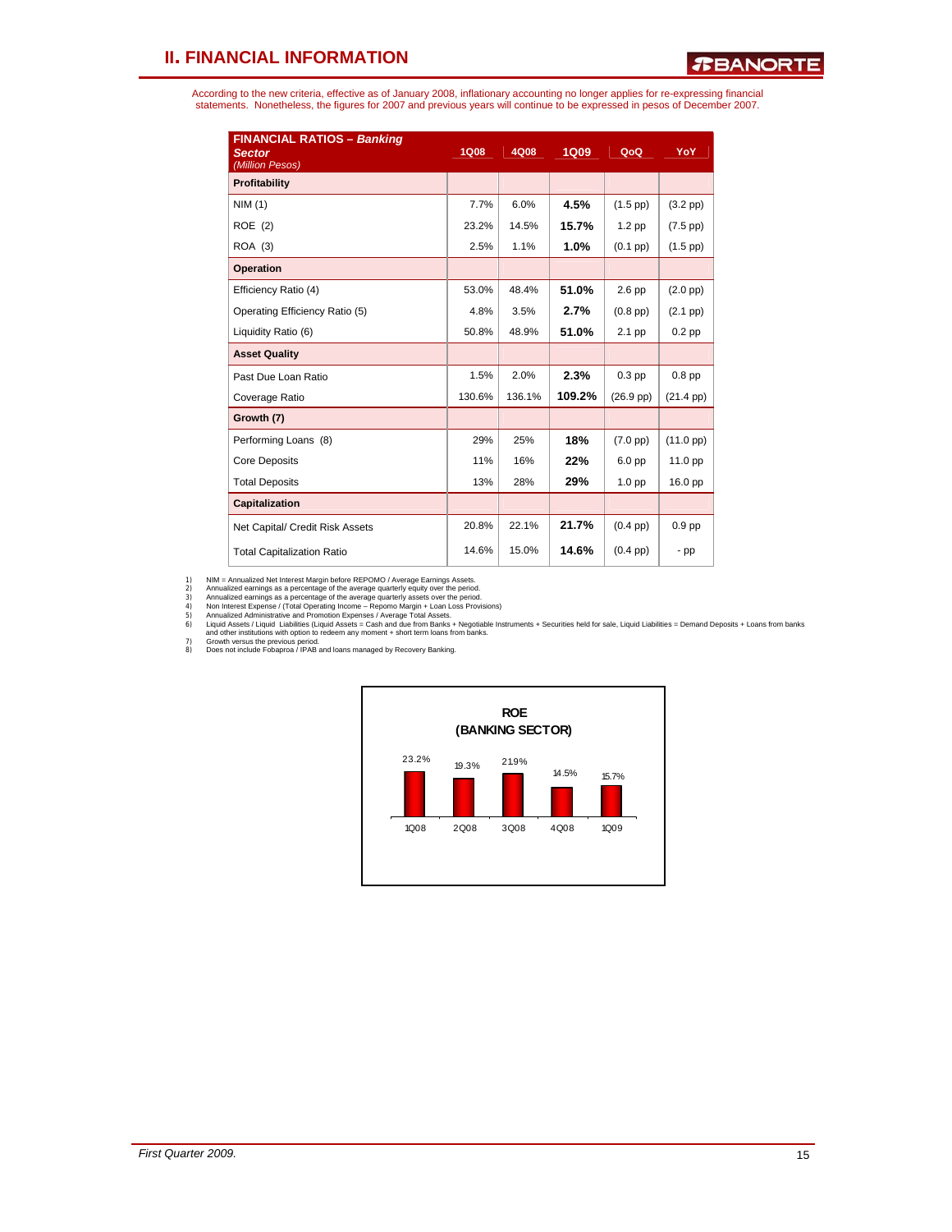According to the new criteria, effective as of January 2008, inflationary accounting no longer applies for re-expressing financial<br>statements. Nonetheless, the figures for 2007 and previous years will continue to be expres

| <b>FINANCIAL RATIOS - Banking</b><br><b>Sector</b><br>(Million Pesos) | <b>1Q08</b> | 4Q08   | <b>1Q09</b> | QoQ                 | YoY                 |
|-----------------------------------------------------------------------|-------------|--------|-------------|---------------------|---------------------|
| Profitability                                                         |             |        |             |                     |                     |
| NIM(1)                                                                | 7.7%        | 6.0%   | 4.5%        | $(1.5$ pp $)$       | $(3.2~\text{pp})$   |
| ROE (2)                                                               | 23.2%       | 14.5%  | 15.7%       | $1.2$ pp            | $(7.5$ pp $)$       |
| ROA (3)                                                               | 2.5%        | 1.1%   | 1.0%        | $(0.1$ pp $)$       | $(1.5$ pp $)$       |
| <b>Operation</b>                                                      |             |        |             |                     |                     |
| Efficiency Ratio (4)                                                  | 53.0%       | 48.4%  | 51.0%       | $2.6$ pp            | $(2.0 \text{ pp})$  |
| Operating Efficiency Ratio (5)                                        | 4.8%        | 3.5%   | 2.7%        | $(0.8$ pp $)$       | $(2.1$ pp $)$       |
| Liquidity Ratio (6)                                                   | 50.8%       | 48.9%  | 51.0%       | 2.1 pp              | $0.2$ pp            |
| <b>Asset Quality</b>                                                  |             |        |             |                     |                     |
| Past Due Loan Ratio                                                   | 1.5%        | 2.0%   | 2.3%        | $0.3$ pp            | $0.8$ pp            |
| Coverage Ratio                                                        | 130.6%      | 136.1% | 109.2%      | $(26.9 \text{ pp})$ | $(21.4 \text{ pp})$ |
| Growth (7)                                                            |             |        |             |                     |                     |
| Performing Loans (8)                                                  | 29%         | 25%    | 18%         | $(7.0 \text{ pp})$  | $(11.0 \text{ pp})$ |
| <b>Core Deposits</b>                                                  | 11%         | 16%    | 22%         | 6.0 <sub>pp</sub>   | 11.0 pp             |
| <b>Total Deposits</b>                                                 | 13%         | 28%    | 29%         | 1.0 <sub>pp</sub>   | 16.0 pp             |
| Capitalization                                                        |             |        |             |                     |                     |
| Net Capital/ Credit Risk Assets                                       | 20.8%       | 22.1%  | 21.7%       | $(0.4$ pp $)$       | 0.9 <sub>pp</sub>   |
| <b>Total Capitalization Ratio</b>                                     | 14.6%       | 15.0%  | 14.6%       | $(0.4$ pp $)$       | $-pp$               |

1) NIM = Annualized aernings as a percentage of the average quarterly equity over the period.<br>2) Annualized earnings as a percentage of the average quarterly equity over the period.<br>3) Annualized earnings as a percentage o

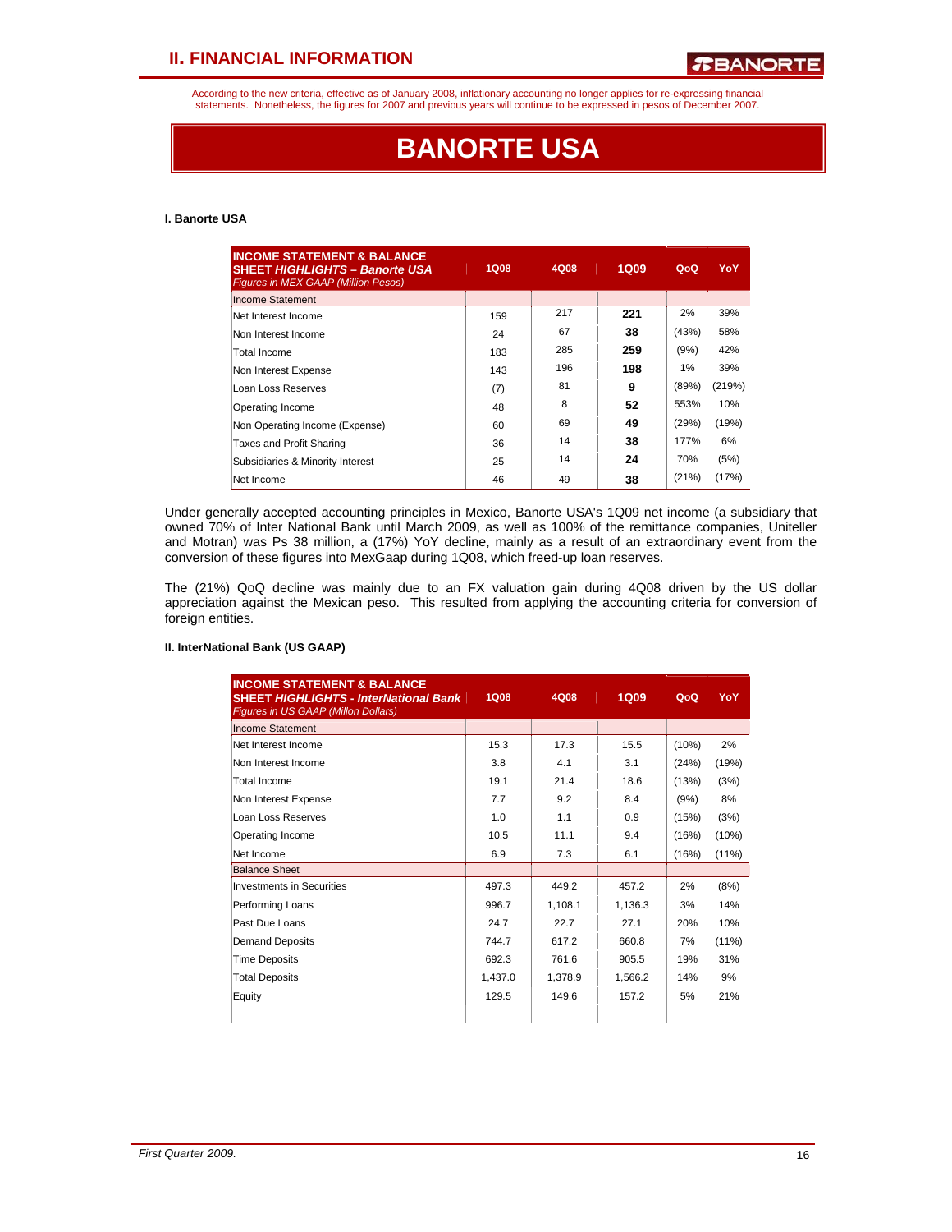According to the new criteria, effective as of January 2008, inflationary accounting no longer applies for re-expressing financial statements. Nonetheless, the figures for 2007 and previous years will continue to be expressed in pesos of December 2007.

# **BANORTE USA**

### **I. Banorte USA**

| <b>INCOME STATEMENT &amp; BALANCE</b><br><b>SHEET HIGHLIGHTS - Banorte USA</b><br><b>Figures in MEX GAAP (Million Pesos)</b> | <b>1Q08</b> | 4Q08 | <b>1Q09</b> | QoQ   | YoY    |
|------------------------------------------------------------------------------------------------------------------------------|-------------|------|-------------|-------|--------|
| Income Statement                                                                                                             |             |      |             |       |        |
| Net Interest Income                                                                                                          | 159         | 217  | 221         | 2%    | 39%    |
| Non Interest Income                                                                                                          | 24          | 67   | 38          | (43%) | 58%    |
| Total Income                                                                                                                 | 183         | 285  | 259         | (9%)  | 42%    |
| Non Interest Expense                                                                                                         | 143         | 196  | 198         | 1%    | 39%    |
| Loan Loss Reserves                                                                                                           | (7)         | 81   | 9           | (89%) | (219%) |
| Operating Income                                                                                                             | 48          | 8    | 52          | 553%  | 10%    |
| Non Operating Income (Expense)                                                                                               | 60          | 69   | 49          | (29%) | (19%)  |
| Taxes and Profit Sharing                                                                                                     | 36          | 14   | 38          | 177%  | 6%     |
| Subsidiaries & Minority Interest                                                                                             | 25          | 14   | 24          | 70%   | (5%)   |
| Net Income                                                                                                                   | 46          | 49   | 38          | (21%) | (17%)  |

Under generally accepted accounting principles in Mexico, Banorte USA's 1Q09 net income (a subsidiary that owned 70% of Inter National Bank until March 2009, as well as 100% of the remittance companies, Uniteller and Motran) was Ps 38 million, a (17%) YoY decline, mainly as a result of an extraordinary event from the conversion of these figures into MexGaap during 1Q08, which freed-up loan reserves.

The (21%) QoQ decline was mainly due to an FX valuation gain during 4Q08 driven by the US dollar appreciation against the Mexican peso. This resulted from applying the accounting criteria for conversion of foreign entities.

#### **II. InterNational Bank (US GAAP)**

| <b>INCOME STATEMENT &amp; BALANCE</b><br><b>SHEET HIGHLIGHTS - InterNational Bank</b><br><b>Figures in US GAAP (Millon Dollars)</b> | <b>1Q08</b> | 4Q08    | <b>1Q09</b> | QoQ   | YoY      |
|-------------------------------------------------------------------------------------------------------------------------------------|-------------|---------|-------------|-------|----------|
| Income Statement                                                                                                                    |             |         |             |       |          |
| Net Interest Income                                                                                                                 | 15.3        | 17.3    | 15.5        | (10%) | 2%       |
| Non Interest Income                                                                                                                 | 3.8         | 4.1     | 3.1         | (24%) | (19%)    |
| Total Income                                                                                                                        | 19.1        | 21.4    | 18.6        | (13%) | (3%)     |
| Non Interest Expense                                                                                                                | 7.7         | 9.2     | 8.4         | (9%)  | 8%       |
| Loan Loss Reserves                                                                                                                  | 1.0         | 1.1     | 0.9         | (15%) | (3%)     |
| Operating Income                                                                                                                    | 10.5        | 11.1    | 9.4         | (16%) | (10%)    |
| Net Income                                                                                                                          | 6.9         | 7.3     | 6.1         | (16%) | (11%)    |
| <b>Balance Sheet</b>                                                                                                                |             |         |             |       |          |
| Investments in Securities                                                                                                           | 497.3       | 449.2   | 457.2       | 2%    | (8%)     |
| Performing Loans                                                                                                                    | 996.7       | 1,108.1 | 1,136.3     | 3%    | 14%      |
| Past Due Loans                                                                                                                      | 24.7        | 22.7    | 27.1        | 20%   | 10%      |
| Demand Deposits                                                                                                                     | 744.7       | 617.2   | 660.8       | 7%    | $(11\%)$ |
| <b>Time Deposits</b>                                                                                                                | 692.3       | 761.6   | 905.5       | 19%   | 31%      |
| <b>Total Deposits</b>                                                                                                               | 1,437.0     | 1,378.9 | 1,566.2     | 14%   | 9%       |
| Equity                                                                                                                              | 129.5       | 149.6   | 157.2       | 5%    | 21%      |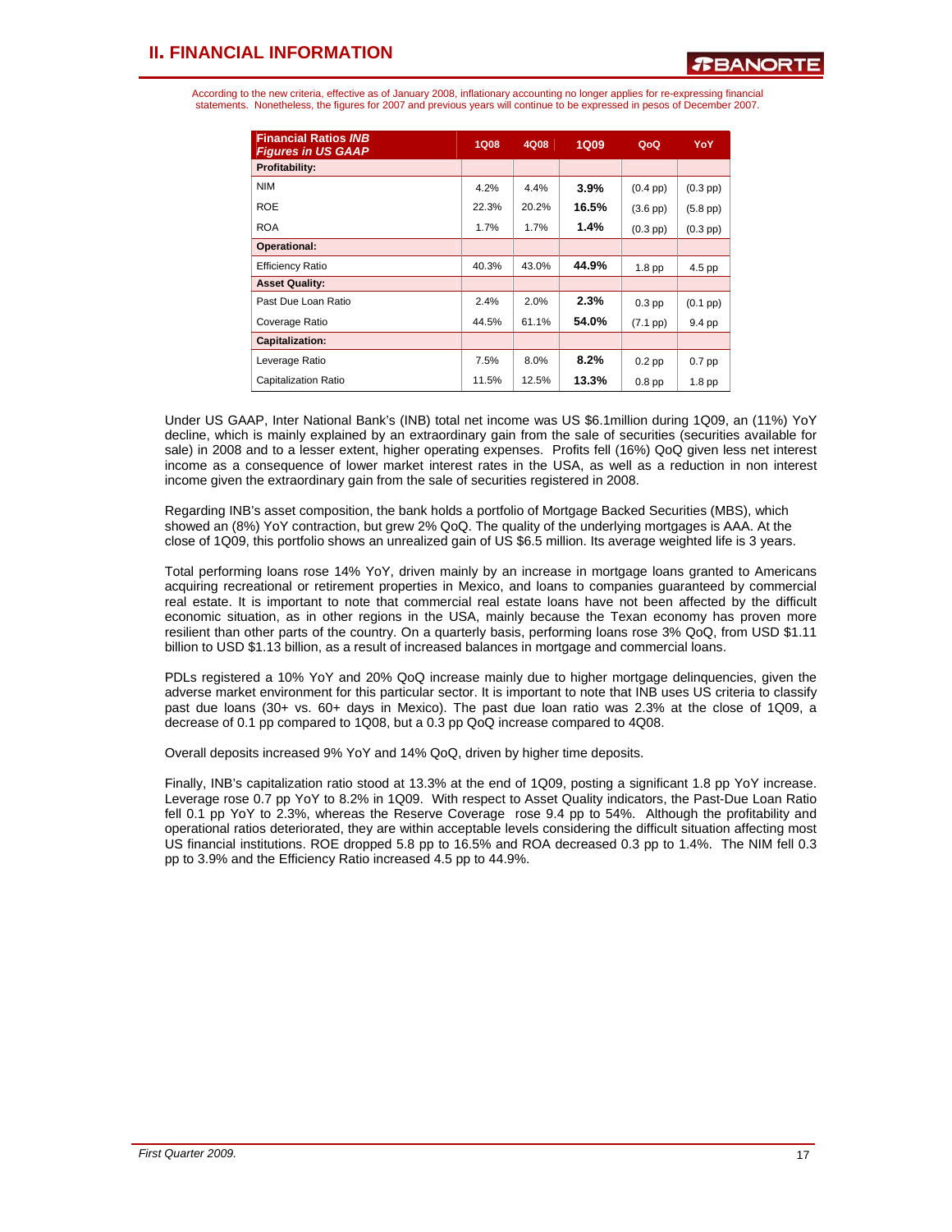According to the new criteria, effective as of January 2008, inflationary accounting no longer applies for re-expressing financial statements. Nonetheless, the figures for 2007 and previous years will continue to be expressed in pesos of December 2007.

| <b>Financial Ratios INB</b><br><b>Figures in US GAAP</b> | <b>1Q08</b> | 4Q08  | <b>1Q09</b> | QoQ                | <b>YoY</b>        |
|----------------------------------------------------------|-------------|-------|-------------|--------------------|-------------------|
| Profitability:                                           |             |       |             |                    |                   |
| <b>NIM</b>                                               | 4.2%        | 4.4%  | $3.9\%$     | $(0.4 \text{ pp})$ | $(0.3$ pp $)$     |
| <b>ROE</b>                                               | 22.3%       | 20.2% | 16.5%       | $(3.6$ pp $)$      | $(5.8$ pp $)$     |
| <b>ROA</b>                                               | 1.7%        | 1.7%  | $1.4\%$     | $(0.3$ pp $)$      | $(0.3$ pp $)$     |
| Operational:                                             |             |       |             |                    |                   |
| <b>Efficiency Ratio</b>                                  | 40.3%       | 43.0% | 44.9%       | 1.8 <sub>pp</sub>  | 4.5 pp            |
| <b>Asset Quality:</b>                                    |             |       |             |                    |                   |
| Past Due Loan Ratio                                      | 2.4%        | 2.0%  | 2.3%        | $0.3$ pp           | $(0.1~\text{pp})$ |
| Coverage Ratio                                           | 44.5%       | 61.1% | 54.0%       | $(7.1$ pp $)$      | 9.4 pp            |
| <b>Capitalization:</b>                                   |             |       |             |                    |                   |
| Leverage Ratio                                           | 7.5%        | 8.0%  | 8.2%        | $0.2$ pp           | $0.7$ pp          |
| <b>Capitalization Ratio</b>                              | 11.5%       | 12.5% | 13.3%       | 0.8 <sub>pp</sub>  | 1.8 <sub>pp</sub> |

Under US GAAP, Inter National Bank's (INB) total net income was US \$6.1million during 1Q09, an (11%) YoY decline, which is mainly explained by an extraordinary gain from the sale of securities (securities available for sale) in 2008 and to a lesser extent, higher operating expenses. Profits fell (16%) QoQ given less net interest income as a consequence of lower market interest rates in the USA, as well as a reduction in non interest income given the extraordinary gain from the sale of securities registered in 2008.

Regarding INB's asset composition, the bank holds a portfolio of Mortgage Backed Securities (MBS), which showed an (8%) YoY contraction, but grew 2% QoQ. The quality of the underlying mortgages is AAA. At the close of 1Q09, this portfolio shows an unrealized gain of US \$6.5 million. Its average weighted life is 3 years.

Total performing loans rose 14% YoY, driven mainly by an increase in mortgage loans granted to Americans acquiring recreational or retirement properties in Mexico, and loans to companies guaranteed by commercial real estate. It is important to note that commercial real estate loans have not been affected by the difficult economic situation, as in other regions in the USA, mainly because the Texan economy has proven more resilient than other parts of the country. On a quarterly basis, performing loans rose 3% QoQ, from USD \$1.11 billion to USD \$1.13 billion, as a result of increased balances in mortgage and commercial loans.

PDLs registered a 10% YoY and 20% QoQ increase mainly due to higher mortgage delinquencies, given the adverse market environment for this particular sector. It is important to note that INB uses US criteria to classify past due loans (30+ vs. 60+ days in Mexico). The past due loan ratio was 2.3% at the close of 1Q09, a decrease of 0.1 pp compared to 1Q08, but a 0.3 pp QoQ increase compared to 4Q08.

Overall deposits increased 9% YoY and 14% QoQ, driven by higher time deposits.

Finally, INB's capitalization ratio stood at 13.3% at the end of 1Q09, posting a significant 1.8 pp YoY increase. Leverage rose 0.7 pp YoY to 8.2% in 1Q09. With respect to Asset Quality indicators, the Past-Due Loan Ratio fell 0.1 pp YoY to 2.3%, whereas the Reserve Coverage rose 9.4 pp to 54%. Although the profitability and operational ratios deteriorated, they are within acceptable levels considering the difficult situation affecting most US financial institutions. ROE dropped 5.8 pp to 16.5% and ROA decreased 0.3 pp to 1.4%. The NIM fell 0.3 pp to 3.9% and the Efficiency Ratio increased 4.5 pp to 44.9%.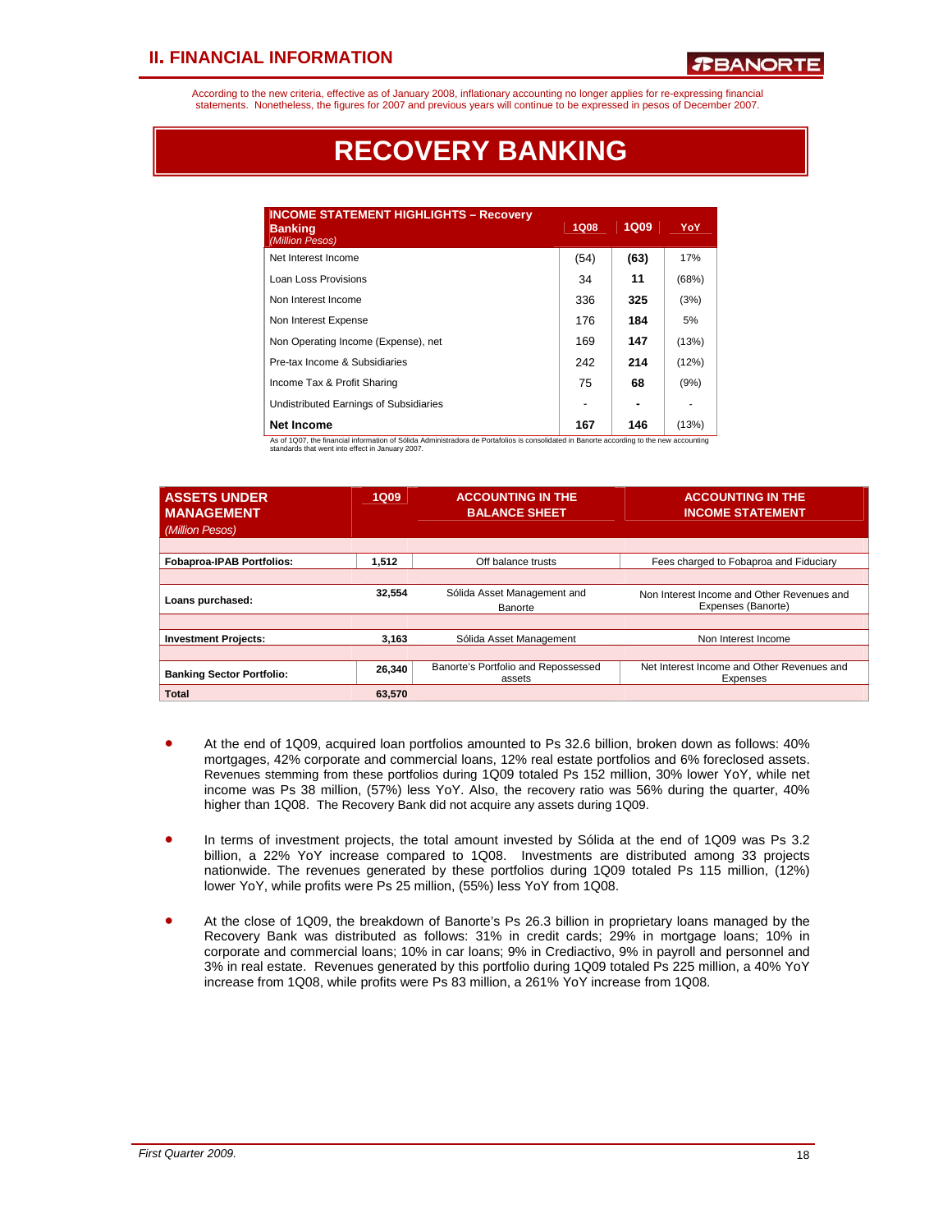According to the new criteria, effective as of January 2008, inflationary accounting no longer applies for re-expressing financial statements. Nonetheless, the figures for 2007 and previous years will continue to be expressed in pesos of December 2007.

# **RECOVERY BANKING**

| <b>INCOME STATEMENT HIGHLIGHTS - Recovery</b><br><b>Banking</b><br>(Million Pesos) | 1Q08 | <b>1Q09</b> | YoY   |
|------------------------------------------------------------------------------------|------|-------------|-------|
| Net Interest Income                                                                | (54) | (63)        | 17%   |
| Loan Loss Provisions                                                               | 34   | 11          | (68%) |
| Non Interest Income                                                                | 336  | 325         | (3%)  |
| Non Interest Expense                                                               | 176  | 184         | 5%    |
| Non Operating Income (Expense), net                                                | 169  | 147         | (13%) |
| Pre-tax Income & Subsidiaries                                                      | 242  | 214         | (12%) |
| Income Tax & Profit Sharing                                                        | 75   | 68          | (9%)  |
| Undistributed Earnings of Subsidiaries                                             |      |             |       |
| <b>Net Income</b>                                                                  | 167  | 146         | (13%) |

As of 1Q07, the financial information of Sólida Administradora de Portafolios is consolidated in Banorte according to the new accounting standards that went into effect in January 2007.

| <b>ASSETS UNDER</b><br><b>MANAGEMENT</b><br>(Million Pesos) | <b>1Q09</b> | <b>ACCOUNTING IN THE</b><br><b>BALANCE SHEET</b> | <b>ACCOUNTING IN THE</b><br><b>INCOME STATEMENT</b>              |
|-------------------------------------------------------------|-------------|--------------------------------------------------|------------------------------------------------------------------|
| <b>Fobaproa-IPAB Portfolios:</b>                            | 1,512       | Off balance trusts                               | Fees charged to Fobaproa and Fiduciary                           |
|                                                             |             |                                                  |                                                                  |
| Loans purchased:                                            | 32.554      | Sólida Asset Management and<br>Banorte           | Non Interest Income and Other Revenues and<br>Expenses (Banorte) |
|                                                             |             |                                                  |                                                                  |
| <b>Investment Projects:</b>                                 | 3.163       | Sólida Asset Management                          | Non Interest Income                                              |
|                                                             |             |                                                  |                                                                  |
| <b>Banking Sector Portfolio:</b>                            | 26,340      | Banorte's Portfolio and Repossessed<br>assets    | Net Interest Income and Other Revenues and<br>Expenses           |
| <b>Total</b>                                                | 63.570      |                                                  |                                                                  |

- At the end of 1Q09, acquired loan portfolios amounted to Ps 32.6 billion, broken down as follows: 40% mortgages, 42% corporate and commercial loans, 12% real estate portfolios and 6% foreclosed assets. Revenues stemming from these portfolios during 1Q09 totaled Ps 152 million, 30% lower YoY, while net income was Ps 38 million, (57%) less YoY. Also, the recovery ratio was 56% during the quarter, 40% higher than 1Q08. The Recovery Bank did not acquire any assets during 1Q09.
- In terms of investment projects, the total amount invested by Sólida at the end of 1Q09 was Ps 3.2 billion, a 22% YoY increase compared to 1Q08. Investments are distributed among 33 projects nationwide. The revenues generated by these portfolios during 1Q09 totaled Ps 115 million, (12%) lower YoY, while profits were Ps 25 million, (55%) less YoY from 1Q08.
- At the close of 1Q09, the breakdown of Banorte's Ps 26.3 billion in proprietary loans managed by the Recovery Bank was distributed as follows: 31% in credit cards; 29% in mortgage loans; 10% in corporate and commercial loans; 10% in car loans; 9% in Crediactivo, 9% in payroll and personnel and 3% in real estate. Revenues generated by this portfolio during 1Q09 totaled Ps 225 million, a 40% YoY increase from 1Q08, while profits were Ps 83 million, a 261% YoY increase from 1Q08.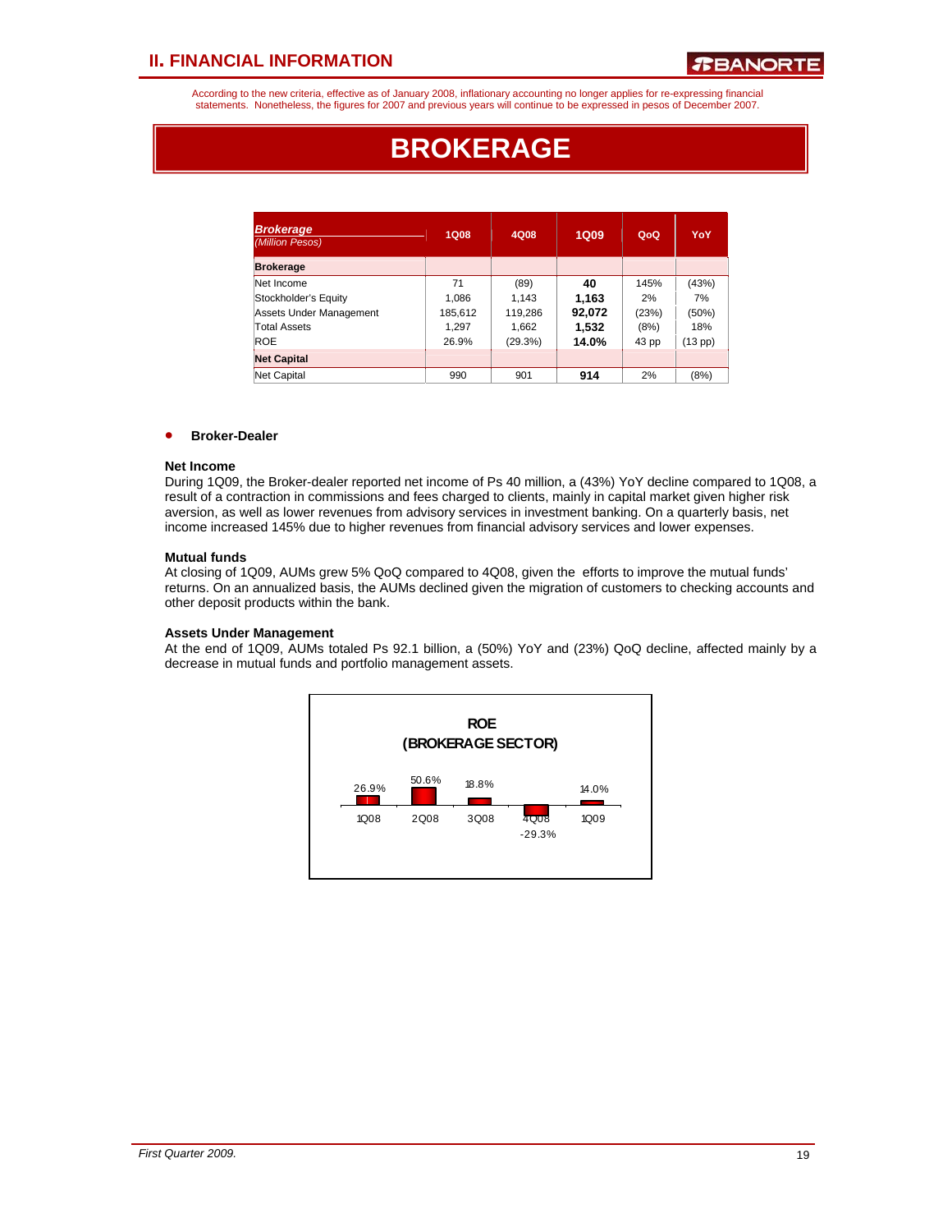According to the new criteria, effective as of January 2008, inflationary accounting no longer applies for re-expressing financial statements. Nonetheless, the figures for 2007 and previous years will continue to be expressed in pesos of December 2007.

# **BROKERAGE**

| <b>Brokerage</b><br>(Million Pesos) | 1Q08    | 4Q08    | <b>1Q09</b> | QoQ   | YoY     |
|-------------------------------------|---------|---------|-------------|-------|---------|
| <b>Brokerage</b>                    |         |         |             |       |         |
| Net Income                          | 71      | (89)    | 40          | 145%  | (43%)   |
| Stockholder's Equity                | 1.086   | 1.143   | 1.163       | 2%    | 7%      |
| Assets Under Management             | 185,612 | 119,286 | 92,072      | (23%) | (50%)   |
| <b>Total Assets</b>                 | 1.297   | 1,662   | 1.532       | (8%)  | 18%     |
| ROE                                 | 26.9%   | (29.3%) | 14.0%       | 43 pp | (13 pp) |
| <b>Net Capital</b>                  |         |         |             |       |         |
| Net Capital                         | 990     | 901     | 914         | 2%    | (8%)    |

### • **Broker-Dealer**

#### **Net Income**

During 1Q09, the Broker-dealer reported net income of Ps 40 million, a (43%) YoY decline compared to 1Q08, a result of a contraction in commissions and fees charged to clients, mainly in capital market given higher risk aversion, as well as lower revenues from advisory services in investment banking. On a quarterly basis, net income increased 145% due to higher revenues from financial advisory services and lower expenses.

#### **Mutual funds**

At closing of 1Q09, AUMs grew 5% QoQ compared to 4Q08, given the efforts to improve the mutual funds' returns. On an annualized basis, the AUMs declined given the migration of customers to checking accounts and other deposit products within the bank.

#### **Assets Under Management**

At the end of 1Q09, AUMs totaled Ps 92.1 billion, a (50%) YoY and (23%) QoQ decline, affected mainly by a decrease in mutual funds and portfolio management assets.

![](_page_18_Figure_12.jpeg)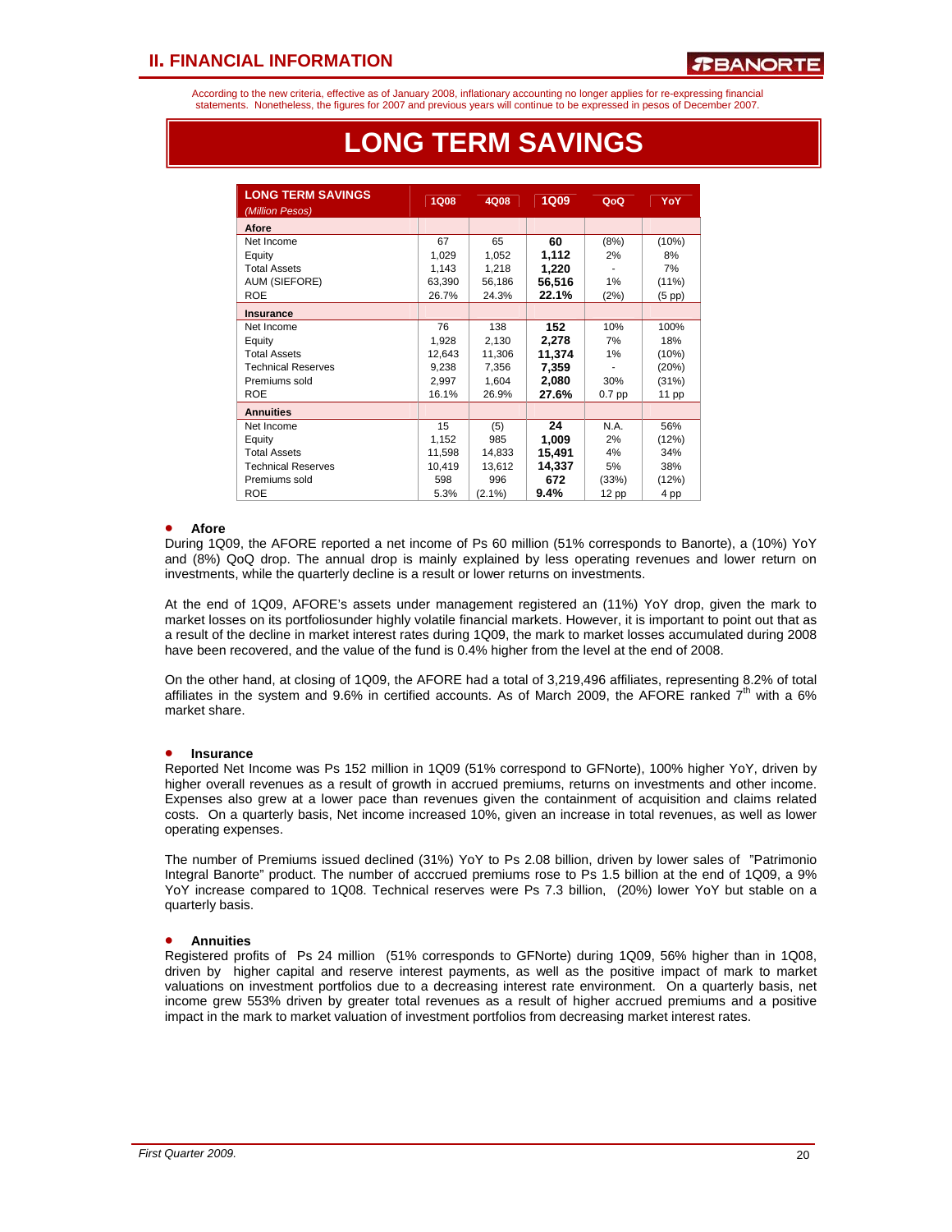According to the new criteria, effective as of January 2008, inflationary accounting no longer applies for re-expressing financial statements. Nonetheless, the figures for 2007 and previous years will continue to be expressed in pesos of December 2007.

| <b>LONG TERM SAVINGS</b>  | <b>1Q08</b> | 4Q08      | 1Q09   | QoQ      | YoY         |
|---------------------------|-------------|-----------|--------|----------|-------------|
| (Million Pesos)           |             |           |        |          |             |
| Afore                     |             |           |        |          |             |
| Net Income                | 67          | 65        | 60     | (8%)     | (10%)       |
| Equity                    | 1,029       | 1,052     | 1,112  | 2%       | 8%          |
| <b>Total Assets</b>       | 1,143       | 1,218     | 1,220  |          | 7%          |
| <b>AUM (SIEFORE)</b>      | 63,390      | 56,186    | 56,516 | 1%       | (11%)       |
| <b>ROE</b>                | 26.7%       | 24.3%     | 22.1%  | (2%)     | $(5$ pp $)$ |
| <b>Insurance</b>          |             |           |        |          |             |
| Net Income                | 76          | 138       | 152    | 10%      | 100%        |
| Equity                    | 1,928       | 2,130     | 2,278  | 7%       | 18%         |
| <b>Total Assets</b>       | 12,643      | 11,306    | 11,374 | 1%       | (10%)       |
| <b>Technical Reserves</b> | 9.238       | 7,356     | 7,359  |          | (20%)       |
| Premiums sold             | 2,997       | 1,604     | 2,080  | 30%      | (31%)       |
| <b>ROE</b>                | 16.1%       | 26.9%     | 27.6%  | $0.7$ pp | 11 pp       |
| <b>Annuities</b>          |             |           |        |          |             |
| Net Income                | 15          | (5)       | 24     | N.A.     | 56%         |
| Equity                    | 1,152       | 985       | 1,009  | 2%       | (12%)       |
| <b>Total Assets</b>       | 11,598      | 14,833    | 15,491 | 4%       | 34%         |
| <b>Technical Reserves</b> | 10,419      | 13,612    | 14,337 | 5%       | 38%         |
| Premiums sold             | 598         | 996       | 672    | (33%)    | (12%)       |
| <b>ROE</b>                | 5.3%        | $(2.1\%)$ | 9.4%   | 12 pp    | 4 pp        |

# **LONG TERM SAVINGS**

#### • **Afore**

• ֦֘

During 1Q09, the AFORE reported a net income of Ps 60 million (51% corresponds to Banorte), a (10%) YoY and (8%) QoQ drop. The annual drop is mainly explained by less operating revenues and lower return on investments, while the quarterly decline is a result or lower returns on investments.

At the end of 1Q09, AFORE's assets under management registered an (11%) YoY drop, given the mark to market losses on its portfoliosunder highly volatile financial markets. However, it is important to point out that as a result of the decline in market interest rates during 1Q09, the mark to market losses accumulated during 2008 have been recovered, and the value of the fund is 0.4% higher from the level at the end of 2008.

On the other hand, at closing of 1Q09, the AFORE had a total of 3,219,496 affiliates, representing 8.2% of total affiliates in the system and  $9.6\%$  in certified accounts. As of March 2009, the AFORE ranked  $7<sup>th</sup>$  with a 6% market share.

#### • **Insurance**

Reported Net Income was Ps 152 million in 1Q09 (51% correspond to GFNorte), 100% higher YoY, driven by higher overall revenues as a result of growth in accrued premiums, returns on investments and other income. Expenses also grew at a lower pace than revenues given the containment of acquisition and claims related costs. On a quarterly basis, Net income increased 10%, given an increase in total revenues, as well as lower operating expenses.

The number of Premiums issued declined (31%) YoY to Ps 2.08 billion, driven by lower sales of "Patrimonio Integral Banorte" product. The number of acccrued premiums rose to Ps 1.5 billion at the end of 1Q09, a 9% YoY increase compared to 1Q08. Technical reserves were Ps 7.3 billion, (20%) lower YoY but stable on a quarterly basis.

#### • **Annuities**

Registered profits of Ps 24 million (51% corresponds to GFNorte) during 1Q09, 56% higher than in 1Q08, driven by higher capital and reserve interest payments, as well as the positive impact of mark to market valuations on investment portfolios due to a decreasing interest rate environment. On a quarterly basis, net income grew 553% driven by greater total revenues as a result of higher accrued premiums and a positive impact in the mark to market valuation of investment portfolios from decreasing market interest rates.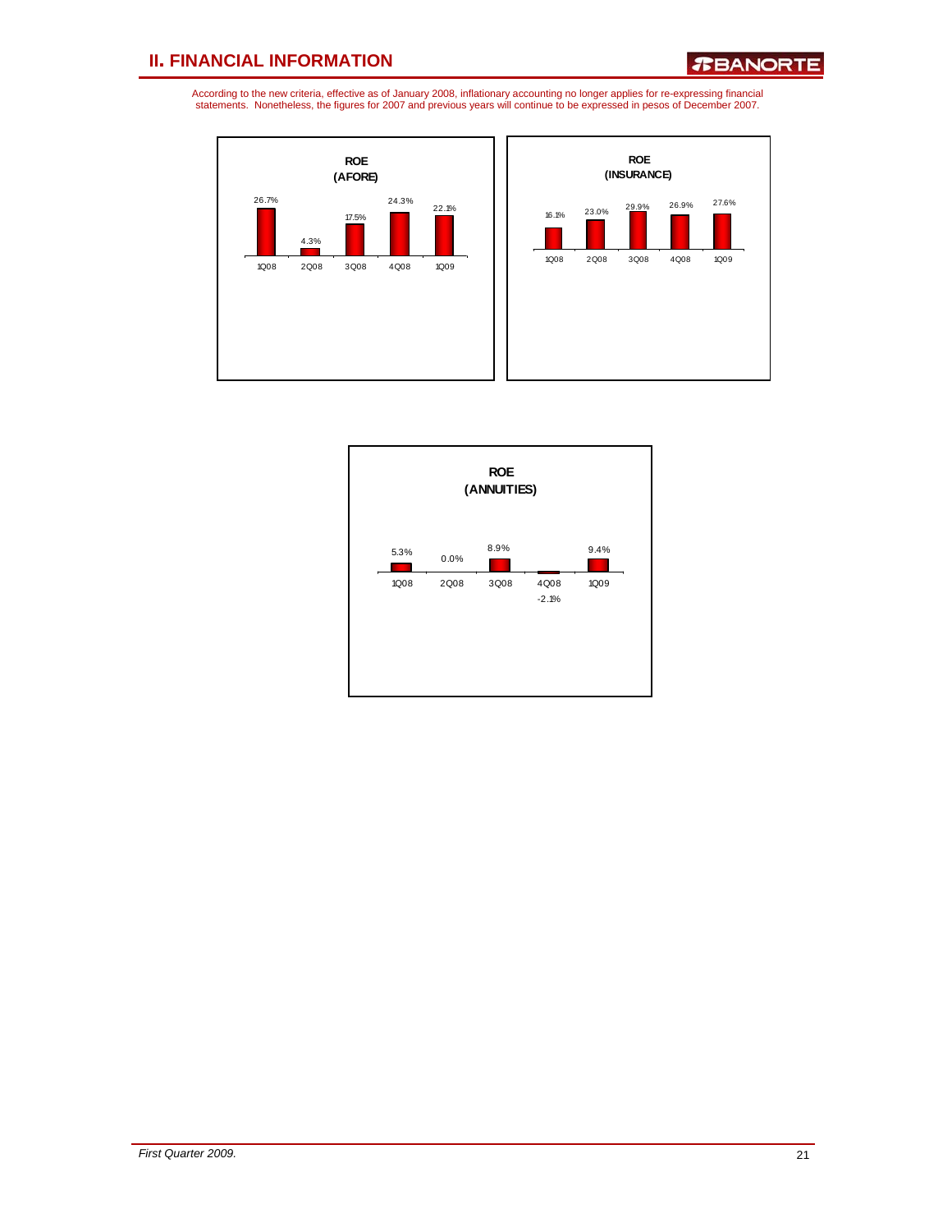![](_page_20_Figure_3.jpeg)

![](_page_20_Figure_4.jpeg)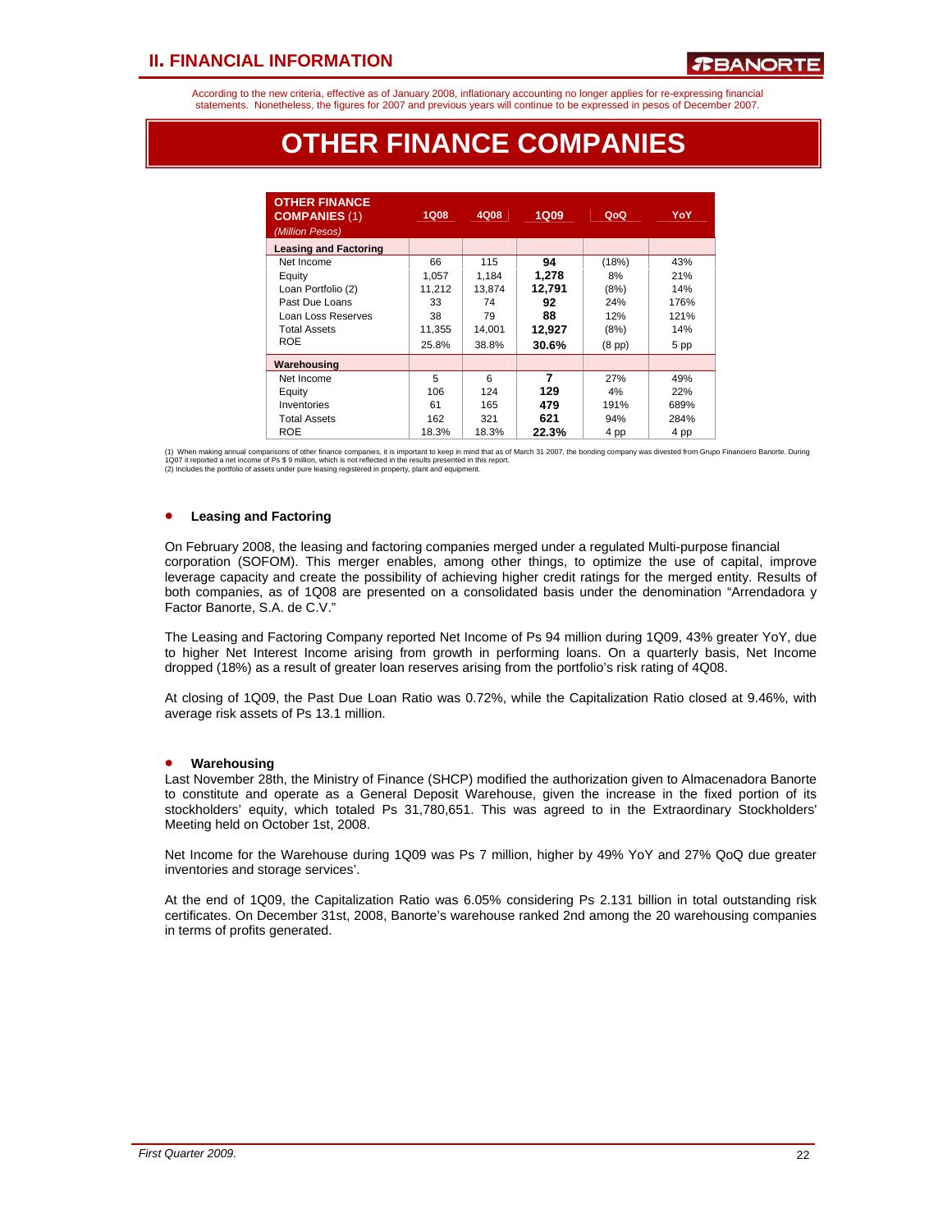According to the new criteria, effective as of January 2008, inflationary accounting no longer applies for re-expressing financial statements. Nonetheless, the figures for 2007 and previous years will continue to be expressed in pesos of December 2007.

# **OTHER FINANCE COMPANIES**

| <b>OTHER FINANCE</b><br><b>COMPANIES (1)</b><br>(Million Pesos) | <b>1Q08</b> | 4Q08   | 1Q09   | QoQ         | YoY  |
|-----------------------------------------------------------------|-------------|--------|--------|-------------|------|
| <b>Leasing and Factoring</b>                                    |             |        |        |             |      |
| Net Income                                                      | 66          | 115    | 94     | (18%)       | 43%  |
| Equity                                                          | 1.057       | 1.184  | 1,278  | 8%          | 21%  |
| Loan Portfolio (2)                                              | 11,212      | 13.874 | 12,791 | (8%)        | 14%  |
| Past Due Loans                                                  | 33          | 74     | 92     | 24%         | 176% |
| Loan Loss Reserves                                              | 38          | 79     | 88     | 12%         | 121% |
| <b>Total Assets</b>                                             | 11,355      | 14.001 | 12,927 | (8%)        | 14%  |
| <b>ROE</b>                                                      | 25.8%       | 38.8%  | 30.6%  | $(8$ pp $)$ | 5 pp |
| Warehousing                                                     |             |        |        |             |      |
| Net Income                                                      | 5           | 6      | 7      | 27%         | 49%  |
| Equity                                                          | 106         | 124    | 129    | 4%          | 22%  |
| Inventories                                                     | 61          | 165    | 479    | 191%        | 689% |
| <b>Total Assets</b>                                             | 162         | 321    | 621    | 94%         | 284% |
| <b>ROE</b>                                                      | 18.3%       | 18.3%  | 22.3%  | 4 pp        | 4 pp |

(1) When making annual comparisons of other finance companies, it is important to keep in mind that as of March 31 2007, the bonding company was divested from Grupo Financiero Banorte. During<br>1Q07 it reported a net income

### • **Leasing and Factoring**

On February 2008, the leasing and factoring companies merged under a regulated Multi-purpose financial corporation (SOFOM). This merger enables, among other things, to optimize the use of capital, improve leverage capacity and create the possibility of achieving higher credit ratings for the merged entity. Results of both companies, as of 1Q08 are presented on a consolidated basis under the denomination "Arrendadora y Factor Banorte, S.A. de C.V."

The Leasing and Factoring Company reported Net Income of Ps 94 million during 1Q09, 43% greater YoY, due to higher Net Interest Income arising from growth in performing loans. On a quarterly basis, Net Income dropped (18%) as a result of greater loan reserves arising from the portfolio's risk rating of 4Q08.

At closing of 1Q09, the Past Due Loan Ratio was 0.72%, while the Capitalization Ratio closed at 9.46%, with average risk assets of Ps 13.1 million.

#### • **Warehousing**

Last November 28th, the Ministry of Finance (SHCP) modified the authorization given to Almacenadora Banorte to constitute and operate as a General Deposit Warehouse, given the increase in the fixed portion of its stockholders' equity, which totaled Ps 31,780,651. This was agreed to in the Extraordinary Stockholders' Meeting held on October 1st, 2008.

Net Income for the Warehouse during 1Q09 was Ps 7 million, higher by 49% YoY and 27% QoQ due greater inventories and storage services'.

At the end of 1Q09, the Capitalization Ratio was 6.05% considering Ps 2.131 billion in total outstanding risk certificates. On December 31st, 2008, Banorte's warehouse ranked 2nd among the 20 warehousing companies in terms of profits generated.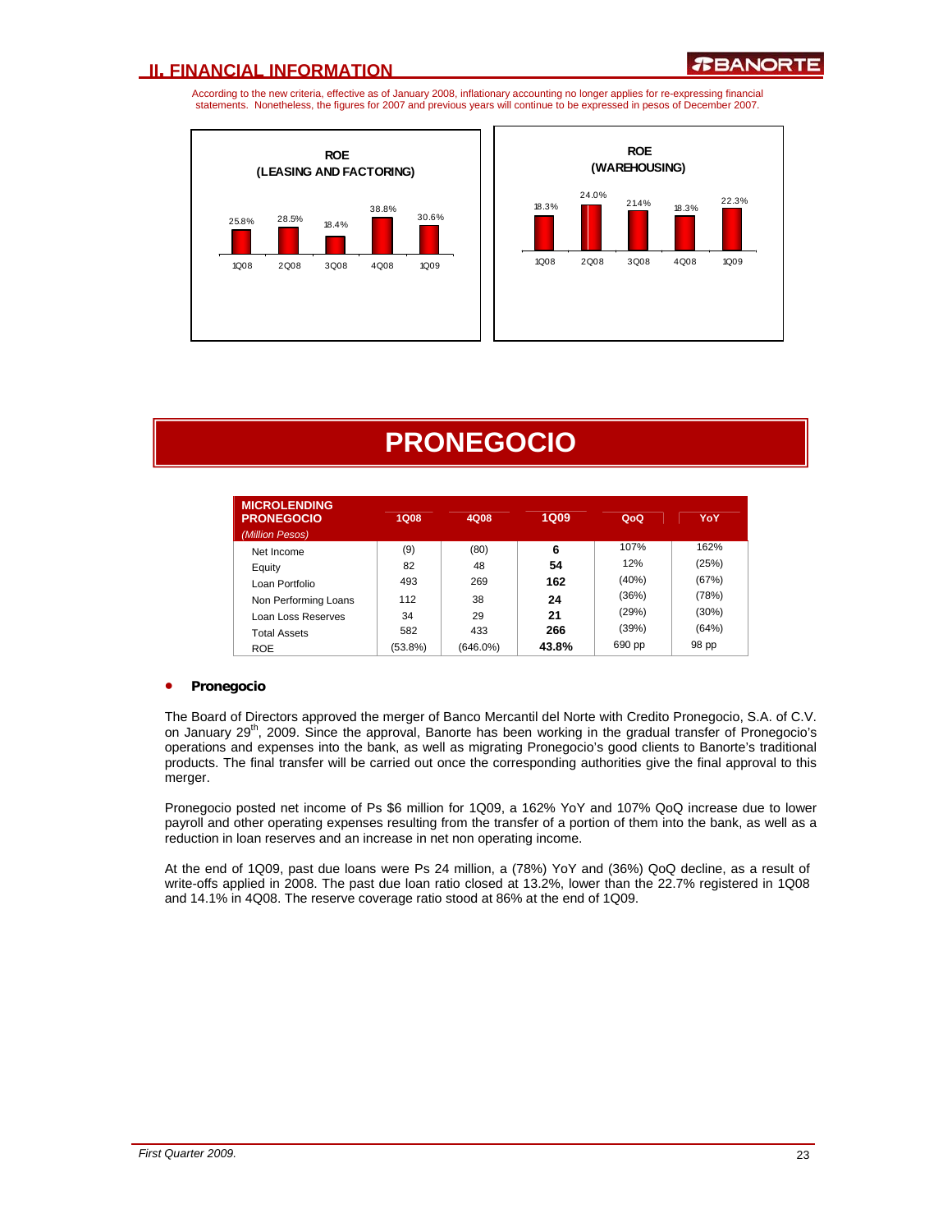According to the new criteria, effective as of January 2008, inflationary accounting no longer applies for re-expressing financial statements. Nonetheless, the figures for 2007 and previous years will continue to be expressed in pesos of December 2007.

![](_page_22_Figure_3.jpeg)

![](_page_22_Figure_4.jpeg)

# **PRONEGOCIO**

| <b>MICROLENDING</b>  |            |             |             |        |       |
|----------------------|------------|-------------|-------------|--------|-------|
| <b>PRONEGOCIO</b>    | 1Q08       | 4Q08        | <b>1Q09</b> | QoQ    | YoY   |
| (Million Pesos)      |            |             |             |        |       |
| Net Income           | (9)        | (80)        | 6           | 107%   | 162%  |
| Equity               | 82         | 48          | 54          | 12%    | (25%) |
| Loan Portfolio       | 493        | 269         | 162         | (40%)  | (67%) |
| Non Performing Loans | 112        | 38          | 24          | (36%)  | (78%) |
| Loan Loss Reserves   | 34         | 29          | 21          | (29%)  | (30%) |
| <b>Total Assets</b>  | 582        | 433         | 266         | (39%)  | (64%) |
| <b>ROE</b>           | $(53.8\%)$ | $(646.0\%)$ | 43.8%       | 690 pp | 98 pp |

#### • **Pronegocio**

The Board of Directors approved the merger of Banco Mercantil del Norte with Credito Pronegocio, S.A. of C.V. on January 29<sup>th</sup>, 2009. Since the approval, Banorte has been working in the gradual transfer of Pronegocio's operations and expenses into the bank, as well as migrating Pronegocio's good clients to Banorte's traditional products. The final transfer will be carried out once the corresponding authorities give the final approval to this merger.

Pronegocio posted net income of Ps \$6 million for 1Q09, a 162% YoY and 107% QoQ increase due to lower payroll and other operating expenses resulting from the transfer of a portion of them into the bank, as well as a reduction in loan reserves and an increase in net non operating income.

At the end of 1Q09, past due loans were Ps 24 million, a (78%) YoY and (36%) QoQ decline, as a result of write-offs applied in 2008. The past due loan ratio closed at 13.2%, lower than the 22.7% registered in 1Q08 and 14.1% in 4Q08. The reserve coverage ratio stood at 86% at the end of 1Q09.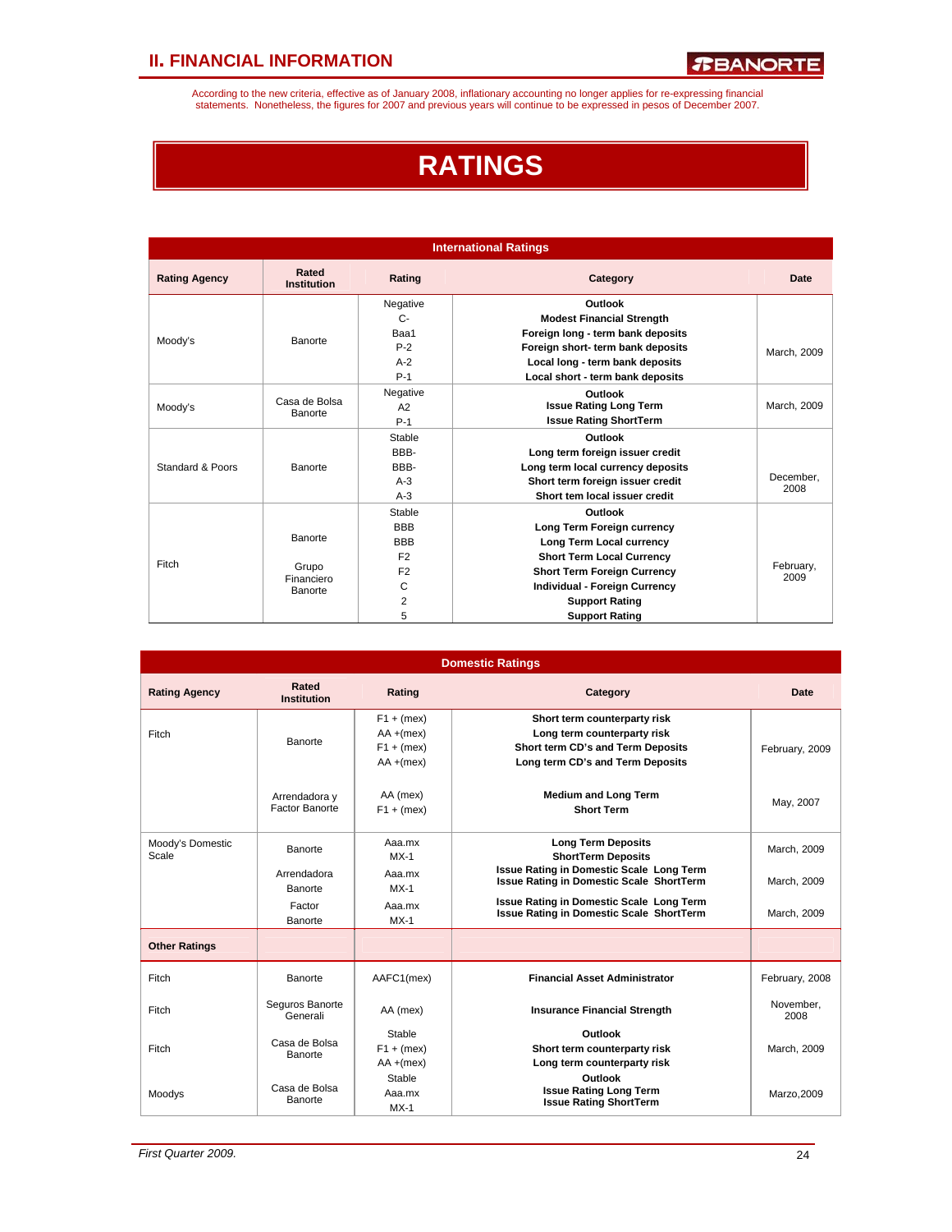According to the new criteria, effective as of January 2008, inflationary accounting no longer applies for re-expressing financial<br>statements. Nonetheless, the figures for 2007 and previous years will continue to be expres

# **RATINGS**

| <b>International Ratings</b> |                             |                |                                    |                   |  |  |  |
|------------------------------|-----------------------------|----------------|------------------------------------|-------------------|--|--|--|
| <b>Rating Agency</b>         | Rated<br><b>Institution</b> | Rating         | Category                           | Date              |  |  |  |
|                              |                             | Negative       | Outlook                            |                   |  |  |  |
|                              |                             | $C -$          | <b>Modest Financial Strength</b>   |                   |  |  |  |
| Moody's                      | Banorte                     | Baa1           | Foreign long - term bank deposits  |                   |  |  |  |
|                              |                             | $P-2$          | Foreign short- term bank deposits  | March, 2009       |  |  |  |
|                              |                             | $A-2$          | Local long - term bank deposits    |                   |  |  |  |
|                              |                             | $P-1$          | Local short - term bank deposits   |                   |  |  |  |
|                              | Negative<br>Outlook         |                |                                    |                   |  |  |  |
| Moody's                      | Casa de Bolsa<br>Banorte    | A2             | <b>Issue Rating Long Term</b>      |                   |  |  |  |
|                              |                             | $P-1$          | <b>Issue Rating ShortTerm</b>      |                   |  |  |  |
|                              |                             | Stable         | Outlook                            |                   |  |  |  |
|                              |                             | BBB-           | Long term foreign issuer credit    |                   |  |  |  |
| Standard & Poors             | Banorte                     | BBB-           | Long term local currency deposits  |                   |  |  |  |
|                              |                             | $A-3$          | Short term foreign issuer credit   | December.         |  |  |  |
|                              |                             | $A-3$          | Short tem local issuer credit      | 2008              |  |  |  |
|                              |                             | Stable         | Outlook                            |                   |  |  |  |
|                              |                             | <b>BBB</b>     | Long Term Foreign currency         |                   |  |  |  |
|                              | Banorte                     | <b>BBB</b>     | Long Term Local currency           |                   |  |  |  |
|                              |                             | F <sub>2</sub> | <b>Short Term Local Currency</b>   |                   |  |  |  |
| Fitch                        | Grupo                       | F <sub>2</sub> | <b>Short Term Foreign Currency</b> | February,<br>2009 |  |  |  |
|                              | Financiero<br>Banorte       | C              | Individual - Foreign Currency      |                   |  |  |  |
|                              |                             | $\overline{2}$ | <b>Support Rating</b>              |                   |  |  |  |
|                              |                             | 5              | <b>Support Rating</b>              |                   |  |  |  |

| <b>Domestic Ratings</b>   |                                        |                                                              |                                                                                                                                      |                   |  |  |  |
|---------------------------|----------------------------------------|--------------------------------------------------------------|--------------------------------------------------------------------------------------------------------------------------------------|-------------------|--|--|--|
| <b>Rating Agency</b>      | Rated<br><b>Institution</b>            | Rating                                                       | Category                                                                                                                             | Date              |  |  |  |
| Fitch                     | Banorte                                | $F1 + (mex)$<br>$AA + (mex)$<br>$F1 + (mex)$<br>$AA + (mex)$ | Short term counterparty risk<br>Long term counterparty risk<br>Short term CD's and Term Deposits<br>Long term CD's and Term Deposits | February, 2009    |  |  |  |
|                           | Arrendadora y<br><b>Factor Banorte</b> | AA (mex)<br>$F1 + (mex)$                                     | <b>Medium and Long Term</b><br><b>Short Term</b>                                                                                     | May, 2007         |  |  |  |
| Moody's Domestic<br>Scale | Banorte                                | Aaa.mx<br>$MX-1$                                             | <b>Long Term Deposits</b><br><b>ShortTerm Deposits</b>                                                                               | March, 2009       |  |  |  |
|                           | Arrendadora<br>Banorte                 | Aaa.mx<br>$MX-1$                                             | Issue Rating in Domestic Scale Long Term<br><b>Issue Rating in Domestic Scale ShortTerm</b>                                          | March, 2009       |  |  |  |
|                           | Factor<br>Banorte                      | Aaa.mx<br>$MX-1$                                             | Issue Rating in Domestic Scale Long Term<br><b>Issue Rating in Domestic Scale ShortTerm</b>                                          | March, 2009       |  |  |  |
| <b>Other Ratings</b>      |                                        |                                                              |                                                                                                                                      |                   |  |  |  |
| Fitch                     | Banorte                                | AAFC1(mex)                                                   | <b>Financial Asset Administrator</b>                                                                                                 | February, 2008    |  |  |  |
| Fitch                     | Seguros Banorte<br>Generali            | AA (mex)                                                     | <b>Insurance Financial Strength</b>                                                                                                  | November.<br>2008 |  |  |  |
| Fitch                     | Casa de Bolsa<br>Banorte               | Stable<br>$F1 + (mex)$<br>$AA + (mex)$                       | Outlook<br>Short term counterparty risk<br>Long term counterparty risk                                                               | March, 2009       |  |  |  |
| Moodys                    | Casa de Bolsa<br>Banorte               | Stable<br>Aaa.mx<br>$MX-1$                                   | Outlook<br><b>Issue Rating Long Term</b><br><b>Issue Rating ShortTerm</b>                                                            | Marzo, 2009       |  |  |  |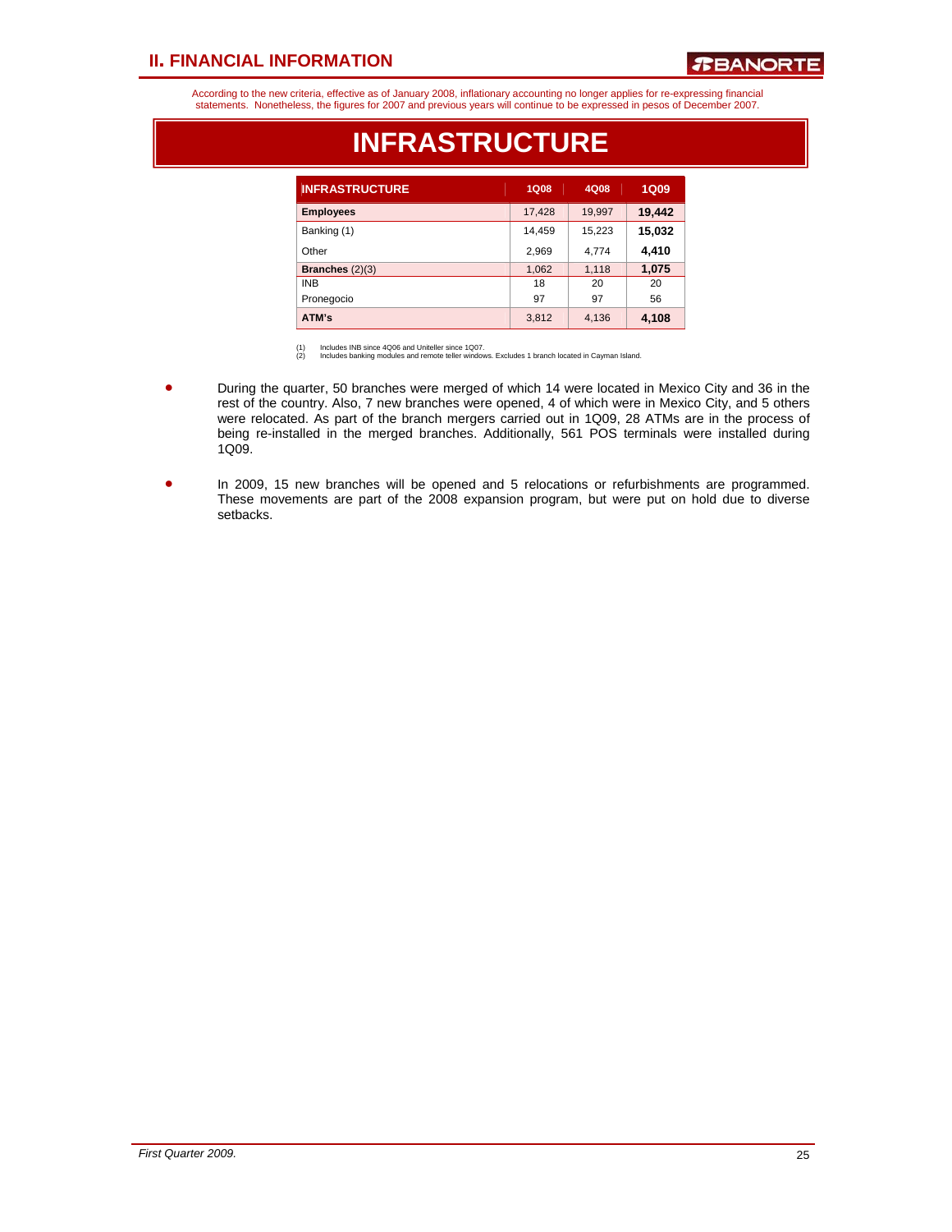### *R***BANORTE**

According to the new criteria, effective as of January 2008, inflationary accounting no longer applies for re-expressing financial<br>statements. Nonetheless, the figures for 2007 and previous years will continue to be expres

| <b>INFRASTRUCTURE</b> | 1Q08   | 4Q08   | <b>1Q09</b> |
|-----------------------|--------|--------|-------------|
| <b>Employees</b>      | 17,428 | 19,997 | 19,442      |
| Banking (1)           | 14,459 | 15,223 | 15,032      |
| Other                 | 2,969  | 4,774  | 4,410       |
| Branches $(2)(3)$     | 1,062  | 1,118  | 1,075       |
| <b>INB</b>            | 18     | 20     | 20          |
| Pronegocio            | 97     | 97     | 56          |
| ATM's                 | 3,812  | 4,136  | 4,108       |

### **INFRASTRUCTURE**

(1) Includes INB since 4Q06 and Uniteller since 1Q07. (2) Includes banking modules and remote teller windows. Excludes 1 branch located in Cayman Island.

- During the quarter, 50 branches were merged of which 14 were located in Mexico City and 36 in the rest of the country. Also, 7 new branches were opened, 4 of which were in Mexico City, and 5 others were relocated. As part of the branch mergers carried out in 1Q09, 28 ATMs are in the process of being re-installed in the merged branches. Additionally, 561 POS terminals were installed during 1Q09.
- In 2009, 15 new branches will be opened and 5 relocations or refurbishments are programmed. These movements are part of the 2008 expansion program, but were put on hold due to diverse setbacks.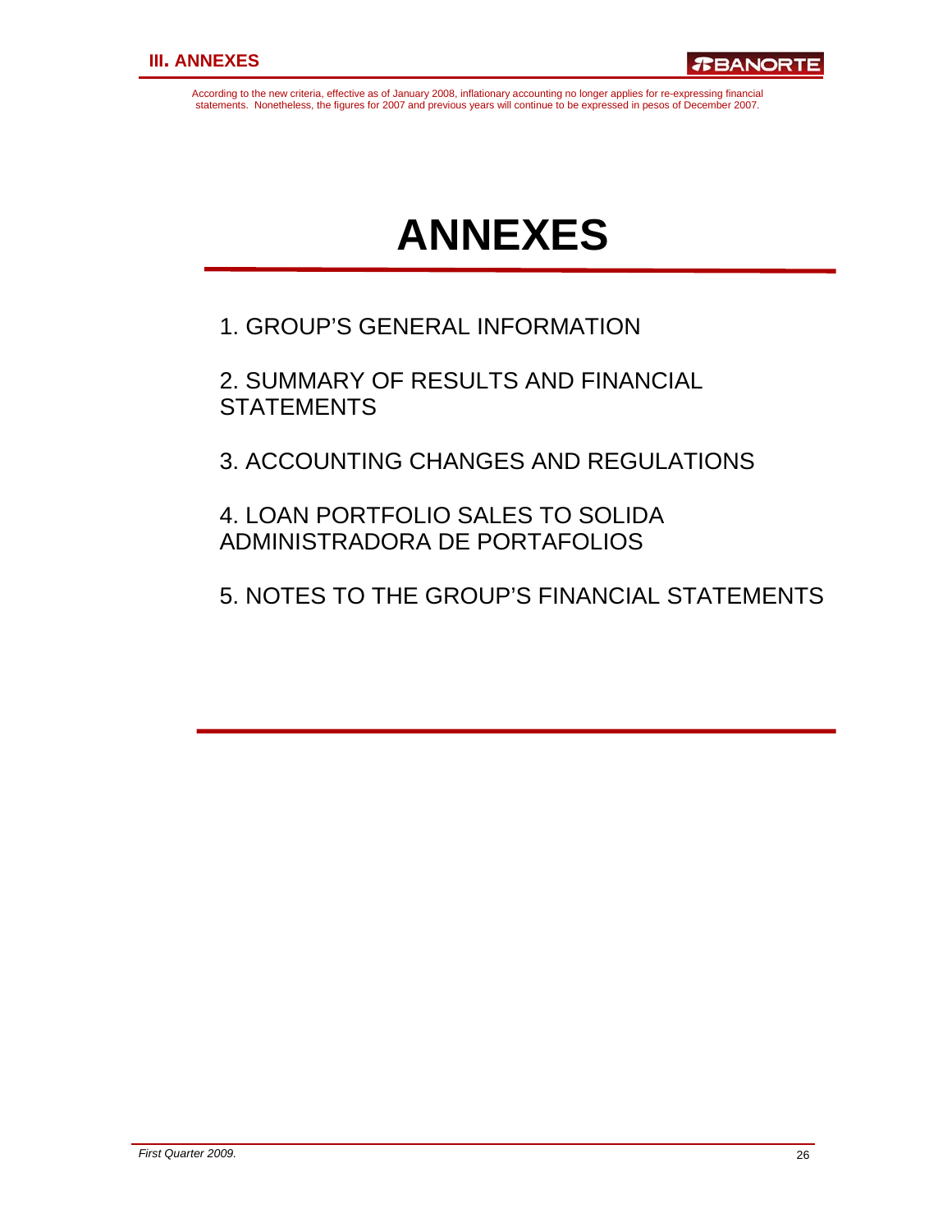According to the new criteria, effective as of January 2008, inflationary accounting no longer applies for re-expressing financial statements. Nonetheless, the figures for 2007 and previous years will continue to be expressed in pesos of December 2007.

# **ANNEXES**

1. GROUP'S GENERAL INFORMATION

2. SUMMARY OF RESULTS AND FINANCIAL **STATEMENTS** 

3. ACCOUNTING CHANGES AND REGULATIONS

4. LOAN PORTFOLIO SALES TO SOLIDA ADMINISTRADORA DE PORTAFOLIOS

5. NOTES TO THE GROUP'S FINANCIAL STATEMENTS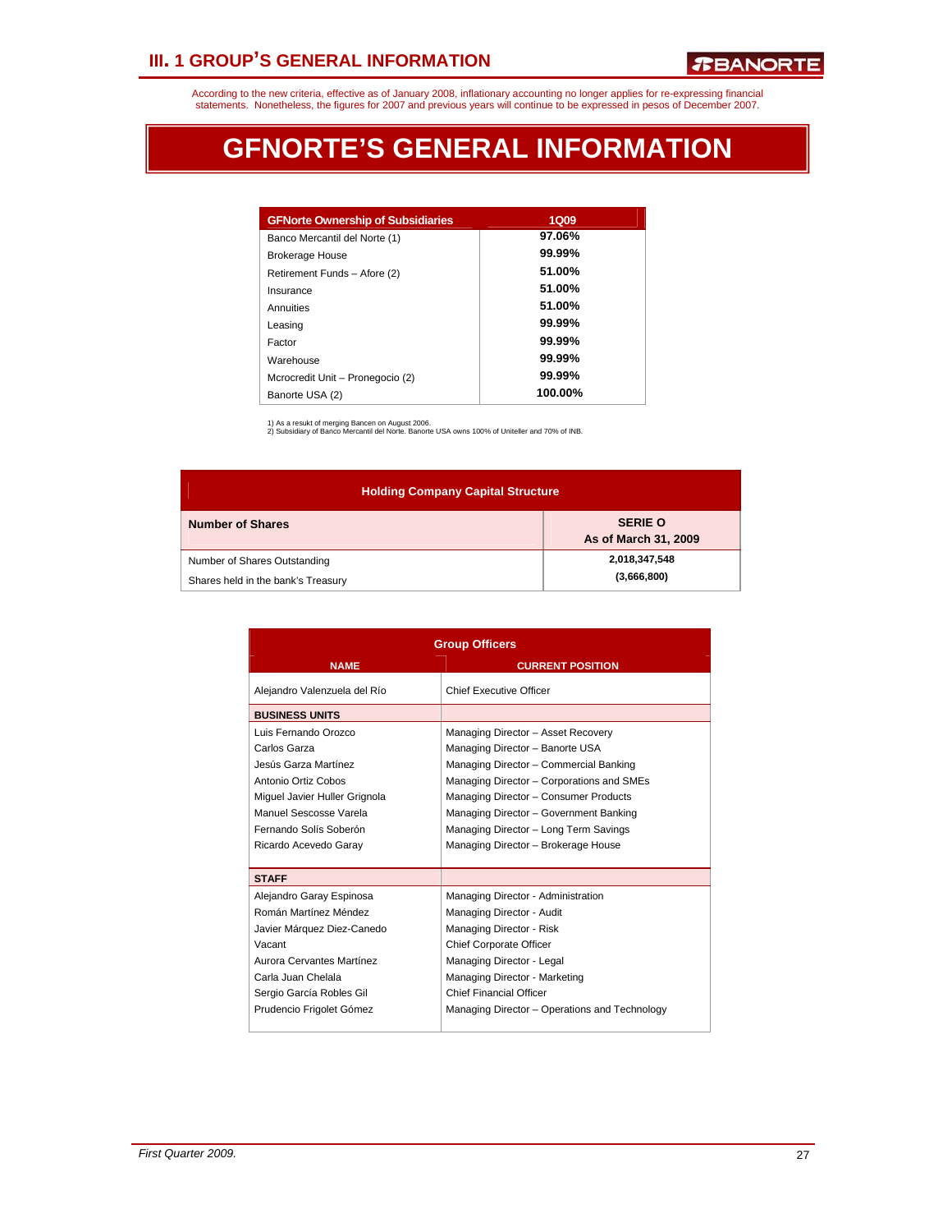# **III. 1 GROUP'S GENERAL INFORMATION**

According to the new criteria, effective as of January 2008, inflationary accounting no longer applies for re-expressing financial<br>statements. Nonetheless, the figures for 2007 and previous years will continue to be expres

# **GFNORTE'S GENERAL INFORMATION**

| <b>GFNorte Ownership of Subsidiaries</b> | <b>1Q09</b> |
|------------------------------------------|-------------|
| Banco Mercantil del Norte (1)            | 97.06%      |
| <b>Brokerage House</b>                   | $99.99\%$   |
| Retirement Funds - Afore (2)             | 51.00%      |
| Insurance                                | 51.00%      |
| Annuities                                | 51.00%      |
| Leasing                                  | 99.99%      |
| Factor                                   | $99.99\%$   |
| Warehouse                                | $99.99\%$   |
| Mcrocredit Unit - Pronegocio (2)         | $99.99\%$   |
| Banorte USA (2)                          | 100.00%     |

1) As a resukt of merging Bancen on August 2006. 2) Subsidiary of Banco Mercantil del Norte. Banorte USA owns 100% of Uniteller and 70% of INB.

| <b>Holding Company Capital Structure</b>                           |                                        |  |  |  |  |  |  |
|--------------------------------------------------------------------|----------------------------------------|--|--|--|--|--|--|
| <b>Number of Shares</b>                                            | <b>SERIE O</b><br>As of March 31, 2009 |  |  |  |  |  |  |
| Number of Shares Outstanding<br>Shares held in the bank's Treasury | 2,018,347,548<br>(3,666,800)           |  |  |  |  |  |  |

| <b>Group Officers</b>         |                                               |  |  |  |  |
|-------------------------------|-----------------------------------------------|--|--|--|--|
| <b>NAME</b>                   | <b>CURRENT POSITION</b>                       |  |  |  |  |
| Alejandro Valenzuela del Río  | Chief Executive Officer                       |  |  |  |  |
| <b>BUSINESS UNITS</b>         |                                               |  |  |  |  |
| Luis Fernando Orozco          | Managing Director - Asset Recovery            |  |  |  |  |
| Carlos Garza                  | Managing Director - Banorte USA               |  |  |  |  |
| Jesús Garza Martínez          | Managing Director - Commercial Banking        |  |  |  |  |
| Antonio Ortiz Cobos           | Managing Director - Corporations and SMEs     |  |  |  |  |
| Miquel Javier Huller Grignola | Managing Director - Consumer Products         |  |  |  |  |
| Manuel Sescosse Varela        | Managing Director - Government Banking        |  |  |  |  |
| Fernando Solís Soberón        | Managing Director - Long Term Savings         |  |  |  |  |
| Ricardo Acevedo Garay         | Managing Director - Brokerage House           |  |  |  |  |
|                               |                                               |  |  |  |  |
| <b>STAFF</b>                  |                                               |  |  |  |  |
| Alejandro Garay Espinosa      | Managing Director - Administration            |  |  |  |  |
| Román Martínez Méndez         | Managing Director - Audit                     |  |  |  |  |
| Javier Márquez Diez-Canedo    | Managing Director - Risk                      |  |  |  |  |
| Vacant                        | <b>Chief Corporate Officer</b>                |  |  |  |  |
| Aurora Cervantes Martínez     | Managing Director - Legal                     |  |  |  |  |
| Carla Juan Chelala            | Managing Director - Marketing                 |  |  |  |  |
| Sergio García Robles Gil      | <b>Chief Financial Officer</b>                |  |  |  |  |
| Prudencio Frigolet Gómez      | Managing Director - Operations and Technology |  |  |  |  |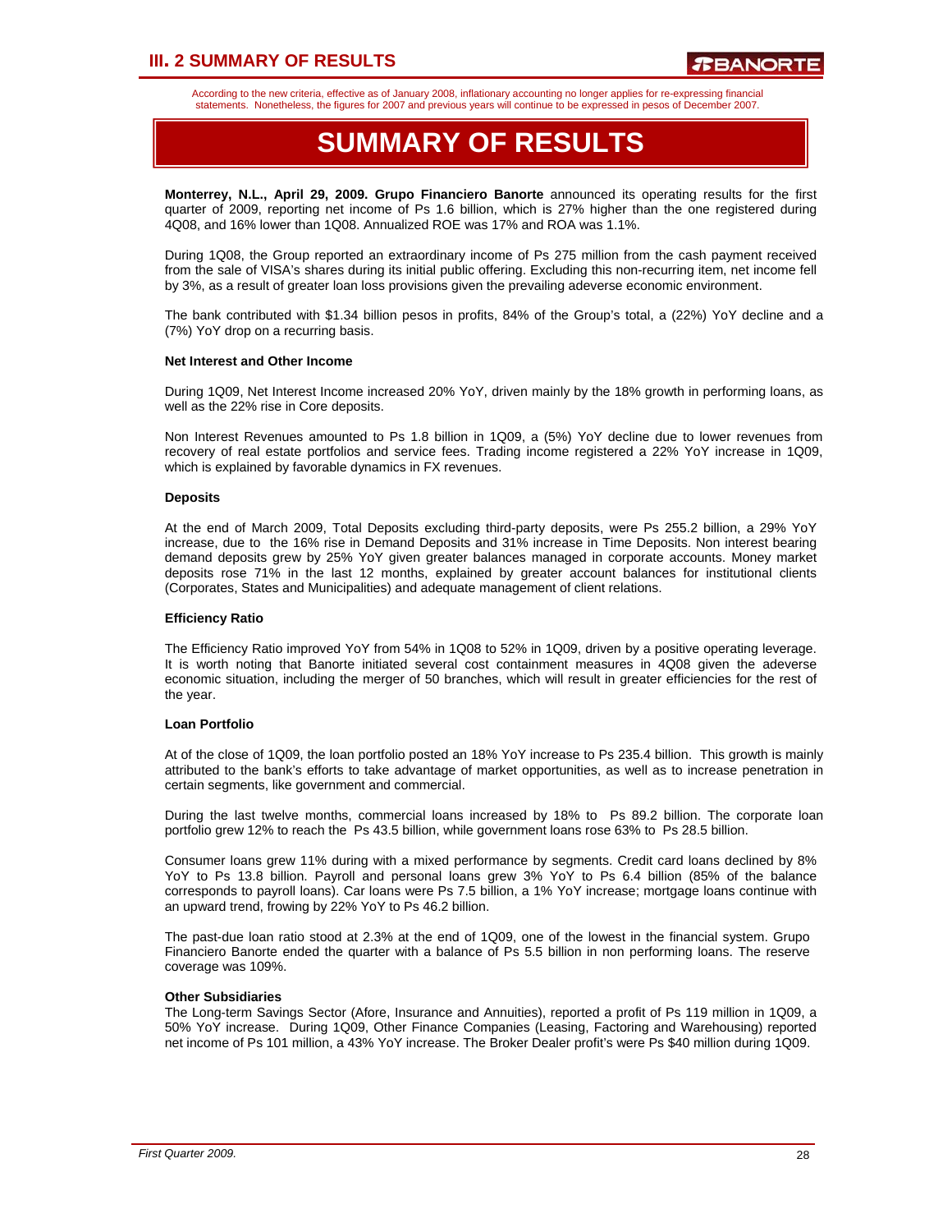# **III. 2 SUMMARY OF RESULTS**

According to the new criteria, effective as of January 2008, inflationary accounting no longer applies for re-expressing financial statements. Nonetheless, the figures for 2007 and previous years will continue to be expressed in pesos of December 2007.

# **SUMMARY OF RESULTS**

**Monterrey, N.L., April 29, 2009. Grupo Financiero Banorte** announced its operating results for the first quarter of 2009, reporting net income of Ps 1.6 billion, which is 27% higher than the one registered during 4Q08, and 16% lower than 1Q08. Annualized ROE was 17% and ROA was 1.1%.

During 1Q08, the Group reported an extraordinary income of Ps 275 million from the cash payment received from the sale of VISA's shares during its initial public offering. Excluding this non-recurring item, net income fell by 3%, as a result of greater loan loss provisions given the prevailing adeverse economic environment.

The bank contributed with \$1.34 billion pesos in profits, 84% of the Group's total, a (22%) YoY decline and a (7%) YoY drop on a recurring basis.

#### **Net Interest and Other Income**

During 1Q09, Net Interest Income increased 20% YoY, driven mainly by the 18% growth in performing loans, as well as the 22% rise in Core deposits.

Non Interest Revenues amounted to Ps 1.8 billion in 1Q09, a (5%) YoY decline due to lower revenues from recovery of real estate portfolios and service fees. Trading income registered a 22% YoY increase in 1Q09, which is explained by favorable dynamics in FX revenues.

#### **Deposits**

At the end of March 2009, Total Deposits excluding third-party deposits, were Ps 255.2 billion, a 29% YoY increase, due to the 16% rise in Demand Deposits and 31% increase in Time Deposits. Non interest bearing demand deposits grew by 25% YoY given greater balances managed in corporate accounts. Money market deposits rose 71% in the last 12 months, explained by greater account balances for institutional clients (Corporates, States and Municipalities) and adequate management of client relations.

#### **Efficiency Ratio**

The Efficiency Ratio improved YoY from 54% in 1Q08 to 52% in 1Q09, driven by a positive operating leverage. It is worth noting that Banorte initiated several cost containment measures in 4Q08 given the adeverse economic situation, including the merger of 50 branches, which will result in greater efficiencies for the rest of the year.

#### **Loan Portfolio**

At of the close of 1Q09, the loan portfolio posted an 18% YoY increase to Ps 235.4 billion. This growth is mainly attributed to the bank's efforts to take advantage of market opportunities, as well as to increase penetration in certain segments, like government and commercial.

During the last twelve months, commercial loans increased by 18% to Ps 89.2 billion. The corporate loan portfolio grew 12% to reach the Ps 43.5 billion, while government loans rose 63% to Ps 28.5 billion.

Consumer loans grew 11% during with a mixed performance by segments. Credit card loans declined by 8% YoY to Ps 13.8 billion. Payroll and personal loans grew 3% YoY to Ps 6.4 billion (85% of the balance corresponds to payroll loans). Car loans were Ps 7.5 billion, a 1% YoY increase; mortgage loans continue with an upward trend, frowing by 22% YoY to Ps 46.2 billion.

The past-due loan ratio stood at 2.3% at the end of 1Q09, one of the lowest in the financial system. Grupo Financiero Banorte ended the quarter with a balance of Ps 5.5 billion in non performing loans. The reserve coverage was 109%.

#### **Other Subsidiaries**

The Long-term Savings Sector (Afore, Insurance and Annuities), reported a profit of Ps 119 million in 1Q09, a 50% YoY increase. During 1Q09, Other Finance Companies (Leasing, Factoring and Warehousing) reported net income of Ps 101 million, a 43% YoY increase. The Broker Dealer profit's were Ps \$40 million during 1Q09.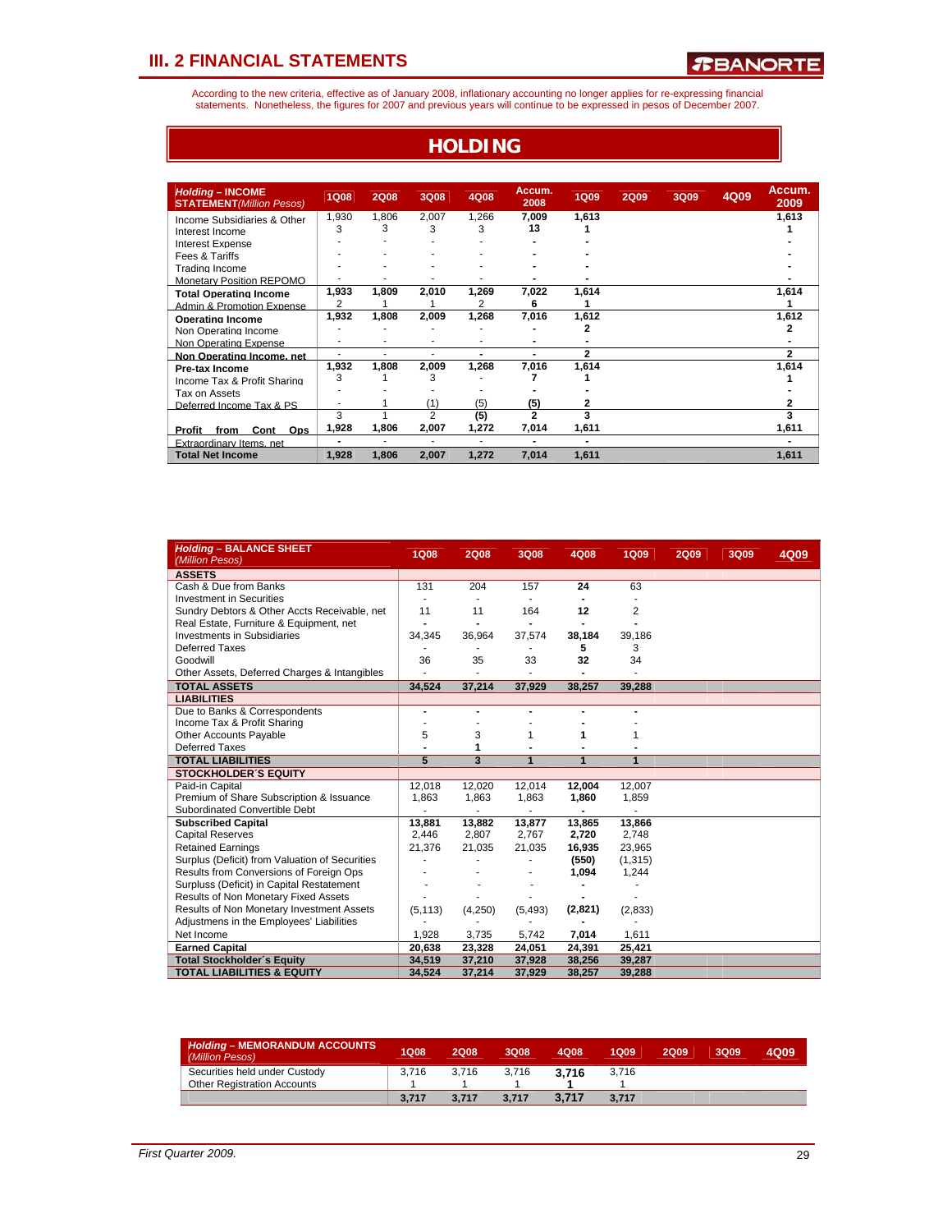According to the new criteria, effective as of January 2008, inflationary accounting no longer applies for re-expressing financial<br>statements. Nonetheless, the figures for 2007 and previous years will continue to be expres

**HOLDING**

| <b>Holding - INCOME</b><br><b>STATEMENT</b> (Million Pesos) | <b>1Q08</b>    | <b>2Q08</b> | 3Q08           | 4Q08           | Accum.<br>2008           | <b>1Q09</b>    | <b>2Q09</b> | 3Q09 | 4Q09 | Accum.<br>2009 |
|-------------------------------------------------------------|----------------|-------------|----------------|----------------|--------------------------|----------------|-------------|------|------|----------------|
| Income Subsidiaries & Other<br>Interest Income              | 1,930<br>3     | 1,806<br>3  | 2,007<br>3     | 1,266<br>3     | 7.009<br>13              | 1,613          |             |      |      | 1,613          |
| <b>Interest Expense</b>                                     |                |             |                |                |                          |                |             |      |      |                |
| Fees & Tariffs                                              |                |             |                |                |                          |                |             |      |      |                |
| Trading Income                                              |                |             |                |                |                          |                |             |      |      |                |
| <b>Monetary Position REPOMO</b>                             |                |             |                |                |                          |                |             |      |      |                |
| <b>Total Operating Income</b><br>Admin & Promotion Expense  | 1,933<br>2     | 1,809       | 2,010          | 1,269<br>2     | 7,022<br>6               | 1,614          |             |      |      | 1,614          |
| <b>Operating Income</b>                                     | 1,932          | 1,808       | 2,009          | 1,268          | 7,016                    | 1,612          |             |      |      | 1,612          |
| Non Operating Income                                        |                |             |                |                |                          | 2              |             |      |      | 2              |
| Non Operating Expense                                       |                |             | ۰              |                | -                        |                |             |      |      |                |
| Non Operating Income, net                                   |                | ۰           | ۰              | $\blacksquare$ | ۰                        | 2              |             |      |      | 2              |
| Pre-tax Income                                              | 1,932          | 1,808       | 2,009          | 1,268          | 7,016                    | 1,614          |             |      |      | 1,614          |
| Income Tax & Profit Sharing                                 | 3              |             | 3              |                |                          |                |             |      |      |                |
| Tax on Assets                                               |                |             |                |                |                          |                |             |      |      |                |
| Deferred Income Tax & PS                                    |                |             | (1)            | (5)            | (5)                      | 2              |             |      |      |                |
|                                                             | 3              |             | $\overline{2}$ | (5)            | $\mathbf{2}$             | 3              |             |      |      |                |
| Cont<br>Ops<br>Profit<br>from                               | 1,928          | 1,806       | 2.007          | 1,272          | 7,014                    | 1,611          |             |      |      | 1,611          |
| <b>Extraordinary Items</b> net                              | $\blacksquare$ | ۰           | ۰              | ÷.             | $\overline{\phantom{0}}$ | $\blacksquare$ |             |      |      |                |
| <b>Total Net Income</b>                                     | 1,928          | 1,806       | 2,007          | 1,272          | 7,014                    | 1,611          |             |      |      | 1,611          |

| <b>Holding - BALANCE SHEET</b><br>(Million Pesos) | <b>1Q08</b>    | <b>2Q08</b> | 3Q08     | 4Q08    | <b>1Q09</b>    | <b>2Q09</b> | 3Q09 | 4Q09 |
|---------------------------------------------------|----------------|-------------|----------|---------|----------------|-------------|------|------|
| <b>ASSETS</b>                                     |                |             |          |         |                |             |      |      |
| Cash & Due from Banks                             | 131            | 204         | 157      | 24      | 63             |             |      |      |
| <b>Investment in Securities</b>                   |                |             |          |         |                |             |      |      |
| Sundry Debtors & Other Accts Receivable, net      | 11             | 11          | 164      | 12      | $\overline{2}$ |             |      |      |
| Real Estate, Furniture & Equipment, net           |                |             |          |         |                |             |      |      |
| <b>Investments in Subsidiaries</b>                | 34,345         | 36,964      | 37,574   | 38,184  | 39,186         |             |      |      |
| Deferred Taxes                                    |                |             |          | 5       | 3              |             |      |      |
| Goodwill                                          | 36             | 35          | 33       | 32      | 34             |             |      |      |
| Other Assets, Deferred Charges & Intangibles      |                |             |          |         |                |             |      |      |
| <b>TOTAL ASSETS</b>                               | 34,524         | 37,214      | 37,929   | 38,257  | 39,288         |             |      |      |
| <b>LIABILITIES</b>                                |                |             |          |         |                |             |      |      |
| Due to Banks & Correspondents                     | $\blacksquare$ |             |          |         |                |             |      |      |
| Income Tax & Profit Sharing                       |                |             |          |         |                |             |      |      |
| <b>Other Accounts Payable</b>                     | 5              | 3           | 1        | 1       |                |             |      |      |
| Deferred Taxes                                    |                | 1           |          |         |                |             |      |      |
| <b>TOTAL LIABILITIES</b>                          | 5              | 3           | 1        | 1       | 1              |             |      |      |
| <b>STOCKHOLDER'S EQUITY</b>                       |                |             |          |         |                |             |      |      |
| Paid-in Capital                                   | 12,018         | 12,020      | 12.014   | 12,004  | 12.007         |             |      |      |
| Premium of Share Subscription & Issuance          | 1,863          | 1,863       | 1,863    | 1,860   | 1,859          |             |      |      |
| Subordinated Convertible Debt                     |                |             |          |         |                |             |      |      |
| <b>Subscribed Capital</b>                         | 13.881         | 13,882      | 13,877   | 13,865  | 13,866         |             |      |      |
| <b>Capital Reserves</b>                           | 2,446          | 2,807       | 2,767    | 2,720   | 2,748          |             |      |      |
| <b>Retained Earnings</b>                          | 21,376         | 21,035      | 21,035   | 16,935  | 23,965         |             |      |      |
| Surplus (Deficit) from Valuation of Securities    |                |             |          | (550)   | (1, 315)       |             |      |      |
| Results from Conversions of Foreign Ops           |                |             |          | 1,094   | 1,244          |             |      |      |
| Surpluss (Deficit) in Capital Restatement         |                |             |          |         |                |             |      |      |
| Results of Non Monetary Fixed Assets              |                |             |          |         |                |             |      |      |
| Results of Non Monetary Investment Assets         | (5, 113)       | (4,250)     | (5, 493) | (2,821) | (2,833)        |             |      |      |
| Adjustmens in the Employees' Liabilities          |                |             |          |         |                |             |      |      |
| Net Income                                        | 1,928          | 3,735       | 5,742    | 7,014   | 1,611          |             |      |      |
| <b>Earned Capital</b>                             | 20,638         | 23,328      | 24,051   | 24,391  | 25,421         |             |      |      |
| <b>Total Stockholder's Equity</b>                 | 34.519         | 37,210      | 37,928   | 38,256  | 39.287         |             |      |      |
| <b>TOTAL LIABILITIES &amp; EQUITY</b>             | 34,524         | 37,214      | 37,929   | 38,257  | 39,288         |             |      |      |

| <b>Holding - MEMORANDUM ACCOUNTS</b><br>(Million Pesos) | 1Q08  | 2008  | 3Q08  | 4Q08  | 1009  | 2Q09 | 3Q09 | 4Q09 |
|---------------------------------------------------------|-------|-------|-------|-------|-------|------|------|------|
| Securities held under Custody                           | 3.716 | 3.716 | 3.716 | 3.716 | 3.716 |      |      |      |
| <b>Other Registration Accounts</b>                      |       |       |       |       |       |      |      |      |
|                                                         | 3.717 | 3.717 | 3.717 | 3.717 | 3.717 |      |      |      |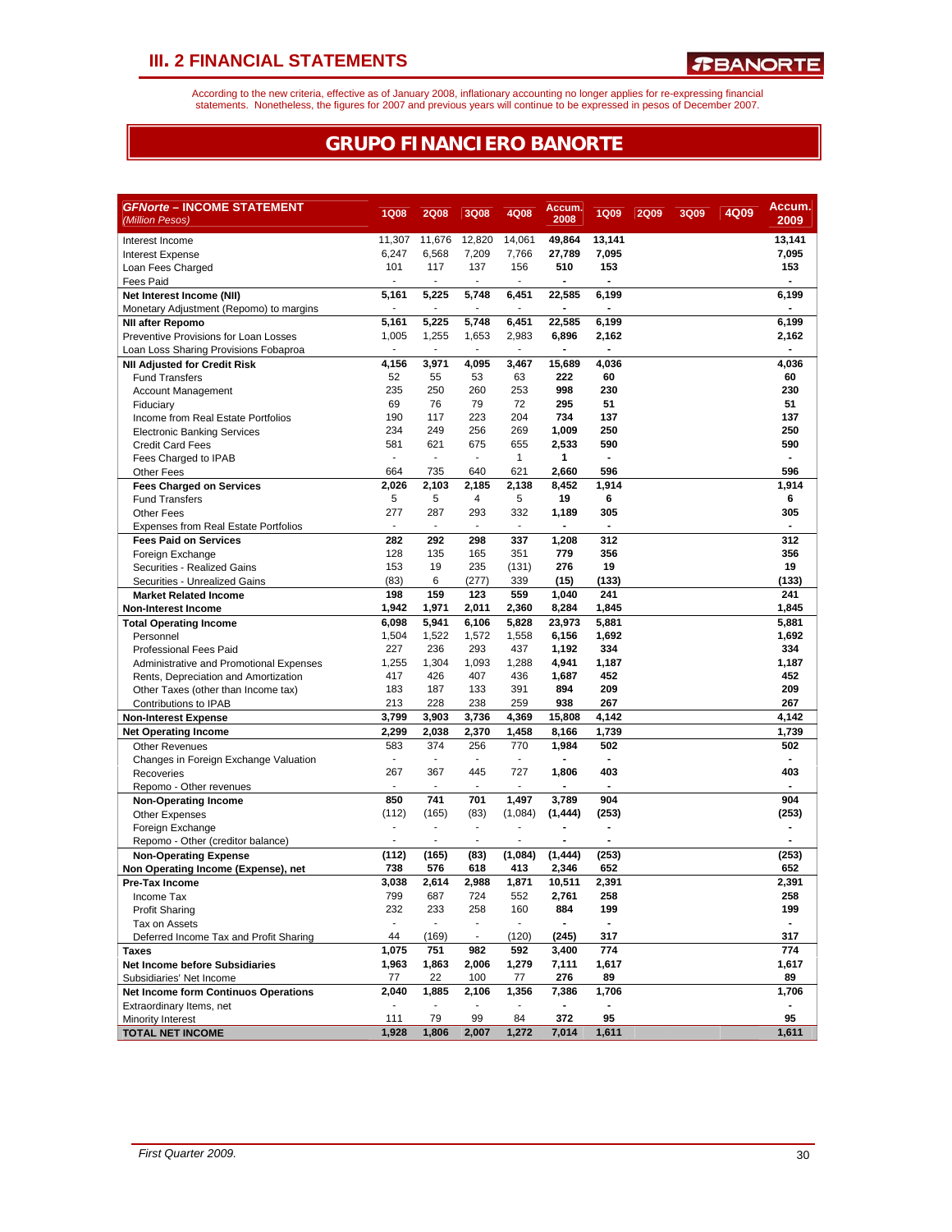According to the new criteria, effective as of January 2008, inflationary accounting no longer applies for re-expressing financial<br>statements. Nonetheless, the figures for 2007 and previous years will continue to be expres

### **GRUPO FINANCIERO BANORTE**

| <i><b>GFNorte – INCOME STATEMENT</b></i>                            |                          |                                   |                          |                          | Accum.         |                       |             |             |      | Accum. |
|---------------------------------------------------------------------|--------------------------|-----------------------------------|--------------------------|--------------------------|----------------|-----------------------|-------------|-------------|------|--------|
| (Million Pesos)                                                     | <b>1Q08</b>              | <b>2Q08</b>                       | 3Q08                     | 4Q08                     | 2008           | <b>1Q09</b>           | <b>2Q09</b> | <b>3Q09</b> | 4Q09 | 2009   |
| Interest Income                                                     | 11.307                   | 11.676                            | 12.820                   | 14,061                   | 49,864         | 13,141                |             |             |      | 13,141 |
| <b>Interest Expense</b>                                             | 6,247                    | 6,568                             | 7,209                    | 7,766                    | 27,789         | 7,095                 |             |             |      | 7,095  |
| Loan Fees Charged                                                   | 101                      | 117                               | 137                      | 156                      | 510            | 153                   |             |             |      | 153    |
| Fees Paid                                                           |                          | ÷,                                | ä,                       | ÷.                       |                | ÷,                    |             |             |      |        |
| Net Interest Income (NII)                                           | 5,161                    | 5,225                             | 5,748                    | 6,451                    | 22,585         | 6,199                 |             |             |      | 6,199  |
| Monetary Adjustment (Repomo) to margins                             |                          | ÷,                                | ä,                       | ä,                       |                | ÷,                    |             |             |      |        |
| <b>NII after Repomo</b>                                             | 5,161                    | 5,225                             | 5,748                    | 6,451                    | 22,585         | 6,199                 |             |             |      | 6,199  |
| Preventive Provisions for Loan Losses                               | 1,005                    | 1,255                             | 1,653                    | 2,983                    | 6,896          | 2,162                 |             |             |      | 2,162  |
| Loan Loss Sharing Provisions Fobaproa                               | $\sim$                   | $\blacksquare$                    | ٠                        | $\sim$                   | $\blacksquare$ | $\blacksquare$        |             |             |      |        |
| <b>NII Adjusted for Credit Risk</b>                                 | 4,156                    | 3,971                             | 4,095                    | 3,467                    | 15,689         | 4,036                 |             |             |      | 4,036  |
| <b>Fund Transfers</b>                                               | 52                       | 55                                | 53                       | 63                       | 222            | 60                    |             |             |      | 60     |
| <b>Account Management</b>                                           | 235                      | 250                               | 260                      | 253                      | 998            | 230                   |             |             |      | 230    |
| Fiduciary                                                           | 69                       | 76                                | 79                       | 72                       | 295            | 51                    |             |             |      | 51     |
| Income from Real Estate Portfolios                                  | 190                      | 117                               | 223                      | 204                      | 734            | 137                   |             |             |      | 137    |
| <b>Electronic Banking Services</b>                                  | 234                      | 249                               | 256                      | 269                      | 1,009          | 250                   |             |             |      | 250    |
| <b>Credit Card Fees</b>                                             | 581<br>$\mathbf{r}$      | 621<br>$\overline{\phantom{a}}$   | 675<br>÷,                | 655                      | 2,533          | 590<br>$\blacksquare$ |             |             |      | 590    |
| Fees Charged to IPAB                                                | 664                      | 735                               | 640                      | $\mathbf{1}$<br>621      | 1<br>2,660     | 596                   |             |             |      | 596    |
| Other Fees                                                          | 2,026                    | 2,103                             | 2,185                    | 2,138                    | 8,452          | 1,914                 |             |             |      | 1,914  |
| <b>Fees Charged on Services</b><br><b>Fund Transfers</b>            | 5                        | 5                                 | 4                        | 5                        | 19             | 6                     |             |             |      | 6      |
| <b>Other Fees</b>                                                   | 277                      | 287                               | 293                      | 332                      | 1,189          | 305                   |             |             |      | 305    |
| <b>Expenses from Real Estate Portfolios</b>                         | $\overline{\phantom{a}}$ | $\sim$                            | $\blacksquare$           | ٠                        |                | $\blacksquare$        |             |             |      |        |
| <b>Fees Paid on Services</b>                                        | 282                      | 292                               | 298                      | 337                      | 1,208          | 312                   |             |             |      | 312    |
| Foreign Exchange                                                    | 128                      | 135                               | 165                      | 351                      | 779            | 356                   |             |             |      | 356    |
| Securities - Realized Gains                                         | 153                      | 19                                | 235                      | (131)                    | 276            | 19                    |             |             |      | 19     |
| Securities - Unrealized Gains                                       | (83)                     | 6                                 | (277)                    | 339                      | (15)           | (133)                 |             |             |      | (133)  |
| <b>Market Related Income</b>                                        | 198                      | 159                               | 123                      | 559                      | 1,040          | 241                   |             |             |      | 241    |
| <b>Non-Interest Income</b>                                          | 1,942                    | 1,971                             | 2,011                    | 2,360                    | 8.284          | 1,845                 |             |             |      | 1,845  |
| <b>Total Operating Income</b>                                       | 6,098                    | 5,941                             | 6.106                    | 5,828                    | 23,973         | 5,881                 |             |             |      | 5,881  |
| Personnel                                                           | 1,504                    | 1,522                             | 1,572                    | 1,558                    | 6,156          | 1,692                 |             |             |      | 1,692  |
| <b>Professional Fees Paid</b>                                       | 227                      | 236                               | 293                      | 437                      | 1,192          | 334                   |             |             |      | 334    |
| Administrative and Promotional Expenses                             | 1,255                    | 1,304                             | 1,093                    | 1,288                    | 4,941          | 1,187                 |             |             |      | 1,187  |
| Rents, Depreciation and Amortization                                | 417                      | 426                               | 407                      | 436                      | 1,687          | 452                   |             |             |      | 452    |
| Other Taxes (other than Income tax)                                 | 183                      | 187                               | 133                      | 391                      | 894            | 209                   |             |             |      | 209    |
| Contributions to IPAB                                               | 213                      | 228                               | 238                      | 259                      | 938            | 267                   |             |             |      | 267    |
| <b>Non-Interest Expense</b>                                         | 3,799                    | 3,903                             | 3,736                    | 4,369                    | 15,808         | 4,142                 |             |             |      | 4,142  |
| <b>Net Operating Income</b>                                         | 2,299                    | 2,038                             | 2,370                    | 1,458                    | 8,166          | 1,739                 |             |             |      | 1,739  |
| <b>Other Revenues</b>                                               | 583                      | 374                               | 256                      | 770                      | 1,984          | 502                   |             |             |      | 502    |
| Changes in Foreign Exchange Valuation                               | $\blacksquare$           | $\overline{\phantom{a}}$          | ٠                        | ٠                        |                | $\blacksquare$        |             |             |      |        |
| Recoveries                                                          | 267                      | 367                               | 445                      | 727                      | 1,806          | 403                   |             |             |      | 403    |
| Repomo - Other revenues                                             |                          |                                   |                          |                          |                |                       |             |             |      |        |
| <b>Non-Operating Income</b>                                         | 850                      | 741                               | 701                      | 1,497                    | 3,789          | 904                   |             |             |      | 904    |
| <b>Other Expenses</b>                                               | (112)<br>÷,              | (165)<br>$\overline{\phantom{a}}$ | (83)<br>$\blacksquare$   | (1,084)                  | (1, 444)       | (253)                 |             |             |      | (253)  |
| Foreign Exchange                                                    |                          | ÷,                                | $\overline{a}$           |                          |                |                       |             |             |      |        |
| Repomo - Other (creditor balance)                                   | (112)                    | (165)                             |                          |                          | (1, 444)       |                       |             |             |      | (253)  |
| <b>Non-Operating Expense</b><br>Non Operating Income (Expense), net | 738                      | 576                               | (83)<br>618              | (1,084)<br>413           | 2,346          | (253)<br>652          |             |             |      | 652    |
| Pre-Tax Income                                                      | 3,038                    | 2,614                             | 2.988                    | 1,871                    | 10,511         | 2,391                 |             |             |      | 2,391  |
| Income Tax                                                          | 799                      | 687                               | 724                      | 552                      | 2,761          | 258                   |             |             |      | 258    |
| <b>Profit Sharing</b>                                               | 232                      | 233                               | 258                      | 160                      | 884            | 199                   |             |             |      | 199    |
| Tax on Assets                                                       | $\blacksquare$           | $\blacksquare$                    | $\overline{\phantom{a}}$ | $\overline{\phantom{a}}$ |                | $\blacksquare$        |             |             |      |        |
| Deferred Income Tax and Profit Sharing                              | 44                       | (169)                             | $\overline{\phantom{a}}$ | (120)                    | (245)          | 317                   |             |             |      | 317    |
| <b>Taxes</b>                                                        | 1,075                    | 751                               | 982                      | 592                      | 3,400          | 774                   |             |             |      | 774    |
| <b>Net Income before Subsidiaries</b>                               | 1,963                    | 1,863                             | 2,006                    | 1,279                    | 7,111          | 1,617                 |             |             |      | 1,617  |
| Subsidiaries' Net Income                                            | 77                       | 22                                | 100                      | 77                       | 276            | 89                    |             |             |      | 89     |
| <b>Net Income form Continuos Operations</b>                         | 2,040                    | 1,885                             | 2,106                    | 1,356                    | 7,386          | 1,706                 |             |             |      | 1,706  |
| Extraordinary Items, net                                            | $\overline{\phantom{a}}$ | $\blacksquare$                    | $\frac{1}{2}$            | $\blacksquare$           | $\blacksquare$ | $\frac{1}{2}$         |             |             |      |        |
| Minority Interest                                                   | 111                      | 79                                | 99                       | 84                       | 372            | 95                    |             |             |      | 95     |
| <b>TOTAL NET INCOME</b>                                             | 1,928                    | 1,806                             | 2,007                    | 1,272                    | 7,014          | 1,611                 |             |             |      | 1,611  |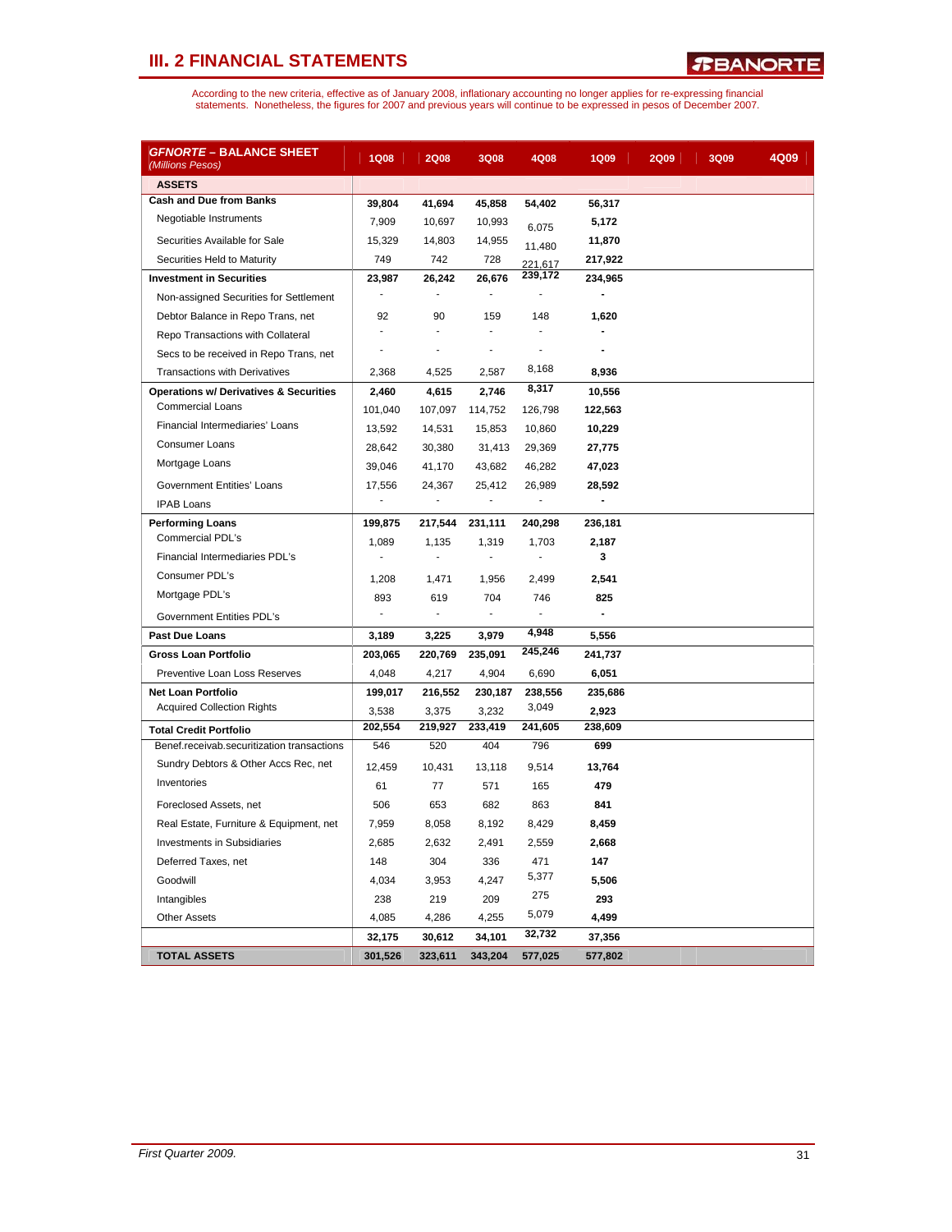| <u> GFNORTE – BALANCE SHEET</u><br>(Millions Pesos) | <b>1Q08</b>    | <b>2Q08</b>    | 3Q08    | 4Q08           | <b>1Q09</b>              | <b>2Q09</b> | 3Q09 | 4Q09 |
|-----------------------------------------------------|----------------|----------------|---------|----------------|--------------------------|-------------|------|------|
| <b>ASSETS</b>                                       |                |                |         |                |                          |             |      |      |
| <b>Cash and Due from Banks</b>                      | 39,804         | 41,694         | 45,858  | 54,402         | 56,317                   |             |      |      |
| Negotiable Instruments                              | 7,909          | 10,697         | 10,993  | 6,075          | 5,172                    |             |      |      |
| Securities Available for Sale                       | 15,329         | 14,803         | 14,955  | 11,480         | 11,870                   |             |      |      |
| Securities Held to Maturity                         | 749            | 742            | 728     | 221,617        | 217,922                  |             |      |      |
| <b>Investment in Securities</b>                     | 23,987         | 26,242         | 26,676  | 239,172        | 234,965                  |             |      |      |
| Non-assigned Securities for Settlement              | ÷              | ÷.             | ÷.      | $\blacksquare$ | $\overline{\phantom{a}}$ |             |      |      |
| Debtor Balance in Repo Trans, net                   | 92             | 90             | 159     | 148            | 1,620                    |             |      |      |
| Repo Transactions with Collateral                   | ÷.             | ÷,             | ä,      |                |                          |             |      |      |
| Secs to be received in Repo Trans, net              | $\overline{a}$ | ä,             | ÷,      | ٠              |                          |             |      |      |
| <b>Transactions with Derivatives</b>                | 2,368          | 4,525          | 2,587   | 8,168          | 8,936                    |             |      |      |
| <b>Operations w/ Derivatives &amp; Securities</b>   | 2,460          | 4,615          | 2,746   | 8,317          | 10,556                   |             |      |      |
| <b>Commercial Loans</b>                             | 101,040        | 107,097        | 114,752 | 126,798        | 122,563                  |             |      |      |
| Financial Intermediaries' Loans                     | 13,592         | 14,531         | 15,853  | 10,860         | 10,229                   |             |      |      |
| <b>Consumer Loans</b>                               | 28,642         | 30,380         | 31,413  | 29,369         | 27,775                   |             |      |      |
| Mortgage Loans                                      | 39,046         | 41,170         | 43,682  | 46,282         | 47,023                   |             |      |      |
| <b>Government Entities' Loans</b>                   | 17,556         | 24,367         | 25,412  | 26,989         | 28,592                   |             |      |      |
| <b>IPAB Loans</b>                                   |                | $\blacksquare$ |         | $\blacksquare$ |                          |             |      |      |
| <b>Performing Loans</b>                             | 199,875        | 217,544        | 231,111 | 240,298        | 236,181                  |             |      |      |
| Commercial PDL's                                    | 1,089          | 1,135          | 1,319   | 1,703          | 2,187                    |             |      |      |
| Financial Intermediaries PDL's                      |                | $\overline{a}$ | ÷,      | ä,             | 3                        |             |      |      |
| Consumer PDL's                                      | 1,208          | 1,471          | 1,956   | 2,499          | 2,541                    |             |      |      |
| Mortgage PDL's                                      | 893            | 619            | 704     | 746            | 825                      |             |      |      |
| Government Entities PDL's                           | ÷              | ÷.             | ÷.      | ٠              | $\blacksquare$           |             |      |      |
| <b>Past Due Loans</b>                               | 3,189          | 3,225          | 3,979   | 4,948          | 5,556                    |             |      |      |
| Gross Loan Portfolio                                | 203,065        | 220,769        | 235,091 | 245,246        | 241,737                  |             |      |      |
| Preventive Loan Loss Reserves                       | 4,048          | 4,217          | 4,904   | 6,690          | 6,051                    |             |      |      |
| <b>Net Loan Portfolio</b>                           | 199,017        | 216,552        | 230,187 | 238,556        | 235,686                  |             |      |      |
| <b>Acquired Collection Rights</b>                   | 3,538          | 3,375          | 3,232   | 3,049          | 2,923                    |             |      |      |
| <b>Total Credit Portfolio</b>                       | 202,554        | 219,927        | 233,419 | 241,605        | 238,609                  |             |      |      |
| Benef.receivab.securitization transactions          | 546            | 520            | 404     | 796            | 699                      |             |      |      |
| Sundry Debtors & Other Accs Rec, net                | 12,459         | 10,431         | 13,118  | 9,514          | 13,764                   |             |      |      |
| Inventories                                         | 61             | 77             | 571     | 165            | 479                      |             |      |      |
| Foreclosed Assets, net                              | 506            | 653            | 682     | 863            | 841                      |             |      |      |
| Real Estate, Furniture & Equipment, net             | 7,959          | 8,058          | 8,192   | 8,429          | 8,459                    |             |      |      |
| <b>Investments in Subsidiaries</b>                  | 2,685          | 2,632          | 2,491   | 2,559          | 2,668                    |             |      |      |
| Deferred Taxes, net                                 | 148            | 304            | 336     | 471            | 147                      |             |      |      |
| Goodwill                                            | 4,034          | 3,953          | 4,247   | 5,377          | 5,506                    |             |      |      |
| Intangibles                                         | 238            | 219            | 209     | 275            | 293                      |             |      |      |
| <b>Other Assets</b>                                 | 4,085          | 4,286          | 4,255   | 5,079          | 4,499                    |             |      |      |
|                                                     | 32,175         | 30,612         | 34,101  | 32,732         | 37,356                   |             |      |      |
| <b>TOTAL ASSETS</b>                                 | 301,526        | 323,611        | 343,204 | 577,025        | 577,802                  |             |      |      |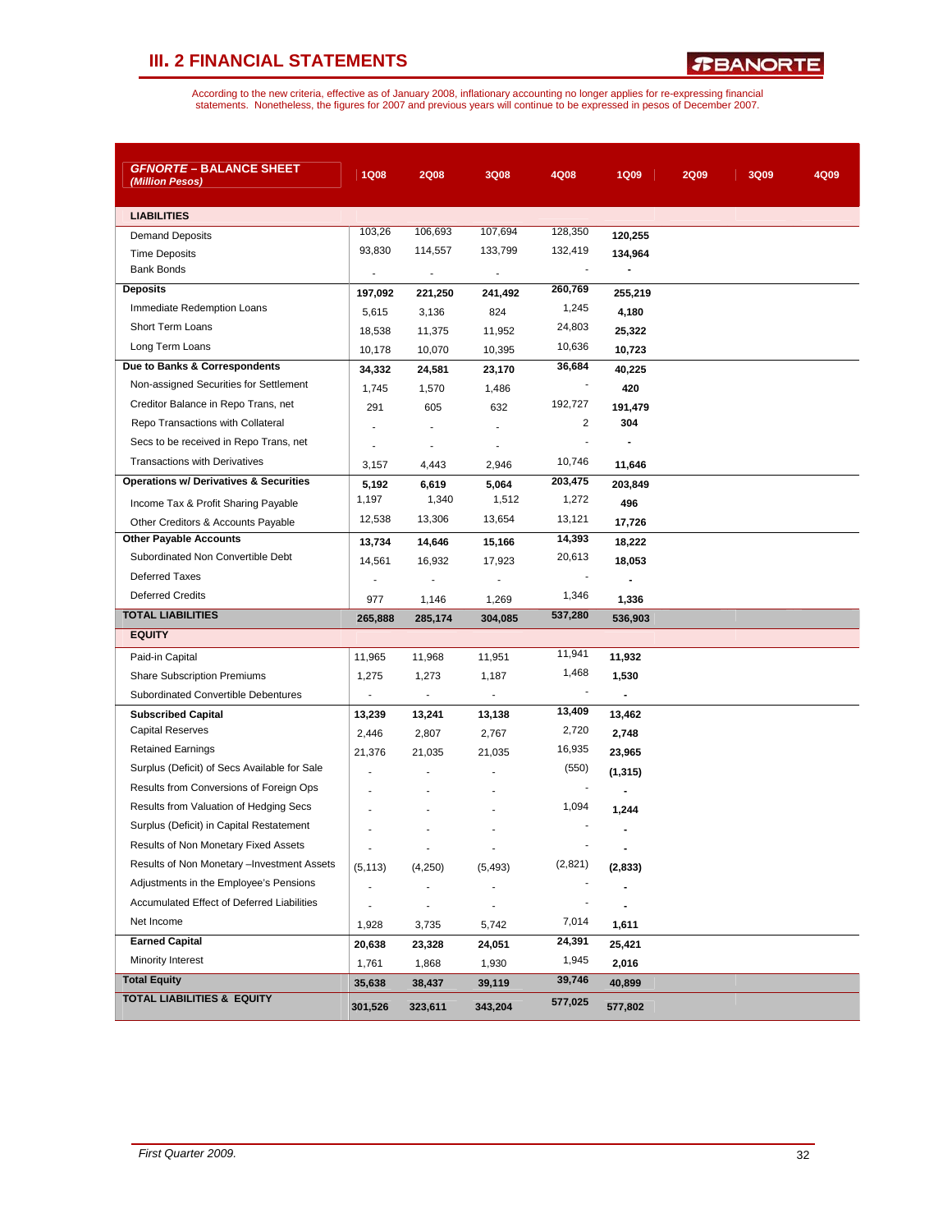| <b>GFNORTE - BALANCE SHEET</b><br>(Million Pesos) | <b>1Q08</b>              | <b>2Q08</b>    | 3Q08                     | 4Q08    | <b>1Q09</b>              | <b>2Q09</b> | 3Q09 | 4Q09 |
|---------------------------------------------------|--------------------------|----------------|--------------------------|---------|--------------------------|-------------|------|------|
| <b>LIABILITIES</b>                                |                          |                |                          |         |                          |             |      |      |
| <b>Demand Deposits</b>                            | 103,26                   | 106,693        | 107,694                  | 128,350 | 120,255                  |             |      |      |
| <b>Time Deposits</b>                              | 93,830                   | 114,557        | 133,799                  | 132,419 | 134,964                  |             |      |      |
| <b>Bank Bonds</b>                                 | $\overline{\phantom{a}}$ |                | $\overline{\phantom{a}}$ |         |                          |             |      |      |
| <b>Deposits</b>                                   | 197,092                  | 221,250        | 241,492                  | 260,769 | 255,219                  |             |      |      |
| Immediate Redemption Loans                        | 5,615                    | 3,136          | 824                      | 1,245   | 4,180                    |             |      |      |
| <b>Short Term Loans</b>                           | 18,538                   | 11,375         | 11,952                   | 24,803  | 25,322                   |             |      |      |
| Long Term Loans                                   | 10,178                   | 10,070         | 10,395                   | 10,636  | 10,723                   |             |      |      |
| Due to Banks & Correspondents                     | 34,332                   | 24,581         | 23,170                   | 36,684  | 40,225                   |             |      |      |
| Non-assigned Securities for Settlement            | 1,745                    | 1,570          | 1,486                    |         | 420                      |             |      |      |
| Creditor Balance in Repo Trans, net               | 291                      | 605            | 632                      | 192,727 | 191,479                  |             |      |      |
| Repo Transactions with Collateral                 |                          |                | $\blacksquare$           | 2       | 304                      |             |      |      |
| Secs to be received in Repo Trans, net            |                          |                | $\overline{a}$           | ÷,      |                          |             |      |      |
| <b>Transactions with Derivatives</b>              | 3,157                    | 4,443          | 2,946                    | 10,746  | 11,646                   |             |      |      |
| <b>Operations w/ Derivatives &amp; Securities</b> | 5,192                    | 6,619          | 5,064                    | 203,475 | 203,849                  |             |      |      |
| Income Tax & Profit Sharing Payable               | 1,197                    | 1,340          | 1,512                    | 1,272   | 496                      |             |      |      |
| Other Creditors & Accounts Payable                | 12,538                   | 13,306         | 13,654                   | 13,121  | 17,726                   |             |      |      |
| <b>Other Payable Accounts</b>                     | 13,734                   | 14,646         | 15,166                   | 14,393  | 18,222                   |             |      |      |
| Subordinated Non Convertible Debt                 | 14,561                   | 16,932         | 17,923                   | 20,613  | 18,053                   |             |      |      |
| <b>Deferred Taxes</b>                             |                          |                | ٠                        |         |                          |             |      |      |
| <b>Deferred Credits</b>                           | 977                      | 1,146          | 1,269                    | 1,346   | 1,336                    |             |      |      |
| <b>TOTAL LIABILITIES</b>                          | 265,888                  | 285,174        | 304,085                  | 537,280 | 536,903                  |             |      |      |
| <b>EQUITY</b>                                     |                          |                |                          |         |                          |             |      |      |
| Paid-in Capital                                   | 11,965                   | 11,968         | 11,951                   | 11,941  | 11,932                   |             |      |      |
| <b>Share Subscription Premiums</b>                | 1,275                    | 1,273          | 1,187                    | 1,468   | 1,530                    |             |      |      |
| Subordinated Convertible Debentures               | $\blacksquare$           | $\blacksquare$ | $\overline{\phantom{a}}$ |         | $\overline{\phantom{a}}$ |             |      |      |
| <b>Subscribed Capital</b>                         | 13,239                   | 13,241         | 13,138                   | 13,409  | 13,462                   |             |      |      |
| <b>Capital Reserves</b>                           | 2,446                    | 2,807          | 2,767                    | 2,720   | 2,748                    |             |      |      |
| <b>Retained Earnings</b>                          | 21,376                   | 21,035         | 21,035                   | 16,935  | 23,965                   |             |      |      |
| Surplus (Deficit) of Secs Available for Sale      | ä,                       | ä,             |                          | (550)   | (1, 315)                 |             |      |      |
| Results from Conversions of Foreign Ops           |                          |                |                          |         |                          |             |      |      |
| Results from Valuation of Hedging Secs            |                          |                |                          | 1,094   | 1,244                    |             |      |      |
| Surplus (Deficit) in Capital Restatement          |                          |                |                          |         |                          |             |      |      |
| Results of Non Monetary Fixed Assets              | $\sim$                   |                |                          |         |                          |             |      |      |
| Results of Non Monetary - Investment Assets       | (5, 113)                 | (4,250)        | (5, 493)                 | (2,821) | (2,833)                  |             |      |      |
| Adjustments in the Employee's Pensions            | $\blacksquare$           |                |                          |         |                          |             |      |      |
| <b>Accumulated Effect of Deferred Liabilities</b> |                          |                |                          |         |                          |             |      |      |
| Net Income                                        | 1,928                    | 3,735          | 5,742                    | 7,014   | 1,611                    |             |      |      |
| <b>Earned Capital</b>                             | 20,638                   | 23,328         | 24,051                   | 24,391  | 25,421                   |             |      |      |
| Minority Interest                                 | 1,761                    | 1,868          | 1,930                    | 1,945   | 2,016                    |             |      |      |
| <b>Total Equity</b>                               | 35,638                   | 38,437         | 39,119                   | 39,746  | 40,899                   |             |      |      |
| <b>TOTAL LIABILITIES &amp; EQUITY</b>             | 301,526                  | 323,611        | 343,204                  | 577,025 | 577,802                  |             |      |      |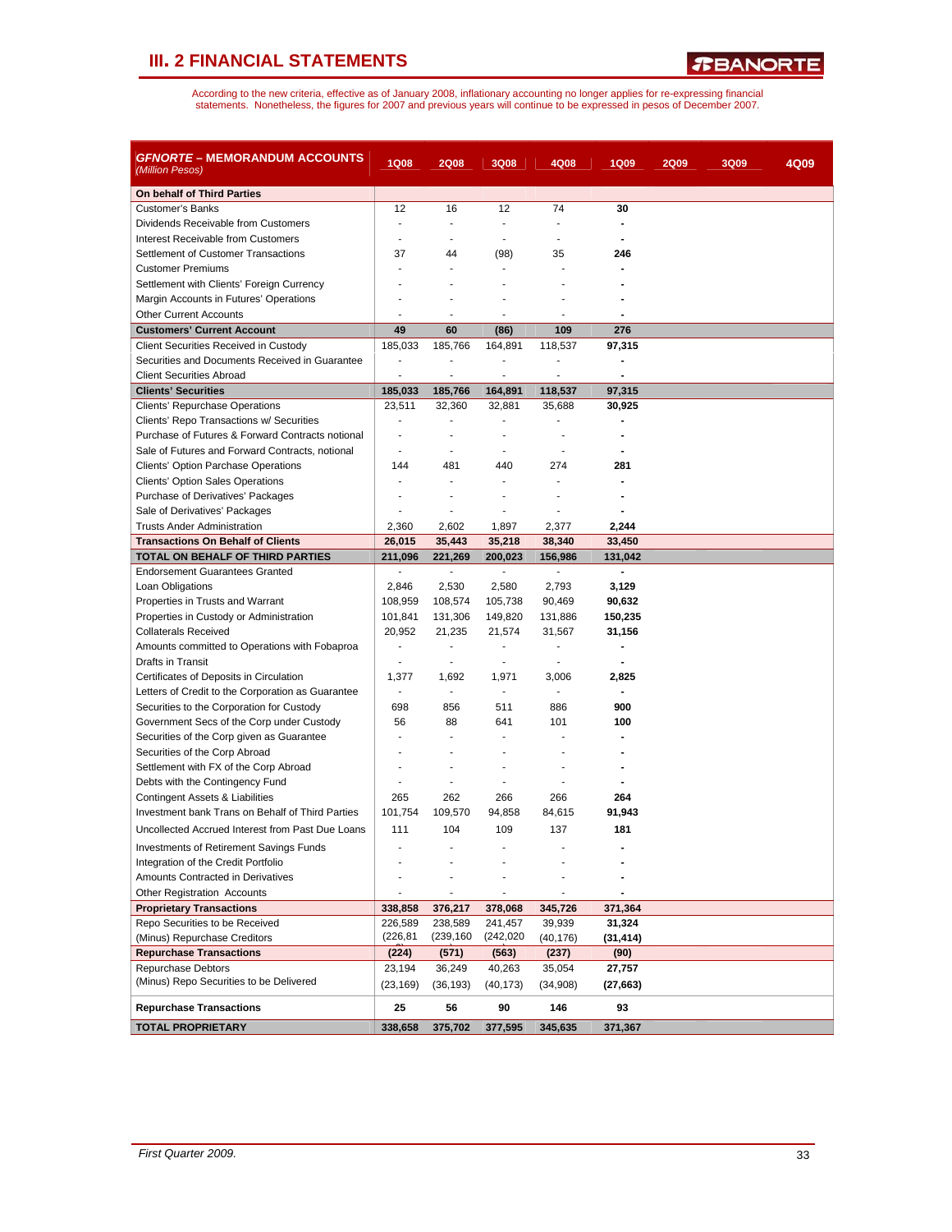*R***BANORTE** 

| GFNORTE – MEMORANDUM ACCOUNTS<br>(Million Pesos)                      | <b>1Q08</b>              | <b>2Q08</b>              | 3Q08                     | 4Q08                | <b>1Q09</b>    | <b>2Q09</b> | 3Q09 | 4Q09 |
|-----------------------------------------------------------------------|--------------------------|--------------------------|--------------------------|---------------------|----------------|-------------|------|------|
| On behalf of Third Parties                                            |                          |                          |                          |                     |                |             |      |      |
| <b>Customer's Banks</b>                                               | 12                       | 16                       | 12                       | 74                  | 30             |             |      |      |
| Dividends Receivable from Customers                                   | $\blacksquare$           | $\overline{\phantom{a}}$ | ٠                        | ٠                   | $\blacksquare$ |             |      |      |
| Interest Receivable from Customers                                    |                          |                          |                          | ÷,                  |                |             |      |      |
| Settlement of Customer Transactions                                   | 37                       | 44                       | (98)                     | 35                  | 246            |             |      |      |
| <b>Customer Premiums</b>                                              |                          | ä,                       |                          |                     |                |             |      |      |
| Settlement with Clients' Foreign Currency                             |                          |                          |                          |                     |                |             |      |      |
| Margin Accounts in Futures' Operations                                |                          |                          |                          |                     |                |             |      |      |
| <b>Other Current Accounts</b>                                         |                          | ä,                       |                          | ä,                  |                |             |      |      |
| <b>Customers' Current Account</b>                                     | 49                       | 60                       | (86)                     | 109                 | 276            |             |      |      |
| Client Securities Received in Custody                                 | 185,033                  | 185,766                  | 164,891                  | 118,537             | 97,315         |             |      |      |
| Securities and Documents Received in Guarantee                        | $\overline{a}$           | ÷                        |                          | $\overline{a}$      |                |             |      |      |
| <b>Client Securities Abroad</b>                                       | ٠                        | $\overline{a}$           | ٠                        | $\blacksquare$      |                |             |      |      |
| <b>Clients' Securities</b>                                            | 185,033                  | 185,766                  | 164,891                  | 118,537             | 97,315         |             |      |      |
| Clients' Repurchase Operations                                        | 23,511                   | 32,360                   | 32,881                   | 35,688              | 30,925         |             |      |      |
| Clients' Repo Transactions w/ Securities                              | $\overline{a}$           | ٠                        |                          | ٠                   |                |             |      |      |
| Purchase of Futures & Forward Contracts notional                      | $\blacksquare$           | ä,                       |                          |                     |                |             |      |      |
| Sale of Futures and Forward Contracts, notional                       | ÷.                       | ÷                        |                          |                     |                |             |      |      |
| <b>Clients' Option Parchase Operations</b>                            | 144                      | 481                      | 440                      | 274                 | 281            |             |      |      |
| <b>Clients' Option Sales Operations</b>                               | ÷.                       | $\blacksquare$           | ÷                        | $\sim$              |                |             |      |      |
| Purchase of Derivatives' Packages                                     |                          |                          |                          |                     |                |             |      |      |
| Sale of Derivatives' Packages                                         | ٠                        | ٠                        |                          | ٠                   |                |             |      |      |
| <b>Trusts Ander Administration</b>                                    | 2,360                    | 2,602                    | 1,897                    | 2,377               | 2,244          |             |      |      |
| <b>Transactions On Behalf of Clients</b>                              | 26,015                   | 35,443                   | 35,218                   | 38,340              | 33,450         |             |      |      |
| TOTAL ON BEHALF OF THIRD PARTIES                                      | 211.096                  | 221,269                  | 200,023                  | 156,986             | 131,042        |             |      |      |
| <b>Endorsement Guarantees Granted</b>                                 | $\overline{\phantom{a}}$ | ÷,                       | $\sim$                   | ÷,                  |                |             |      |      |
| Loan Obligations                                                      | 2,846                    | 2,530                    | 2,580                    | 2,793               | 3,129          |             |      |      |
| Properties in Trusts and Warrant                                      | 108,959                  | 108,574                  | 105,738                  | 90,469              | 90,632         |             |      |      |
| Properties in Custody or Administration                               | 101,841                  | 131,306                  | 149,820                  | 131,886             | 150,235        |             |      |      |
| <b>Collaterals Received</b>                                           | 20,952                   | 21,235                   | 21,574                   | 31,567              | 31,156         |             |      |      |
| Amounts committed to Operations with Fobaproa                         | $\blacksquare$           | ä,                       | $\blacksquare$           | $\frac{1}{2}$       |                |             |      |      |
| Drafts in Transit                                                     |                          | ٠                        |                          | ٠                   |                |             |      |      |
| Certificates of Deposits in Circulation                               | 1,377                    | 1,692                    | 1,971                    | 3,006               | 2,825          |             |      |      |
| Letters of Credit to the Corporation as Guarantee                     | $\overline{\phantom{a}}$ | ÷,                       | $\overline{\phantom{a}}$ | $\frac{1}{2}$       |                |             |      |      |
| Securities to the Corporation for Custody                             | 698                      | 856                      | 511                      | 886                 | 900            |             |      |      |
| Government Secs of the Corp under Custody                             | 56                       | 88                       | 641                      | 101                 | 100            |             |      |      |
| Securities of the Corp given as Guarantee                             |                          |                          |                          |                     |                |             |      |      |
| Securities of the Corp Abroad                                         |                          |                          |                          |                     |                |             |      |      |
| Settlement with FX of the Corp Abroad                                 |                          |                          |                          |                     |                |             |      |      |
| Debts with the Contingency Fund                                       | ٠                        | ÷                        | ÷.                       |                     |                |             |      |      |
| Contingent Assets & Liabilities                                       | 265                      | 262                      | 266                      | 266                 | 264            |             |      |      |
| Investment bank Trans on Behalf of Third Parties                      | 101,754                  | 109,570                  | 94,858                   | 84,615              | 91,943         |             |      |      |
| Uncollected Accrued Interest from Past Due Loans                      | 111                      | 104                      | 109                      | 137                 | 181            |             |      |      |
|                                                                       |                          |                          |                          |                     |                |             |      |      |
| <b>Investments of Retirement Savings Funds</b>                        |                          |                          |                          |                     |                |             |      |      |
| Integration of the Credit Portfolio                                   |                          |                          |                          |                     |                |             |      |      |
| Amounts Contracted in Derivatives                                     |                          |                          |                          |                     |                |             |      |      |
| <b>Other Registration Accounts</b><br><b>Proprietary Transactions</b> |                          |                          |                          |                     |                |             |      |      |
|                                                                       | 338,858                  | 376,217                  | 378,068                  | 345,726             | 371,364        |             |      |      |
| Repo Securities to be Received                                        | 226,589<br>(226, 81)     | 238,589<br>(239,160      | 241,457<br>(242,020)     | 39,939<br>(40, 176) | 31,324         |             |      |      |
| (Minus) Repurchase Creditors<br><b>Repurchase Transactions</b>        |                          |                          |                          |                     | (31, 414)      |             |      |      |
|                                                                       | (224)                    | (571)                    | (563)                    | (237)               | (90)           |             |      |      |
| <b>Repurchase Debtors</b><br>(Minus) Repo Securities to be Delivered  | 23,194                   | 36,249                   | 40,263                   | 35,054              | 27,757         |             |      |      |
|                                                                       | (23, 169)                | (36, 193)                | (40, 173)                | (34,908)            | (27, 663)      |             |      |      |
| <b>Repurchase Transactions</b>                                        | 25                       | 56                       | 90                       | 146                 | 93             |             |      |      |
| <b>TOTAL PROPRIETARY</b>                                              | 338,658                  | 375,702                  | 377,595                  | 345,635             | 371,367        |             |      |      |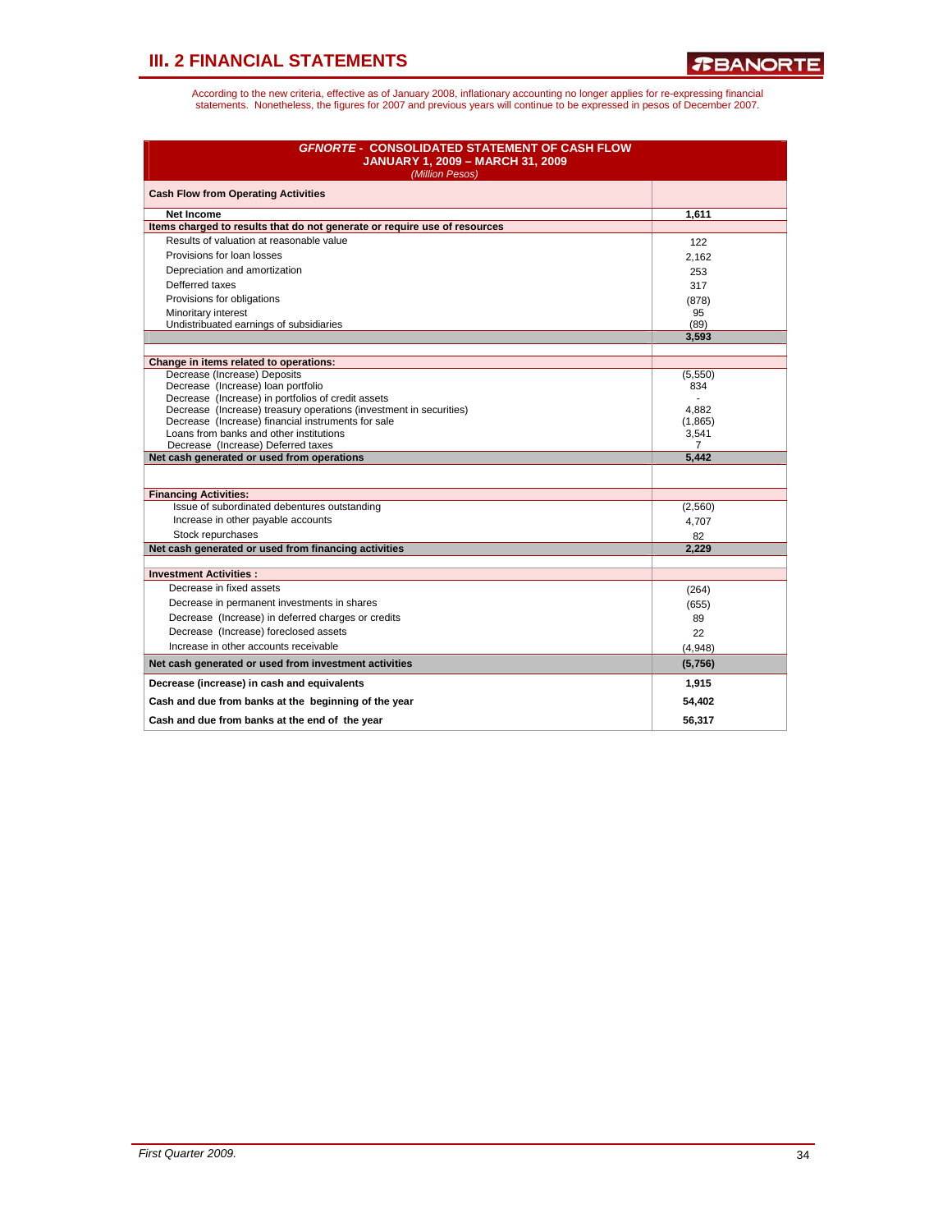| <b>GFNORTE - CONSOLIDATED STATEMENT OF CASH FLOW</b><br><b>JANUARY 1, 2009 - MARCH 31, 2009</b><br>(Million Pesos) |                |
|--------------------------------------------------------------------------------------------------------------------|----------------|
| <b>Cash Flow from Operating Activities</b>                                                                         |                |
| <b>Net Income</b>                                                                                                  | 1,611          |
| Items charged to results that do not generate or require use of resources                                          |                |
| Results of valuation at reasonable value                                                                           | 122            |
| Provisions for loan losses                                                                                         | 2,162          |
| Depreciation and amortization                                                                                      | 253            |
| Defferred taxes                                                                                                    | 317            |
| Provisions for obligations                                                                                         | (878)          |
| Minoritary interest                                                                                                | 95             |
| Undistribuated earnings of subsidiaries                                                                            | (89)           |
|                                                                                                                    | 3,593          |
|                                                                                                                    |                |
| Change in items related to operations:<br>Decrease (Increase) Deposits                                             | (5,550)        |
| Decrease (Increase) loan portfolio                                                                                 | 834            |
| Decrease (Increase) in portfolios of credit assets                                                                 |                |
| Decrease (Increase) treasury operations (investment in securities)                                                 | 4,882          |
| Decrease (Increase) financial instruments for sale                                                                 | (1,865)        |
| Loans from banks and other institutions                                                                            | 3,541          |
| Decrease (Increase) Deferred taxes                                                                                 | $\overline{7}$ |
| Net cash generated or used from operations                                                                         | 5,442          |
| <b>Financing Activities:</b>                                                                                       |                |
| Issue of subordinated debentures outstanding                                                                       | (2,560)        |
| Increase in other payable accounts                                                                                 |                |
| Stock repurchases                                                                                                  | 4,707          |
| Net cash generated or used from financing activities                                                               | 82<br>2,229    |
|                                                                                                                    |                |
| <b>Investment Activities:</b>                                                                                      |                |
| Decrease in fixed assets                                                                                           | (264)          |
| Decrease in permanent investments in shares                                                                        | (655)          |
| Decrease (Increase) in deferred charges or credits                                                                 | 89             |
| Decrease (Increase) foreclosed assets                                                                              | 22             |
| Increase in other accounts receivable                                                                              | (4,948)        |
| Net cash generated or used from investment activities                                                              | (5,756)        |
| Decrease (increase) in cash and equivalents                                                                        | 1,915          |
| Cash and due from banks at the beginning of the year                                                               | 54,402         |
| Cash and due from banks at the end of the vear                                                                     | 56.317         |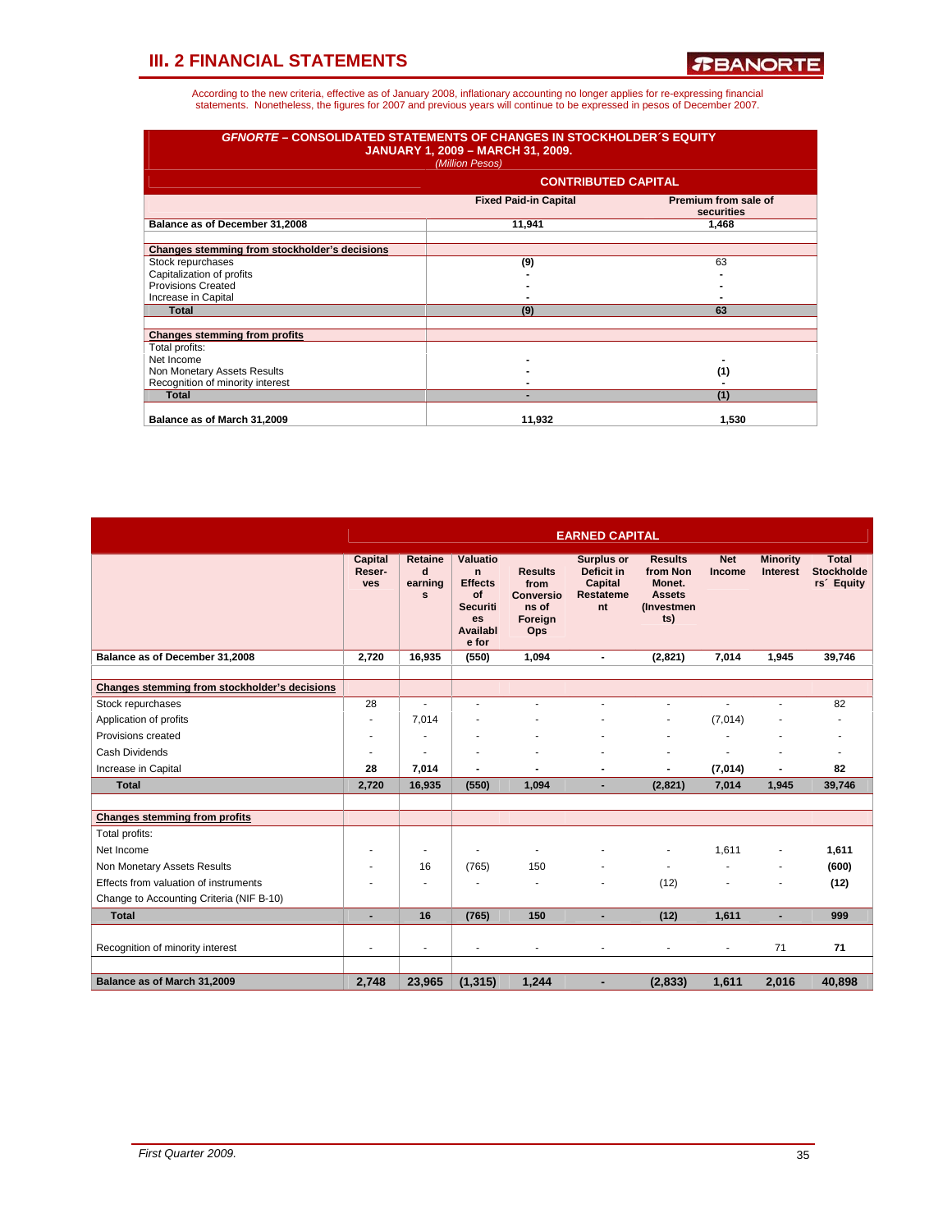| <b>GFNORTE - CONSOLIDATED STATEMENTS OF CHANGES IN STOCKHOLDER'S EQUITY</b> | <b>JANUARY 1, 2009 - MARCH 31, 2009.</b><br>(Million Pesos) |                                    |
|-----------------------------------------------------------------------------|-------------------------------------------------------------|------------------------------------|
|                                                                             | <b>CONTRIBUTED CAPITAL</b>                                  |                                    |
|                                                                             | <b>Fixed Paid-in Capital</b>                                | Premium from sale of<br>securities |
| Balance as of December 31,2008                                              | 11,941                                                      | 1.468                              |
| Changes stemming from stockholder's decisions                               |                                                             |                                    |
| Stock repurchases                                                           | (9)                                                         | 63                                 |
| Capitalization of profits                                                   |                                                             |                                    |
| <b>Provisions Created</b>                                                   |                                                             |                                    |
| Increase in Capital                                                         |                                                             |                                    |
| <b>Total</b>                                                                | (9)                                                         | 63                                 |
| <b>Changes stemming from profits</b>                                        |                                                             |                                    |
| Total profits:                                                              |                                                             |                                    |
| Net Income                                                                  |                                                             |                                    |
| Non Monetary Assets Results                                                 |                                                             | (1)                                |
| Recognition of minority interest                                            |                                                             |                                    |
| <b>Total</b>                                                                |                                                             | (1)                                |
| Balance as of March 31,2009                                                 | 11,932                                                      | 1,530                              |

|                                               |                                        |                                         |                                                                                                      |                                                                | <b>EARNED CAPITAL</b>                                                |                                                                            |                      |                                    |                                                             |
|-----------------------------------------------|----------------------------------------|-----------------------------------------|------------------------------------------------------------------------------------------------------|----------------------------------------------------------------|----------------------------------------------------------------------|----------------------------------------------------------------------------|----------------------|------------------------------------|-------------------------------------------------------------|
|                                               | <b>Capital</b><br>Reser-<br><b>ves</b> | Retaine<br>d<br>earning<br>$\mathbf{s}$ | Valuatio<br>$\mathbf n$<br><b>Effects</b><br>of<br><b>Securiti</b><br><b>es</b><br>Availabl<br>e for | <b>Results</b><br>from<br>Conversio<br>ns of<br>Foreian<br>Ops | <b>Surplus or</b><br>Deficit in<br>Capital<br><b>Restateme</b><br>nt | <b>Results</b><br>from Non<br>Monet.<br><b>Assets</b><br>(Investmen<br>ts) | <b>Net</b><br>Income | <b>Minority</b><br><b>Interest</b> | <b>Total</b><br><b>Stockholde</b><br>rs <sup>2</sup> Equity |
| Balance as of December 31,2008                | 2.720                                  | 16,935                                  | (550)                                                                                                | 1,094                                                          | $\blacksquare$                                                       | (2,821)                                                                    | 7,014                | 1,945                              | 39,746                                                      |
| Changes stemming from stockholder's decisions |                                        |                                         |                                                                                                      |                                                                |                                                                      |                                                                            |                      |                                    |                                                             |
| Stock repurchases                             | 28                                     | ÷                                       | ٠                                                                                                    |                                                                | ٠                                                                    | $\overline{a}$                                                             |                      |                                    | 82                                                          |
| Application of profits                        |                                        | 7,014                                   |                                                                                                      |                                                                |                                                                      | ٠                                                                          | (7,014)              |                                    |                                                             |
| Provisions created                            |                                        |                                         |                                                                                                      |                                                                |                                                                      |                                                                            |                      |                                    | ٠                                                           |
| Cash Dividends                                |                                        |                                         |                                                                                                      |                                                                |                                                                      |                                                                            |                      |                                    | ٠                                                           |
| Increase in Capital                           | 28                                     | 7.014                                   | $\blacksquare$                                                                                       | ٠                                                              | $\blacksquare$                                                       | $\blacksquare$                                                             | (7,014)              |                                    | 82                                                          |
| <b>Total</b>                                  | 2,720                                  | 16,935                                  | (550)                                                                                                | 1,094                                                          |                                                                      | (2,821)                                                                    | 7,014                | 1,945                              | 39,746                                                      |
|                                               |                                        |                                         |                                                                                                      |                                                                |                                                                      |                                                                            |                      |                                    |                                                             |
| <b>Changes stemming from profits</b>          |                                        |                                         |                                                                                                      |                                                                |                                                                      |                                                                            |                      |                                    |                                                             |
| Total profits:                                |                                        |                                         |                                                                                                      |                                                                |                                                                      |                                                                            |                      |                                    |                                                             |
| Net Income                                    |                                        | ٠                                       | ٠                                                                                                    |                                                                |                                                                      | $\overline{\phantom{m}}$                                                   | 1,611                |                                    | 1,611                                                       |
| Non Monetary Assets Results                   |                                        | 16                                      | (765)                                                                                                | 150                                                            |                                                                      | $\blacksquare$                                                             |                      |                                    | (600)                                                       |
| Effects from valuation of instruments         |                                        |                                         |                                                                                                      |                                                                |                                                                      | (12)                                                                       |                      |                                    | (12)                                                        |
| Change to Accounting Criteria (NIF B-10)      |                                        |                                         |                                                                                                      |                                                                |                                                                      |                                                                            |                      |                                    |                                                             |
| <b>Total</b>                                  | ٠                                      | 16                                      | (765)                                                                                                | 150                                                            | ٠                                                                    | (12)                                                                       | 1,611                |                                    | 999                                                         |
| Recognition of minority interest              | $\overline{\phantom{a}}$               | ٠                                       | ۰                                                                                                    | ٠                                                              | ٠                                                                    | $\blacksquare$                                                             | ٠                    | 71                                 | 71                                                          |
| Balance as of March 31,2009                   | 2,748                                  | 23,965                                  | (1, 315)                                                                                             | 1,244                                                          |                                                                      | (2,833)                                                                    | 1,611                | 2,016                              | 40,898                                                      |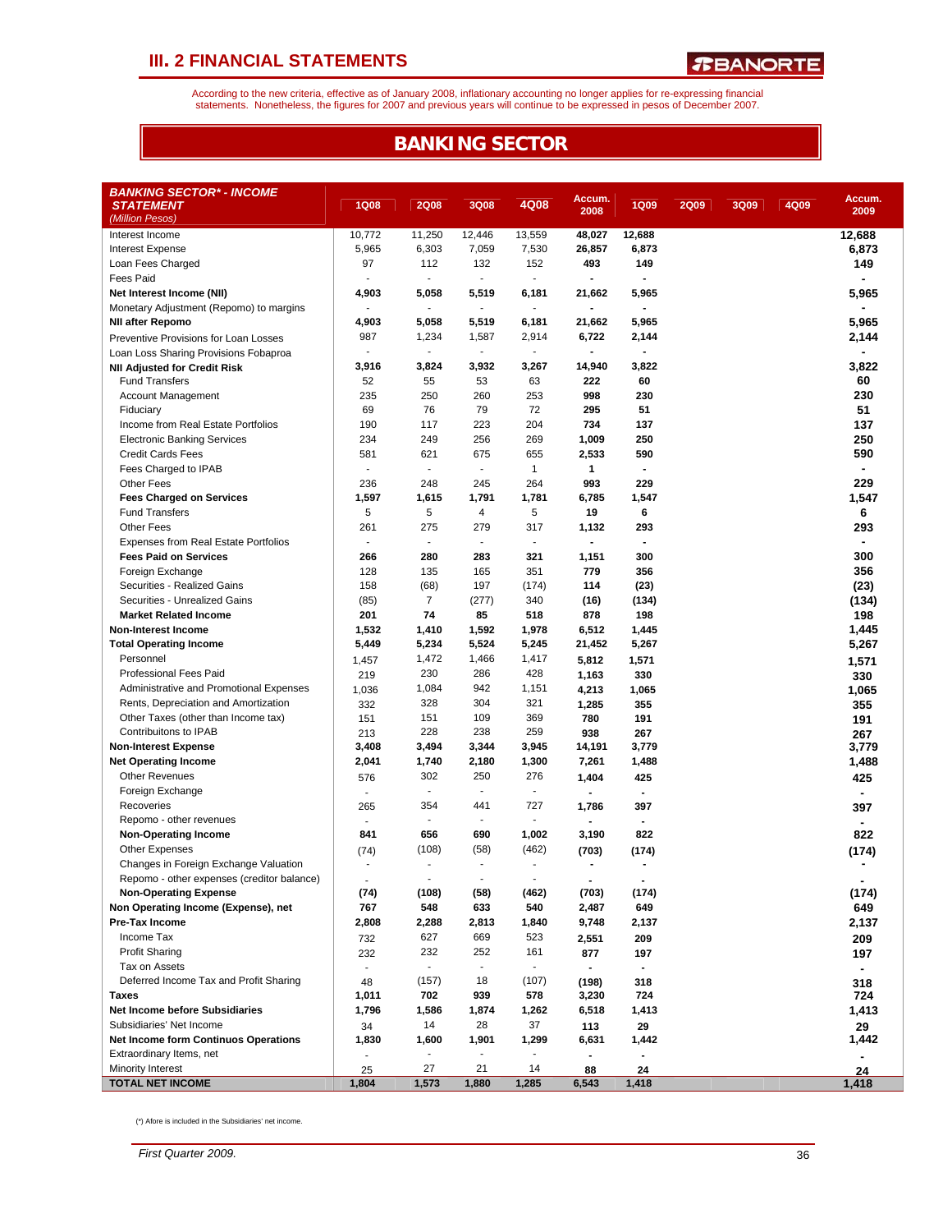According to the new criteria, effective as of January 2008, inflationary accounting no longer applies for re-expressing financial<br>statements. Nonetheless, the figures for 2007 and previous years will continue to be expres

### **BANKING SECTOR**

| <b>BANKING SECTOR* - INCOME</b><br><b>STATEMENT</b>   | <b>1Q08</b>              | <b>2Q08</b>              | 3Q08                        | 4Q08                     | Accum.         | <b>1Q09</b>           | <b>2Q09</b> | 3Q09 | 4Q09 | Accum.         |
|-------------------------------------------------------|--------------------------|--------------------------|-----------------------------|--------------------------|----------------|-----------------------|-------------|------|------|----------------|
| (Million Pesos)                                       |                          |                          |                             |                          | 2008           |                       |             |      |      | 2009           |
| Interest Income                                       | 10,772                   | 11,250                   | 12,446                      | 13,559                   | 48,027         | 12,688                |             |      |      | 12,688         |
| <b>Interest Expense</b>                               | 5,965                    | 6,303                    | 7,059                       | 7,530                    | 26,857         | 6,873                 |             |      |      | 6,873          |
| Loan Fees Charged                                     | 97                       | 112                      | 132                         | 152                      | 493            | 149                   |             |      |      | 149            |
| <b>Fees Paid</b>                                      | $\sim$                   | $\sim$                   | $\omega$                    | $\sim$                   |                | $\blacksquare$        |             |      |      |                |
| Net Interest Income (NII)                             | 4,903                    | 5,058                    | 5,519                       | 6,181                    | 21,662         | 5,965                 |             |      |      | 5,965          |
| Monetary Adjustment (Repomo) to margins               | $\overline{\phantom{a}}$ | ÷.                       | $\mathcal{L}_{\mathcal{A}}$ | $\blacksquare$           |                | $\blacksquare$        |             |      |      |                |
| <b>NII after Repomo</b>                               | 4,903                    | 5,058                    | 5,519                       | 6,181                    | 21,662         | 5,965                 |             |      |      | 5,965          |
| Preventive Provisions for Loan Losses                 | 987                      | 1,234                    | 1,587                       | 2,914                    | 6,722          | 2,144                 |             |      |      | 2,144          |
| Loan Loss Sharing Provisions Fobaproa                 | $\blacksquare$           | $\sim$                   | $\sim$                      | $\sim$                   |                | $\blacksquare$        |             |      |      |                |
| <b>NII Adjusted for Credit Risk</b>                   | 3,916                    | 3,824                    | 3,932                       | 3,267                    | 14,940         | 3,822                 |             |      |      | 3,822          |
| <b>Fund Transfers</b>                                 | 52                       | 55                       | 53                          | 63                       | 222            | 60                    |             |      |      | 60             |
| <b>Account Management</b>                             | 235                      | 250                      | 260                         | 253                      | 998            | 230                   |             |      |      | 230            |
| Fiduciary                                             | 69                       | 76                       | 79                          | 72                       | 295            | 51                    |             |      |      | 51             |
| Income from Real Estate Portfolios                    | 190                      | 117                      | 223                         | 204                      | 734            | 137                   |             |      |      | 137            |
| <b>Electronic Banking Services</b>                    | 234                      | 249                      | 256                         | 269                      | 1,009          | 250                   |             |      |      | 250            |
| <b>Credit Cards Fees</b>                              | 581                      | 621                      | 675                         | 655                      | 2,533          | 590                   |             |      |      | 590            |
| Fees Charged to IPAB                                  | $\overline{\phantom{a}}$ | $\sim$                   | $\blacksquare$              | $\mathbf{1}$             | 1              | $\blacksquare$        |             |      |      |                |
| <b>Other Fees</b>                                     | 236                      | 248                      | 245                         | 264                      | 993            | 229                   |             |      |      | 229            |
| <b>Fees Charged on Services</b>                       | 1,597                    | 1,615                    | 1,791                       | 1,781                    | 6,785          | 1,547                 |             |      |      | 1,547          |
| <b>Fund Transfers</b>                                 | 5                        | 5                        | 4                           | 5                        | 19             | 6                     |             |      |      | 6              |
| <b>Other Fees</b>                                     | 261                      | 275                      | 279                         | 317                      | 1,132          | 293                   |             |      |      | 293            |
| <b>Expenses from Real Estate Portfolios</b>           | $\overline{\phantom{a}}$ | $\blacksquare$           | $\blacksquare$              | $\overline{\phantom{a}}$ |                | $\blacksquare$        |             |      |      |                |
| <b>Fees Paid on Services</b>                          | 266                      | 280                      | 283                         | 321                      | 1,151          | 300                   |             |      |      | 300            |
| Foreign Exchange                                      | 128                      | 135                      | 165                         | 351                      | 779            | 356                   |             |      |      | 356            |
| Securities - Realized Gains                           | 158                      | (68)                     | 197                         | (174)                    | 114            | (23)                  |             |      |      | (23)           |
| Securities - Unrealized Gains                         | (85)                     | $\overline{7}$           | (277)                       | 340                      | (16)           | (134)                 |             |      |      | (134)          |
| <b>Market Related Income</b>                          | 201                      | 74                       | 85                          | 518                      | 878            | 198                   |             |      |      | 198            |
| <b>Non-Interest Income</b>                            | 1,532                    | 1,410                    | 1,592                       | 1,978                    | 6,512          | 1,445                 |             |      |      | 1,445          |
| <b>Total Operating Income</b>                         | 5,449                    | 5,234                    | 5,524                       | 5,245                    | 21,452         | 5,267                 |             |      |      | 5,267          |
| Personnel                                             | 1,457                    | 1,472                    | 1,466                       | 1,417                    | 5,812          | 1,571                 |             |      |      | 1,571          |
| Professional Fees Paid                                | 219                      | 230                      | 286                         | 428                      | 1,163          | 330                   |             |      |      | 330            |
| Administrative and Promotional Expenses               | 1,036                    | 1,084                    | 942                         | 1,151                    | 4,213          | 1,065                 |             |      |      | 1,065          |
| Rents, Depreciation and Amortization                  | 332                      | 328                      | 304                         | 321                      | 1,285          | 355                   |             |      |      | 355            |
| Other Taxes (other than Income tax)                   | 151                      | 151                      | 109                         | 369                      | 780            | 191                   |             |      |      | 191            |
| Contribuitons to IPAB                                 | 213                      | 228                      | 238                         | 259                      | 938            | 267                   |             |      |      | 267            |
| <b>Non-Interest Expense</b>                           | 3,408                    | 3,494                    | 3,344                       | 3,945                    | 14,191         | 3,779                 |             |      |      | 3,779          |
| <b>Net Operating Income</b>                           | 2,041                    | 1,740                    | 2,180                       | 1,300                    | 7,261          | 1,488                 |             |      |      | 1,488          |
| <b>Other Revenues</b>                                 | 576                      | 302                      | 250                         | 276                      | 1,404          | 425                   |             |      |      | 425            |
| Foreign Exchange                                      | $\sim$                   | $\blacksquare$           | $\sim$                      | $\overline{\phantom{a}}$ |                | $\blacksquare$        |             |      |      | $\blacksquare$ |
| Recoveries                                            | 265                      | 354                      | 441                         | 727                      | 1,786          | 397                   |             |      |      | 397            |
| Repomo - other revenues                               | ÷,                       | $\blacksquare$           | $\sim$                      | $\overline{\phantom{a}}$ |                | $\blacksquare$        |             |      |      |                |
| <b>Non-Operating Income</b>                           | 841                      | 656                      | 690                         | 1,002                    | 3,190          | 822                   |             |      |      | 822            |
| <b>Other Expenses</b>                                 | (74)                     | (108)                    | (58)                        | (462)                    | (703)          | (174)                 |             |      |      | (174)          |
| Changes in Foreign Exchange Valuation                 |                          | $\overline{\phantom{a}}$ | $\blacksquare$              | $\overline{\phantom{a}}$ |                |                       |             |      |      |                |
| Repomo - other expenses (creditor balance)            |                          | $\blacksquare$           | $\blacksquare$              | $\overline{\phantom{a}}$ | $\blacksquare$ | $\blacksquare$        |             |      |      |                |
| <b>Non-Operating Expense</b>                          | (74)                     | (108)                    | (58)                        | (462)                    | (703)          | (174)                 |             |      |      | (174)          |
| Non Operating Income (Expense), net<br>Pre-Tax Income | 767                      | 548                      | 633                         | 540                      | 2,487          | 649                   |             |      |      | 649            |
|                                                       | 2,808                    | 2,288<br>627             | 2,813                       | 1,840                    | 9,748          | 2,137                 |             |      |      | 2,137          |
| Income Tax                                            | 732                      | 232                      | 669<br>252                  | 523                      | 2,551          | 209                   |             |      |      | 209            |
| <b>Profit Sharing</b><br>Tax on Assets                | 232<br>$\blacksquare$    | ٠                        |                             | 161<br>٠                 | 877            | 197<br>$\blacksquare$ |             |      |      | 197            |
| Deferred Income Tax and Profit Sharing                |                          |                          | 18                          |                          |                |                       |             |      |      | ۰.             |
| Taxes                                                 | 48<br>1,011              | (157)<br>702             | 939                         | (107)<br>578             | (198)<br>3,230 | 318<br>724            |             |      |      | 318<br>724     |
| <b>Net Income before Subsidiaries</b>                 | 1,796                    | 1,586                    | 1,874                       | 1,262                    | 6,518          | 1,413                 |             |      |      | 1,413          |
| Subsidiaries' Net Income                              | 34                       | 14                       | 28                          | 37                       | 113            | 29                    |             |      |      |                |
| <b>Net Income form Continuos Operations</b>           | 1,830                    | 1,600                    | 1,901                       | 1,299                    | 6,631          | 1,442                 |             |      |      | 29<br>1,442    |
| Extraordinary Items, net                              |                          |                          |                             |                          |                |                       |             |      |      |                |
| Minority Interest                                     | 25                       | 27                       | 21                          | 14                       | 88             | 24                    |             |      |      | 24             |
| <b>TOTAL NET INCOME</b>                               | 1,804                    | 1,573                    | 1,880                       | 1,285                    | 6,543          | 1,418                 |             |      |      | 1,418          |

(\*) Afore is included in the Subsidiaries' net income.

*First Quarter 2009.* 36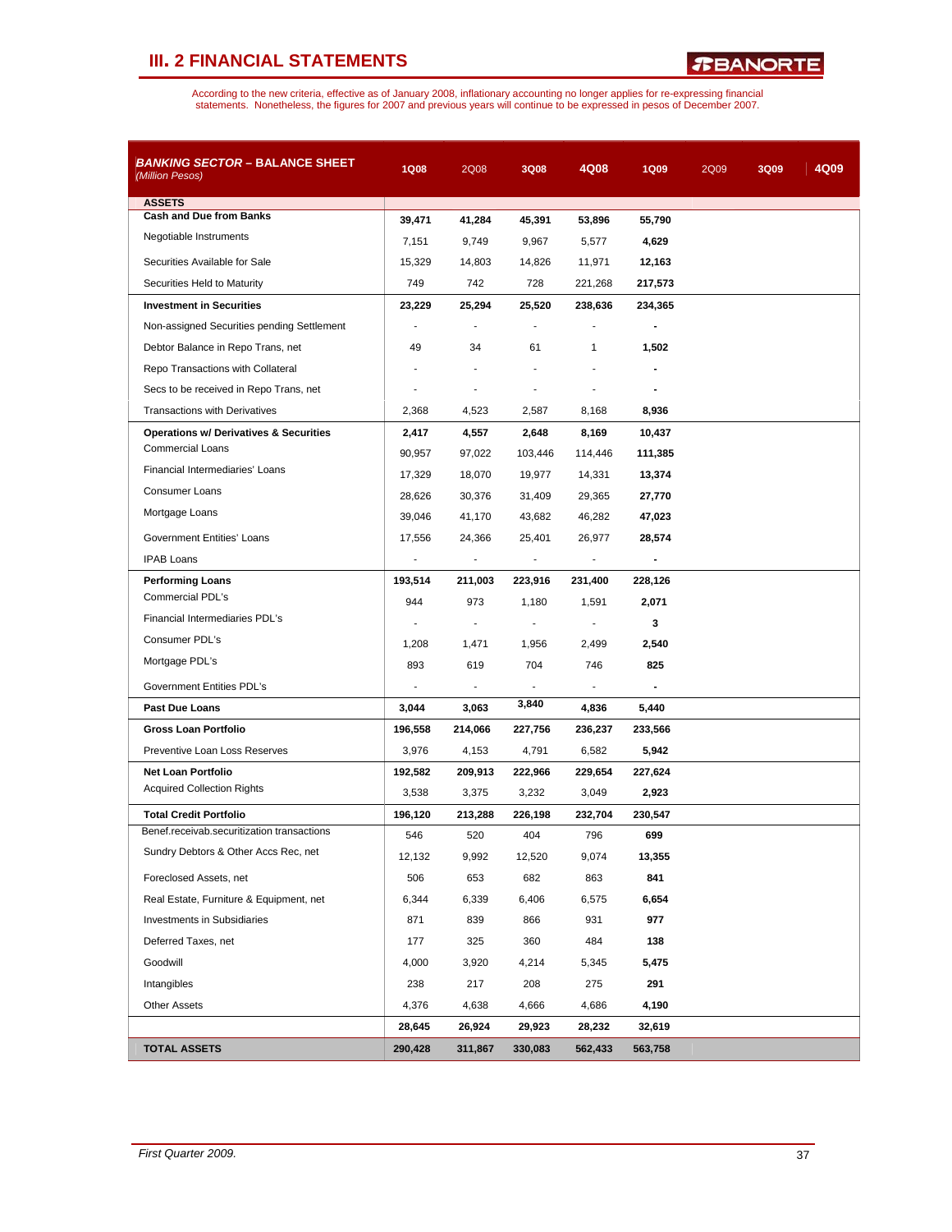*R***BANORTE** 

| <i>BANKING SECTOR –</i> BALANCE SHEET<br>(Million Pesos) | <b>1Q08</b>              | 2Q08                     | 3Q08                     | 4Q08                     | <b>1Q09</b> | 2Q09 | 3Q09 | 4Q09 |
|----------------------------------------------------------|--------------------------|--------------------------|--------------------------|--------------------------|-------------|------|------|------|
| <b>ASSETS</b>                                            |                          |                          |                          |                          |             |      |      |      |
| <b>Cash and Due from Banks</b>                           | 39,471                   | 41,284                   | 45,391                   | 53,896                   | 55,790      |      |      |      |
| Negotiable Instruments                                   | 7,151                    | 9,749                    | 9,967                    | 5,577                    | 4,629       |      |      |      |
| Securities Available for Sale                            | 15,329                   | 14,803                   | 14,826                   | 11,971                   | 12,163      |      |      |      |
| Securities Held to Maturity                              | 749                      | 742                      | 728                      | 221,268                  | 217,573     |      |      |      |
| <b>Investment in Securities</b>                          | 23,229                   | 25,294                   | 25,520                   | 238,636                  | 234,365     |      |      |      |
| Non-assigned Securities pending Settlement               | $\sim$                   | $\sim$                   | ÷                        | $\overline{a}$           |             |      |      |      |
| Debtor Balance in Repo Trans, net                        | 49                       | 34                       | 61                       | $\mathbf{1}$             | 1,502       |      |      |      |
| Repo Transactions with Collateral                        |                          |                          |                          |                          |             |      |      |      |
| Secs to be received in Repo Trans, net                   |                          | ÷                        |                          | ÷,                       |             |      |      |      |
| <b>Transactions with Derivatives</b>                     | 2,368                    | 4,523                    | 2,587                    | 8,168                    | 8,936       |      |      |      |
| <b>Operations w/ Derivatives &amp; Securities</b>        | 2,417                    | 4,557                    | 2,648                    | 8,169                    | 10,437      |      |      |      |
| <b>Commercial Loans</b>                                  | 90,957                   | 97,022                   | 103,446                  | 114,446                  | 111,385     |      |      |      |
| Financial Intermediaries' Loans                          | 17,329                   | 18,070                   | 19,977                   | 14,331                   | 13,374      |      |      |      |
| <b>Consumer Loans</b>                                    | 28,626                   | 30,376                   | 31,409                   | 29,365                   | 27,770      |      |      |      |
| Mortgage Loans                                           | 39,046                   | 41,170                   | 43,682                   | 46,282                   | 47,023      |      |      |      |
| <b>Government Entities' Loans</b>                        | 17,556                   | 24,366                   | 25,401                   | 26,977                   | 28,574      |      |      |      |
| <b>IPAB Loans</b>                                        | $\sim$                   | $\overline{\phantom{a}}$ | $\sim$                   | $\overline{\phantom{a}}$ |             |      |      |      |
| <b>Performing Loans</b>                                  | 193,514                  | 211,003                  | 223,916                  | 231,400                  | 228,126     |      |      |      |
| Commercial PDL's                                         | 944                      | 973                      | 1,180                    | 1,591                    | 2,071       |      |      |      |
| Financial Intermediaries PDL's                           | ÷,                       | ÷                        | $\overline{\phantom{a}}$ | $\mathbf{r}$             | 3           |      |      |      |
| Consumer PDL's                                           | 1,208                    | 1,471                    | 1,956                    | 2,499                    | 2,540       |      |      |      |
| Mortgage PDL's                                           | 893                      | 619                      | 704                      | 746                      | 825         |      |      |      |
| Government Entities PDL's                                | $\overline{\phantom{a}}$ | $\mathbf{r}$             | $\mathbf{r}$             | $\mathbf{r}$             |             |      |      |      |
| <b>Past Due Loans</b>                                    | 3,044                    | 3,063                    | 3,840                    | 4,836                    | 5,440       |      |      |      |
| <b>Gross Loan Portfolio</b>                              | 196,558                  | 214,066                  | 227,756                  | 236,237                  | 233,566     |      |      |      |
| Preventive Loan Loss Reserves                            | 3,976                    | 4,153                    | 4,791                    | 6,582                    | 5,942       |      |      |      |
| <b>Net Loan Portfolio</b>                                | 192,582                  | 209,913                  | 222,966                  | 229,654                  | 227,624     |      |      |      |
| <b>Acquired Collection Rights</b>                        | 3,538                    | 3,375                    | 3,232                    | 3,049                    | 2,923       |      |      |      |
| <b>Total Credit Portfolio</b>                            | 196,120                  | 213,288                  | 226,198                  | 232,704                  | 230,547     |      |      |      |
| Benef.receivab.securitization transactions               | 546                      | 520                      | 404                      | 796                      | 699         |      |      |      |
| Sundry Debtors & Other Accs Rec, net                     | 12,132                   | 9,992                    | 12,520                   | 9,074                    | 13,355      |      |      |      |
| Foreclosed Assets, net                                   | 506                      | 653                      | 682                      | 863                      | 841         |      |      |      |
| Real Estate, Furniture & Equipment, net                  | 6,344                    | 6,339                    | 6,406                    | 6,575                    | 6,654       |      |      |      |
| <b>Investments in Subsidiaries</b>                       | 871                      | 839                      | 866                      | 931                      | 977         |      |      |      |
| Deferred Taxes, net                                      | 177                      | 325                      | 360                      | 484                      | 138         |      |      |      |
| Goodwill                                                 | 4,000                    | 3,920                    | 4,214                    | 5,345                    | 5,475       |      |      |      |
| Intangibles                                              | 238                      | 217                      | 208                      | 275                      | 291         |      |      |      |
| <b>Other Assets</b>                                      | 4,376                    | 4,638                    | 4,666                    | 4,686                    | 4,190       |      |      |      |
|                                                          | 28,645                   | 26,924                   | 29,923                   | 28,232                   | 32,619      |      |      |      |
| <b>TOTAL ASSETS</b>                                      | 290,428                  | 311,867                  | 330,083                  | 562,433                  | 563,758     |      |      |      |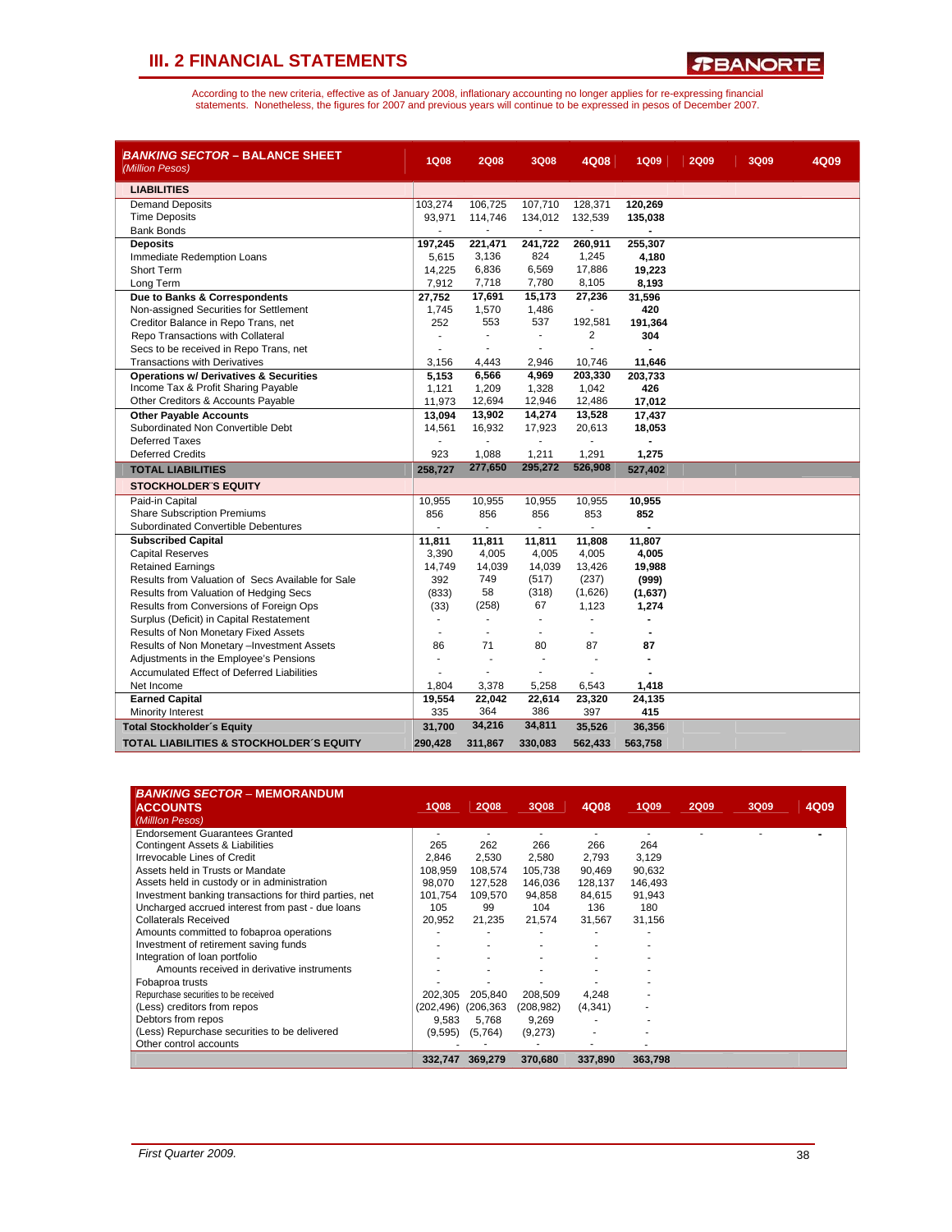![](_page_37_Picture_1.jpeg)

| <i>BANKING SECTOR</i> – BALANCE SHEET<br>(Million Pesos) | <b>1Q08</b> | <b>2Q08</b>    | 3Q08           | 4Q08           | <b>1Q09</b>    | <b>2Q09</b> | 3Q09 | 4Q09 |
|----------------------------------------------------------|-------------|----------------|----------------|----------------|----------------|-------------|------|------|
| <b>LIABILITIES</b>                                       |             |                |                |                |                |             |      |      |
| <b>Demand Deposits</b>                                   | 103,274     | 106,725        | 107,710        | 128,371        | 120,269        |             |      |      |
| <b>Time Deposits</b>                                     | 93,971      | 114,746        | 134,012        | 132,539        | 135,038        |             |      |      |
| <b>Bank Bonds</b>                                        |             |                |                |                |                |             |      |      |
| <b>Deposits</b>                                          | 197,245     | 221,471        | 241,722        | 260,911        | 255.307        |             |      |      |
| Immediate Redemption Loans                               | 5,615       | 3,136          | 824            | 1,245          | 4,180          |             |      |      |
| <b>Short Term</b>                                        | 14,225      | 6,836          | 6,569          | 17,886         | 19,223         |             |      |      |
| Long Term                                                | 7,912       | 7,718          | 7,780          | 8,105          | 8,193          |             |      |      |
| Due to Banks & Correspondents                            | 27,752      | 17,691         | 15,173         | 27,236         | 31,596         |             |      |      |
| Non-assigned Securities for Settlement                   | 1,745       | 1,570          | 1,486          |                | 420            |             |      |      |
| Creditor Balance in Repo Trans, net                      | 252         | 553            | 537            | 192,581        | 191,364        |             |      |      |
| Repo Transactions with Collateral                        |             | ÷.             | $\blacksquare$ | 2              | 304            |             |      |      |
| Secs to be received in Repo Trans, net                   |             |                | ÷              |                |                |             |      |      |
| <b>Transactions with Derivatives</b>                     | 3,156       | 4,443          | 2,946          | 10,746         | 11,646         |             |      |      |
| <b>Operations w/ Derivatives &amp; Securities</b>        | 5,153       | 6,566          | 4,969          | 203,330        | 203,733        |             |      |      |
| Income Tax & Profit Sharing Payable                      | 1,121       | 1,209          | 1,328          | 1,042          | 426            |             |      |      |
| Other Creditors & Accounts Payable                       | 11,973      | 12,694         | 12,946         | 12,486         | 17,012         |             |      |      |
| <b>Other Payable Accounts</b>                            | 13,094      | 13,902         | 14,274         | 13,528         | 17,437         |             |      |      |
| Subordinated Non Convertible Debt                        | 14,561      | 16,932         | 17,923         | 20,613         | 18,053         |             |      |      |
| Deferred Taxes                                           |             |                | ÷.             |                |                |             |      |      |
| <b>Deferred Credits</b>                                  | 923         | 1,088          | 1,211          | 1,291          | 1,275          |             |      |      |
| <b>TOTAL LIABILITIES</b>                                 | 258,727     | 277,650        | 295,272        | 526,908        | 527,402        |             |      |      |
| <b>STOCKHOLDER S EQUITY</b>                              |             |                |                |                |                |             |      |      |
| Paid-in Capital                                          | 10,955      | 10,955         | 10,955         | 10,955         | 10,955         |             |      |      |
| <b>Share Subscription Premiums</b>                       | 856         | 856            | 856            | 853            | 852            |             |      |      |
| Subordinated Convertible Debentures                      | ÷.          | $\blacksquare$ | $\sim$         | $\blacksquare$ |                |             |      |      |
| <b>Subscribed Capital</b>                                | 11,811      | 11,811         | 11,811         | 11,808         | 11,807         |             |      |      |
| <b>Capital Reserves</b>                                  | 3,390       | 4,005          | 4,005          | 4,005          | 4,005          |             |      |      |
| <b>Retained Earnings</b>                                 | 14,749      | 14,039         | 14,039         | 13,426         | 19,988         |             |      |      |
| Results from Valuation of Secs Available for Sale        | 392         | 749            | (517)          | (237)          | (999)          |             |      |      |
| Results from Valuation of Hedging Secs                   | (833)       | 58             | (318)          | (1,626)        | (1,637)        |             |      |      |
| Results from Conversions of Foreign Ops                  | (33)        | (258)          | 67             | 1,123          | 1,274          |             |      |      |
| Surplus (Deficit) in Capital Restatement                 | ٠           |                |                |                |                |             |      |      |
| Results of Non Monetary Fixed Assets                     | ÷           |                | $\overline{a}$ | ÷              |                |             |      |      |
| Results of Non Monetary -Investment Assets               | 86          | 71             | 80             | 87             | 87             |             |      |      |
| Adjustments in the Employee's Pensions                   | ٠           | i.             | ٠              | ä,             | $\blacksquare$ |             |      |      |
| Accumulated Effect of Deferred Liabilities               |             |                | $\blacksquare$ |                |                |             |      |      |
| Net Income                                               | 1,804       | 3,378          | 5,258          | 6,543          | 1,418          |             |      |      |
| <b>Earned Capital</b>                                    | 19,554      | 22,042         | 22,614         | 23,320         | 24,135         |             |      |      |
| Minority Interest                                        | 335         | 364            | 386            | 397            | 415            |             |      |      |
| <b>Total Stockholder's Equity</b>                        | 31,700      | 34,216         | 34,811         | 35,526         | 36,356         |             |      |      |
| <b>TOTAL LIABILITIES &amp; STOCKHOLDER'S EQUITY</b>      | 290,428     | 311,867        | 330,083        | 562,433        | 563,758        |             |      |      |

| <b>BANKING SECTOR – MEMORANDUM</b><br><b>ACCOUNTS</b><br>(Milllon Pesos) | <b>1Q08</b> | <b>2Q08</b> | 3Q08       | 4Q08     | <b>1Q09</b> | <b>2Q09</b> | 3Q09 | 4Q09 |
|--------------------------------------------------------------------------|-------------|-------------|------------|----------|-------------|-------------|------|------|
| <b>Endorsement Guarantees Granted</b>                                    |             |             |            |          |             |             |      |      |
| Contingent Assets & Liabilities                                          | 265         | 262         | 266        | 266      | 264         |             |      |      |
| Irrevocable Lines of Credit                                              | 2.846       | 2.530       | 2.580      | 2.793    | 3,129       |             |      |      |
| Assets held in Trusts or Mandate                                         | 108.959     | 108,574     | 105,738    | 90,469   | 90,632      |             |      |      |
| Assets held in custody or in administration                              | 98.070      | 127,528     | 146,036    | 128,137  | 146,493     |             |      |      |
| Investment banking transactions for third parties, net                   | 101.754     | 109,570     | 94,858     | 84,615   | 91,943      |             |      |      |
| Uncharged accrued interest from past - due loans                         | 105         | 99          | 104        | 136      | 180         |             |      |      |
| <b>Collaterals Received</b>                                              | 20,952      | 21.235      | 21,574     | 31,567   | 31,156      |             |      |      |
| Amounts committed to fobaproa operations                                 |             |             |            |          |             |             |      |      |
| Investment of retirement saving funds                                    |             |             |            |          |             |             |      |      |
| Integration of loan portfolio                                            |             |             |            |          |             |             |      |      |
| Amounts received in derivative instruments                               |             |             |            |          |             |             |      |      |
| Fobaproa trusts                                                          |             |             |            |          |             |             |      |      |
| Repurchase securities to be received                                     | 202.305     | 205,840     | 208,509    | 4,248    |             |             |      |      |
| (Less) creditors from repos                                              | (202, 496)  | (206, 363)  | (208, 982) | (4, 341) |             |             |      |      |
| Debtors from repos                                                       | 9.583       | 5.768       | 9,269      |          |             |             |      |      |
| (Less) Repurchase securities to be delivered                             | (9,595)     | (5,764)     | (9,273)    | ٠        |             |             |      |      |
| Other control accounts                                                   |             |             |            |          |             |             |      |      |
|                                                                          | 332,747     | 369,279     | 370,680    | 337,890  | 363,798     |             |      |      |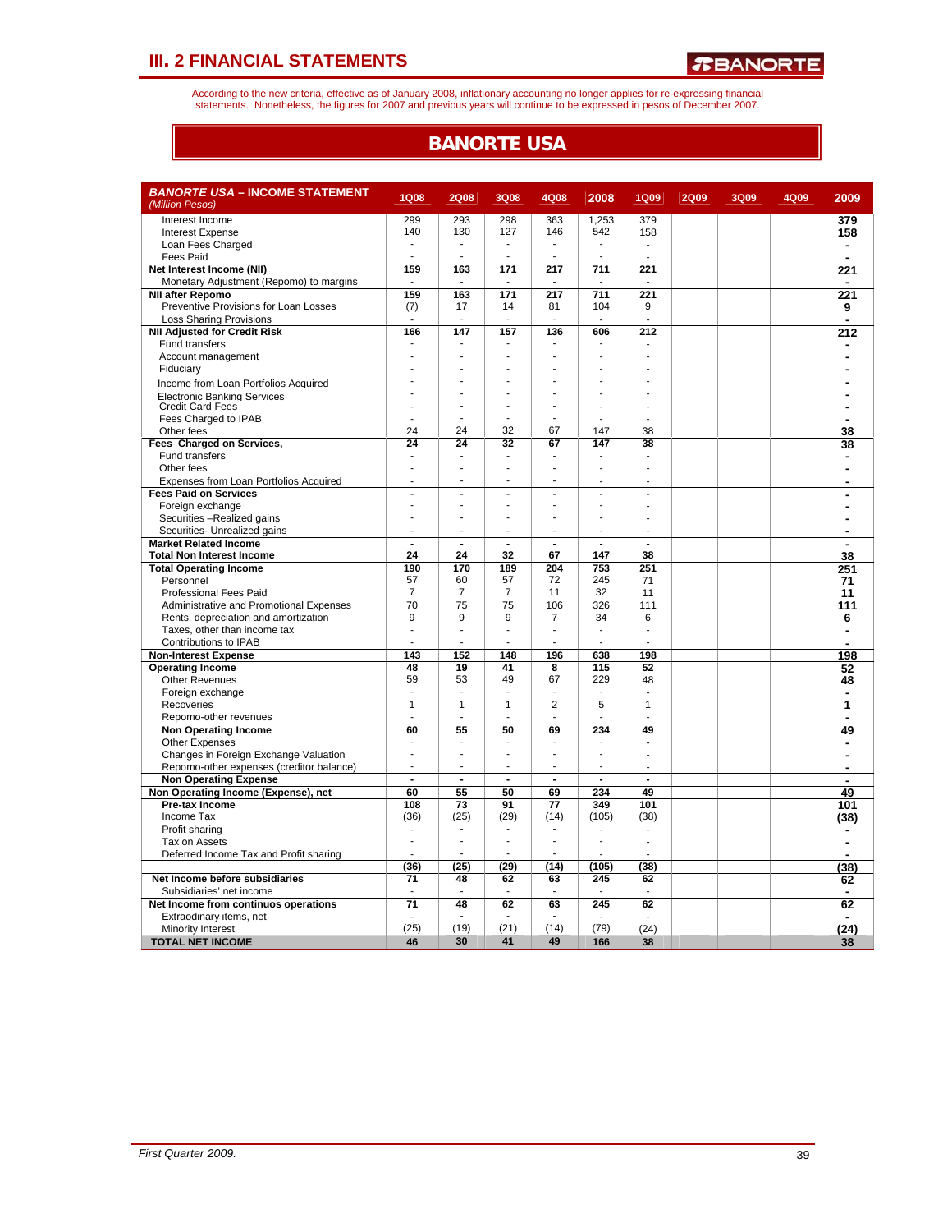According to the new criteria, effective as of January 2008, inflationary accounting no longer applies for re-expressing financial<br>statements. Nonetheless, the figures for 2007 and previous years will continue to be expres

### **BANORTE USA**

| <b>BANORTE USA - INCOME STATEMENT</b><br>(Million Pesos) | <b>1Q08</b>              | <b>2Q08</b>              | 3Q08                     | 4Q08                     | 2008           | <b>1Q09</b>      | <b>2Q09</b> | 3Q09 | 4Q09 | 2009                           |
|----------------------------------------------------------|--------------------------|--------------------------|--------------------------|--------------------------|----------------|------------------|-------------|------|------|--------------------------------|
| Interest Income                                          | 299                      | 293                      | 298                      | 363                      | 1,253          | 379              |             |      |      |                                |
| <b>Interest Expense</b>                                  | 140                      | 130                      | 127                      | 146                      | 542            | 158              |             |      |      | 379<br>158                     |
| Loan Fees Charged                                        |                          |                          |                          |                          |                |                  |             |      |      | ٠                              |
| <b>Fees Paid</b>                                         |                          | ä,                       | $\overline{\phantom{a}}$ |                          | ÷.             |                  |             |      |      | $\blacksquare$                 |
| Net Interest Income (NII)                                | 159                      | 163                      | 171                      | 217                      | 711            | 221              |             |      |      | 221                            |
| Monetary Adjustment (Repomo) to margins                  |                          |                          |                          |                          |                |                  |             |      |      |                                |
| <b>NII after Repomo</b>                                  | 159                      | 163                      | 171                      | 217                      | 711            | 221              |             |      |      | 221                            |
| Preventive Provisions for Loan Losses                    | (7)                      | 17                       | 14                       | 81                       | 104            | 9                |             |      |      | 9                              |
| <b>Loss Sharing Provisions</b>                           | $\overline{\phantom{a}}$ | $\overline{\phantom{a}}$ | ٠.                       | $\overline{\phantom{a}}$ | ٠              |                  |             |      |      | $\blacksquare$                 |
| <b>NII Adjusted for Credit Risk</b>                      | 166                      | 147                      | 157                      | 136                      | 606            | $\overline{212}$ |             |      |      | 212                            |
| <b>Fund transfers</b>                                    |                          |                          | $\overline{\phantom{a}}$ |                          | Ĭ.             |                  |             |      |      |                                |
| Account management                                       |                          |                          |                          |                          |                |                  |             |      |      |                                |
| Fiduciary                                                |                          |                          |                          |                          |                |                  |             |      |      |                                |
| Income from Loan Portfolios Acquired                     |                          |                          |                          |                          |                |                  |             |      |      |                                |
| <b>Electronic Banking Services</b>                       |                          | ä,                       |                          |                          |                |                  |             |      |      |                                |
| <b>Credit Card Fees</b>                                  |                          |                          |                          |                          |                |                  |             |      |      |                                |
| Fees Charged to IPAB                                     |                          |                          |                          |                          |                |                  |             |      |      |                                |
| Other fees                                               | 24                       | 24                       | 32                       | 67                       | 147            | 38               |             |      |      | 38                             |
| Fees Charged on Services,                                | 24                       | 24                       | 32                       | 67                       | 147            | 38               |             |      |      | 38                             |
| Fund transfers                                           | $\overline{\phantom{a}}$ | $\overline{\phantom{a}}$ | ÷                        |                          |                | ż.               |             |      |      |                                |
| Other fees                                               |                          |                          |                          |                          |                |                  |             |      |      |                                |
| Expenses from Loan Portfolios Acquired                   |                          |                          |                          |                          | Ĭ.             |                  |             |      |      |                                |
| <b>Fees Paid on Services</b>                             | ÷,                       | $\overline{a}$           | ÷,                       | $\overline{a}$           | Ĭ.             | Ĭ.               |             |      |      |                                |
| Foreign exchange                                         |                          | ä,                       | ÷                        |                          | ÷.             |                  |             |      |      |                                |
| Securities -Realized gains                               | $\overline{a}$           | ä,                       | ÷                        |                          | ÷.             |                  |             |      |      |                                |
| Securities- Unrealized gains                             | $\blacksquare$           | $\overline{\phantom{a}}$ | $\overline{\phantom{a}}$ |                          | $\blacksquare$ | ÷                |             |      |      |                                |
| <b>Market Related Income</b>                             | ÷.                       | $\overline{\phantom{a}}$ |                          | $\overline{a}$           |                | L.               |             |      |      |                                |
| <b>Total Non Interest Income</b>                         | 24                       | 24                       | 32                       | 67                       | 147            | 38               |             |      |      | 38                             |
| <b>Total Operating Income</b>                            | 190                      | 170                      | 189                      | 204                      | 753            | 251              |             |      |      | 251                            |
| Personnel                                                | 57                       | 60                       | 57                       | 72                       | 245            | 71               |             |      |      | 71                             |
| <b>Professional Fees Paid</b>                            | $\overline{7}$           | $\overline{7}$           | $\overline{7}$           | 11                       | 32             | 11               |             |      |      | 11                             |
| Administrative and Promotional Expenses                  | 70                       | 75                       | 75                       | 106                      | 326            | 111              |             |      |      | 111                            |
| Rents, depreciation and amortization                     | 9                        | 9                        | 9                        | $\overline{7}$           | 34             | 6                |             |      |      | 6                              |
| Taxes, other than income tax                             | ä,                       | ÷                        | $\overline{a}$           | ä,                       | ÷,             |                  |             |      |      |                                |
| Contributions to IPAB                                    |                          | ä,                       |                          |                          |                |                  |             |      |      |                                |
| <b>Non-Interest Expense</b>                              | 143                      | 152                      | 148                      | 196                      | 638            | 198              |             |      |      | 198                            |
| <b>Operating Income</b>                                  | 48                       | 19                       | 41                       | 8                        | 115            | 52               |             |      |      | 52                             |
| <b>Other Revenues</b>                                    | 59<br>$\overline{a}$     | 53<br>÷.                 | 49<br>÷                  | 67                       | 229<br>÷.      | 48               |             |      |      | 48                             |
| Foreign exchange                                         | $\mathbf{1}$             | $\mathbf{1}$             | $\mathbf{1}$             | $\overline{2}$           | 5              | 1                |             |      |      | 1                              |
| Recoveries                                               |                          |                          |                          |                          | ÷.             |                  |             |      |      |                                |
| Repomo-other revenues                                    | 60                       | 55                       | 50                       |                          | 234            | 49               |             |      |      |                                |
| <b>Non Operating Income</b>                              |                          |                          |                          | 69                       |                |                  |             |      |      | 49<br>$\overline{\phantom{a}}$ |
| Other Expenses<br>Changes in Foreign Exchange Valuation  | ÷.                       | L.                       | ÷.                       |                          | J.             |                  |             |      |      |                                |
| Repomo-other expenses (creditor balance)                 | $\overline{a}$           | ä,                       | ÷                        | ÷.                       | ÷              |                  |             |      |      |                                |
| <b>Non Operating Expense</b>                             | $\overline{a}$           | $\blacksquare$           | $\blacksquare$           | $\blacksquare$           | $\blacksquare$ | $\blacksquare$   |             |      |      | ä,                             |
| Non Operating Income (Expense), net                      | 60                       | 55                       | 50                       | 69                       | 234            | 49               |             |      |      | 49                             |
| Pre-tax Income                                           | 108                      | 73                       | 91                       | 77                       | 349            | 101              |             |      |      | 101                            |
| Income Tax                                               | (36)                     | (25)                     | (29)                     | (14)                     | (105)          | (38)             |             |      |      | (38)                           |
| Profit sharing                                           |                          |                          | ÷                        | ÷.                       |                |                  |             |      |      |                                |
| Tax on Assets                                            |                          |                          | $\overline{\phantom{a}}$ |                          | ä,             |                  |             |      |      |                                |
| Deferred Income Tax and Profit sharing                   |                          |                          |                          |                          |                |                  |             |      |      |                                |
|                                                          | (36)                     | (25)                     | (29)                     | (14)                     | (105)          | (38)             |             |      |      | (38)                           |
| Net Income before subsidiaries                           | 71                       | 48                       | 62                       | 63                       | 245            | 62               |             |      |      | 62                             |
| Subsidiaries' net income                                 |                          |                          |                          |                          |                | ÷                |             |      |      | $\blacksquare$                 |
| Net Income from continuos operations                     | $\overline{71}$          | 48                       | 62                       | 63                       | 245            | 62               |             |      |      | 62                             |
| Extraodinary items, net                                  |                          |                          |                          |                          |                |                  |             |      |      |                                |
| Minority Interest                                        | (25)                     | (19)                     | (21)                     | (14)                     | (79)           | (24)             |             |      |      | (24)                           |
| <b>TOTAL NET INCOME</b>                                  | 46                       | 30                       | 41                       | 49                       | 166            | 38               |             |      |      | 38                             |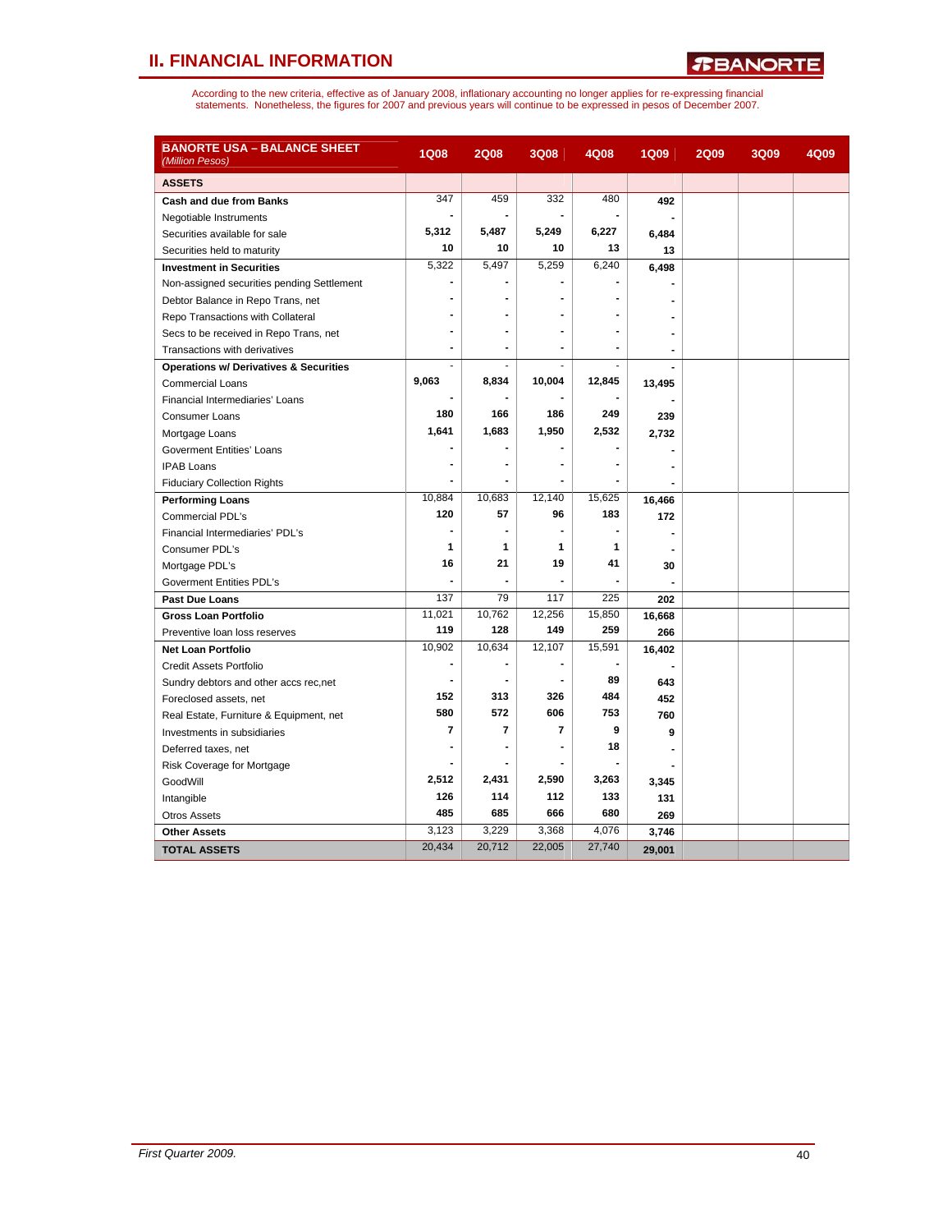*R***BANORTE** 

| <b>BANORTE USA – BALANCE SHEET</b><br>(Million Pesos) | <b>1Q08</b>              | <b>2Q08</b>    | 3Q08           | 4Q08   | <b>1Q09</b>    | <b>2Q09</b> | 3Q09 | 4Q09 |
|-------------------------------------------------------|--------------------------|----------------|----------------|--------|----------------|-------------|------|------|
| <b>ASSETS</b>                                         |                          |                |                |        |                |             |      |      |
| Cash and due from Banks                               | 347                      | 459            | 332            | 480    | 492            |             |      |      |
| Negotiable Instruments                                | $\blacksquare$           | $\blacksquare$ |                |        |                |             |      |      |
| Securities available for sale                         | 5,312                    | 5,487          | 5,249          | 6,227  | 6,484          |             |      |      |
| Securities held to maturity                           | 10                       | 10             | 10             | 13     | 13             |             |      |      |
| <b>Investment in Securities</b>                       | 5,322                    | 5,497          | 5,259          | 6,240  | 6,498          |             |      |      |
| Non-assigned securities pending Settlement            |                          |                |                |        |                |             |      |      |
| Debtor Balance in Repo Trans, net                     |                          |                |                |        |                |             |      |      |
| Repo Transactions with Collateral                     |                          |                |                |        |                |             |      |      |
| Secs to be received in Repo Trans, net                |                          |                |                |        |                |             |      |      |
| Transactions with derivatives                         | ٠                        |                |                |        | $\blacksquare$ |             |      |      |
| <b>Operations w/ Derivatives &amp; Securities</b>     | ÷,                       |                |                |        |                |             |      |      |
| <b>Commercial Loans</b>                               | 9,063                    | 8,834          | 10,004         | 12,845 | 13,495         |             |      |      |
| Financial Intermediaries' Loans                       |                          |                |                |        |                |             |      |      |
| <b>Consumer Loans</b>                                 | 180                      | 166            | 186            | 249    | 239            |             |      |      |
| Mortgage Loans                                        | 1,641                    | 1,683          | 1,950          | 2,532  | 2,732          |             |      |      |
| Goverment Entities' Loans                             | $\blacksquare$           |                |                |        |                |             |      |      |
| <b>IPAB Loans</b>                                     |                          |                |                |        |                |             |      |      |
| <b>Fiduciary Collection Rights</b>                    | $\blacksquare$           |                |                |        |                |             |      |      |
| <b>Performing Loans</b>                               | 10.884                   | 10.683         | 12.140         | 15,625 | 16,466         |             |      |      |
| Commercial PDL's                                      | 120                      | 57             | 96             | 183    | 172            |             |      |      |
| Financial Intermediaries' PDL's                       | $\overline{a}$           | ۰              |                |        |                |             |      |      |
| Consumer PDL's                                        | 1                        | 1              | 1              | 1      |                |             |      |      |
| Mortgage PDL's                                        | 16                       | 21             | 19             | 41     | 30             |             |      |      |
| <b>Goverment Entities PDL's</b>                       |                          |                |                |        |                |             |      |      |
| <b>Past Due Loans</b>                                 | 137                      | 79             | 117            | 225    | 202            |             |      |      |
| <b>Gross Loan Portfolio</b>                           | 11,021                   | 10,762         | 12,256         | 15,850 | 16,668         |             |      |      |
| Preventive loan loss reserves                         | 119                      | 128            | 149            | 259    | 266            |             |      |      |
| <b>Net Loan Portfolio</b>                             | 10,902                   | 10,634         | 12,107         | 15,591 | 16,402         |             |      |      |
| Credit Assets Portfolio                               | $\blacksquare$           |                |                |        |                |             |      |      |
| Sundry debtors and other accs rec, net                | $\overline{\phantom{a}}$ | $\blacksquare$ | $\blacksquare$ | 89     | 643            |             |      |      |
| Foreclosed assets, net                                | 152                      | 313            | 326            | 484    | 452            |             |      |      |
| Real Estate, Furniture & Equipment, net               | 580                      | 572            | 606            | 753    | 760            |             |      |      |
| Investments in subsidiaries                           | $\overline{7}$           | $\overline{7}$ | $\overline{7}$ | 9      | 9              |             |      |      |
| Deferred taxes, net                                   | $\blacksquare$           |                |                | 18     |                |             |      |      |
| Risk Coverage for Mortgage                            |                          |                |                |        |                |             |      |      |
| GoodWill                                              | 2,512                    | 2,431          | 2,590          | 3,263  | 3,345          |             |      |      |
| Intangible                                            | 126                      | 114            | 112            | 133    | 131            |             |      |      |
| <b>Otros Assets</b>                                   | 485                      | 685            | 666            | 680    | 269            |             |      |      |
| <b>Other Assets</b>                                   | 3,123                    | 3,229          | 3,368          | 4,076  | 3,746          |             |      |      |
| <b>TOTAL ASSETS</b>                                   | 20,434                   | 20,712         | 22,005         | 27,740 | 29,001         |             |      |      |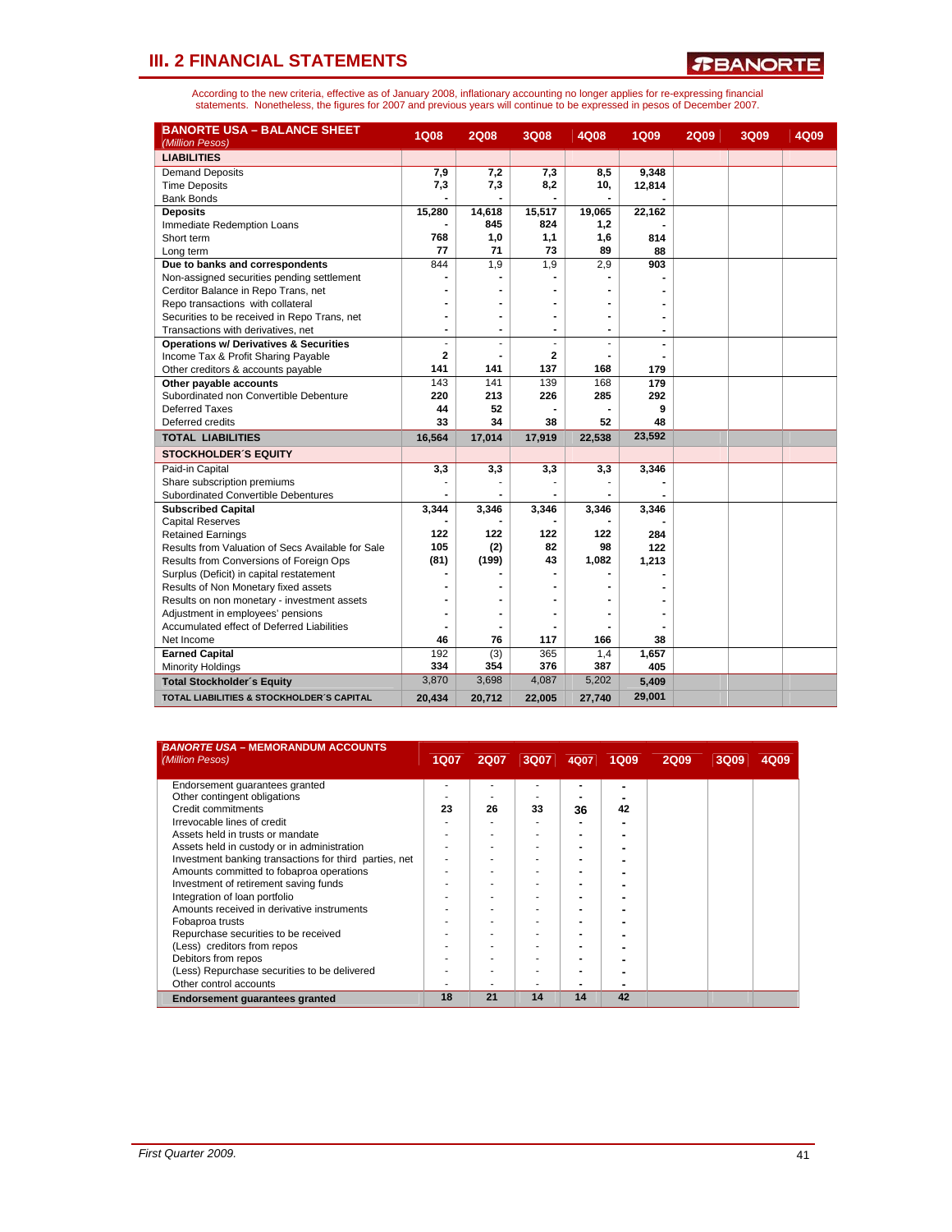*R***BANORTE** 

| <b>BANORTE USA - BALANCE SHEET</b><br>(Million Pesos) | <b>1Q08</b>    | <b>2Q08</b>    | 3Q08           | 4Q08                         | <b>1Q09</b> | <b>2Q09</b> | 3Q09 | 4Q09 |
|-------------------------------------------------------|----------------|----------------|----------------|------------------------------|-------------|-------------|------|------|
| <b>LIABILITIES</b>                                    |                |                |                |                              |             |             |      |      |
| <b>Demand Deposits</b>                                | 7,9            | 7,2            | 7,3            | 8,5                          | 9,348       |             |      |      |
| <b>Time Deposits</b>                                  | 7,3            | 7,3            | 8,2            | 10,                          | 12,814      |             |      |      |
| <b>Bank Bonds</b>                                     |                |                |                |                              |             |             |      |      |
| <b>Deposits</b>                                       | 15,280         | 14,618         | 15,517         | 19,065                       | 22,162      |             |      |      |
| Immediate Redemption Loans                            |                | 845            | 824            | 1,2                          |             |             |      |      |
| Short term                                            | 768            | 1,0            | 1,1            | 1,6                          | 814         |             |      |      |
| Long term                                             | 77             | 71             | 73             | 89                           | 88          |             |      |      |
| Due to banks and correspondents                       | 844            | 1,9            | 1,9            | 2,9                          | 903         |             |      |      |
| Non-assigned securities pending settlement            |                |                |                |                              |             |             |      |      |
| Cerditor Balance in Repo Trans, net                   |                |                |                |                              |             |             |      |      |
| Repo transactions with collateral                     |                |                |                |                              |             |             |      |      |
| Securities to be received in Repo Trans, net          | $\blacksquare$ | $\blacksquare$ | $\blacksquare$ | $\qquad \qquad \blacksquare$ |             |             |      |      |
| Transactions with derivatives, net                    | $\blacksquare$ | $\blacksquare$ | $\blacksquare$ | $\blacksquare$               |             |             |      |      |
| <b>Operations w/ Derivatives &amp; Securities</b>     |                |                |                |                              |             |             |      |      |
| Income Tax & Profit Sharing Payable                   | $\mathbf{2}$   |                | 2              |                              |             |             |      |      |
| Other creditors & accounts payable                    | 141            | 141            | 137            | 168                          | 179         |             |      |      |
| Other payable accounts                                | 143            | 141            | 139            | 168                          | 179         |             |      |      |
| Subordinated non Convertible Debenture                | 220            | 213            | 226            | 285                          | 292         |             |      |      |
| Deferred Taxes                                        | 44             | 52             |                |                              | 9           |             |      |      |
| Deferred credits                                      | 33             | 34             | 38             | 52                           | 48          |             |      |      |
| <b>TOTAL LIABILITIES</b>                              | 16,564         | 17,014         | 17,919         | 22,538                       | 23,592      |             |      |      |
| <b>STOCKHOLDER'S EQUITY</b>                           |                |                |                |                              |             |             |      |      |
| Paid-in Capital                                       | 3,3            | 3,3            | 3,3            | 3,3                          | 3,346       |             |      |      |
| Share subscription premiums                           |                |                |                |                              |             |             |      |      |
| Subordinated Convertible Debentures                   |                |                |                |                              |             |             |      |      |
| <b>Subscribed Capital</b>                             | 3,344          | 3,346          | 3,346          | 3,346                        | 3,346       |             |      |      |
| <b>Capital Reserves</b>                               |                |                |                |                              |             |             |      |      |
| <b>Retained Earnings</b>                              | 122            | 122            | 122            | 122                          | 284         |             |      |      |
| Results from Valuation of Secs Available for Sale     | 105            | (2)            | 82             | 98                           | 122         |             |      |      |
| Results from Conversions of Foreign Ops               | (81)           | (199)          | 43             | 1,082                        | 1,213       |             |      |      |
| Surplus (Deficit) in capital restatement              |                |                |                |                              |             |             |      |      |
| Results of Non Monetary fixed assets                  |                |                |                |                              |             |             |      |      |
| Results on non monetary - investment assets           |                |                |                |                              |             |             |      |      |
| Adjustment in employees' pensions                     |                |                |                |                              |             |             |      |      |
| Accumulated effect of Deferred Liabilities            |                |                |                |                              |             |             |      |      |
| Net Income                                            | 46             | 76             | 117            | 166                          | 38          |             |      |      |
| <b>Earned Capital</b>                                 | 192            | (3)            | 365            | 1,4                          | 1,657       |             |      |      |
| <b>Minority Holdings</b>                              | 334            | 354            | 376            | 387                          | 405         |             |      |      |
| <b>Total Stockholder's Equity</b>                     | 3,870          | 3,698          | 4,087          | 5,202                        | 5,409       |             |      |      |
| TOTAL LIABILITIES & STOCKHOLDER'S CAPITAL             | 20,434         | 20,712         | 22,005         | 27,740                       | 29,001      |             |      |      |

| <b>BANORTE USA - MEMORANDUM ACCOUNTS</b><br>(Million Pesos) | <b>1Q07</b> | <b>2Q07</b> | 3Q07 | 4Q07 | 1Q09 | <b>2Q09</b> | 3Q09 | 4Q09 |
|-------------------------------------------------------------|-------------|-------------|------|------|------|-------------|------|------|
|                                                             |             |             |      |      |      |             |      |      |
| Endorsement quarantees granted                              |             |             |      |      |      |             |      |      |
| Other contingent obligations                                |             |             |      |      |      |             |      |      |
| Credit commitments                                          | 23          | 26          | 33   | 36   | 42   |             |      |      |
| Irrevocable lines of credit                                 |             |             |      |      |      |             |      |      |
| Assets held in trusts or mandate                            |             |             |      |      |      |             |      |      |
| Assets held in custody or in administration                 |             |             |      |      |      |             |      |      |
| Investment banking transactions for third parties, net      |             |             |      |      |      |             |      |      |
| Amounts committed to fobaproa operations                    |             |             |      |      |      |             |      |      |
| Investment of retirement saving funds                       |             |             |      |      |      |             |      |      |
| Integration of loan portfolio                               |             |             |      |      |      |             |      |      |
| Amounts received in derivative instruments                  |             |             |      |      |      |             |      |      |
| Fobaproa trusts                                             |             |             |      |      |      |             |      |      |
| Repurchase securities to be received                        |             |             |      |      |      |             |      |      |
| (Less) creditors from repos                                 |             |             |      |      |      |             |      |      |
| Debitors from repos                                         |             |             |      |      |      |             |      |      |
| (Less) Repurchase securities to be delivered                |             |             |      |      |      |             |      |      |
| Other control accounts                                      |             |             |      |      |      |             |      |      |
| Endorsement guarantees granted                              | 18          | 21          | 14   | 14   | 42   |             |      |      |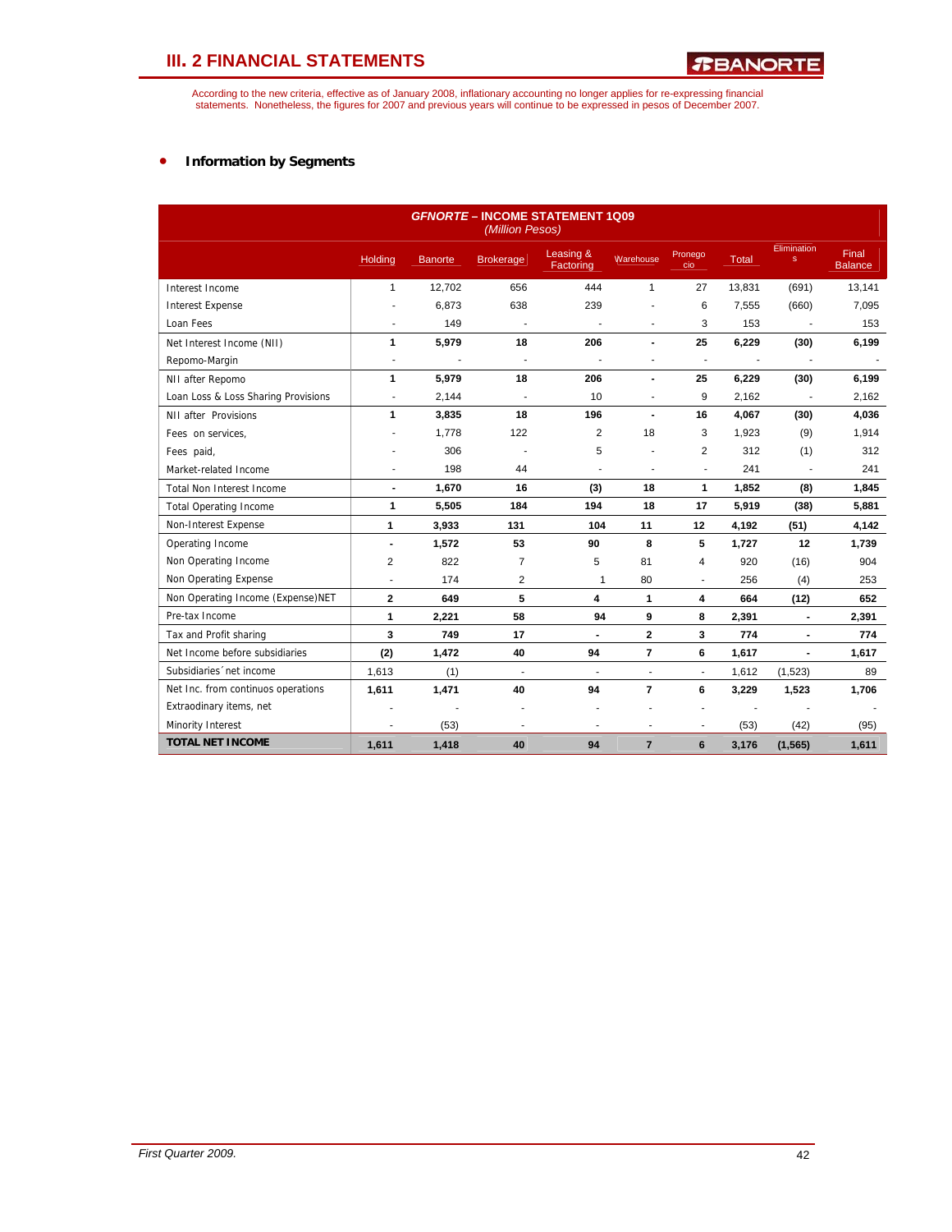According to the new criteria, effective as of January 2008, inflationary accounting no longer applies for re-expressing financial<br>statements. Nonetheless, the figures for 2007 and previous years will continue to be expres

### • **Information by Segments**

|                                     |                          |                | (Million Pesos)          | <b>GFNORTE - INCOME STATEMENT 1Q09</b> |                          |                          |              |                             |                         |
|-------------------------------------|--------------------------|----------------|--------------------------|----------------------------------------|--------------------------|--------------------------|--------------|-----------------------------|-------------------------|
|                                     | <b>Holding</b>           | <b>Banorte</b> | <b>Brokerage</b>         | Leasing &<br>Factoring                 | Warehouse                | Pronego<br>cio           | <b>Total</b> | Elimination<br>$\mathbf{s}$ | Final<br><b>Balance</b> |
| Interest Income                     | $\mathbf{1}$             | 12,702         | 656                      | 444                                    | $\mathbf{1}$             | 27                       | 13,831       | (691)                       | 13,141                  |
| <b>Interest Expense</b>             |                          | 6,873          | 638                      | 239                                    |                          | 6                        | 7,555        | (660)                       | 7,095                   |
| Loan Fees                           | ٠                        | 149            | ÷.                       | $\overline{\phantom{a}}$               | $\overline{a}$           | 3                        | 153          | $\overline{\phantom{a}}$    | 153                     |
| Net Interest Income (NII)           | 1                        | 5,979          | 18                       | 206                                    | $\overline{a}$           | 25                       | 6,229        | (30)                        | 6,199                   |
| Repomo-Margin                       | $\overline{\phantom{a}}$ |                | $\overline{\phantom{a}}$ |                                        |                          | ٠                        |              |                             |                         |
| NII after Repomo                    | 1                        | 5,979          | 18                       | 206                                    | $\blacksquare$           | 25                       | 6,229        | (30)                        | 6,199                   |
| Loan Loss & Loss Sharing Provisions | ÷,                       | 2,144          | J.                       | 10                                     | $\blacksquare$           | 9                        | 2,162        | $\overline{\phantom{a}}$    | 2,162                   |
| NII after Provisions                | 1                        | 3,835          | 18                       | 196                                    | $\blacksquare$           | 16                       | 4,067        | (30)                        | 4,036                   |
| Fees on services,                   |                          | 1,778          | 122                      | $\overline{2}$                         | 18                       | 3                        | 1,923        | (9)                         | 1,914                   |
| Fees paid,                          |                          | 306            |                          | 5                                      |                          | $\overline{c}$           | 312          | (1)                         | 312                     |
| Market-related Income               |                          | 198            | 44                       | ä,                                     |                          | ٠                        | 241          |                             | 241                     |
| <b>Total Non Interest Income</b>    | $\blacksquare$           | 1,670          | 16                       | (3)                                    | 18                       | $\mathbf{1}$             | 1,852        | (8)                         | 1,845                   |
| <b>Total Operating Income</b>       | 1                        | 5,505          | 184                      | 194                                    | 18                       | 17                       | 5,919        | (38)                        | 5,881                   |
| Non-Interest Expense                | 1                        | 3,933          | 131                      | 104                                    | 11                       | 12                       | 4,192        | (51)                        | 4,142                   |
| Operating Income                    |                          | 1,572          | 53                       | 90                                     | 8                        | 5                        | 1,727        | 12                          | 1,739                   |
| Non Operating Income                | 2                        | 822            | $\overline{7}$           | 5                                      | 81                       | $\overline{\mathbf{4}}$  | 920          | (16)                        | 904                     |
| Non Operating Expense               |                          | 174            | $\overline{2}$           | 1                                      | 80                       |                          | 256          | (4)                         | 253                     |
| Non Operating Income (Expense)NET   | $\mathbf{2}$             | 649            | 5                        | 4                                      | 1                        | 4                        | 664          | (12)                        | 652                     |
| Pre-tax Income                      | $\mathbf{1}$             | 2,221          | 58                       | 94                                     | 9                        | 8                        | 2,391        | $\blacksquare$              | 2,391                   |
| Tax and Profit sharing              | 3                        | 749            | 17                       | $\blacksquare$                         | $\mathbf{2}$             | 3                        | 774          | $\blacksquare$              | 774                     |
| Net Income before subsidiaries      | (2)                      | 1,472          | 40                       | 94                                     | $\overline{7}$           | 6                        | 1,617        | $\blacksquare$              | 1,617                   |
| Subsidiaries 'net income            | 1,613                    | (1)            | $\overline{\phantom{a}}$ | ÷,                                     | $\overline{\phantom{a}}$ | $\overline{\phantom{a}}$ | 1,612        | (1,523)                     | 89                      |
| Net Inc. from continuos operations  | 1,611                    | 1,471          | 40                       | 94                                     | $\overline{7}$           | 6                        | 3,229        | 1,523                       | 1,706                   |
| Extraodinary items, net             |                          |                |                          |                                        |                          |                          |              |                             |                         |
| Minority Interest                   | ٠                        | (53)           | ٠                        | $\overline{a}$                         | $\blacksquare$           | $\overline{\phantom{a}}$ | (53)         | (42)                        | (95)                    |
| <b>TOTAL NET INCOME</b>             | 1,611                    | 1,418          | 40                       | 94                                     | $\overline{7}$           | 6                        | 3,176        | (1, 565)                    | 1,611                   |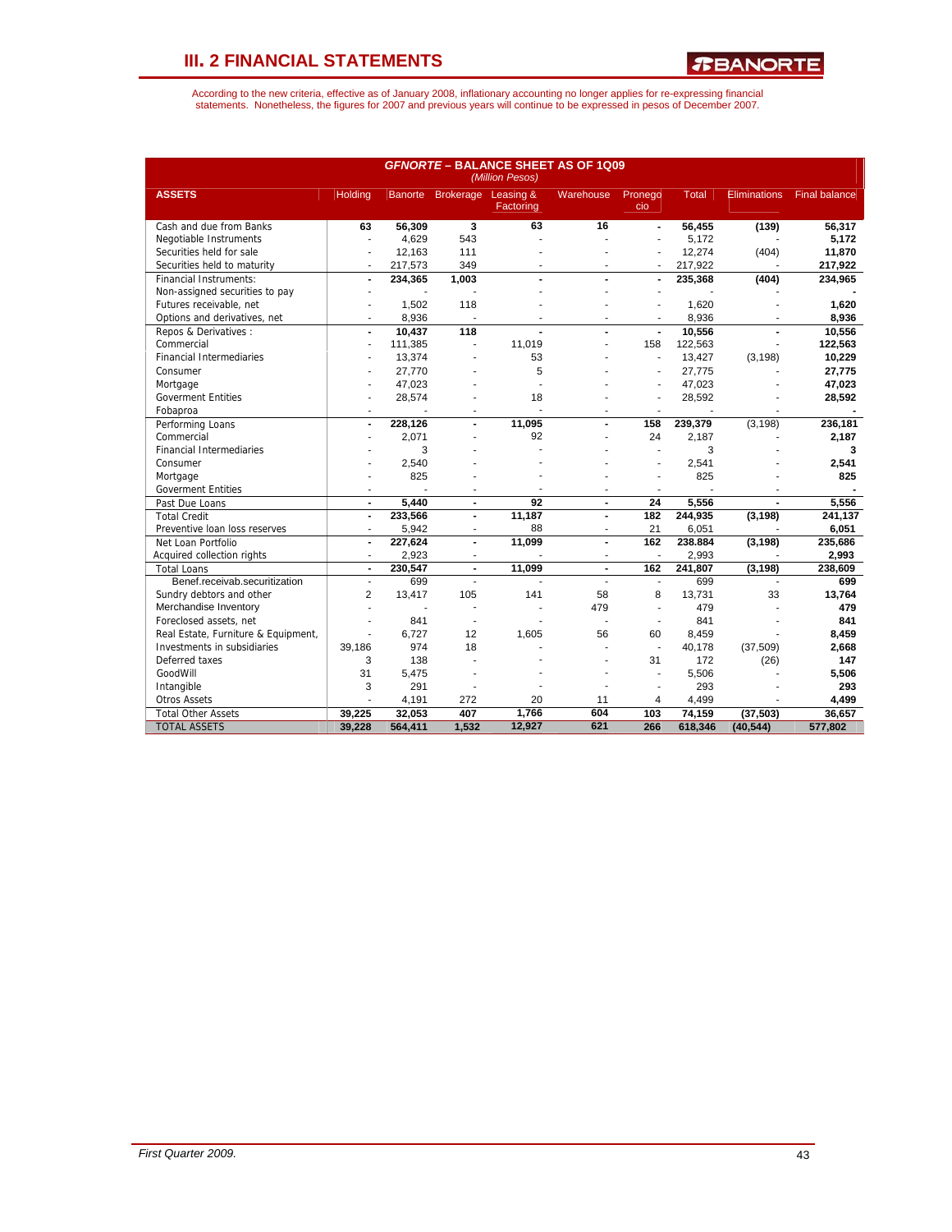*R***BANORTE** 

| <b>GFNORTE - BALANCE SHEET AS OF 1Q09</b><br>(Million Pesos) |                          |                |                         |                        |                  |                          |              |                     |                      |
|--------------------------------------------------------------|--------------------------|----------------|-------------------------|------------------------|------------------|--------------------------|--------------|---------------------|----------------------|
| <b>ASSETS</b>                                                | <b>Holding</b>           |                | Banorte Brokerage       | Leasing &<br>Factoring | <b>Warehouse</b> | Pronego<br>cio           | <b>Total</b> | <b>Eliminations</b> | <b>Final balance</b> |
| Cash and due from Banks                                      | 63                       | 56,309         | $\overline{\mathbf{3}}$ | 63                     | 16               | $\blacksquare$           | 56,455       | (139)               | 56,317               |
| Negotiable Instruments                                       | ÷                        | 4,629          | 543                     |                        |                  | $\overline{a}$           | 5,172        |                     | 5,172                |
| Securities held for sale                                     |                          | 12.163         | 111                     |                        |                  |                          | 12,274       | (404)               | 11,870               |
| Securities held to maturity                                  | ÷,                       | 217,573        | 349                     |                        |                  | ä,                       | 217,922      |                     | 217,922              |
| <b>Financial Instruments:</b>                                | $\blacksquare$           | 234,365        | 1.003                   | $\overline{a}$         | $\blacksquare$   | ÷,                       | 235,368      | (404)               | 234,965              |
| Non-assigned securities to pay                               |                          |                |                         |                        |                  |                          |              |                     |                      |
| Futures receivable, net                                      |                          | 1,502          | 118                     |                        |                  |                          | 1,620        |                     | 1,620                |
| Options and derivatives, net                                 | $\overline{\phantom{a}}$ | 8,936          | ٠                       | $\blacksquare$         | $\overline{a}$   | $\overline{\phantom{a}}$ | 8,936        |                     | 8,936                |
| Repos & Derivatives:                                         | $\blacksquare$           | 10,437         | 118                     |                        |                  | ÷,                       | 10,556       |                     | 10,556               |
| Commercial                                                   | $\blacksquare$           | 111,385        |                         | 11,019                 |                  | 158                      | 122,563      |                     | 122,563              |
| <b>Financial Intermediaries</b>                              | ٠                        | 13,374         |                         | 53                     |                  | $\overline{a}$           | 13,427       | (3, 198)            | 10,229               |
| Consumer                                                     |                          | 27,770         |                         | 5                      |                  |                          | 27,775       |                     | 27,775               |
| Mortgage                                                     |                          | 47,023         |                         |                        |                  |                          | 47,023       |                     | 47,023               |
| <b>Goverment Entities</b>                                    | $\overline{a}$           | 28,574         |                         | 18                     |                  | $\overline{a}$           | 28,592       |                     | 28,592               |
| Fobaproa                                                     |                          |                |                         |                        |                  |                          |              |                     |                      |
| Performing Loans                                             | $\blacksquare$           | 228,126        | $\overline{a}$          | 11,095                 | $\blacksquare$   | 158                      | 239,379      | (3, 198)            | 236,181              |
| Commercial                                                   |                          | 2.071          |                         | 92                     |                  | 24                       | 2.187        |                     | 2,187                |
| <b>Financial Intermediaries</b>                              |                          | 3              |                         |                        |                  | $\overline{a}$           | 3            |                     | 3                    |
| Consumer                                                     |                          | 2,540          |                         |                        |                  |                          | 2,541        |                     | 2,541                |
| Mortgage                                                     |                          | 825            |                         |                        |                  | $\overline{a}$           | 825          |                     | 825                  |
| <b>Goverment Entities</b>                                    | ٠                        |                | ٠                       |                        | ٠                | ÷                        |              |                     |                      |
| Past Due Loans                                               | $\blacksquare$           | 5.440          | $\blacksquare$          | 92                     | $\blacksquare$   | 24                       | 5,556        | $\overline{a}$      | 5,556                |
| <b>Total Credit</b>                                          | $\blacksquare$           | 233,566        | $\blacksquare$          | 11,187                 | ÷.               | 182                      | 244,935      | (3, 198)            | 241.137              |
| Preventive loan loss reserves                                | $\blacksquare$           | 5,942          | ÷                       | 88                     | $\blacksquare$   | 21                       | 6,051        |                     | 6,051                |
| Net Loan Portfolio                                           | $\blacksquare$           | 227,624        | $\blacksquare$          | 11,099                 | $\blacksquare$   | 162                      | 238.884      | (3, 198)            | 235,686              |
| Acquired collection rights                                   | $\overline{a}$           | 2,923          | ٠                       |                        | $\overline{a}$   | $\overline{\phantom{a}}$ | 2,993        |                     | 2,993                |
| <b>Total Loans</b>                                           | $\blacksquare$           | 230,547        | $\blacksquare$          | 11,099                 | $\blacksquare$   | 162                      | 241,807      | (3, 198)            | 238,609              |
| Benef.receivab.securitization                                | $\blacksquare$           | 699            | $\overline{a}$          |                        | ÷                | ä,                       | 699          |                     | 699                  |
| Sundry debtors and other                                     | $\overline{2}$           | 13,417         | 105                     | 141                    | 58               | 8                        | 13,731       | 33                  | 13,764               |
| Merchandise Inventory                                        | ä,                       | $\overline{a}$ | ٠                       |                        | 479              | J.                       | 479          |                     | 479                  |
| Foreclosed assets, net                                       | $\overline{a}$           | 841            | ÷.                      |                        | ÷.               | ÷.                       | 841          |                     | 841                  |
| Real Estate, Furniture & Equipment,                          | $\overline{a}$           | 6.727          | 12                      | 1.605                  | 56               | 60                       | 8,459        |                     | 8,459                |
| Investments in subsidiaries                                  | 39,186                   | 974            | 18                      |                        |                  | ä,                       | 40,178       | (37, 509)           | 2,668                |
| Deferred taxes                                               | 3                        | 138            |                         |                        |                  | 31                       | 172          | (26)                | 147                  |
| GoodWill                                                     | 31                       | 5,475          |                         |                        |                  | ä,                       | 5,506        |                     | 5,506                |
| Intangible                                                   | 3                        | 291            |                         |                        |                  | $\overline{a}$           | 293          |                     | 293                  |
| <b>Otros Assets</b>                                          | $\overline{a}$           | 4,191          | 272                     | 20                     | 11               | $\overline{4}$           | 4,499        |                     | 4,499                |
| <b>Total Other Assets</b>                                    | 39.225                   | 32.053         | 407                     | 1.766                  | 604              | 103                      | 74,159       | (37, 503)           | 36,657               |
| <b>TOTAL ASSETS</b>                                          | 39,228                   | 564,411        | 1,532                   | 12,927                 | 621              | 266                      | 618,346      | (40, 544)           | 577,802              |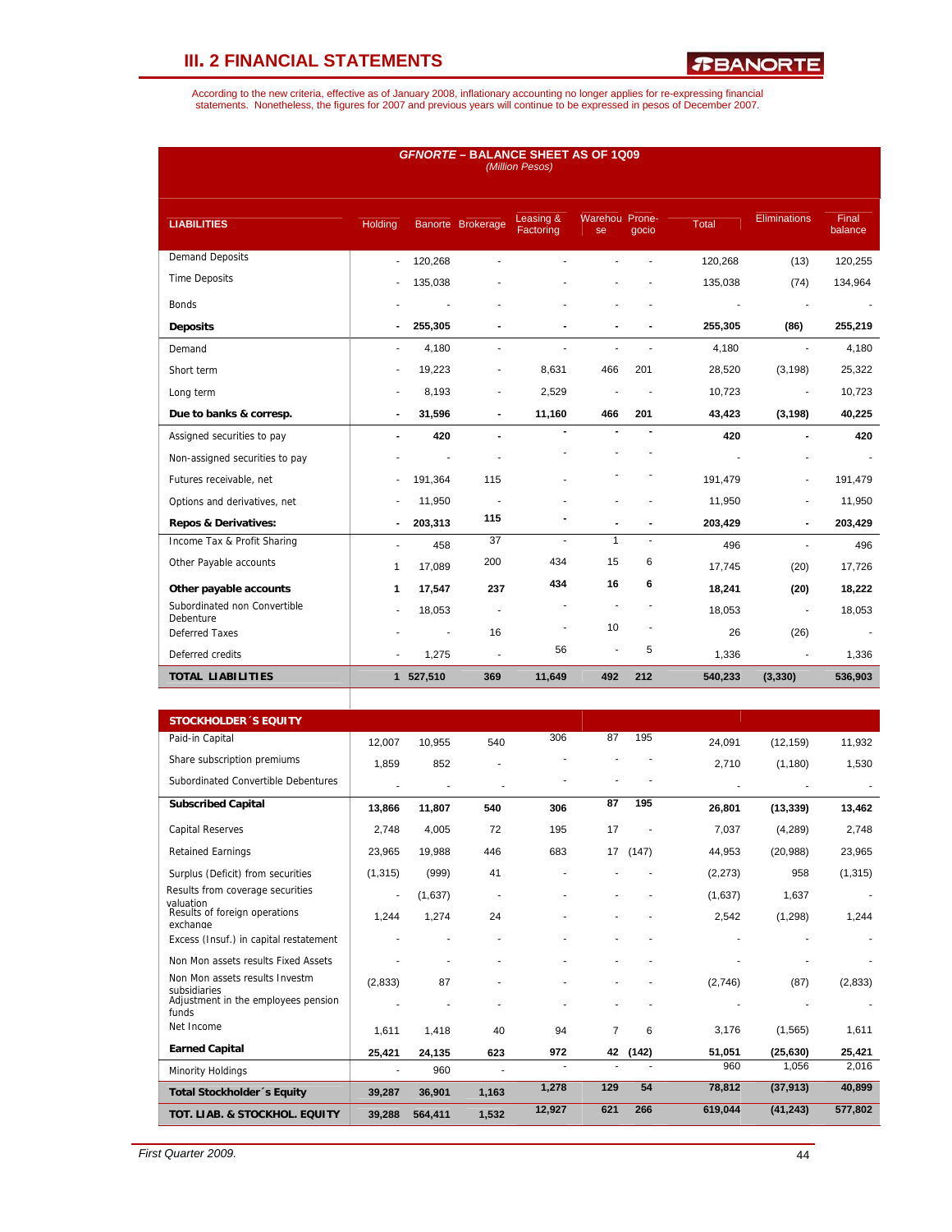*R***BANORTE** 

| <b>GFNORTE - BALANCE SHEET AS OF 1Q09</b><br>(Million Pesos) |                          |                |                          |                          |                      |                |                          |                          |                  |  |
|--------------------------------------------------------------|--------------------------|----------------|--------------------------|--------------------------|----------------------|----------------|--------------------------|--------------------------|------------------|--|
| <b>LIABILITIES</b>                                           | Holding                  |                | Banorte Brokerage        | Leasing &<br>Factoring   | Warehou Prone-<br>se | qocio          | Total                    | <b>Eliminations</b>      | Final<br>balance |  |
| <b>Demand Deposits</b>                                       | $\blacksquare$           | 120,268        | ä                        |                          |                      |                | 120,268                  | (13)                     | 120,255          |  |
| <b>Time Deposits</b>                                         |                          | 135,038        |                          |                          |                      |                | 135,038                  | (74)                     | 134,964          |  |
| <b>Bonds</b>                                                 |                          |                |                          |                          |                      |                | $\overline{\phantom{a}}$ | $\overline{\phantom{a}}$ | $\sim$           |  |
| <b>Deposits</b>                                              | $\blacksquare$           | 255,305        | $\blacksquare$           |                          |                      |                | 255,305                  | (86)                     | 255,219          |  |
| Demand                                                       | $\overline{\phantom{a}}$ | 4,180          | ÷,                       |                          |                      |                | 4,180                    | $\overline{\phantom{a}}$ | 4,180            |  |
| Short term                                                   | ٠                        | 19,223         | $\overline{a}$           | 8,631                    | 466                  | 201            | 28,520                   | (3, 198)                 | 25,322           |  |
| Long term                                                    | $\overline{a}$           | 8,193          | ÷                        | 2,529                    |                      |                | 10,723                   | $\overline{\phantom{a}}$ | 10,723           |  |
| Due to banks & corresp.                                      | $\blacksquare$           | 31,596         | $\blacksquare$           | 11,160                   | 466                  | 201            | 43,423                   | (3, 198)                 | 40,225           |  |
| Assigned securities to pay                                   | $\blacksquare$           | 420            | $\blacksquare$           |                          |                      |                | 420                      | $\blacksquare$           | 420              |  |
| Non-assigned securities to pay                               |                          |                |                          |                          |                      |                |                          |                          |                  |  |
| Futures receivable, net                                      |                          | 191,364        | 115                      |                          |                      |                | 191,479                  |                          | 191,479          |  |
| Options and derivatives, net                                 |                          | 11,950         |                          |                          |                      |                | 11,950                   |                          | 11,950           |  |
| <b>Repos &amp; Derivatives:</b>                              |                          | 203,313        | 115                      |                          |                      |                | 203,429                  |                          | 203,429          |  |
| Income Tax & Profit Sharing                                  | $\overline{a}$           | 458            | 37                       | $\overline{\phantom{a}}$ | $\mathbf{1}$         | $\blacksquare$ | 496                      | ÷.                       | 496              |  |
| Other Payable accounts                                       | 1                        | 17,089         | 200                      | 434                      | 15                   | 6              | 17,745                   | (20)                     | 17,726           |  |
| Other payable accounts                                       | 1                        | 17,547         | 237                      | 434                      | 16                   | 6              | 18,241                   | (20)                     | 18,222           |  |
| Subordinated non Convertible<br>Debenture                    |                          | 18,053         | $\overline{\phantom{a}}$ |                          |                      |                | 18,053                   | Ĭ.                       | 18,053           |  |
| <b>Deferred Taxes</b>                                        |                          | $\blacksquare$ | 16                       | $\blacksquare$           | 10                   |                | 26                       | (26)                     |                  |  |
| Deferred credits                                             |                          | 1,275          | J.                       | 56                       | ä,                   | 5              | 1,336                    | $\blacksquare$           | 1,336            |  |
| <b>TOTAL LIABILITIES</b>                                     |                          | 1 527,510      | 369                      | 11,649                   | 492                  | 212            | 540,233                  | (3, 330)                 | 536,903          |  |

| <b>STOCKHOLDER 'S EQUITY</b>                   |                          |         |       |        |                |       |          |           |          |
|------------------------------------------------|--------------------------|---------|-------|--------|----------------|-------|----------|-----------|----------|
| Paid-in Capital                                | 12,007                   | 10,955  | 540   | 306    | 87             | 195   | 24,091   | (12, 159) | 11,932   |
| Share subscription premiums                    | 1,859                    | 852     |       |        |                |       | 2,710    | (1, 180)  | 1,530    |
| Subordinated Convertible Debentures            |                          |         |       |        |                |       |          |           |          |
| <b>Subscribed Capital</b>                      | 13,866                   | 11,807  | 540   | 306    | 87             | 195   | 26,801   | (13, 339) | 13,462   |
| <b>Capital Reserves</b>                        | 2,748                    | 4,005   | 72    | 195    | 17             |       | 7,037    | (4,289)   | 2,748    |
| <b>Retained Earnings</b>                       | 23,965                   | 19,988  | 446   | 683    | 17             | (147) | 44,953   | (20, 988) | 23,965   |
| Surplus (Deficit) from securities              | (1, 315)                 | (999)   | 41    |        |                |       | (2, 273) | 958       | (1, 315) |
| Results from coverage securities<br>valuation  | $\overline{\phantom{a}}$ | (1,637) |       |        |                |       | (1,637)  | 1,637     |          |
| Results of foreign operations<br>exchange      | 1,244                    | 1,274   | 24    |        |                |       | 2,542    | (1, 298)  | 1,244    |
| Excess (Insuf.) in capital restatement         |                          |         |       |        |                |       |          |           |          |
| Non Mon assets results Fixed Assets            |                          |         |       |        |                |       |          |           |          |
| Non Mon assets results Investm<br>subsidiaries | (2,833)                  | 87      |       |        |                |       | (2,746)  | (87)      | (2,833)  |
| Adjustment in the employees pension<br>funds   |                          |         |       |        |                |       |          |           |          |
| Net Income                                     | 1,611                    | 1,418   | 40    | 94     | $\overline{7}$ | 6     | 3,176    | (1,565)   | 1,611    |
| <b>Earned Capital</b>                          | 25,421                   | 24,135  | 623   | 972    | 42             | (142) | 51,051   | (25, 630) | 25,421   |
| Minority Holdings                              | ٠                        | 960     |       |        |                |       | 960      | 1,056     | 2,016    |
| Total Stockholder's Equity                     | 39,287                   | 36,901  | 1,163 | 1,278  | 129            | 54    | 78,812   | (37, 913) | 40,899   |
| TOT. LIAB. & STOCKHOL. EQUITY                  | 39,288                   | 564,411 | 1,532 | 12,927 | 621            | 266   | 619,044  | (41, 243) | 577,802  |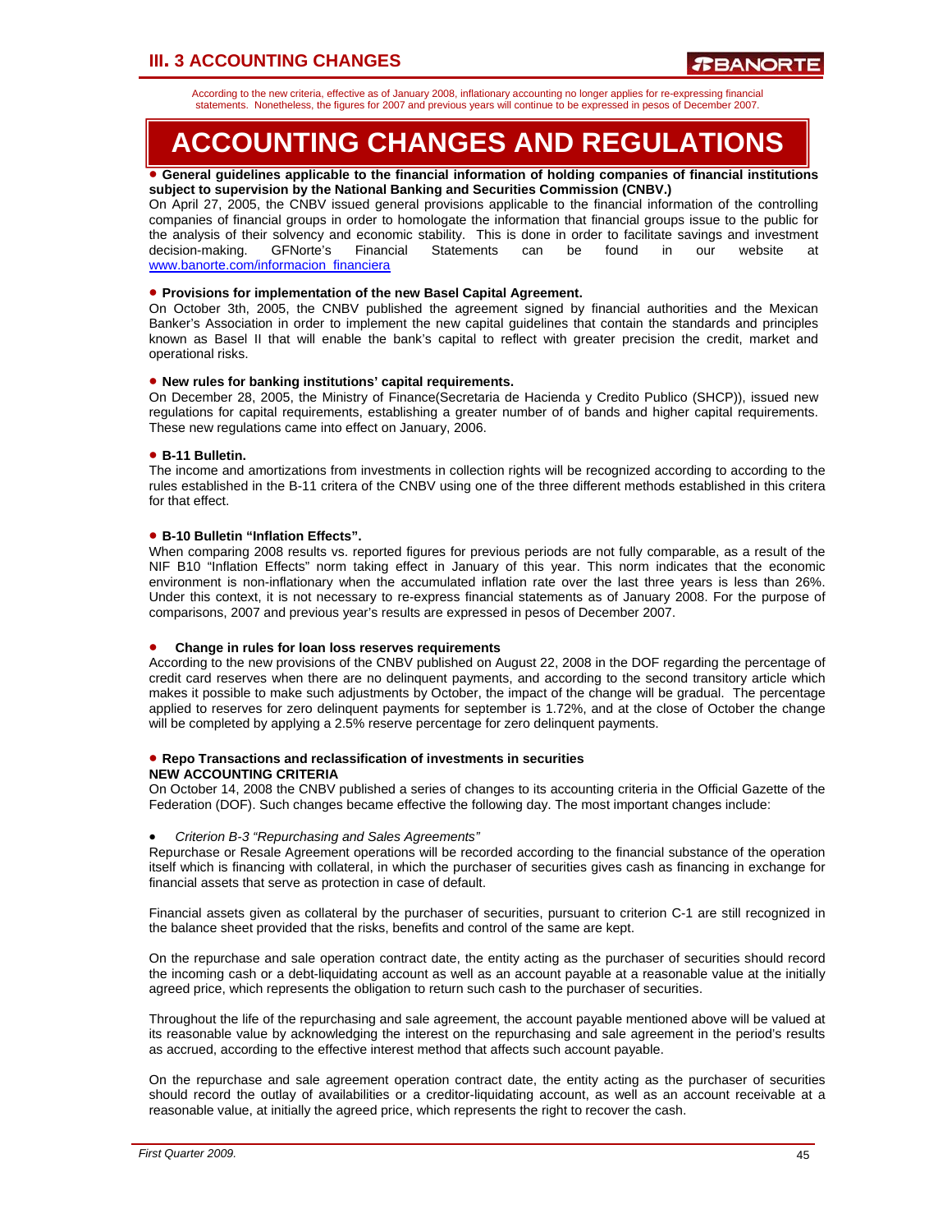# **III. 3 ACCOUNTING CHANGES**

According to the new criteria, effective as of January 2008, inflationary accounting no longer applies for re-expressing financial statements. Nonetheless, the figures for 2007 and previous years will continue to be expressed in pesos of December 2007.

# **ACCOUNTING CHANGES AND REGULATIONS**

#### • **General guidelines applicable to the financial information of holding companies of financial institutions subject to supervision by the National Banking and Securities Commission (CNBV.)**

On April 27, 2005, the CNBV issued general provisions applicable to the financial information of the controlling companies of financial groups in order to homologate the information that financial groups issue to the public for the analysis of their solvency and economic stability. This is done in order to facilitate savings and investment decision-making. GFNorte's Financial Statements can be found in our website at www.banorte.com/informacion\_financiera

### • **Provisions for implementation of the new Basel Capital Agreement.**

On October 3th, 2005, the CNBV published the agreement signed by financial authorities and the Mexican Banker's Association in order to implement the new capital guidelines that contain the standards and principles known as Basel II that will enable the bank's capital to reflect with greater precision the credit, market and operational risks.

### • **New rules for banking institutions' capital requirements.**

On December 28, 2005, the Ministry of Finance(Secretaria de Hacienda y Credito Publico (SHCP)), issued new regulations for capital requirements, establishing a greater number of of bands and higher capital requirements. These new regulations came into effect on January, 2006.

### • **B-11 Bulletin.**

The income and amortizations from investments in collection rights will be recognized according to according to the rules established in the B-11 critera of the CNBV using one of the three different methods established in this critera for that effect.

### • **B-10 Bulletin "Inflation Effects".**

When comparing 2008 results vs. reported figures for previous periods are not fully comparable, as a result of the NIF B10 "Inflation Effects" norm taking effect in January of this year. This norm indicates that the economic environment is non-inflationary when the accumulated inflation rate over the last three years is less than 26%. Under this context, it is not necessary to re-express financial statements as of January 2008. For the purpose of comparisons, 2007 and previous year's results are expressed in pesos of December 2007.

#### • **Change in rules for loan loss reserves requirements**

According to the new provisions of the CNBV published on August 22, 2008 in the DOF regarding the percentage of credit card reserves when there are no delinquent payments, and according to the second transitory article which makes it possible to make such adjustments by October, the impact of the change will be gradual. The percentage applied to reserves for zero delinquent payments for september is 1.72%, and at the close of October the change will be completed by applying a 2.5% reserve percentage for zero delinquent payments.

#### • **Repo Transactions and reclassification of investments in securities NEW ACCOUNTING CRITERIA**

On October 14, 2008 the CNBV published a series of changes to its accounting criteria in the Official Gazette of the Federation (DOF). Such changes became effective the following day. The most important changes include:

#### • *Criterion B-3 "Repurchasing and Sales Agreements"*

Repurchase or Resale Agreement operations will be recorded according to the financial substance of the operation itself which is financing with collateral, in which the purchaser of securities gives cash as financing in exchange for financial assets that serve as protection in case of default.

Financial assets given as collateral by the purchaser of securities, pursuant to criterion C-1 are still recognized in the balance sheet provided that the risks, benefits and control of the same are kept.

On the repurchase and sale operation contract date, the entity acting as the purchaser of securities should record the incoming cash or a debt-liquidating account as well as an account payable at a reasonable value at the initially agreed price, which represents the obligation to return such cash to the purchaser of securities.

Throughout the life of the repurchasing and sale agreement, the account payable mentioned above will be valued at its reasonable value by acknowledging the interest on the repurchasing and sale agreement in the period's results as accrued, according to the effective interest method that affects such account payable.

On the repurchase and sale agreement operation contract date, the entity acting as the purchaser of securities should record the outlay of availabilities or a creditor-liquidating account, as well as an account receivable at a reasonable value, at initially the agreed price, which represents the right to recover the cash.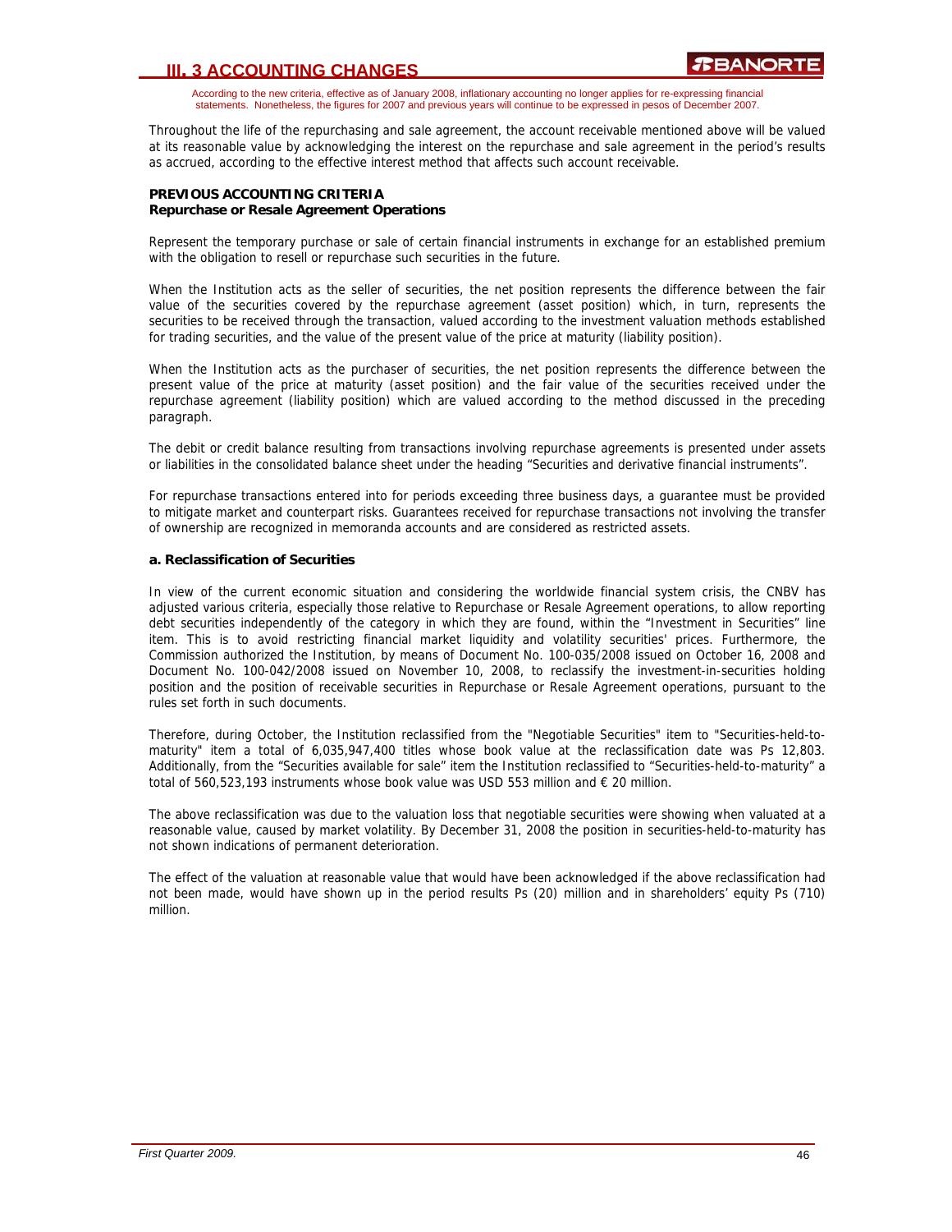### **III. 3 ACCOUNTING CHANGES**

According to the new criteria, effective as of January 2008, inflationary accounting no longer applies for re-expressing financial statements. Nonetheless, the figures for 2007 and previous years will continue to be expressed in pesos of December 2007.

Throughout the life of the repurchasing and sale agreement, the account receivable mentioned above will be valued at its reasonable value by acknowledging the interest on the repurchase and sale agreement in the period's results as accrued, according to the effective interest method that affects such account receivable.

### **PREVIOUS ACCOUNTING CRITERIA Repurchase or Resale Agreement Operations**

Represent the temporary purchase or sale of certain financial instruments in exchange for an established premium with the obligation to resell or repurchase such securities in the future.

When the Institution acts as the seller of securities, the net position represents the difference between the fair value of the securities covered by the repurchase agreement (asset position) which, in turn, represents the securities to be received through the transaction, valued according to the investment valuation methods established for trading securities, and the value of the present value of the price at maturity (liability position).

When the Institution acts as the purchaser of securities, the net position represents the difference between the present value of the price at maturity (asset position) and the fair value of the securities received under the repurchase agreement (liability position) which are valued according to the method discussed in the preceding paragraph.

The debit or credit balance resulting from transactions involving repurchase agreements is presented under assets or liabilities in the consolidated balance sheet under the heading "Securities and derivative financial instruments".

For repurchase transactions entered into for periods exceeding three business days, a guarantee must be provided to mitigate market and counterpart risks. Guarantees received for repurchase transactions not involving the transfer of ownership are recognized in memoranda accounts and are considered as restricted assets.

### **a. Reclassification of Securities**

In view of the current economic situation and considering the worldwide financial system crisis, the CNBV has adjusted various criteria, especially those relative to Repurchase or Resale Agreement operations, to allow reporting debt securities independently of the category in which they are found, within the "Investment in Securities" line item. This is to avoid restricting financial market liquidity and volatility securities' prices. Furthermore, the Commission authorized the Institution, by means of Document No. 100-035/2008 issued on October 16, 2008 and Document No. 100-042/2008 issued on November 10, 2008, to reclassify the investment-in-securities holding position and the position of receivable securities in Repurchase or Resale Agreement operations, pursuant to the rules set forth in such documents.

Therefore, during October, the Institution reclassified from the "Negotiable Securities" item to "Securities-held-tomaturity" item a total of 6,035,947,400 titles whose book value at the reclassification date was Ps 12,803. Additionally, from the "Securities available for sale" item the Institution reclassified to "Securities-held-to-maturity" a total of 560,523,193 instruments whose book value was USD 553 million and  $\epsilon$  20 million.

The above reclassification was due to the valuation loss that negotiable securities were showing when valuated at a reasonable value, caused by market volatility. By December 31, 2008 the position in securities-held-to-maturity has not shown indications of permanent deterioration.

The effect of the valuation at reasonable value that would have been acknowledged if the above reclassification had not been made, would have shown up in the period results Ps (20) million and in shareholders' equity Ps (710) million.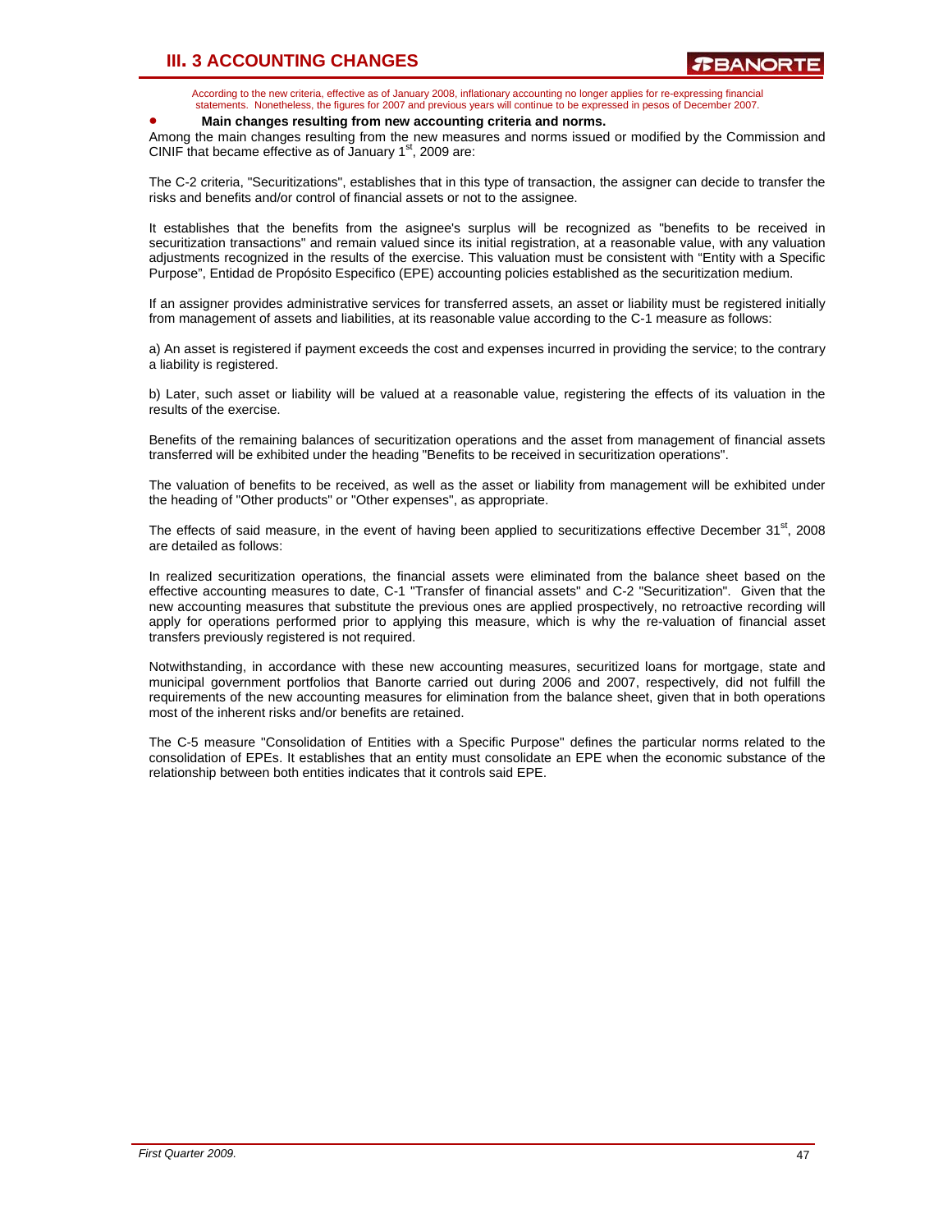# **III. 3 ACCOUNTING CHANGES**

According to the new criteria, effective as of January 2008, inflationary accounting no longer applies for re-expressing financial statements. Nonetheless, the figures for 2007 and previous years will continue to be expressed in pesos of December 2007.

### • **Main changes resulting from new accounting criteria and norms.**

Among the main changes resulting from the new measures and norms issued or modified by the Commission and CINIF that became effective as of January  $1<sup>st</sup>$ , 2009 are:

The C-2 criteria, "Securitizations", establishes that in this type of transaction, the assigner can decide to transfer the risks and benefits and/or control of financial assets or not to the assignee.

It establishes that the benefits from the asignee's surplus will be recognized as "benefits to be received in securitization transactions" and remain valued since its initial registration, at a reasonable value, with any valuation adjustments recognized in the results of the exercise. This valuation must be consistent with "Entity with a Specific Purpose", Entidad de Propósito Especifico (EPE) accounting policies established as the securitization medium.

If an assigner provides administrative services for transferred assets, an asset or liability must be registered initially from management of assets and liabilities, at its reasonable value according to the C-1 measure as follows:

a) An asset is registered if payment exceeds the cost and expenses incurred in providing the service; to the contrary a liability is registered.

b) Later, such asset or liability will be valued at a reasonable value, registering the effects of its valuation in the results of the exercise.

Benefits of the remaining balances of securitization operations and the asset from management of financial assets transferred will be exhibited under the heading "Benefits to be received in securitization operations".

The valuation of benefits to be received, as well as the asset or liability from management will be exhibited under the heading of "Other products" or "Other expenses", as appropriate.

The effects of said measure, in the event of having been applied to securitizations effective December  $31<sup>st</sup>$ , 2008 are detailed as follows:

In realized securitization operations, the financial assets were eliminated from the balance sheet based on the effective accounting measures to date, C-1 "Transfer of financial assets" and C-2 "Securitization". Given that the new accounting measures that substitute the previous ones are applied prospectively, no retroactive recording will apply for operations performed prior to applying this measure, which is why the re-valuation of financial asset transfers previously registered is not required.

Notwithstanding, in accordance with these new accounting measures, securitized loans for mortgage, state and municipal government portfolios that Banorte carried out during 2006 and 2007, respectively, did not fulfill the requirements of the new accounting measures for elimination from the balance sheet, given that in both operations most of the inherent risks and/or benefits are retained.

The C-5 measure "Consolidation of Entities with a Specific Purpose" defines the particular norms related to the consolidation of EPEs. It establishes that an entity must consolidate an EPE when the economic substance of the relationship between both entities indicates that it controls said EPE.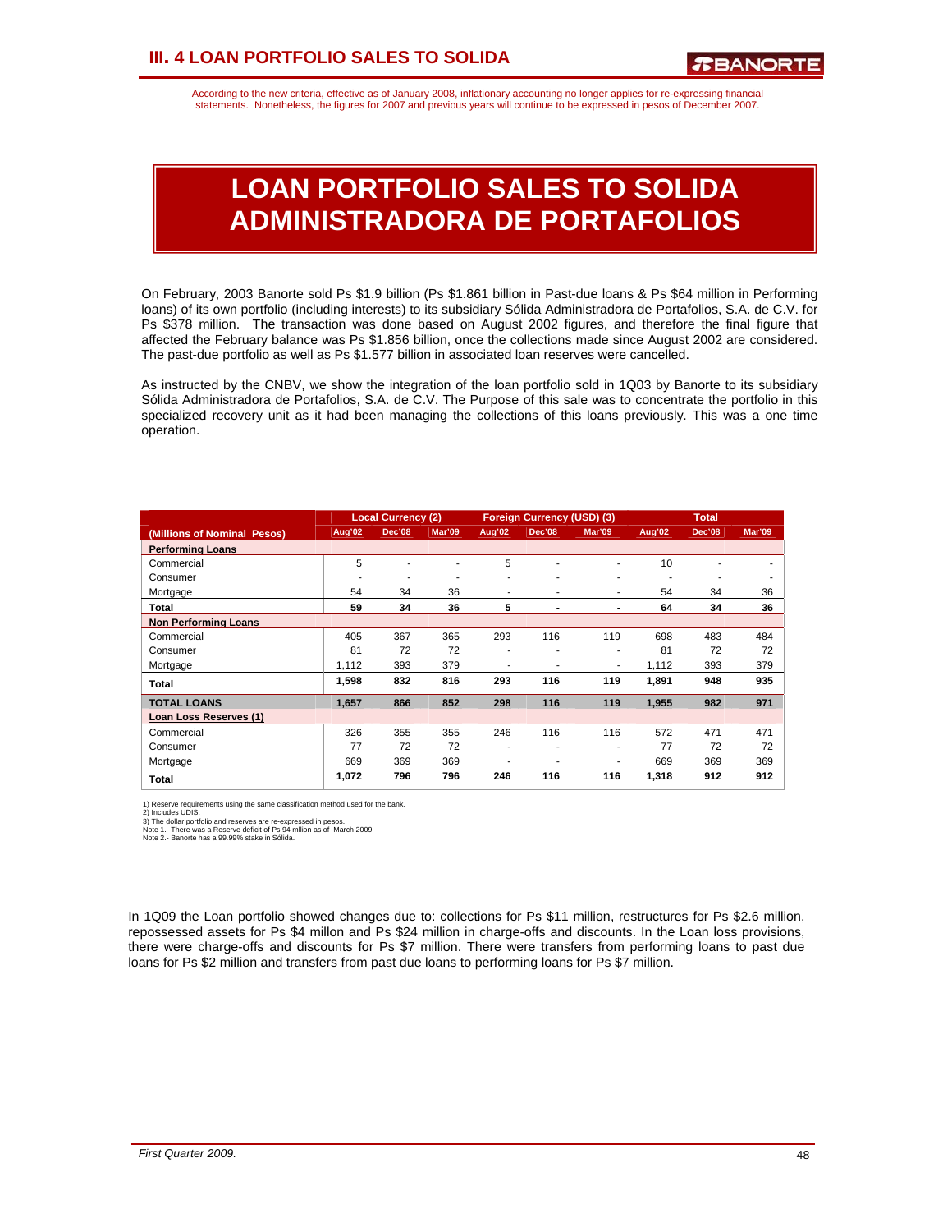According to the new criteria, effective as of January 2008, inflationary accounting no longer applies for re-expressing financial statements. Nonetheless, the figures for 2007 and previous years will continue to be expressed in pesos of December 2007.

# **LOAN PORTFOLIO SALES TO SOLIDA ADMINISTRADORA DE PORTAFOLIOS**

On February, 2003 Banorte sold Ps \$1.9 billion (Ps \$1.861 billion in Past-due loans & Ps \$64 million in Performing loans) of its own portfolio (including interests) to its subsidiary Sólida Administradora de Portafolios, S.A. de C.V. for Ps \$378 million. The transaction was done based on August 2002 figures, and therefore the final figure that affected the February balance was Ps \$1.856 billion, once the collections made since August 2002 are considered. The past-due portfolio as well as Ps \$1.577 billion in associated loan reserves were cancelled.

As instructed by the CNBV, we show the integration of the loan portfolio sold in 1Q03 by Banorte to its subsidiary Sólida Administradora de Portafolios, S.A. de C.V. The Purpose of this sale was to concentrate the portfolio in this specialized recovery unit as it had been managing the collections of this loans previously. This was a one time operation.

|                             |        | <b>Local Currency (2)</b> |        |        | <b>Foreign Currency (USD) (3)</b> |                | <b>Total</b> |        |               |
|-----------------------------|--------|---------------------------|--------|--------|-----------------------------------|----------------|--------------|--------|---------------|
| (Millions of Nominal Pesos) | Aug'02 | Dec'08                    | Mar'09 | Aug'02 | <b>Dec'08</b>                     | Mar'09         | Aug'02       | Dec'08 | <b>Mar'09</b> |
| <b>Performing Loans</b>     |        |                           |        |        |                                   |                |              |        |               |
| Commercial                  | 5      |                           |        | 5      |                                   | ٠              | 10           |        |               |
| Consumer                    |        | ۰                         |        |        |                                   | ۰              |              |        |               |
| Mortgage                    | 54     | 34                        | 36     | ٠      | ٠                                 | ٠              | 54           | 34     | 36            |
| Total                       | 59     | 34                        | 36     | 5      | ٠                                 | $\blacksquare$ | 64           | 34     | 36            |
| <b>Non Performing Loans</b> |        |                           |        |        |                                   |                |              |        |               |
| Commercial                  | 405    | 367                       | 365    | 293    | 116                               | 119            | 698          | 483    | 484           |
| Consumer                    | 81     | 72                        | 72     | ٠      | ۰                                 | ٠              | 81           | 72     | 72            |
| Mortgage                    | 1,112  | 393                       | 379    |        |                                   | ٠              | 1,112        | 393    | 379           |
| Total                       | 1,598  | 832                       | 816    | 293    | 116                               | 119            | 1.891        | 948    | 935           |
| <b>TOTAL LOANS</b>          | 1.657  | 866                       | 852    | 298    | 116                               | 119            | 1,955        | 982    | 971           |
| Loan Loss Reserves (1)      |        |                           |        |        |                                   |                |              |        |               |
| Commercial                  | 326    | 355                       | 355    | 246    | 116                               | 116            | 572          | 471    | 471           |
| Consumer                    | 77     | 72                        | 72     | ٠      | ۰                                 | ٠              | 77           | 72     | 72            |
| Mortgage                    | 669    | 369                       | 369    |        |                                   |                | 669          | 369    | 369           |
| Total                       | 1,072  | 796                       | 796    | 246    | 116                               | 116            | 1,318        | 912    | 912           |

1) Reserve requirements using the same classification method used for the bank.<br>2) Includes UDIS.<br>3) The dollar portfolio and reserves are re-expressed in pesos.<br>Note 1. - There was a Reserve deficit of Ps 94 milion as of

In 1Q09 the Loan portfolio showed changes due to: collections for Ps \$11 million, restructures for Ps \$2.6 million, repossessed assets for Ps \$4 millon and Ps \$24 million in charge-offs and discounts. In the Loan loss provisions, there were charge-offs and discounts for Ps \$7 million. There were transfers from performing loans to past due loans for Ps \$2 million and transfers from past due loans to performing loans for Ps \$7 million.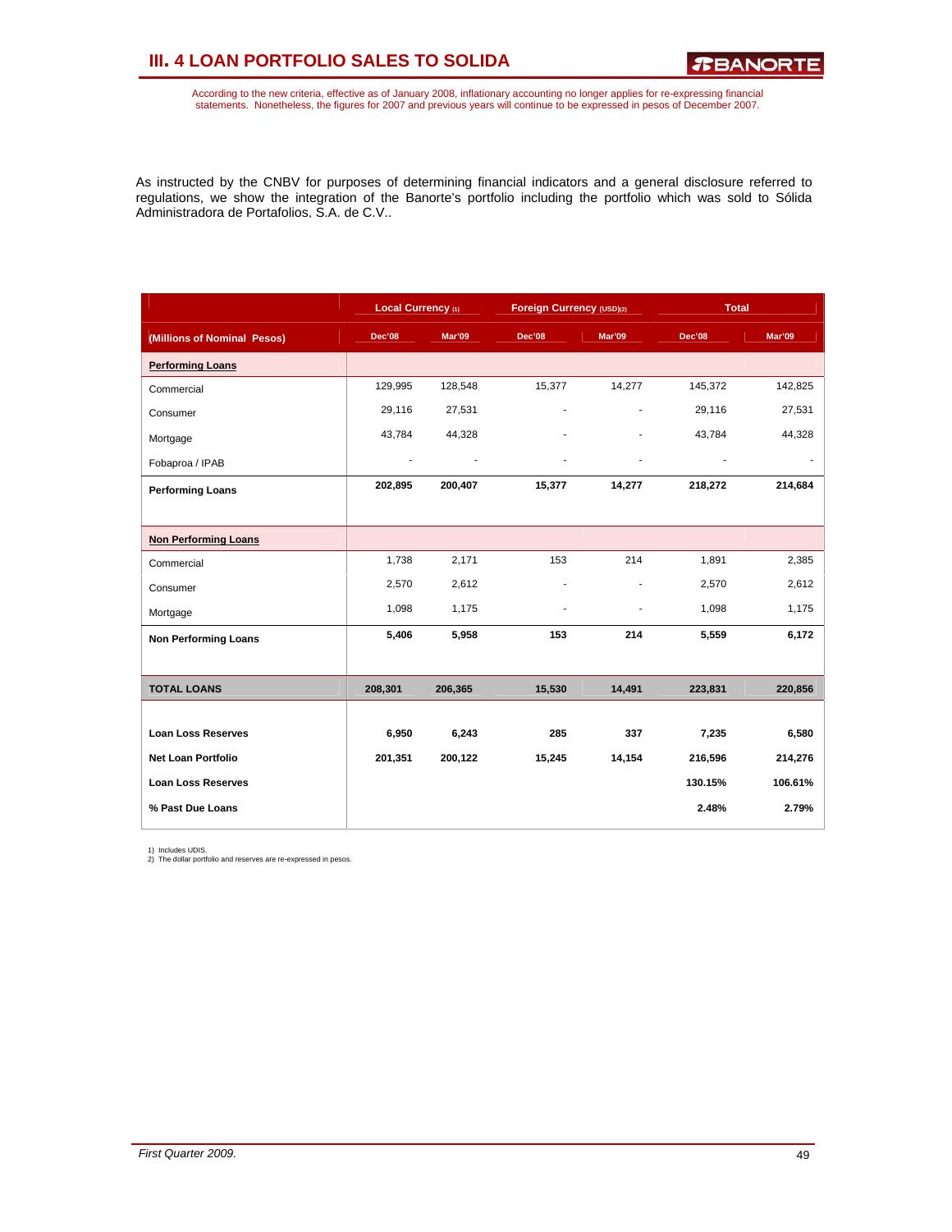# **III. 4 LOAN PORTFOLIO SALES TO SOLIDA**

According to the new criteria, effective as of January 2008, inflationary accounting no longer applies for re-expressing financial<br>statements. Nonetheless, the figures for 2007 and previous years will continue to be expres

As instructed by the CNBV for purposes of determining financial indicators and a general disclosure referred to regulations, we show the integration of the Banorte's portfolio including the portfolio which was sold to Sólida Administradora de Portafolios, S.A. de C.V..

|                             | Local Currency (1) |         | Foreign Currency (USD)(2) |        | <b>Total</b> |         |
|-----------------------------|--------------------|---------|---------------------------|--------|--------------|---------|
| (Millions of Nominal Pesos) | Dec'08             | Mar'09  | Dec'08                    | Mar'09 | Dec'08       | Mar'09  |
| <b>Performing Loans</b>     |                    |         |                           |        |              |         |
| Commercial                  | 129,995            | 128,548 | 15,377                    | 14,277 | 145,372      | 142,825 |
| Consumer                    | 29,116             | 27,531  |                           |        | 29,116       | 27,531  |
| Mortgage                    | 43,784             | 44,328  |                           |        | 43,784       | 44,328  |
| Fobaproa / IPAB             | $\sim$             |         |                           | ٠      |              |         |
| <b>Performing Loans</b>     | 202,895            | 200,407 | 15,377                    | 14,277 | 218,272      | 214,684 |
|                             |                    |         |                           |        |              |         |
| <b>Non Performing Loans</b> |                    |         |                           |        |              |         |
| Commercial                  | 1,738              | 2,171   | 153                       | 214    | 1,891        | 2,385   |
| Consumer                    | 2,570              | 2,612   | ٠                         |        | 2,570        | 2,612   |
| Mortgage                    | 1,098              | 1,175   |                           |        | 1,098        | 1,175   |
| <b>Non Performing Loans</b> | 5,406              | 5,958   | 153                       | 214    | 5,559        | 6,172   |
|                             |                    |         |                           |        |              |         |
| <b>TOTAL LOANS</b>          | 208,301            | 206,365 | 15,530                    | 14,491 | 223,831      | 220,856 |
|                             |                    |         |                           |        |              |         |
| <b>Loan Loss Reserves</b>   | 6,950              | 6,243   | 285                       | 337    | 7,235        | 6,580   |
| <b>Net Loan Portfolio</b>   | 201,351            | 200,122 | 15,245                    | 14,154 | 216,596      | 214,276 |
| <b>Loan Loss Reserves</b>   |                    |         |                           |        | 130.15%      | 106.61% |
| % Past Due Loans            |                    |         |                           |        | 2.48%        | 2.79%   |

1) Includes UDIS. 2) The dollar portfolio and reserves are re-expressed in pesos.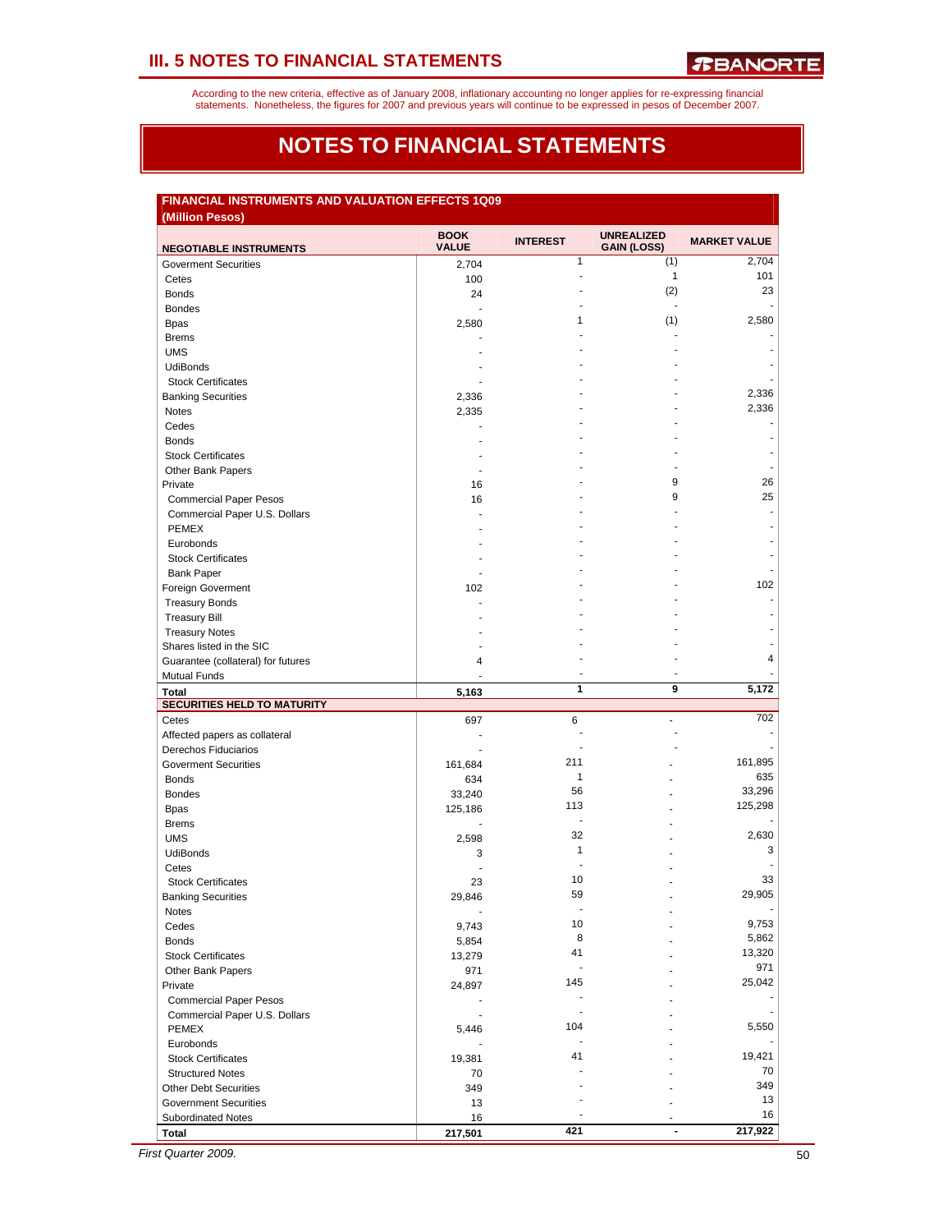According to the new criteria, effective as of January 2008, inflationary accounting no longer applies for re-expressing financial<br>statements. Nonetheless, the figures for 2007 and previous years will continue to be expres

### **NOTES TO FINANCIAL STATEMENTS**

### **FINANCIAL INSTRUMENTS AND VALUATION EFFECTS 1Q09**

| <b>NEGOTIABLE INSTRUMENTS</b>                                | <b>BOOK</b><br><b>VALUE</b> | <b>INTEREST</b>          | <b>UNREALIZED</b><br><b>GAIN (LOSS)</b> | <b>MARKET VALUE</b> |
|--------------------------------------------------------------|-----------------------------|--------------------------|-----------------------------------------|---------------------|
| <b>Goverment Securities</b>                                  | 2,704                       | $\mathbf{1}$             | (1)                                     | 2,704               |
| Cetes                                                        | 100                         | $\overline{a}$           | $\mathbf{1}$                            | 101                 |
| <b>Bonds</b>                                                 | 24                          | ä,                       | (2)                                     | 23                  |
| <b>Bondes</b>                                                | ÷.                          |                          | $\blacksquare$                          | ٠                   |
| <b>Bpas</b>                                                  | 2,580                       | $\mathbf{1}$             | (1)                                     | 2,580               |
| <b>Brems</b>                                                 |                             |                          |                                         |                     |
| <b>UMS</b>                                                   |                             |                          |                                         | ٠                   |
| <b>UdiBonds</b>                                              |                             |                          |                                         | ÷.                  |
| <b>Stock Certificates</b>                                    |                             |                          |                                         |                     |
| <b>Banking Securities</b>                                    | 2,336                       |                          |                                         | 2,336               |
|                                                              |                             |                          |                                         | 2,336               |
| Notes                                                        | 2,335                       |                          |                                         |                     |
| Cedes                                                        |                             |                          |                                         |                     |
| <b>Bonds</b>                                                 |                             |                          |                                         | ٠                   |
| <b>Stock Certificates</b>                                    |                             |                          |                                         |                     |
| Other Bank Papers                                            | $\overline{\phantom{a}}$    |                          |                                         |                     |
| Private                                                      | 16                          |                          | 9                                       | 26                  |
| <b>Commercial Paper Pesos</b>                                | 16                          |                          | 9                                       | 25                  |
| Commercial Paper U.S. Dollars                                |                             |                          |                                         | $\overline{a}$      |
| <b>PEMEX</b>                                                 |                             |                          |                                         |                     |
| Eurobonds                                                    |                             |                          |                                         |                     |
| <b>Stock Certificates</b>                                    |                             |                          |                                         | ÷.                  |
| <b>Bank Paper</b>                                            |                             |                          |                                         |                     |
| Foreign Goverment                                            | 102                         |                          |                                         | 102                 |
| <b>Treasury Bonds</b>                                        |                             |                          |                                         | ٠                   |
| <b>Treasury Bill</b>                                         |                             |                          |                                         |                     |
| <b>Treasury Notes</b>                                        |                             |                          |                                         |                     |
|                                                              |                             |                          |                                         | ä,                  |
| Shares listed in the SIC                                     |                             |                          |                                         | 4                   |
| Guarantee (collateral) for futures                           | 4                           | $\overline{\phantom{a}}$ |                                         |                     |
| <b>Mutual Funds</b>                                          |                             |                          |                                         |                     |
| <b>Total</b><br><b>SECURITIES HELD TO MATURITY</b>           | 5,163                       | 1                        | 9                                       | 5,172               |
| Cetes                                                        | 697                         | 6                        | $\overline{a}$                          | 702                 |
|                                                              | ÷                           |                          |                                         | ٠                   |
| Affected papers as collateral                                |                             | $\overline{a}$           |                                         |                     |
| Derechos Fiduciarios                                         |                             | 211                      |                                         | 161,895             |
| <b>Goverment Securities</b>                                  | 161,684                     | $\mathbf{1}$             |                                         |                     |
| <b>Bonds</b>                                                 | 634                         |                          |                                         | 635                 |
| <b>Bondes</b>                                                | 33,240                      | 56                       |                                         | 33,296              |
| <b>Bpas</b>                                                  | 125,186                     | 113                      |                                         | 125,298             |
| <b>Brems</b>                                                 | ÷                           | $\blacksquare$           | ÷                                       |                     |
| <b>UMS</b>                                                   | 2,598                       | 32                       |                                         | 2,630               |
| <b>UdiBonds</b>                                              | 3                           | $\mathbf{1}$             |                                         | 3                   |
| Cetes                                                        | ÷.                          | ÷,                       |                                         |                     |
| <b>Stock Certificates</b>                                    | 23                          | 10                       |                                         | 33                  |
| <b>Banking Securities</b>                                    | 29,846                      | 59                       |                                         | 29,905              |
|                                                              |                             |                          |                                         |                     |
| <b>NOTES</b>                                                 |                             | 10                       |                                         | 9,753               |
| Cedes                                                        | 9,743                       | 8                        | ÷                                       | 5,862               |
| <b>Bonds</b>                                                 | 5,854                       | 41                       |                                         | 13,320              |
| <b>Stock Certificates</b>                                    | 13,279                      |                          |                                         |                     |
| Other Bank Papers                                            | 971                         | $\blacksquare$           |                                         | 971                 |
| Private                                                      | 24,897                      | 145                      |                                         | 25,042              |
| <b>Commercial Paper Pesos</b>                                |                             |                          |                                         |                     |
| Commercial Paper U.S. Dollars                                | $\blacksquare$              | $\blacksquare$           |                                         | ٠                   |
| <b>PEMEX</b>                                                 | 5,446                       | 104                      |                                         | 5,550               |
| Eurobonds                                                    |                             |                          |                                         |                     |
| <b>Stock Certificates</b>                                    | 19,381                      | 41                       |                                         | 19,421              |
| <b>Structured Notes</b>                                      | 70                          |                          |                                         | 70                  |
|                                                              |                             |                          |                                         | 349                 |
|                                                              | 349                         |                          |                                         | 13                  |
|                                                              |                             |                          |                                         |                     |
| <b>Other Debt Securities</b><br><b>Government Securities</b> | 13                          |                          |                                         |                     |
| <b>Subordinated Notes</b><br><b>Total</b>                    | 16<br>217,501               | 421                      | $\blacksquare$                          | 16<br>217,922       |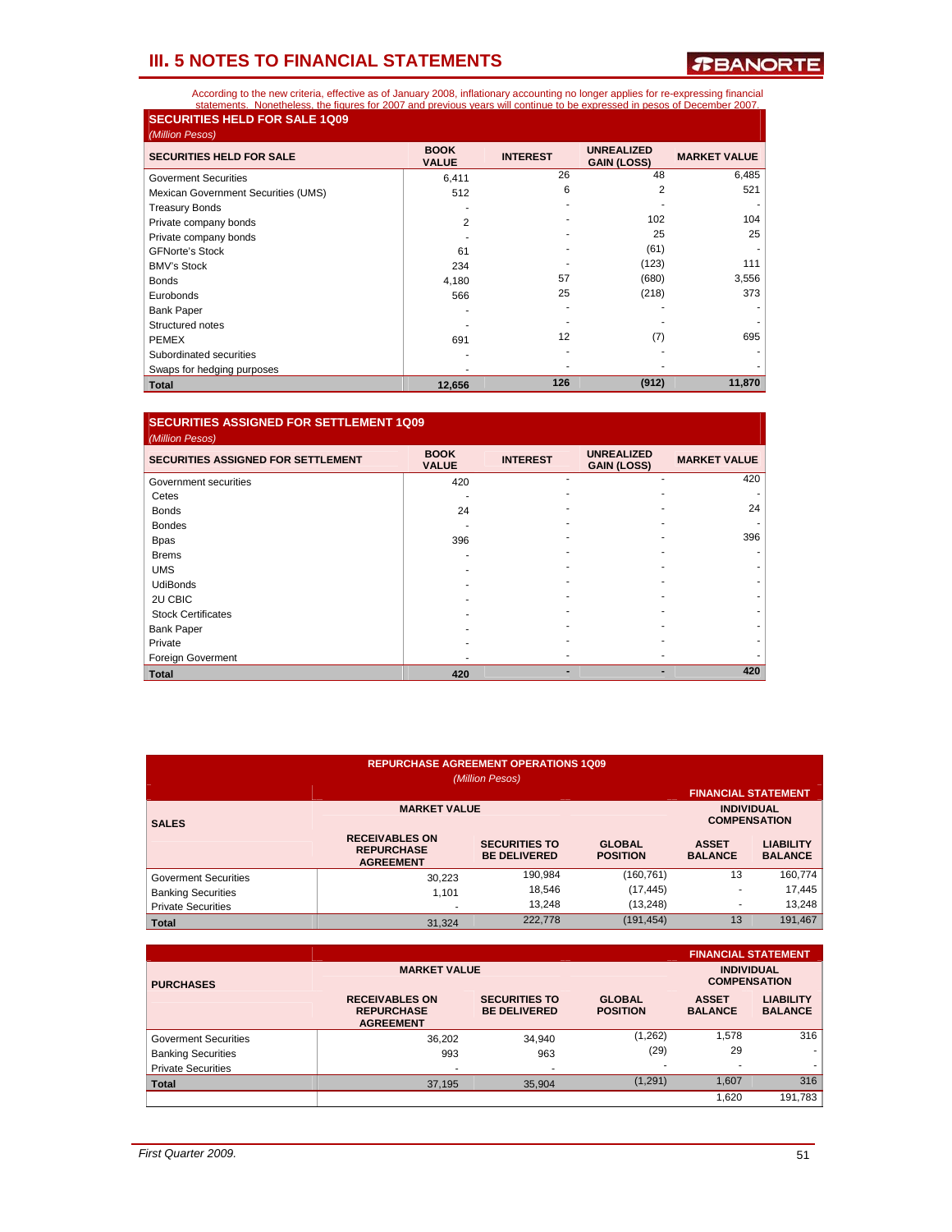*R***BANORTE** 

According to the new criteria, effective as of January 2008, inflationary accounting no longer applies for re-expressing financial<br>statements. Nonetheless, the figures for 2007 and previous vears will continue to be expres **SECURITIES HELD FOR SALE 1Q09** 

| (Million Pesos)                     |                             |                 |                                         |                     |
|-------------------------------------|-----------------------------|-----------------|-----------------------------------------|---------------------|
| <b>SECURITIES HELD FOR SALE</b>     | <b>BOOK</b><br><b>VALUE</b> | <b>INTEREST</b> | <b>UNREALIZED</b><br><b>GAIN (LOSS)</b> | <b>MARKET VALUE</b> |
| Goverment Securities                | 6,411                       | 26              | 48                                      | 6,485               |
| Mexican Government Securities (UMS) | 512                         | 6               | 2                                       | 521                 |
| <b>Treasury Bonds</b>               |                             |                 |                                         |                     |
| Private company bonds               | 2                           |                 | 102                                     | 104                 |
| Private company bonds               |                             |                 | 25                                      | 25                  |
| <b>GFNorte's Stock</b>              | 61                          |                 | (61)                                    |                     |
| <b>BMV's Stock</b>                  | 234                         |                 | (123)                                   | 111                 |
| <b>Bonds</b>                        | 4,180                       | 57              | (680)                                   | 3,556               |
| Eurobonds                           | 566                         | 25              | (218)                                   | 373                 |
| <b>Bank Paper</b>                   |                             |                 |                                         |                     |
| Structured notes                    |                             |                 |                                         |                     |
| <b>PEMEX</b>                        | 691                         | 12              | (7)                                     | 695                 |
| Subordinated securities             |                             |                 |                                         |                     |
| Swaps for hedging purposes          |                             |                 |                                         |                     |
| <b>Total</b>                        | 12,656                      | 126             | (912)                                   | 11,870              |

### **SECURITIES ASSIGNED FOR SETTLEMENT 1Q09**

| (Million Pesos)                           |                             |                 |                                         |                     |
|-------------------------------------------|-----------------------------|-----------------|-----------------------------------------|---------------------|
| <b>SECURITIES ASSIGNED FOR SETTLEMENT</b> | <b>BOOK</b><br><b>VALUE</b> | <b>INTEREST</b> | <b>UNREALIZED</b><br><b>GAIN (LOSS)</b> | <b>MARKET VALUE</b> |
| Government securities                     | 420                         |                 |                                         | 420                 |
| Cetes                                     |                             |                 |                                         |                     |
| <b>Bonds</b>                              | 24                          |                 |                                         | 24                  |
| <b>Bondes</b>                             |                             |                 |                                         |                     |
| <b>Bpas</b>                               | 396                         |                 |                                         | 396                 |
| <b>Brems</b>                              |                             |                 |                                         |                     |
| <b>UMS</b>                                |                             |                 |                                         |                     |
| <b>UdiBonds</b>                           |                             |                 |                                         |                     |
| 2U CBIC                                   |                             |                 |                                         |                     |
| <b>Stock Certificates</b>                 |                             |                 |                                         |                     |
| <b>Bank Paper</b>                         |                             |                 |                                         |                     |
| Private                                   |                             |                 |                                         |                     |
| Foreign Goverment                         |                             |                 |                                         |                     |
| <b>Total</b>                              | 420                         |                 |                                         | 420                 |

| <b>REPURCHASE AGREEMENT OPERATIONS 1Q09</b><br>(Million Pesos) |                                                                |                                             |                                          |                                |                                    |  |  |
|----------------------------------------------------------------|----------------------------------------------------------------|---------------------------------------------|------------------------------------------|--------------------------------|------------------------------------|--|--|
|                                                                |                                                                |                                             |                                          | <b>FINANCIAL STATEMENT</b>     |                                    |  |  |
| <b>SALES</b>                                                   | <b>MARKET VALUE</b>                                            |                                             | <b>INDIVIDUAL</b><br><b>COMPENSATION</b> |                                |                                    |  |  |
|                                                                | <b>RECEIVABLES ON</b><br><b>REPURCHASE</b><br><b>AGREEMENT</b> | <b>SECURITIES TO</b><br><b>BE DELIVERED</b> | <b>GLOBAL</b><br><b>POSITION</b>         | <b>ASSET</b><br><b>BALANCE</b> | <b>LIABILITY</b><br><b>BALANCE</b> |  |  |
| <b>Goverment Securities</b>                                    | 30,223                                                         | 190,984                                     | (160, 761)                               | 13                             | 160,774                            |  |  |
| <b>Banking Securities</b>                                      | 1,101                                                          | 18,546                                      | (17, 445)                                |                                | 17,445                             |  |  |
| <b>Private Securities</b>                                      |                                                                | 13.248                                      | (13, 248)                                |                                | 13,248                             |  |  |
| <b>Total</b>                                                   | 31.324                                                         | 222,778                                     | (191, 454)                               | 13                             | 191,467                            |  |  |

|                             |                                                                |                                             |                                  |                                          | <b>FINANCIAL STATEMENT</b>         |
|-----------------------------|----------------------------------------------------------------|---------------------------------------------|----------------------------------|------------------------------------------|------------------------------------|
| <b>PURCHASES</b>            | <b>MARKET VALUE</b>                                            |                                             |                                  | <b>INDIVIDUAL</b><br><b>COMPENSATION</b> |                                    |
|                             | <b>RECEIVABLES ON</b><br><b>REPURCHASE</b><br><b>AGREEMENT</b> | <b>SECURITIES TO</b><br><b>BE DELIVERED</b> | <b>GLOBAL</b><br><b>POSITION</b> | <b>ASSET</b><br><b>BALANCE</b>           | <b>LIABILITY</b><br><b>BALANCE</b> |
| <b>Goverment Securities</b> | 36,202                                                         | 34,940                                      | (1, 262)                         | 1.578                                    | 316                                |
| <b>Banking Securities</b>   | 993                                                            | 963                                         | (29)                             | 29                                       | ٠                                  |
| <b>Private Securities</b>   | $\overline{\phantom{a}}$                                       | ۰                                           | $\overline{\phantom{a}}$         |                                          | ۰.                                 |
| <b>Total</b>                | 37,195                                                         | 35,904                                      | (1, 291)                         | 1.607                                    | 316                                |
|                             |                                                                |                                             |                                  | .620                                     | 191,783                            |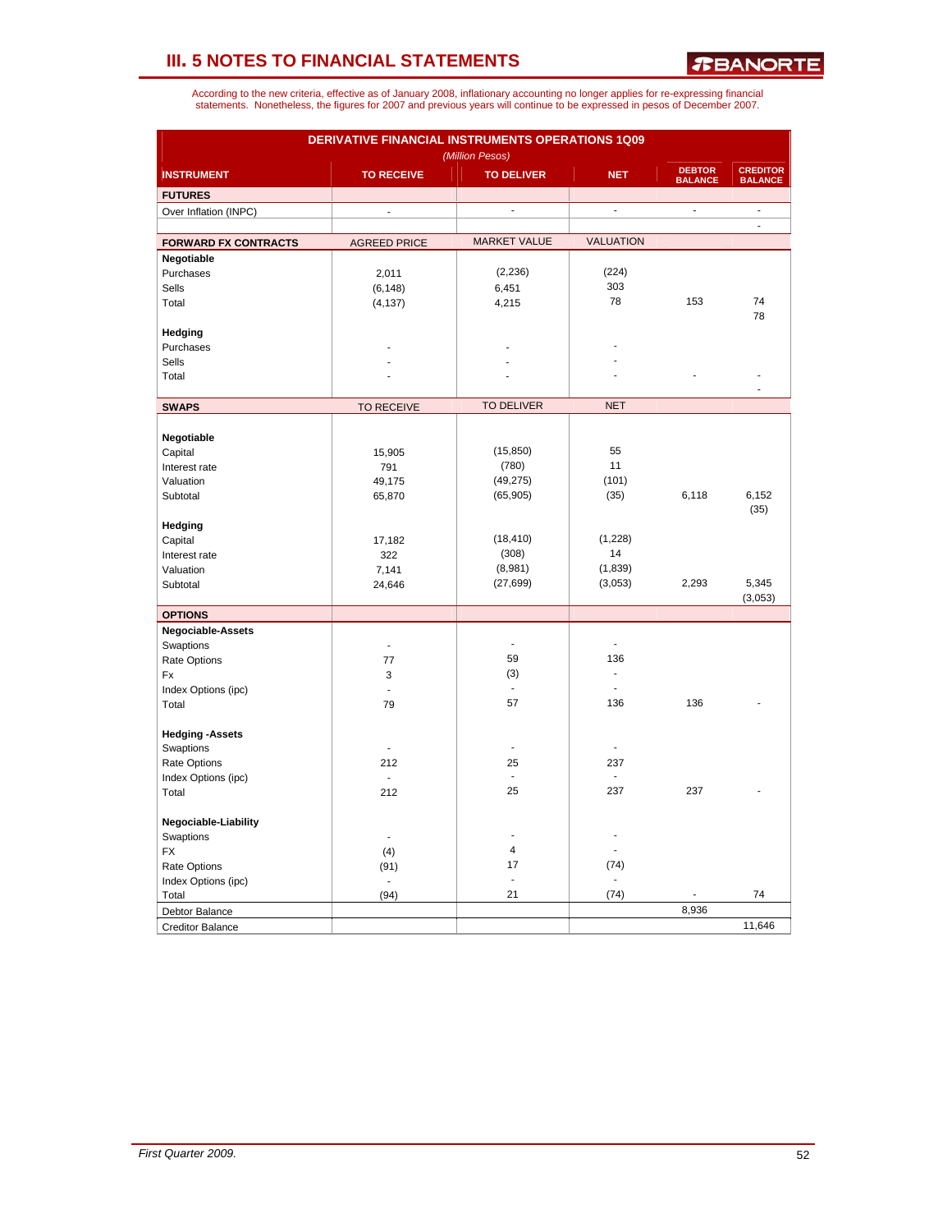*R***BANORTE** 

| DERIVATIVE FINANCIAL INSTRUMENTS OPERATIONS 1Q09<br>(Million Pesos) |                          |                         |                  |                                 |                                   |  |  |
|---------------------------------------------------------------------|--------------------------|-------------------------|------------------|---------------------------------|-----------------------------------|--|--|
| <b>INSTRUMENT</b>                                                   | <b>TO RECEIVE</b>        | <b>TO DELIVER</b>       | <b>NET</b>       | <b>DEBTOR</b><br><b>BALANCE</b> | <b>CREDITOR</b><br><b>BALANCE</b> |  |  |
| <b>FUTURES</b>                                                      |                          |                         |                  |                                 |                                   |  |  |
| Over Inflation (INPC)                                               | $\overline{a}$           | ä,                      | $\blacksquare$   | $\overline{\phantom{a}}$        | $\overline{a}$                    |  |  |
|                                                                     |                          |                         |                  |                                 | $\blacksquare$                    |  |  |
| <b>FORWARD FX CONTRACTS</b>                                         | <b>AGREED PRICE</b>      | <b>MARKET VALUE</b>     | <b>VALUATION</b> |                                 |                                   |  |  |
| Negotiable                                                          |                          |                         |                  |                                 |                                   |  |  |
| Purchases                                                           | 2,011                    | (2, 236)                | (224)            |                                 |                                   |  |  |
| Sells                                                               | (6, 148)                 | 6,451                   | 303              |                                 |                                   |  |  |
| Total                                                               | (4, 137)                 | 4,215                   | 78               | 153                             | 74                                |  |  |
|                                                                     |                          |                         |                  |                                 | 78                                |  |  |
| Hedging                                                             |                          |                         |                  |                                 |                                   |  |  |
| Purchases                                                           |                          |                         |                  |                                 |                                   |  |  |
| <b>Sells</b>                                                        |                          |                         |                  |                                 |                                   |  |  |
| Total                                                               |                          |                         |                  |                                 |                                   |  |  |
|                                                                     |                          |                         |                  |                                 |                                   |  |  |
| <b>SWAPS</b>                                                        | <b>TO RECEIVE</b>        | <b>TO DELIVER</b>       | <b>NET</b>       |                                 |                                   |  |  |
|                                                                     |                          |                         |                  |                                 |                                   |  |  |
| Negotiable                                                          |                          |                         |                  |                                 |                                   |  |  |
| Capital                                                             | 15,905                   | (15, 850)               | 55               |                                 |                                   |  |  |
| Interest rate                                                       | 791                      | (780)                   | 11               |                                 |                                   |  |  |
| Valuation                                                           | 49,175                   | (49, 275)               | (101)            |                                 |                                   |  |  |
| Subtotal                                                            | 65,870                   | (65, 905)               | (35)             | 6,118                           | 6,152                             |  |  |
|                                                                     |                          |                         |                  |                                 | (35)                              |  |  |
| Hedging                                                             |                          |                         |                  |                                 |                                   |  |  |
| Capital                                                             | 17,182                   | (18, 410)               | (1,228)          |                                 |                                   |  |  |
| Interest rate                                                       | 322                      | (308)                   | 14               |                                 |                                   |  |  |
| Valuation                                                           | 7,141                    | (8,981)                 | (1,839)          |                                 |                                   |  |  |
| Subtotal                                                            | 24,646                   | (27, 699)               | (3,053)          | 2,293                           | 5,345<br>(3,053)                  |  |  |
| <b>OPTIONS</b>                                                      |                          |                         |                  |                                 |                                   |  |  |
| Negociable-Assets                                                   |                          |                         |                  |                                 |                                   |  |  |
| Swaptions                                                           | ÷.                       | ä,                      |                  |                                 |                                   |  |  |
| Rate Options                                                        | 77                       | 59                      | 136              |                                 |                                   |  |  |
| Fx                                                                  | 3                        | (3)                     | $\overline{a}$   |                                 |                                   |  |  |
| Index Options (ipc)                                                 | ÷,                       | $\sim$                  |                  |                                 |                                   |  |  |
| Total                                                               | 79                       | 57                      | 136              | 136                             |                                   |  |  |
|                                                                     |                          |                         |                  |                                 |                                   |  |  |
| <b>Hedging -Assets</b>                                              |                          |                         |                  |                                 |                                   |  |  |
| Swaptions                                                           |                          | ÷,                      | $\overline{a}$   |                                 |                                   |  |  |
| Rate Options                                                        | 212                      | 25                      | 237              |                                 |                                   |  |  |
| Index Options (ipc)                                                 | $\overline{\phantom{a}}$ | $\blacksquare$          | $\overline{a}$   |                                 |                                   |  |  |
| Total                                                               | 212                      | 25                      | 237              | 237                             |                                   |  |  |
|                                                                     |                          |                         |                  |                                 |                                   |  |  |
| Negociable-Liability                                                |                          | ÷.                      |                  |                                 |                                   |  |  |
| Swaptions                                                           | $\overline{\phantom{a}}$ |                         |                  |                                 |                                   |  |  |
| <b>FX</b>                                                           | (4)                      | $\overline{\mathbf{4}}$ |                  |                                 |                                   |  |  |
| Rate Options                                                        | (91)                     | 17<br>$\blacksquare$    | (74)             |                                 |                                   |  |  |
| Index Options (ipc)                                                 | $\blacksquare$           | 21                      | (74)             |                                 | 74                                |  |  |
| Total                                                               | (94)                     |                         |                  | 8,936                           |                                   |  |  |
| Debtor Balance                                                      |                          |                         |                  |                                 | 11,646                            |  |  |
| <b>Creditor Balance</b>                                             |                          |                         |                  |                                 |                                   |  |  |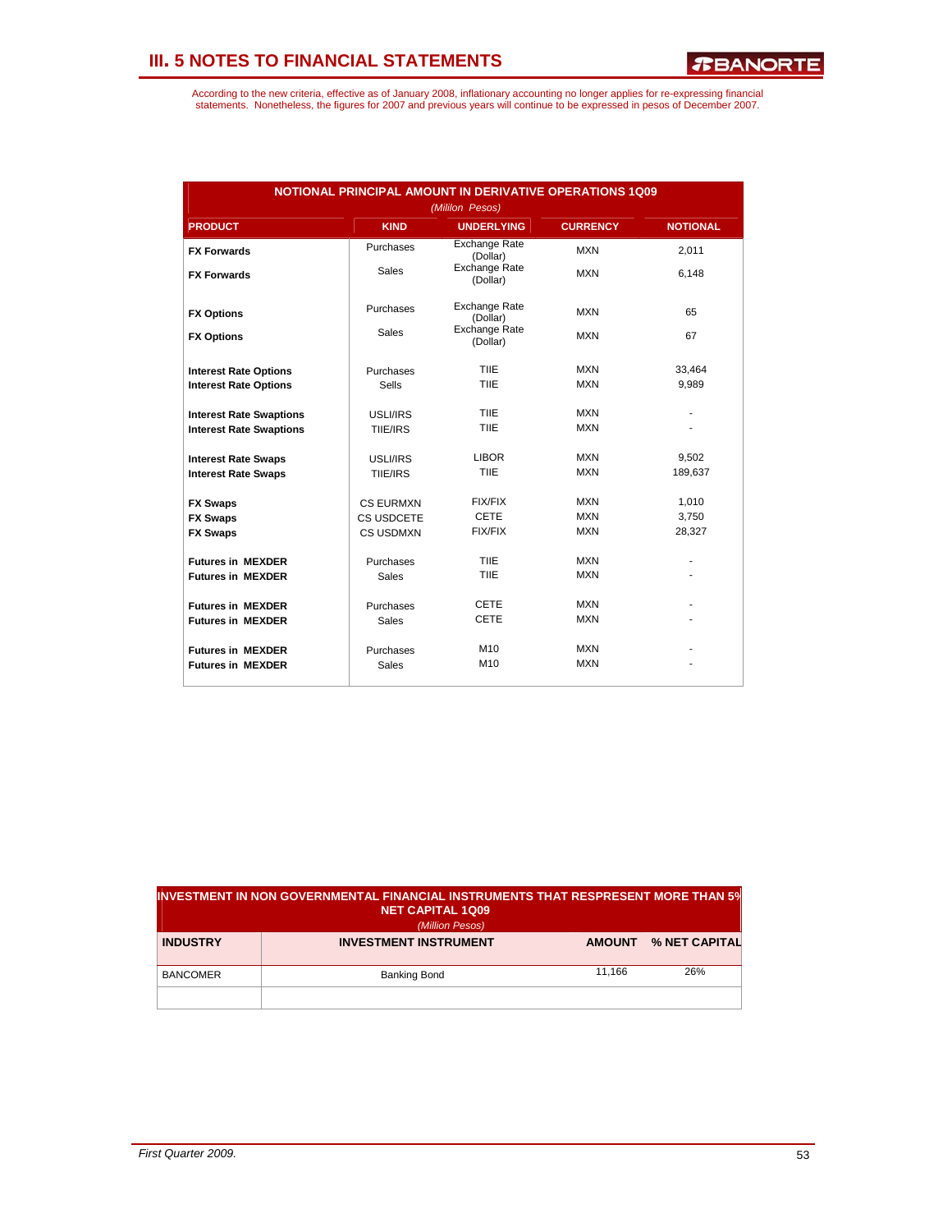| <b>NOTIONAL PRINCIPAL AMOUNT IN DERIVATIVE OPERATIONS 1Q09</b><br>(Mililon Pesos) |                  |                                  |                 |                 |  |  |  |
|-----------------------------------------------------------------------------------|------------------|----------------------------------|-----------------|-----------------|--|--|--|
| <b>PRODUCT</b>                                                                    | <b>KIND</b>      | <b>UNDERLYING</b>                | <b>CURRENCY</b> | <b>NOTIONAL</b> |  |  |  |
| <b>FX Forwards</b>                                                                | Purchases        | <b>Exchange Rate</b><br>(Dollar) | <b>MXN</b>      | 2,011           |  |  |  |
| <b>FX Forwards</b>                                                                | <b>Sales</b>     | <b>Exchange Rate</b><br>(Dollar) | <b>MXN</b>      | 6.148           |  |  |  |
| <b>FX Options</b>                                                                 | Purchases        | <b>Exchange Rate</b><br>(Dollar) | MXN             | 65              |  |  |  |
| <b>FX Options</b>                                                                 | <b>Sales</b>     | <b>Exchange Rate</b><br>(Dollar) | <b>MXN</b>      | 67              |  |  |  |
| <b>Interest Rate Options</b>                                                      | Purchases        | TIIE                             | <b>MXN</b>      | 33.464          |  |  |  |
| <b>Interest Rate Options</b>                                                      | Sells            | TIIE                             | <b>MXN</b>      | 9,989           |  |  |  |
| <b>Interest Rate Swaptions</b>                                                    | USLI/IRS         | <b>TIIE</b>                      | <b>MXN</b>      |                 |  |  |  |
| <b>Interest Rate Swaptions</b>                                                    | TIIE/IRS         | <b>TIIE</b>                      | <b>MXN</b>      |                 |  |  |  |
| <b>Interest Rate Swaps</b>                                                        | USLI/IRS         | <b>LIBOR</b>                     | <b>MXN</b>      | 9,502           |  |  |  |
| <b>Interest Rate Swaps</b>                                                        | TIIE/IRS         | TIIE                             | <b>MXN</b>      | 189,637         |  |  |  |
| <b>FX Swaps</b>                                                                   | <b>CS EURMXN</b> | FIX/FIX                          | <b>MXN</b>      | 1,010           |  |  |  |
| <b>FX Swaps</b>                                                                   | CS USDCETE       | <b>CETE</b>                      | <b>MXN</b>      | 3,750           |  |  |  |
| <b>FX Swaps</b>                                                                   | <b>CS USDMXN</b> | <b>FIX/FIX</b>                   | <b>MXN</b>      | 28,327          |  |  |  |
| <b>Futures in MEXDER</b>                                                          | Purchases        | TIIE                             | <b>MXN</b>      |                 |  |  |  |
| <b>Futures in MEXDER</b>                                                          | <b>Sales</b>     | TIIE                             | <b>MXN</b>      |                 |  |  |  |
| <b>Futures in MEXDER</b>                                                          | Purchases        | <b>CETE</b>                      | <b>MXN</b>      |                 |  |  |  |
| <b>Futures in MEXDER</b>                                                          | <b>Sales</b>     | <b>CETE</b>                      | <b>MXN</b>      |                 |  |  |  |
| <b>Futures in MEXDER</b>                                                          | Purchases        | M <sub>10</sub>                  | <b>MXN</b>      |                 |  |  |  |
| <b>Futures in MEXDER</b>                                                          | Sales            | M <sub>10</sub>                  | <b>MXN</b>      |                 |  |  |  |

| IINVESTMENT IN NON GOVERNMENTAL FINANCIAL INSTRUMENTS THAT RESPRESENT MORE THAN 5%<br><b>NET CAPITAL 1Q09</b><br>(Million Pesos) |                              |               |               |  |  |  |
|----------------------------------------------------------------------------------------------------------------------------------|------------------------------|---------------|---------------|--|--|--|
| <b>INDUSTRY</b>                                                                                                                  | <b>INVESTMENT INSTRUMENT</b> | <b>AMOUNT</b> | % NET CAPITAL |  |  |  |
| <b>BANCOMER</b>                                                                                                                  | <b>Banking Bond</b>          | 11.166        | 26%           |  |  |  |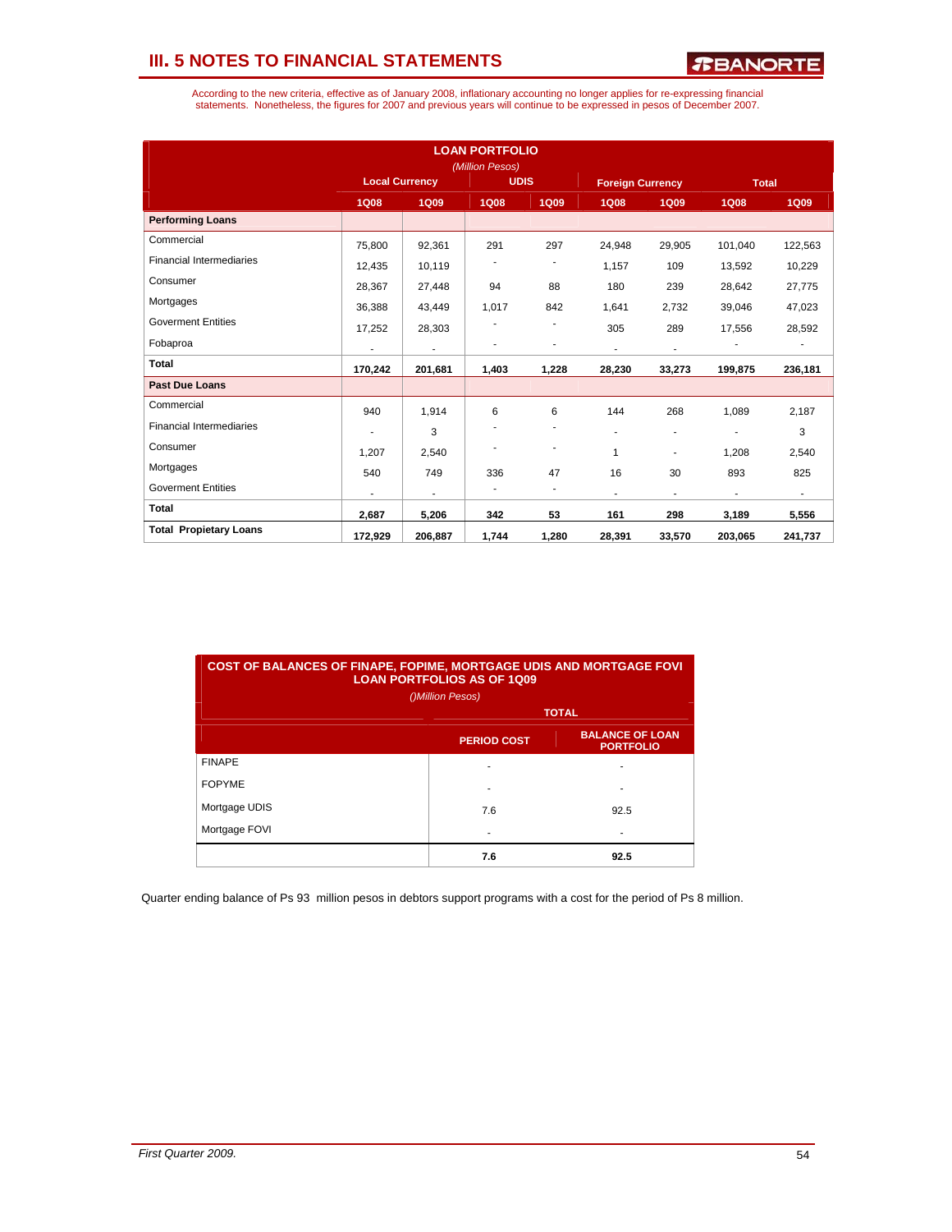According to the new criteria, effective as of January 2008, inflationary accounting no longer applies for re-expressing financial<br>statements. Nonetheless, the figures for 2007 and previous years will continue to be expres

| <b>LOAN PORTFOLIO</b><br>(Million Pesos) |                       |             |             |                          |                          |                          |              |             |
|------------------------------------------|-----------------------|-------------|-------------|--------------------------|--------------------------|--------------------------|--------------|-------------|
|                                          | <b>Local Currency</b> |             | <b>UDIS</b> |                          | <b>Foreign Currency</b>  |                          | <b>Total</b> |             |
|                                          | <b>1Q08</b>           | <b>1Q09</b> | <b>1Q08</b> | <b>1Q09</b>              | <b>1Q08</b>              | <b>1Q09</b>              | <b>1Q08</b>  | <b>1Q09</b> |
| <b>Performing Loans</b>                  |                       |             |             |                          |                          |                          |              |             |
| Commercial                               | 75,800                | 92,361      | 291         | 297                      | 24,948                   | 29,905                   | 101,040      | 122,563     |
| <b>Financial Intermediaries</b>          | 12.435                | 10.119      |             |                          | 1,157                    | 109                      | 13,592       | 10,229      |
| Consumer                                 | 28,367                | 27,448      | 94          | 88                       | 180                      | 239                      | 28,642       | 27,775      |
| Mortgages                                | 36,388                | 43,449      | 1,017       | 842                      | 1,641                    | 2,732                    | 39,046       | 47,023      |
| <b>Goverment Entities</b>                | 17,252                | 28,303      |             |                          | 305                      | 289                      | 17,556       | 28,592      |
| Fobaproa                                 | $\blacksquare$        | ÷           |             | ٠                        | $\overline{\phantom{a}}$ | $\overline{\phantom{a}}$ |              |             |
| <b>Total</b>                             | 170,242               | 201,681     | 1,403       | 1,228                    | 28,230                   | 33,273                   | 199,875      | 236,181     |
| <b>Past Due Loans</b>                    |                       |             |             |                          |                          |                          |              |             |
| Commercial                               | 940                   | 1,914       | 6           | 6                        | 144                      | 268                      | 1.089        | 2,187       |
| <b>Financial Intermediaries</b>          |                       | 3           |             | $\overline{\phantom{a}}$ | $\overline{a}$           | ٠                        |              | 3           |
| Consumer                                 | 1,207                 | 2,540       |             | ٠                        | $\mathbf{1}$             |                          | 1.208        | 2,540       |
| Mortgages                                | 540                   | 749         | 336         | 47                       | 16                       | 30                       | 893          | 825         |
| <b>Goverment Entities</b>                |                       | ٠           | ٠           | ٠                        | $\blacksquare$           | ٠                        | ٠            | ÷.          |
| <b>Total</b>                             | 2,687                 | 5,206       | 342         | 53                       | 161                      | 298                      | 3,189        | 5,556       |
| <b>Total Propietary Loans</b>            | 172,929               | 206,887     | 1,744       | 1,280                    | 28,391                   | 33,570                   | 203,065      | 241,737     |

| <b>COST OF BALANCES OF FINAPE, FOPIME, MORTGAGE UDIS AND MORTGAGE FOVI</b><br><b>LOAN PORTFOLIOS AS OF 1009</b> |                    |                                            |  |  |  |  |  |
|-----------------------------------------------------------------------------------------------------------------|--------------------|--------------------------------------------|--|--|--|--|--|
| ()Million Pesos)                                                                                                |                    |                                            |  |  |  |  |  |
|                                                                                                                 | <b>TOTAL</b>       |                                            |  |  |  |  |  |
|                                                                                                                 | <b>PERIOD COST</b> | <b>BALANCE OF LOAN</b><br><b>PORTFOLIO</b> |  |  |  |  |  |
| <b>FINAPE</b>                                                                                                   |                    |                                            |  |  |  |  |  |
| <b>FOPYME</b>                                                                                                   |                    |                                            |  |  |  |  |  |
| Mortgage UDIS                                                                                                   | 7.6                | 92.5                                       |  |  |  |  |  |
| Mortgage FOVI                                                                                                   |                    |                                            |  |  |  |  |  |
|                                                                                                                 | 7.6                | 92.5                                       |  |  |  |  |  |

Quarter ending balance of Ps 93 million pesos in debtors support programs with a cost for the period of Ps 8 million.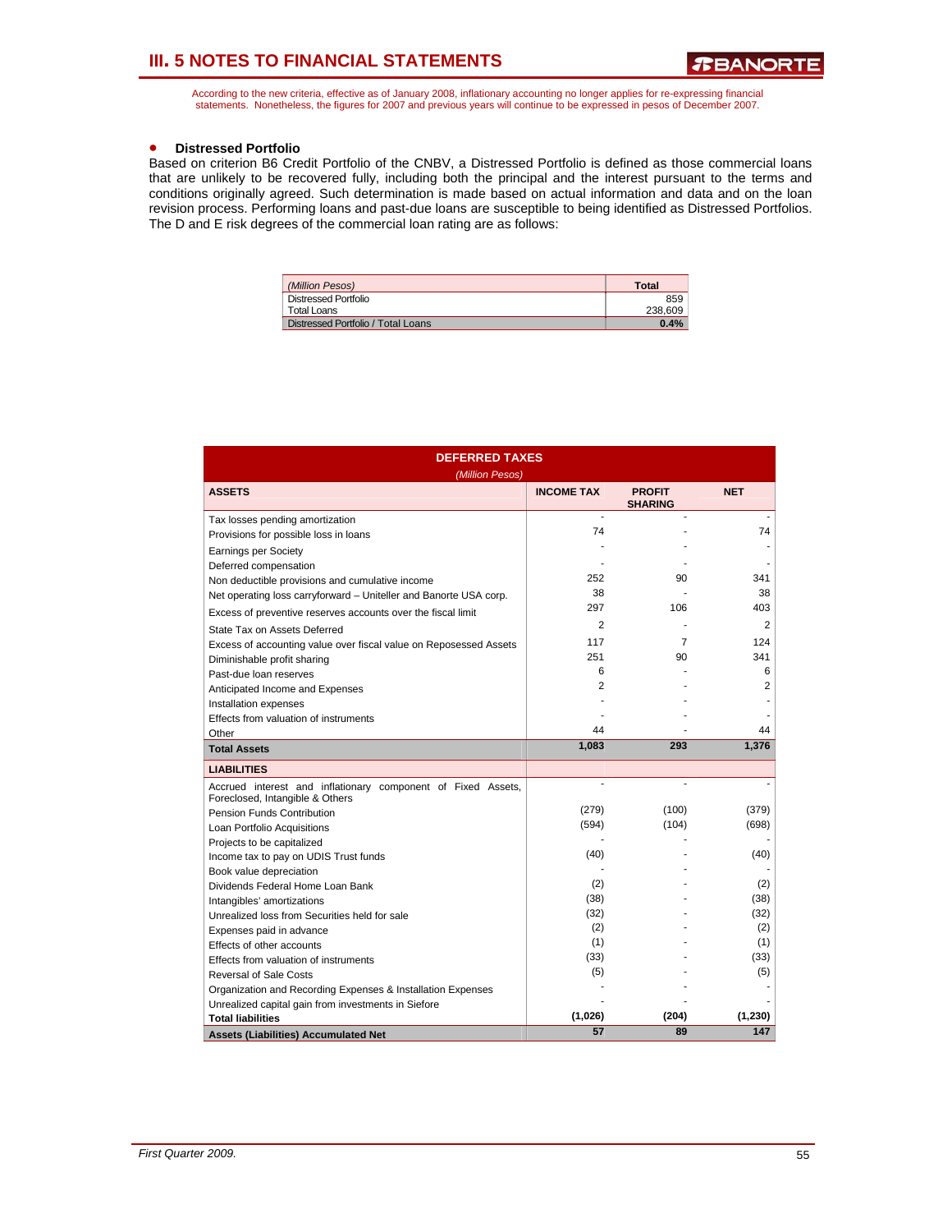According to the new criteria, effective as of January 2008, inflationary accounting no longer applies for re-expressing financial statements. Nonetheless, the figures for 2007 and previous years will continue to be expressed in pesos of December 2007.

### • **Distressed Portfolio**

Based on criterion B6 Credit Portfolio of the CNBV, a Distressed Portfolio is defined as those commercial loans that are unlikely to be recovered fully, including both the principal and the interest pursuant to the terms and conditions originally agreed. Such determination is made based on actual information and data and on the loan revision process. Performing loans and past-due loans are susceptible to being identified as Distressed Portfolios. The D and E risk degrees of the commercial loan rating are as follows:

| (Million Pesos)                    | <b>Total</b> |
|------------------------------------|--------------|
| Distressed Portfolio               | 859          |
| Total Loans                        | 238.609      |
| Distressed Portfolio / Total Loans | 0.4%         |

| <b>DEFERRED TAXES</b>                                                                           |                   |                                 |            |  |  |  |  |
|-------------------------------------------------------------------------------------------------|-------------------|---------------------------------|------------|--|--|--|--|
| (Million Pesos)                                                                                 |                   |                                 |            |  |  |  |  |
| <b>ASSETS</b>                                                                                   | <b>INCOME TAX</b> | <b>PROFIT</b><br><b>SHARING</b> | <b>NET</b> |  |  |  |  |
| Tax losses pending amortization                                                                 |                   |                                 |            |  |  |  |  |
| Provisions for possible loss in loans                                                           | 74                |                                 | 74         |  |  |  |  |
| <b>Earnings per Society</b>                                                                     |                   |                                 |            |  |  |  |  |
| Deferred compensation                                                                           |                   |                                 |            |  |  |  |  |
| Non deductible provisions and cumulative income                                                 | 252               | 90                              | 341        |  |  |  |  |
| Net operating loss carryforward - Uniteller and Banorte USA corp.                               | 38                |                                 | 38         |  |  |  |  |
| Excess of preventive reserves accounts over the fiscal limit                                    | 297               | 106                             | 403        |  |  |  |  |
| State Tax on Assets Deferred                                                                    | $\overline{2}$    |                                 | 2          |  |  |  |  |
| Excess of accounting value over fiscal value on Reposessed Assets                               | 117               | 7                               | 124        |  |  |  |  |
| Diminishable profit sharing                                                                     | 251               | 90                              | 341        |  |  |  |  |
| Past-due loan reserves                                                                          | 6                 |                                 | 6          |  |  |  |  |
| Anticipated Income and Expenses                                                                 | $\overline{2}$    |                                 | 2          |  |  |  |  |
| Installation expenses                                                                           |                   |                                 |            |  |  |  |  |
| Effects from valuation of instruments                                                           |                   |                                 |            |  |  |  |  |
| Other                                                                                           | 44                |                                 | 44         |  |  |  |  |
| <b>Total Assets</b>                                                                             | 1,083             | 293                             | 1,376      |  |  |  |  |
| <b>LIABILITIES</b>                                                                              |                   |                                 |            |  |  |  |  |
| Accrued interest and inflationary component of Fixed Assets,<br>Foreclosed, Intangible & Others |                   | ÷.                              |            |  |  |  |  |
| <b>Pension Funds Contribution</b>                                                               | (279)             | (100)                           | (379)      |  |  |  |  |
| Loan Portfolio Acquisitions                                                                     | (594)             | (104)                           | (698)      |  |  |  |  |
| Projects to be capitalized                                                                      |                   |                                 |            |  |  |  |  |
| Income tax to pay on UDIS Trust funds                                                           | (40)              |                                 | (40)       |  |  |  |  |
| Book value depreciation                                                                         |                   |                                 |            |  |  |  |  |
| Dividends Federal Home Loan Bank                                                                | (2)               |                                 | (2)        |  |  |  |  |
| Intangibles' amortizations                                                                      | (38)              |                                 | (38)       |  |  |  |  |
| Unrealized loss from Securities held for sale                                                   | (32)              |                                 | (32)       |  |  |  |  |
| Expenses paid in advance                                                                        | (2)               |                                 | (2)        |  |  |  |  |
| Effects of other accounts                                                                       | (1)               |                                 | (1)        |  |  |  |  |
| Effects from valuation of instruments                                                           | (33)              |                                 | (33)       |  |  |  |  |
| <b>Reversal of Sale Costs</b>                                                                   | (5)               |                                 | (5)        |  |  |  |  |
| Organization and Recording Expenses & Installation Expenses                                     |                   |                                 |            |  |  |  |  |
| Unrealized capital gain from investments in Siefore                                             |                   |                                 |            |  |  |  |  |
| <b>Total liabilities</b>                                                                        | (1,026)           | (204)                           | (1, 230)   |  |  |  |  |
| <b>Assets (Liabilities) Accumulated Net</b>                                                     | 57                | 89                              | 147        |  |  |  |  |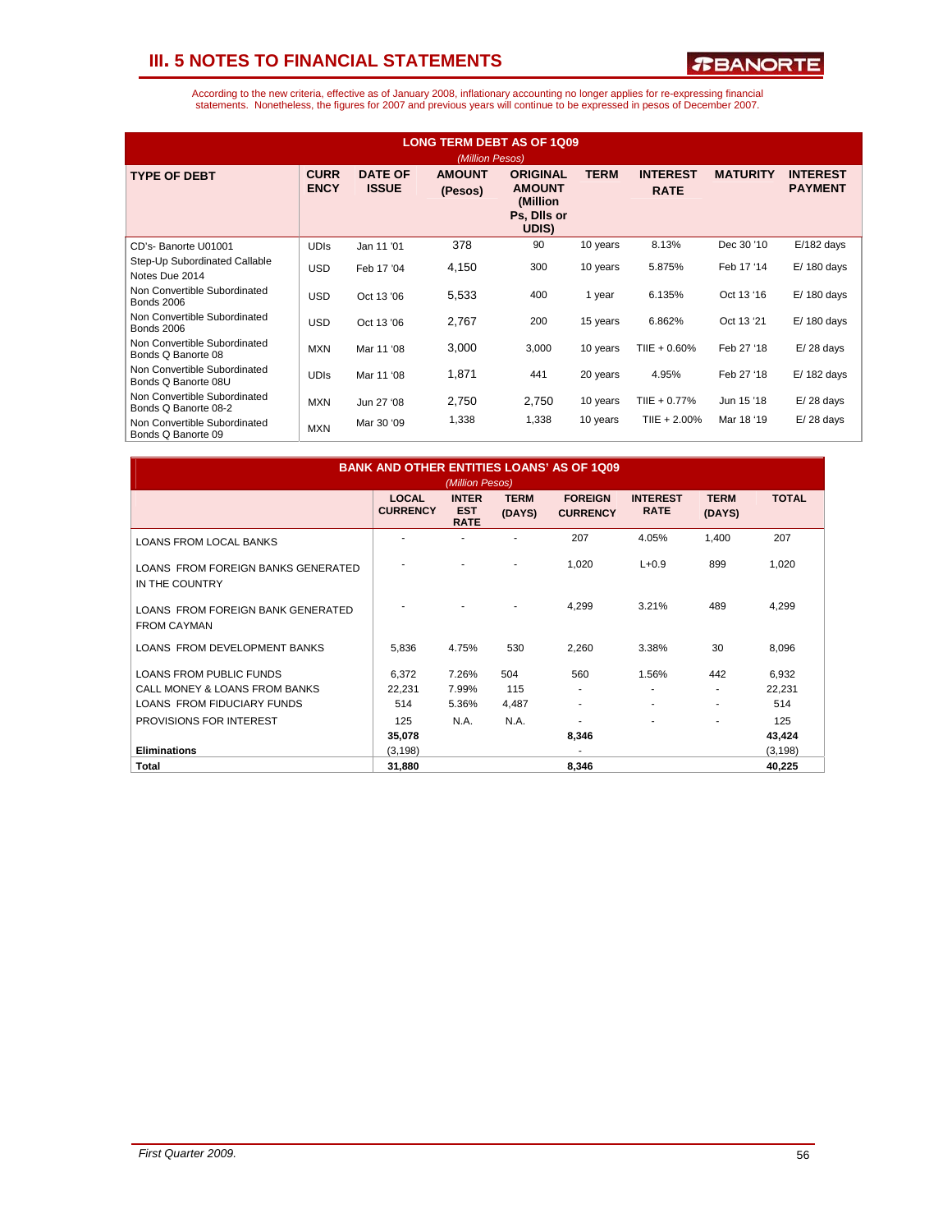*R***BANORTE** 

| <b>LONG TERM DEBT AS OF 1Q09</b><br>(Million Pesos)  |                            |                                |                          |                                                                       |             |                                |                 |                                   |
|------------------------------------------------------|----------------------------|--------------------------------|--------------------------|-----------------------------------------------------------------------|-------------|--------------------------------|-----------------|-----------------------------------|
| <b>TYPE OF DEBT</b>                                  | <b>CURR</b><br><b>ENCY</b> | <b>DATE OF</b><br><b>ISSUE</b> | <b>AMOUNT</b><br>(Pesos) | <b>ORIGINAL</b><br><b>AMOUNT</b><br>(Million)<br>Ps, Dils or<br>UDIS) | <b>TERM</b> | <b>INTEREST</b><br><b>RATE</b> | <b>MATURITY</b> | <b>INTEREST</b><br><b>PAYMENT</b> |
| CD's- Banorte U01001                                 | <b>UDIS</b>                | Jan 11 '01                     | 378                      | 90                                                                    | 10 years    | 8.13%                          | Dec 30 '10      | $E/182$ days                      |
| Step-Up Subordinated Callable<br>Notes Due 2014      | <b>USD</b>                 | Feb 17 '04                     | 4,150                    | 300                                                                   | 10 years    | 5.875%                         | Feb 17 '14      | $E/180$ days                      |
| Non Convertible Subordinated<br><b>Bonds 2006</b>    | <b>USD</b>                 | Oct 13 '06                     | 5,533                    | 400                                                                   | 1 year      | 6.135%                         | Oct 13 '16      | $E/180$ days                      |
| Non Convertible Subordinated<br><b>Bonds 2006</b>    | <b>USD</b>                 | Oct 13 '06                     | 2,767                    | 200                                                                   | 15 years    | 6.862%                         | Oct 13 '21      | $E/180$ days                      |
| Non Convertible Subordinated<br>Bonds Q Banorte 08   | <b>MXN</b>                 | Mar 11 '08                     | 3,000                    | 3,000                                                                 | 10 years    | TIIE + 0.60%                   | Feb 27 '18      | $E/28$ days                       |
| Non Convertible Subordinated<br>Bonds Q Banorte 08U  | <b>UDIS</b>                | Mar 11 '08                     | 1,871                    | 441                                                                   | 20 years    | 4.95%                          | Feb 27 '18      | E/182 days                        |
| Non Convertible Subordinated<br>Bonds Q Banorte 08-2 | <b>MXN</b>                 | Jun 27 '08                     | 2,750                    | 2,750                                                                 | 10 years    | TIIE + 0.77%                   | Jun 15 '18      | $E/28$ days                       |
| Non Convertible Subordinated<br>Bonds Q Banorte 09   | <b>MXN</b>                 | Mar 30 '09                     | 1,338                    | 1,338                                                                 | 10 years    | TIIE + $2.00\%$                | Mar 18 '19      | $E/28$ days                       |

| <b>BANK AND OTHER ENTITIES LOANS' AS OF 1Q09</b><br>(Million Pesos) |                                 |                                           |                       |                                   |                                |                       |              |
|---------------------------------------------------------------------|---------------------------------|-------------------------------------------|-----------------------|-----------------------------------|--------------------------------|-----------------------|--------------|
|                                                                     | <b>LOCAL</b><br><b>CURRENCY</b> | <b>INTER</b><br><b>EST</b><br><b>RATE</b> | <b>TERM</b><br>(DAYS) | <b>FORFIGN</b><br><b>CURRENCY</b> | <b>INTEREST</b><br><b>RATE</b> | <b>TERM</b><br>(DAYS) | <b>TOTAL</b> |
| <b>LOANS FROM LOCAL BANKS</b>                                       |                                 |                                           |                       | 207                               | 4.05%                          | 1,400                 | 207          |
| LOANS FROM FOREIGN BANKS GENERATED<br>IN THE COUNTRY                |                                 |                                           | ۰                     | 1,020                             | $L + 0.9$                      | 899                   | 1,020        |
| LOANS FROM FOREIGN BANK GENERATED<br><b>FROM CAYMAN</b>             |                                 |                                           | ٠                     | 4.299                             | 3.21%                          | 489                   | 4,299        |
| LOANS FROM DEVELOPMENT BANKS                                        | 5,836                           | 4.75%                                     | 530                   | 2,260                             | 3.38%                          | 30                    | 8,096        |
| <b>LOANS FROM PUBLIC FUNDS</b>                                      | 6,372                           | 7.26%                                     | 504                   | 560                               | 1.56%                          | 442                   | 6,932        |
| CALL MONEY & LOANS FROM BANKS                                       | 22,231                          | 7.99%                                     | 115                   | $\overline{\phantom{a}}$          | ٠                              | ٠                     | 22,231       |
| <b>LOANS FROM FIDUCIARY FUNDS</b>                                   | 514                             | 5.36%                                     | 4,487                 | ۰                                 |                                | ٠                     | 514          |
| PROVISIONS FOR INTEREST                                             | 125                             | N.A.                                      | N.A.                  |                                   | ٠                              |                       | 125          |
|                                                                     | 35,078                          |                                           |                       | 8,346                             |                                |                       | 43,424       |
| <b>Eliminations</b>                                                 | (3, 198)                        |                                           |                       |                                   |                                |                       | (3, 198)     |
| Total                                                               | 31.880                          |                                           |                       | 8.346                             |                                |                       | 40,225       |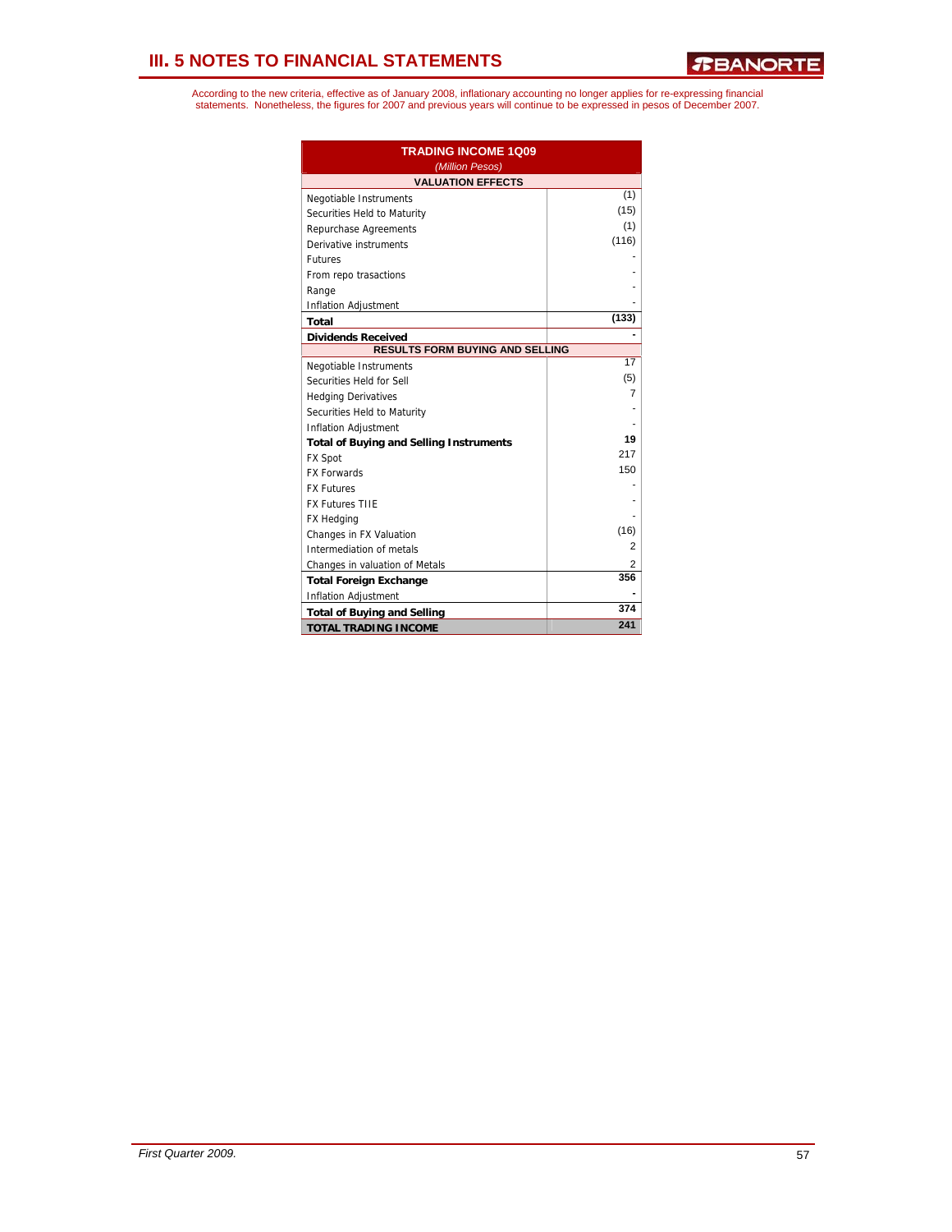| <b>TRADING INCOME 1Q09</b><br>(Million Pesos)  |       |  |  |  |  |  |  |
|------------------------------------------------|-------|--|--|--|--|--|--|
| <b>VALUATION EFFECTS</b>                       |       |  |  |  |  |  |  |
| Negotiable Instruments                         | (1)   |  |  |  |  |  |  |
| Securities Held to Maturity                    | (15)  |  |  |  |  |  |  |
| Repurchase Agreements                          | (1)   |  |  |  |  |  |  |
| Derivative instruments                         | (116) |  |  |  |  |  |  |
| <b>Futures</b>                                 |       |  |  |  |  |  |  |
| From repo trasactions                          |       |  |  |  |  |  |  |
| Range                                          |       |  |  |  |  |  |  |
| Inflation Adjustment                           |       |  |  |  |  |  |  |
| <b>Total</b>                                   | (133) |  |  |  |  |  |  |
| <b>Dividends Received</b>                      |       |  |  |  |  |  |  |
| <b>RESULTS FORM BUYING AND SELLING</b>         |       |  |  |  |  |  |  |
| Negotiable Instruments                         | 17    |  |  |  |  |  |  |
| Securities Held for Sell                       | (5)   |  |  |  |  |  |  |
| <b>Hedging Derivatives</b>                     | 7     |  |  |  |  |  |  |
| Securities Held to Maturity                    |       |  |  |  |  |  |  |
| <b>Inflation Adjustment</b>                    |       |  |  |  |  |  |  |
| <b>Total of Buying and Selling Instruments</b> | 19    |  |  |  |  |  |  |
| <b>FX Spot</b>                                 | 217   |  |  |  |  |  |  |
| <b>FX Forwards</b>                             | 150   |  |  |  |  |  |  |
| <b>FX Futures</b>                              |       |  |  |  |  |  |  |
| <b>FX Futures TIIE</b>                         |       |  |  |  |  |  |  |
| <b>FX Hedging</b>                              |       |  |  |  |  |  |  |
| Changes in FX Valuation                        | (16)  |  |  |  |  |  |  |
| Intermediation of metals                       | 2     |  |  |  |  |  |  |
| Changes in valuation of Metals                 | 2     |  |  |  |  |  |  |
| <b>Total Foreign Exchange</b>                  | 356   |  |  |  |  |  |  |
| Inflation Adjustment                           |       |  |  |  |  |  |  |
| <b>Total of Buying and Selling</b>             | 374   |  |  |  |  |  |  |
| <b>TOTAL TRADING INCOME</b>                    | 241   |  |  |  |  |  |  |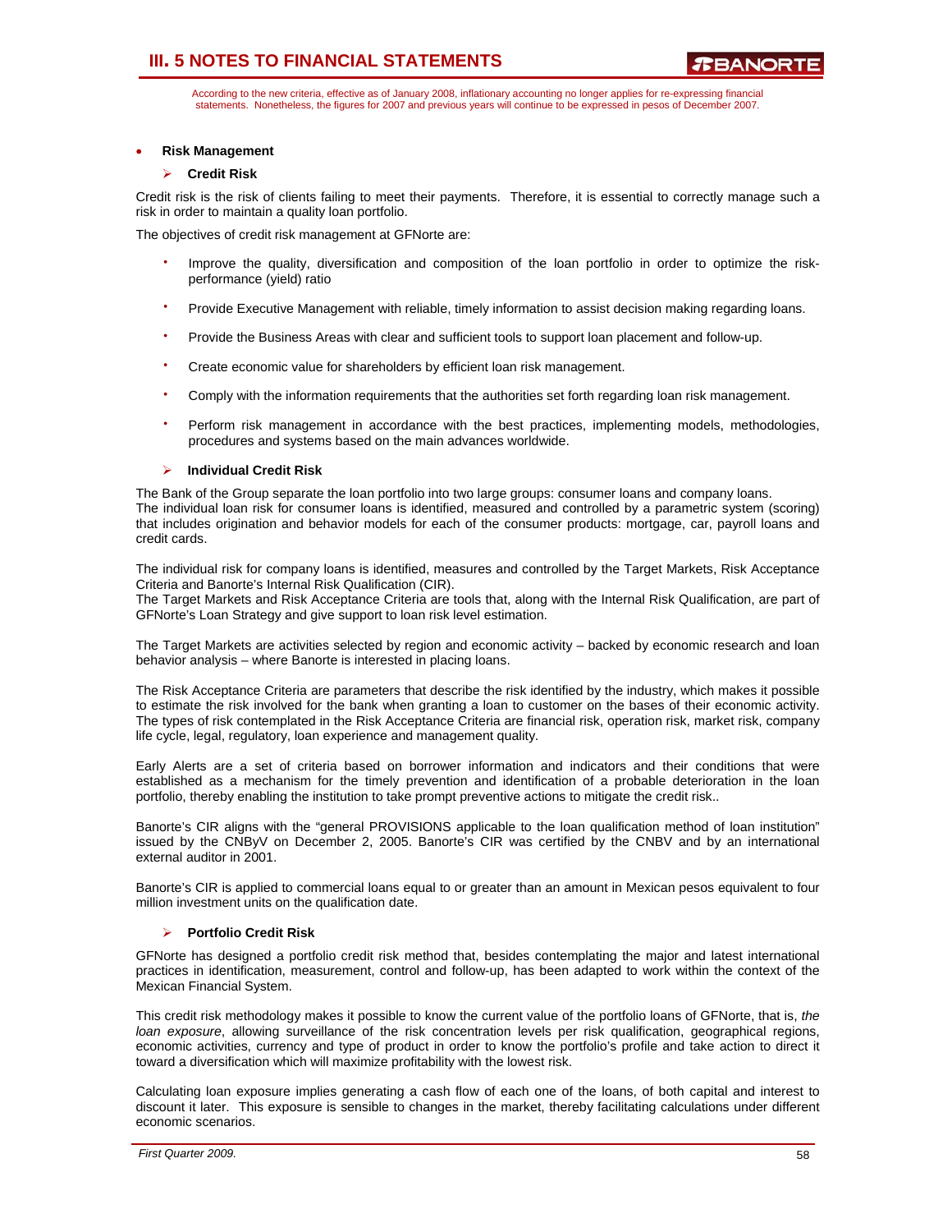According to the new criteria, effective as of January 2008, inflationary accounting no longer applies for re-expressing financial statements. Nonetheless, the figures for 2007 and previous years will continue to be expressed in pesos of December 2007.

### • **Risk Management**

### ¾ **Credit Risk**

Credit risk is the risk of clients failing to meet their payments. Therefore, it is essential to correctly manage such a risk in order to maintain a quality loan portfolio.

The objectives of credit risk management at GFNorte are:

- Improve the quality, diversification and composition of the loan portfolio in order to optimize the riskperformance (yield) ratio
- Provide Executive Management with reliable, timely information to assist decision making regarding loans.
- ⋅ Provide the Business Areas with clear and sufficient tools to support loan placement and follow-up.
- Create economic value for shareholders by efficient loan risk management.
- $\overline{a}$ Comply with the information requirements that the authorities set forth regarding loan risk management.
- Perform risk management in accordance with the best practices, implementing models, methodologies, procedures and systems based on the main advances worldwide.

### ¾ **Individual Credit Risk**

The Bank of the Group separate the loan portfolio into two large groups: consumer loans and company loans. The individual loan risk for consumer loans is identified, measured and controlled by a parametric system (scoring) that includes origination and behavior models for each of the consumer products: mortgage, car, payroll loans and credit cards.

The individual risk for company loans is identified, measures and controlled by the Target Markets, Risk Acceptance Criteria and Banorte's Internal Risk Qualification (CIR).

The Target Markets and Risk Acceptance Criteria are tools that, along with the Internal Risk Qualification, are part of GFNorte's Loan Strategy and give support to loan risk level estimation.

The Target Markets are activities selected by region and economic activity – backed by economic research and loan behavior analysis – where Banorte is interested in placing loans.

The Risk Acceptance Criteria are parameters that describe the risk identified by the industry, which makes it possible to estimate the risk involved for the bank when granting a loan to customer on the bases of their economic activity. The types of risk contemplated in the Risk Acceptance Criteria are financial risk, operation risk, market risk, company life cycle, legal, regulatory, loan experience and management quality.

Early Alerts are a set of criteria based on borrower information and indicators and their conditions that were established as a mechanism for the timely prevention and identification of a probable deterioration in the loan portfolio, thereby enabling the institution to take prompt preventive actions to mitigate the credit risk..

Banorte's CIR aligns with the "general PROVISIONS applicable to the loan qualification method of loan institution" issued by the CNByV on December 2, 2005. Banorte's CIR was certified by the CNBV and by an international external auditor in 2001.

Banorte's CIR is applied to commercial loans equal to or greater than an amount in Mexican pesos equivalent to four million investment units on the qualification date.

#### ¾ **Portfolio Credit Risk**

GFNorte has designed a portfolio credit risk method that, besides contemplating the major and latest international practices in identification, measurement, control and follow-up, has been adapted to work within the context of the Mexican Financial System.

This credit risk methodology makes it possible to know the current value of the portfolio loans of GFNorte, that is, *the loan exposure*, allowing surveillance of the risk concentration levels per risk qualification, geographical regions, economic activities, currency and type of product in order to know the portfolio's profile and take action to direct it toward a diversification which will maximize profitability with the lowest risk.

Calculating loan exposure implies generating a cash flow of each one of the loans, of both capital and interest to discount it later. This exposure is sensible to changes in the market, thereby facilitating calculations under different economic scenarios.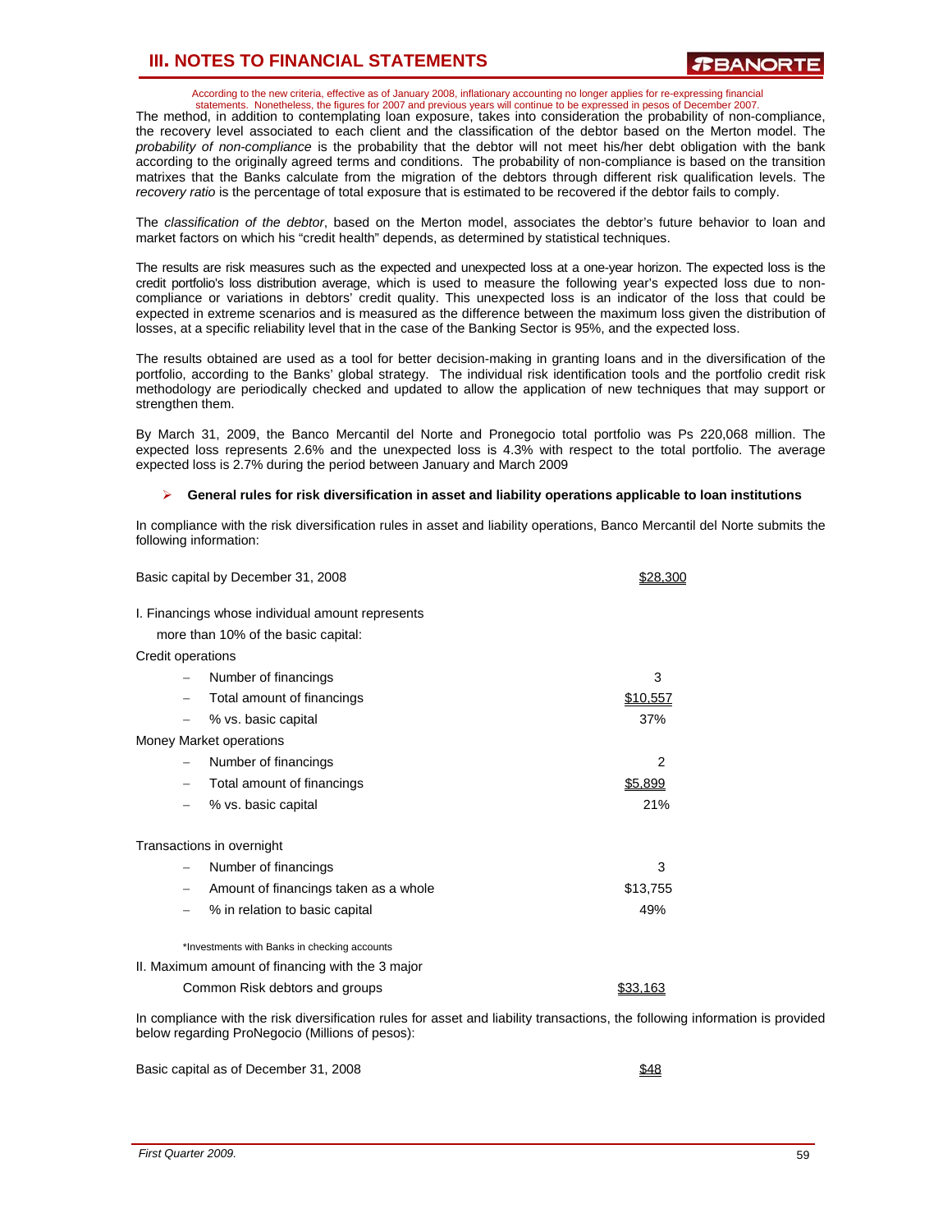According to the new criteria, effective as of January 2008, inflationary accounting no longer applies for re-expressing financial statements. Nonetheless, the figures for 2007 and previous years will continue to be expressed in pesos of December 2007.

The method, in addition to contemplating loan exposure, takes into consideration the probability of non-compliance, the recovery level associated to each client and the classification of the debtor based on the Merton model. The *probability of non-compliance* is the probability that the debtor will not meet his/her debt obligation with the bank according to the originally agreed terms and conditions. The probability of non-compliance is based on the transition matrixes that the Banks calculate from the migration of the debtors through different risk qualification levels. The *recovery ratio* is the percentage of total exposure that is estimated to be recovered if the debtor fails to comply.

The *classification of the debtor*, based on the Merton model, associates the debtor's future behavior to loan and market factors on which his "credit health" depends, as determined by statistical techniques.

The results are risk measures such as the expected and unexpected loss at a one-year horizon. The expected loss is the credit portfolio's loss distribution average, which is used to measure the following year's expected loss due to noncompliance or variations in debtors' credit quality. This unexpected loss is an indicator of the loss that could be expected in extreme scenarios and is measured as the difference between the maximum loss given the distribution of losses, at a specific reliability level that in the case of the Banking Sector is 95%, and the expected loss.

The results obtained are used as a tool for better decision-making in granting loans and in the diversification of the portfolio, according to the Banks' global strategy. The individual risk identification tools and the portfolio credit risk methodology are periodically checked and updated to allow the application of new techniques that may support or strengthen them.

By March 31, 2009, the Banco Mercantil del Norte and Pronegocio total portfolio was Ps 220,068 million. The expected loss represents 2.6% and the unexpected loss is 4.3% with respect to the total portfolio. The average expected loss is 2.7% during the period between January and March 2009

### ¾ **General rules for risk diversification in asset and liability operations applicable to loan institutions**

In compliance with the risk diversification rules in asset and liability operations, Banco Mercantil del Norte submits the following information:

| Basic capital by December 31, 2008                                                      | \$28.300       |
|-----------------------------------------------------------------------------------------|----------------|
| I. Financings whose individual amount represents<br>more than 10% of the basic capital: |                |
| Credit operations                                                                       |                |
| Number of financings                                                                    | 3              |
| Total amount of financings                                                              | \$10,557       |
| % vs. basic capital                                                                     | 37%            |
| Money Market operations                                                                 |                |
| Number of financings                                                                    | $\overline{2}$ |
| Total amount of financings                                                              | \$5,899        |
| % vs. basic capital                                                                     | 21%            |
| Transactions in overnight                                                               |                |
| Number of financings                                                                    | 3              |
| Amount of financings taken as a whole                                                   | \$13,755       |
| % in relation to basic capital                                                          | 49%            |
| *Investments with Banks in checking accounts                                            |                |
| II. Maximum amount of financing with the 3 major                                        |                |

Common Risk debtors and groups **\$33,163** 

In compliance with the risk diversification rules for asset and liability transactions, the following information is provided below regarding ProNegocio (Millions of pesos):

Basic capital as of December 31, 2008 **\$48**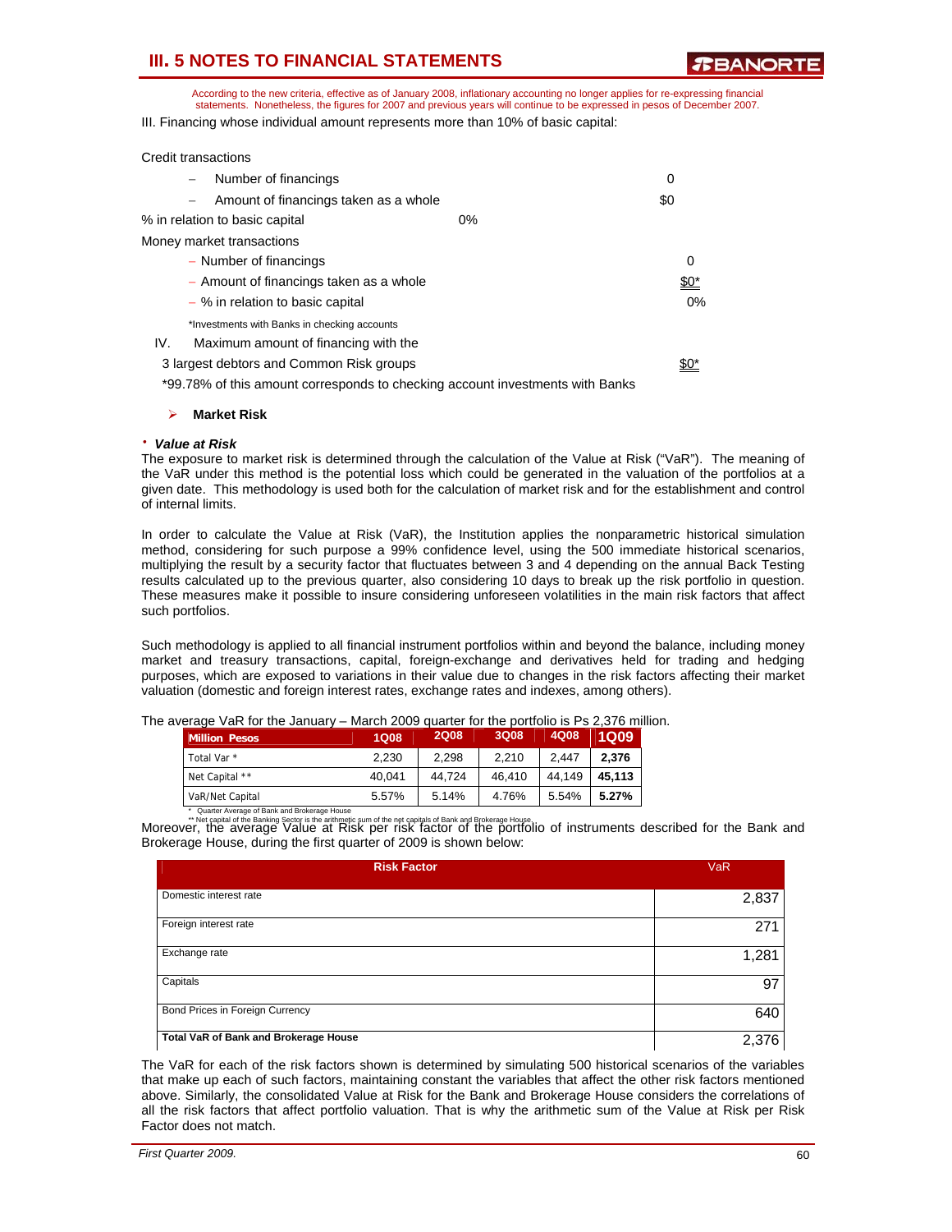**RRANORT** 

According to the new criteria, effective as of January 2008, inflationary accounting no longer applies for re-expressing financial statements. Nonetheless, the figures for 2007 and previous years will continue to be expressed in pesos of December 2007. III. Financing whose individual amount represents more than 10% of basic capital:

| Credit transactions              |                                              |       |        |
|----------------------------------|----------------------------------------------|-------|--------|
|                                  | Number of financings                         |       | 0      |
|                                  | Amount of financings taken as a whole        |       | \$0    |
| % in relation to basic capital   |                                              | $0\%$ |        |
| Money market transactions        |                                              |       |        |
| - Number of financings           |                                              |       | 0      |
|                                  | - Amount of financings taken as a whole      |       | $\$0*$ |
| - % in relation to basic capital |                                              |       | $0\%$  |
|                                  | *Investments with Banks in checking accounts |       |        |
| IV.                              | Maximum amount of financing with the         |       |        |
|                                  | 3 largest debtors and Common Risk groups     |       |        |
|                                  |                                              |       |        |

\*99.78% of this amount corresponds to checking account investments with Banks

#### ¾ **Market Risk**

#### ⋅ *Value at Risk*

The exposure to market risk is determined through the calculation of the Value at Risk ("VaR"). The meaning of the VaR under this method is the potential loss which could be generated in the valuation of the portfolios at a given date. This methodology is used both for the calculation of market risk and for the establishment and control of internal limits.

In order to calculate the Value at Risk (VaR), the Institution applies the nonparametric historical simulation method, considering for such purpose a 99% confidence level, using the 500 immediate historical scenarios, multiplying the result by a security factor that fluctuates between 3 and 4 depending on the annual Back Testing results calculated up to the previous quarter, also considering 10 days to break up the risk portfolio in question. These measures make it possible to insure considering unforeseen volatilities in the main risk factors that affect such portfolios.

Such methodology is applied to all financial instrument portfolios within and beyond the balance, including money market and treasury transactions, capital, foreign-exchange and derivatives held for trading and hedging purposes, which are exposed to variations in their value due to changes in the risk factors affecting their market valuation (domestic and foreign interest rates, exchange rates and indexes, among others).

| The average VaR for the January – March 2009 quarter for the portfolio is Ps 2,376 million. |  |  |
|---------------------------------------------------------------------------------------------|--|--|
|---------------------------------------------------------------------------------------------|--|--|

| <b>Million Pesos</b> | <b>1Q08</b> | <b>2Q08</b> | 3Q08   | 4Q08   | <b>1Q09</b> |
|----------------------|-------------|-------------|--------|--------|-------------|
| Total Var *          | 2.230       | 2.298       | 2.210  | 2.447  | 2.376       |
| Net Capital **       | 40.041      | 44.724      | 46.410 | 44.149 | 45.113      |
| VaR/Net Capital      | 5.57%       | 5.14%       | 4.76%  | 5.54%  | 5.27%       |

alart Average of Bank and Brokerage House<br>Moreover, the although Sactoris the antimetic sum of the net capitals of Bank and Brokerage House.<br>Moreover,the average Value at Risk per risk factor of the portfolio of instrumen Brokerage House, during the first quarter of 2009 is shown below:

| <b>Risk Factor</b>                    | <b>VaR</b> |
|---------------------------------------|------------|
| Domestic interest rate                | 2,837      |
| Foreign interest rate                 | 271        |
| Exchange rate                         | 1,281      |
| Capitals                              | 97         |
| Bond Prices in Foreign Currency       | 640        |
| Total VaR of Bank and Brokerage House | 2,376      |

The VaR for each of the risk factors shown is determined by simulating 500 historical scenarios of the variables that make up each of such factors, maintaining constant the variables that affect the other risk factors mentioned above. Similarly, the consolidated Value at Risk for the Bank and Brokerage House considers the correlations of all the risk factors that affect portfolio valuation. That is why the arithmetic sum of the Value at Risk per Risk Factor does not match.

| First Quarter 2009. | 60 |
|---------------------|----|
|---------------------|----|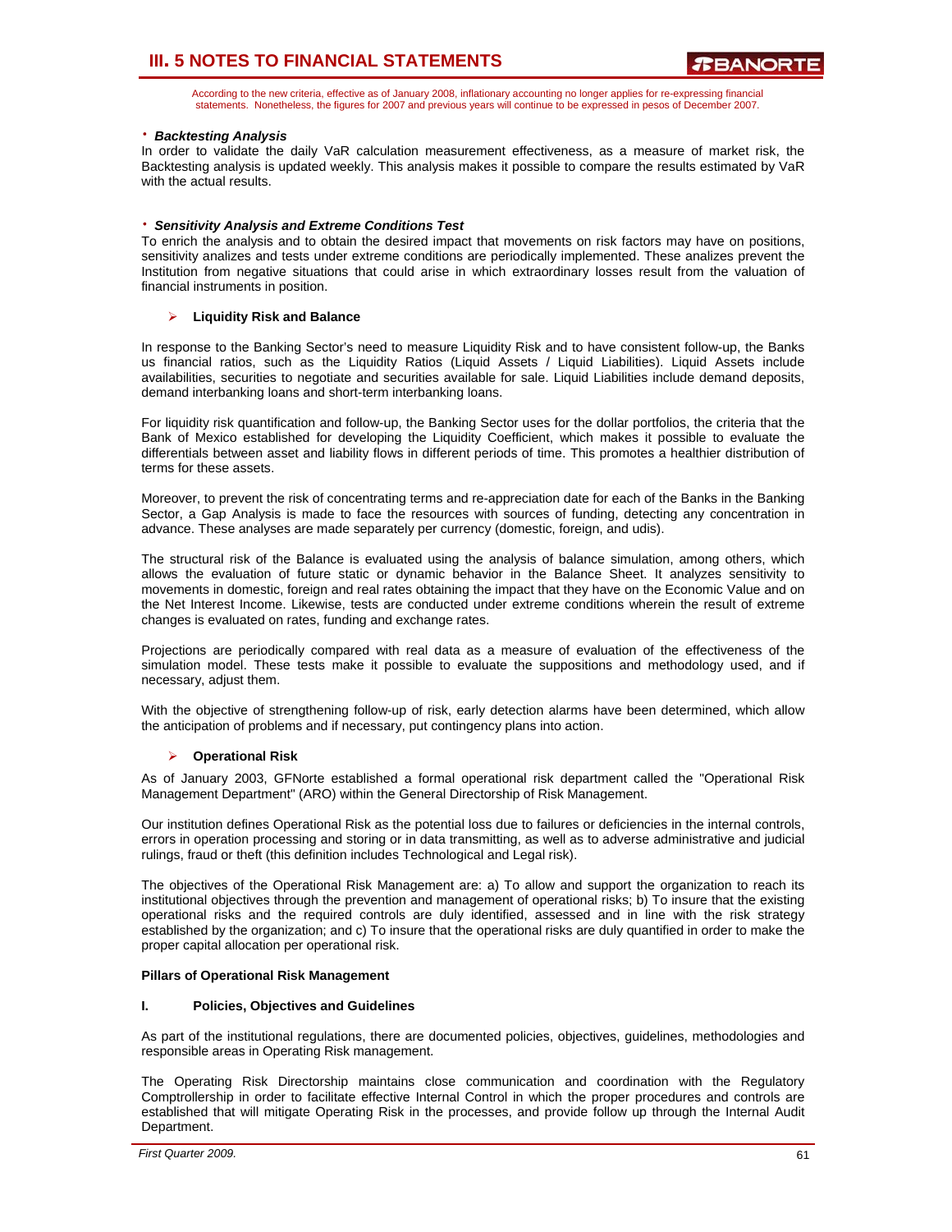According to the new criteria, effective as of January 2008, inflationary accounting no longer applies for re-expressing financial statements. Nonetheless, the figures for 2007 and previous years will continue to be expressed in pesos of December 2007.

### ⋅ *Backtesting Analysis*

In order to validate the daily VaR calculation measurement effectiveness, as a measure of market risk, the Backtesting analysis is updated weekly. This analysis makes it possible to compare the results estimated by VaR with the actual results.

### ⋅ *Sensitivity Analysis and Extreme Conditions Test*

To enrich the analysis and to obtain the desired impact that movements on risk factors may have on positions, sensitivity analizes and tests under extreme conditions are periodically implemented. These analizes prevent the Institution from negative situations that could arise in which extraordinary losses result from the valuation of financial instruments in position.

### ¾ **Liquidity Risk and Balance**

In response to the Banking Sector's need to measure Liquidity Risk and to have consistent follow-up, the Banks us financial ratios, such as the Liquidity Ratios (Liquid Assets / Liquid Liabilities). Liquid Assets include availabilities, securities to negotiate and securities available for sale. Liquid Liabilities include demand deposits, demand interbanking loans and short-term interbanking loans.

For liquidity risk quantification and follow-up, the Banking Sector uses for the dollar portfolios, the criteria that the Bank of Mexico established for developing the Liquidity Coefficient, which makes it possible to evaluate the differentials between asset and liability flows in different periods of time. This promotes a healthier distribution of terms for these assets.

Moreover, to prevent the risk of concentrating terms and re-appreciation date for each of the Banks in the Banking Sector, a Gap Analysis is made to face the resources with sources of funding, detecting any concentration in advance. These analyses are made separately per currency (domestic, foreign, and udis).

The structural risk of the Balance is evaluated using the analysis of balance simulation, among others, which allows the evaluation of future static or dynamic behavior in the Balance Sheet. It analyzes sensitivity to movements in domestic, foreign and real rates obtaining the impact that they have on the Economic Value and on the Net Interest Income. Likewise, tests are conducted under extreme conditions wherein the result of extreme changes is evaluated on rates, funding and exchange rates.

Projections are periodically compared with real data as a measure of evaluation of the effectiveness of the simulation model. These tests make it possible to evaluate the suppositions and methodology used, and if necessary, adjust them.

With the objective of strengthening follow-up of risk, early detection alarms have been determined, which allow the anticipation of problems and if necessary, put contingency plans into action.

#### ¾ **Operational Risk**

As of January 2003, GFNorte established a formal operational risk department called the "Operational Risk Management Department" (ARO) within the General Directorship of Risk Management.

Our institution defines Operational Risk as the potential loss due to failures or deficiencies in the internal controls, errors in operation processing and storing or in data transmitting, as well as to adverse administrative and judicial rulings, fraud or theft (this definition includes Technological and Legal risk).

The objectives of the Operational Risk Management are: a) To allow and support the organization to reach its institutional objectives through the prevention and management of operational risks; b) To insure that the existing operational risks and the required controls are duly identified, assessed and in line with the risk strategy established by the organization; and c) To insure that the operational risks are duly quantified in order to make the proper capital allocation per operational risk.

#### **Pillars of Operational Risk Management**

#### **I. Policies, Objectives and Guidelines**

As part of the institutional regulations, there are documented policies, objectives, guidelines, methodologies and responsible areas in Operating Risk management.

The Operating Risk Directorship maintains close communication and coordination with the Regulatory Comptrollership in order to facilitate effective Internal Control in which the proper procedures and controls are established that will mitigate Operating Risk in the processes, and provide follow up through the Internal Audit Department.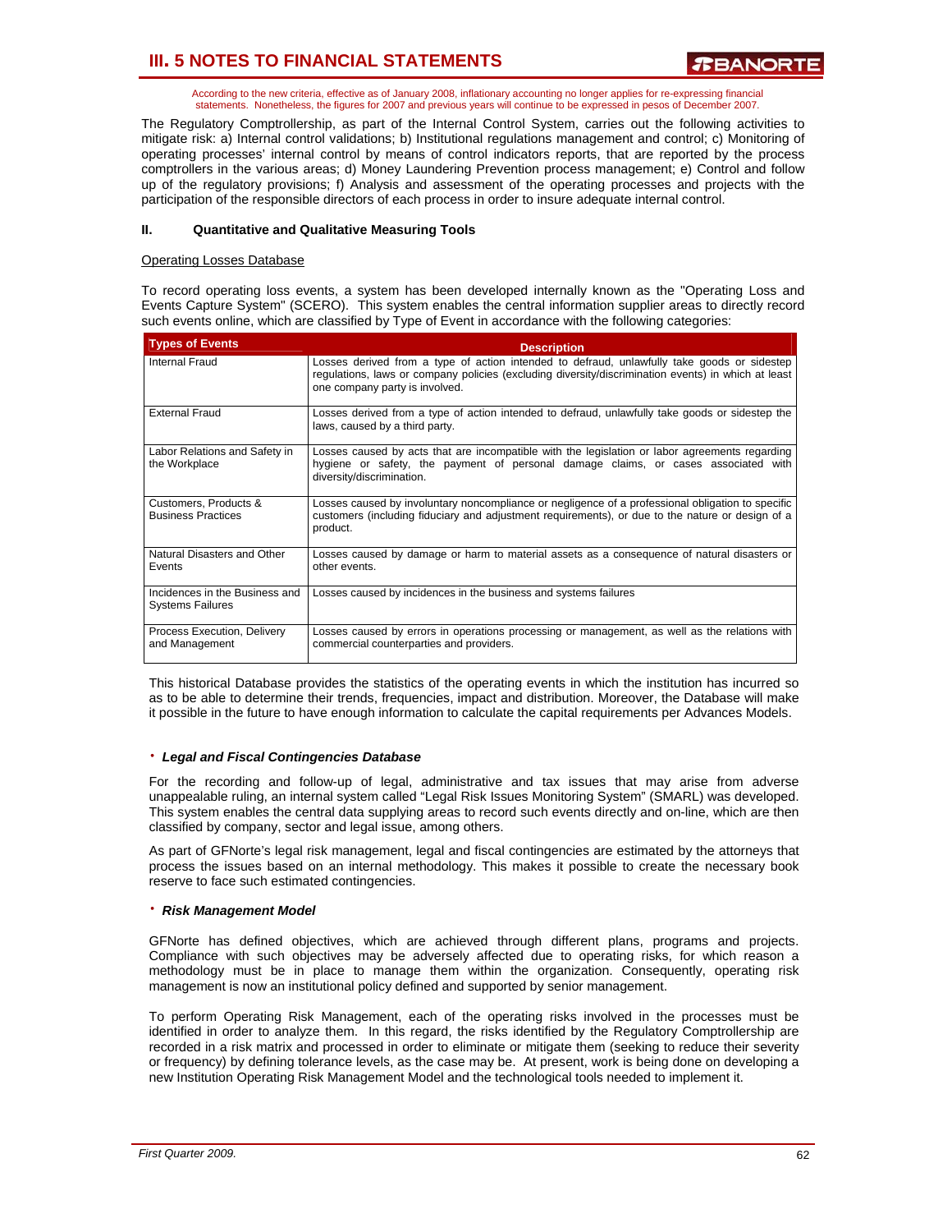According to the new criteria, effective as of January 2008, inflationary accounting no longer applies for re-expressing financial statements. Nonetheless, the figures for 2007 and previous years will continue to be expressed in pesos of December 2007.

The Regulatory Comptrollership, as part of the Internal Control System, carries out the following activities to mitigate risk: a) Internal control validations; b) Institutional regulations management and control; c) Monitoring of operating processes' internal control by means of control indicators reports, that are reported by the process comptrollers in the various areas; d) Money Laundering Prevention process management; e) Control and follow up of the regulatory provisions; f) Analysis and assessment of the operating processes and projects with the participation of the responsible directors of each process in order to insure adequate internal control.

### **II. Quantitative and Qualitative Measuring Tools**

### Operating Losses Database

To record operating loss events, a system has been developed internally known as the "Operating Loss and Events Capture System" (SCERO). This system enables the central information supplier areas to directly record such events online, which are classified by Type of Event in accordance with the following categories:

| <b>Types of Events</b>                                    | <b>Description</b>                                                                                                                                                                                                                    |
|-----------------------------------------------------------|---------------------------------------------------------------------------------------------------------------------------------------------------------------------------------------------------------------------------------------|
| Internal Fraud                                            | Losses derived from a type of action intended to defraud, unlawfully take goods or sidestep<br>requilations, laws or company policies (excluding diversity/discrimination events) in which at least<br>one company party is involved. |
| <b>External Fraud</b>                                     | Losses derived from a type of action intended to defraud, unlawfully take goods or sidestep the<br>laws, caused by a third party.                                                                                                     |
| Labor Relations and Safety in<br>the Workplace            | Losses caused by acts that are incompatible with the legislation or labor agreements regarding<br>hygiene or safety, the payment of personal damage claims, or cases associated with<br>diversity/discrimination.                     |
| Customers, Products &<br><b>Business Practices</b>        | Losses caused by involuntary noncompliance or negligence of a professional obligation to specific<br>customers (including fiduciary and adjustment requirements), or due to the nature or design of a<br>product.                     |
| Natural Disasters and Other<br>Events                     | Losses caused by damage or harm to material assets as a consequence of natural disasters or<br>other events.                                                                                                                          |
| Incidences in the Business and<br><b>Systems Failures</b> | Losses caused by incidences in the business and systems failures                                                                                                                                                                      |
| Process Execution, Delivery<br>and Management             | Losses caused by errors in operations processing or management, as well as the relations with<br>commercial counterparties and providers.                                                                                             |

This historical Database provides the statistics of the operating events in which the institution has incurred so as to be able to determine their trends, frequencies, impact and distribution. Moreover, the Database will make it possible in the future to have enough information to calculate the capital requirements per Advances Models.

#### ⋅ *Legal and Fiscal Contingencies Database*

For the recording and follow-up of legal, administrative and tax issues that may arise from adverse unappealable ruling, an internal system called "Legal Risk Issues Monitoring System" (SMARL) was developed. This system enables the central data supplying areas to record such events directly and on-line, which are then classified by company, sector and legal issue, among others.

As part of GFNorte's legal risk management, legal and fiscal contingencies are estimated by the attorneys that process the issues based on an internal methodology. This makes it possible to create the necessary book reserve to face such estimated contingencies.

#### ⋅ *Risk Management Model*

GFNorte has defined objectives, which are achieved through different plans, programs and projects. Compliance with such objectives may be adversely affected due to operating risks, for which reason a methodology must be in place to manage them within the organization. Consequently, operating risk management is now an institutional policy defined and supported by senior management.

To perform Operating Risk Management, each of the operating risks involved in the processes must be identified in order to analyze them. In this regard, the risks identified by the Regulatory Comptrollership are recorded in a risk matrix and processed in order to eliminate or mitigate them (seeking to reduce their severity or frequency) by defining tolerance levels, as the case may be. At present, work is being done on developing a new Institution Operating Risk Management Model and the technological tools needed to implement it.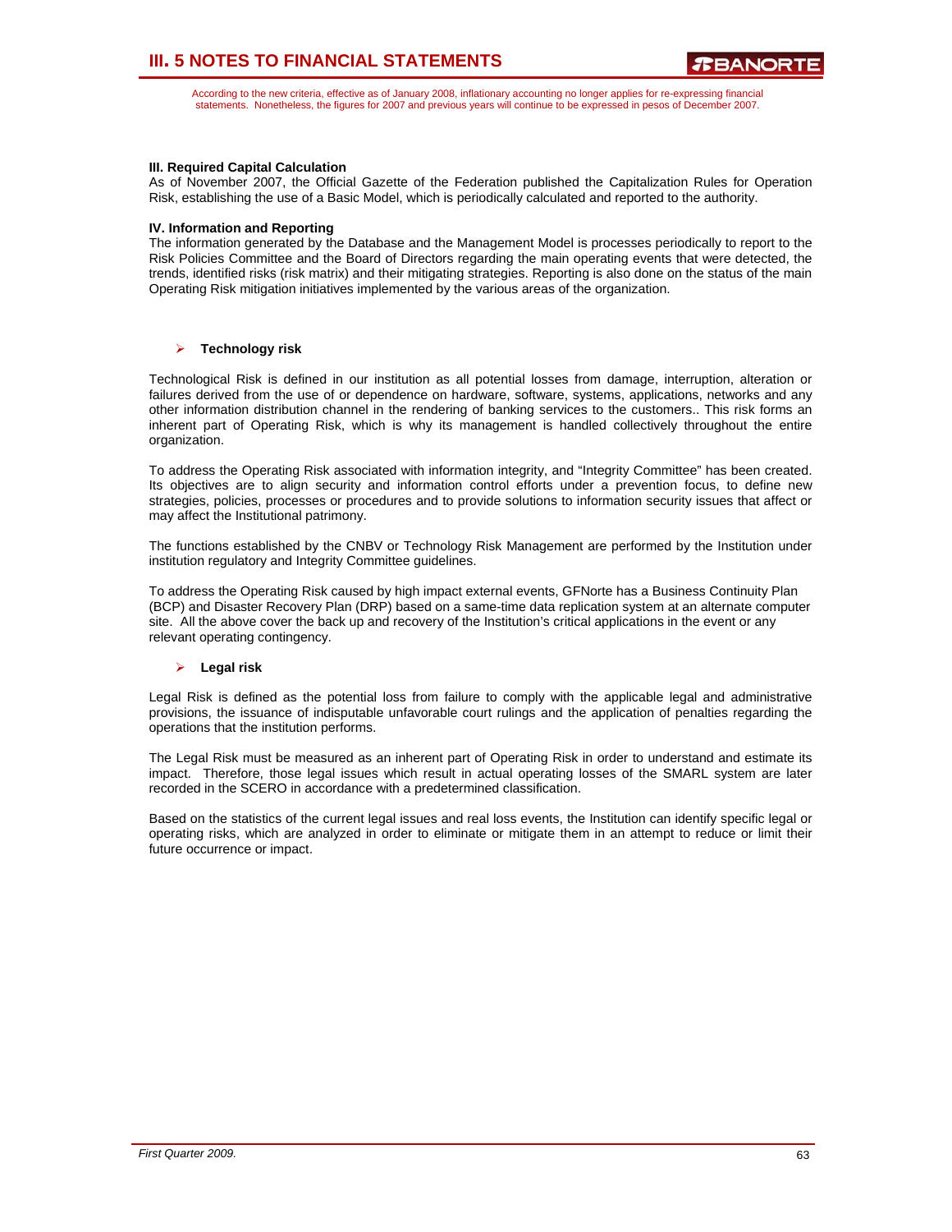According to the new criteria, effective as of January 2008, inflationary accounting no longer applies for re-expressing financial statements. Nonetheless, the figures for 2007 and previous years will continue to be expressed in pesos of December 2007.

### **III. Required Capital Calculation**

As of November 2007, the Official Gazette of the Federation published the Capitalization Rules for Operation Risk, establishing the use of a Basic Model, which is periodically calculated and reported to the authority.

#### **IV. Information and Reporting**

The information generated by the Database and the Management Model is processes periodically to report to the Risk Policies Committee and the Board of Directors regarding the main operating events that were detected, the trends, identified risks (risk matrix) and their mitigating strategies. Reporting is also done on the status of the main Operating Risk mitigation initiatives implemented by the various areas of the organization.

### ¾ **Technology risk**

Technological Risk is defined in our institution as all potential losses from damage, interruption, alteration or failures derived from the use of or dependence on hardware, software, systems, applications, networks and any other information distribution channel in the rendering of banking services to the customers.. This risk forms an inherent part of Operating Risk, which is why its management is handled collectively throughout the entire organization.

To address the Operating Risk associated with information integrity, and "Integrity Committee" has been created. Its objectives are to align security and information control efforts under a prevention focus, to define new strategies, policies, processes or procedures and to provide solutions to information security issues that affect or may affect the Institutional patrimony.

The functions established by the CNBV or Technology Risk Management are performed by the Institution under institution regulatory and Integrity Committee guidelines.

To address the Operating Risk caused by high impact external events, GFNorte has a Business Continuity Plan (BCP) and Disaster Recovery Plan (DRP) based on a same-time data replication system at an alternate computer site. All the above cover the back up and recovery of the Institution's critical applications in the event or any relevant operating contingency.

### ¾ **Legal risk**

Legal Risk is defined as the potential loss from failure to comply with the applicable legal and administrative provisions, the issuance of indisputable unfavorable court rulings and the application of penalties regarding the operations that the institution performs.

The Legal Risk must be measured as an inherent part of Operating Risk in order to understand and estimate its impact. Therefore, those legal issues which result in actual operating losses of the SMARL system are later recorded in the SCERO in accordance with a predetermined classification.

Based on the statistics of the current legal issues and real loss events, the Institution can identify specific legal or operating risks, which are analyzed in order to eliminate or mitigate them in an attempt to reduce or limit their future occurrence or impact.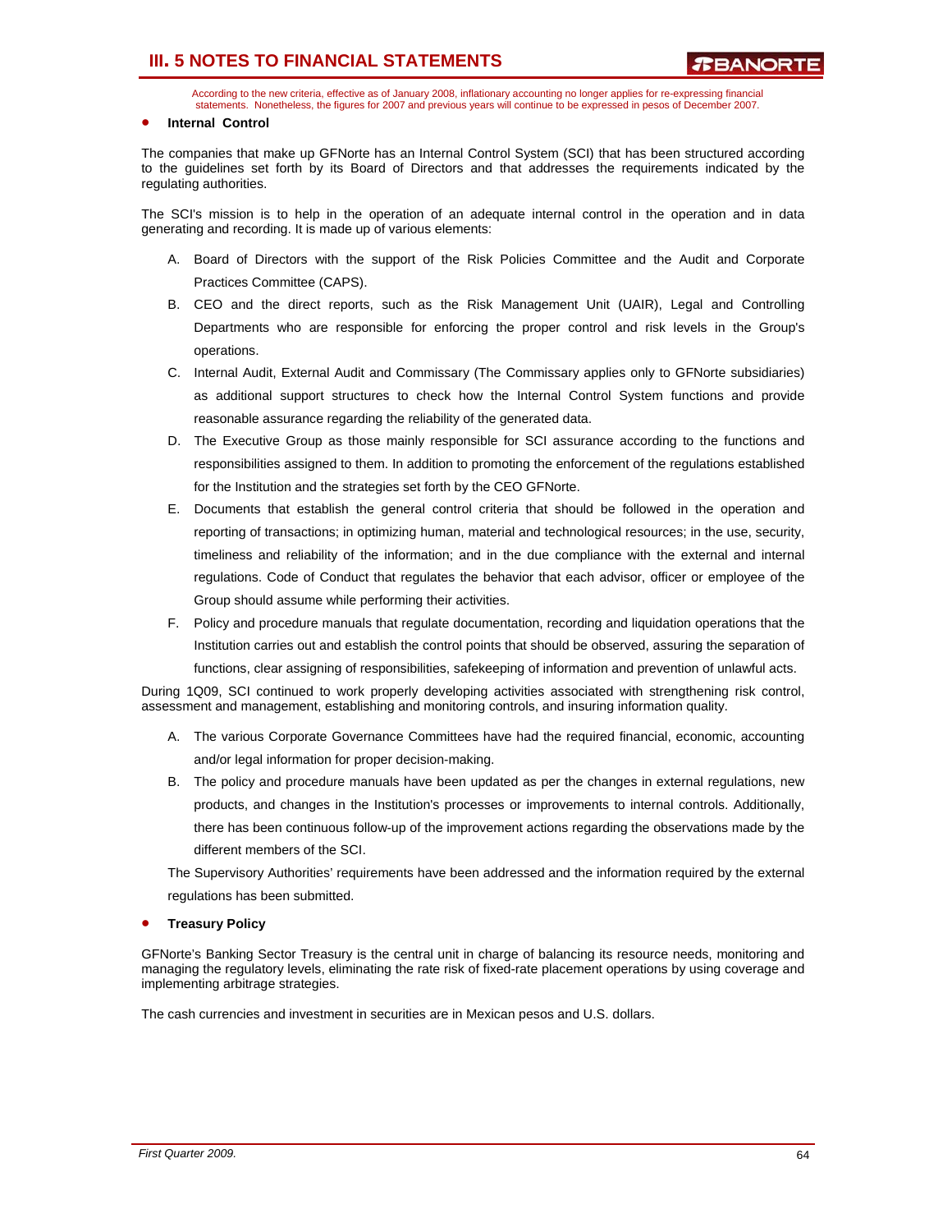According to the new criteria, effective as of January 2008, inflationary accounting no longer applies for re-expressing financial statements. Nonetheless, the figures for 2007 and previous years will continue to be expressed in pesos of December 2007.

#### • **Internal Control**

The companies that make up GFNorte has an Internal Control System (SCI) that has been structured according to the guidelines set forth by its Board of Directors and that addresses the requirements indicated by the regulating authorities.

The SCI's mission is to help in the operation of an adequate internal control in the operation and in data generating and recording. It is made up of various elements:

- A. Board of Directors with the support of the Risk Policies Committee and the Audit and Corporate Practices Committee (CAPS).
- B. CEO and the direct reports, such as the Risk Management Unit (UAIR), Legal and Controlling Departments who are responsible for enforcing the proper control and risk levels in the Group's operations.
- C. Internal Audit, External Audit and Commissary (The Commissary applies only to GFNorte subsidiaries) as additional support structures to check how the Internal Control System functions and provide reasonable assurance regarding the reliability of the generated data.
- D. The Executive Group as those mainly responsible for SCI assurance according to the functions and responsibilities assigned to them. In addition to promoting the enforcement of the regulations established for the Institution and the strategies set forth by the CEO GFNorte.
- E. Documents that establish the general control criteria that should be followed in the operation and reporting of transactions; in optimizing human, material and technological resources; in the use, security, timeliness and reliability of the information; and in the due compliance with the external and internal regulations. Code of Conduct that regulates the behavior that each advisor, officer or employee of the Group should assume while performing their activities.
- F. Policy and procedure manuals that regulate documentation, recording and liquidation operations that the Institution carries out and establish the control points that should be observed, assuring the separation of functions, clear assigning of responsibilities, safekeeping of information and prevention of unlawful acts.

During 1Q09, SCI continued to work properly developing activities associated with strengthening risk control, assessment and management, establishing and monitoring controls, and insuring information quality.

- A. The various Corporate Governance Committees have had the required financial, economic, accounting and/or legal information for proper decision-making.
- B. The policy and procedure manuals have been updated as per the changes in external regulations, new products, and changes in the Institution's processes or improvements to internal controls. Additionally, there has been continuous follow-up of the improvement actions regarding the observations made by the different members of the SCI.

The Supervisory Authorities' requirements have been addressed and the information required by the external regulations has been submitted.

#### • **Treasury Policy**

GFNorte's Banking Sector Treasury is the central unit in charge of balancing its resource needs, monitoring and managing the regulatory levels, eliminating the rate risk of fixed-rate placement operations by using coverage and implementing arbitrage strategies.

The cash currencies and investment in securities are in Mexican pesos and U.S. dollars.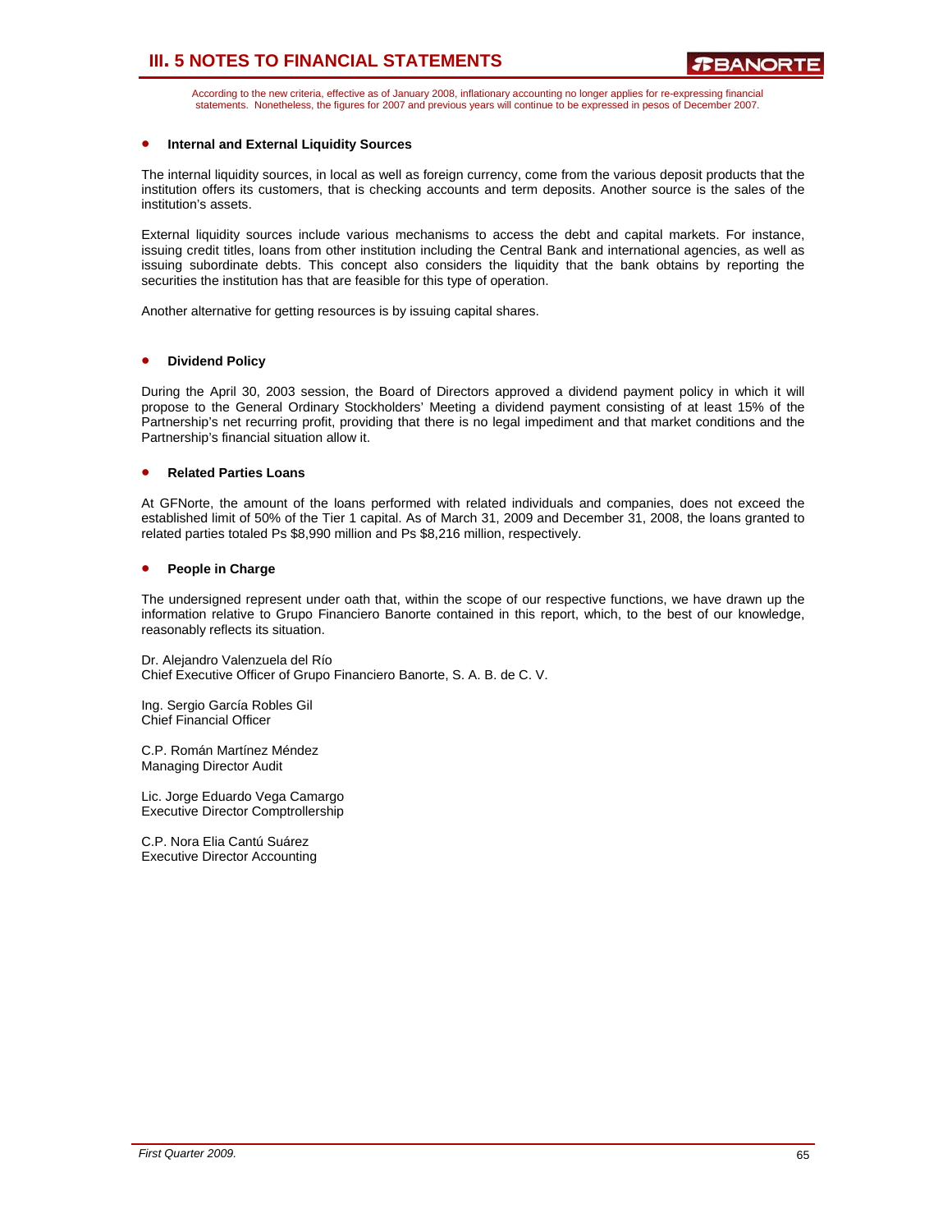According to the new criteria, effective as of January 2008, inflationary accounting no longer applies for re-expressing financial statements. Nonetheless, the figures for 2007 and previous years will continue to be expressed in pesos of December 2007.

### • **Internal and External Liquidity Sources**

The internal liquidity sources, in local as well as foreign currency, come from the various deposit products that the institution offers its customers, that is checking accounts and term deposits. Another source is the sales of the institution's assets.

External liquidity sources include various mechanisms to access the debt and capital markets. For instance, issuing credit titles, loans from other institution including the Central Bank and international agencies, as well as issuing subordinate debts. This concept also considers the liquidity that the bank obtains by reporting the securities the institution has that are feasible for this type of operation.

Another alternative for getting resources is by issuing capital shares.

#### • **Dividend Policy**

During the April 30, 2003 session, the Board of Directors approved a dividend payment policy in which it will propose to the General Ordinary Stockholders' Meeting a dividend payment consisting of at least 15% of the Partnership's net recurring profit, providing that there is no legal impediment and that market conditions and the Partnership's financial situation allow it.

#### • **Related Parties Loans**

At GFNorte, the amount of the loans performed with related individuals and companies, does not exceed the established limit of 50% of the Tier 1 capital. As of March 31, 2009 and December 31, 2008, the loans granted to related parties totaled Ps \$8,990 million and Ps \$8,216 million, respectively.

### • **People in Charge**

The undersigned represent under oath that, within the scope of our respective functions, we have drawn up the information relative to Grupo Financiero Banorte contained in this report, which, to the best of our knowledge, reasonably reflects its situation.

Dr. Alejandro Valenzuela del Río Chief Executive Officer of Grupo Financiero Banorte, S. A. B. de C. V.

Ing. Sergio García Robles Gil Chief Financial Officer

C.P. Román Martínez Méndez Managing Director Audit

Lic. Jorge Eduardo Vega Camargo Executive Director Comptrollership

C.P. Nora Elia Cantú Suárez Executive Director Accounting